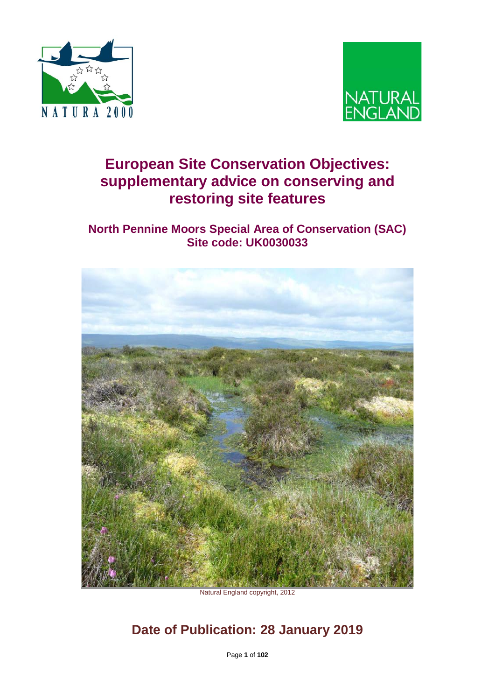



# **European Site Conservation Objectives: supplementary advice on conserving and restoring site features**

## **North Pennine Moors Special Area of Conservation (SAC) Site code: UK0030033**



Natural England copyright, 2012

# **Date of Publication: 28 January 2019**

Page **1** of **102**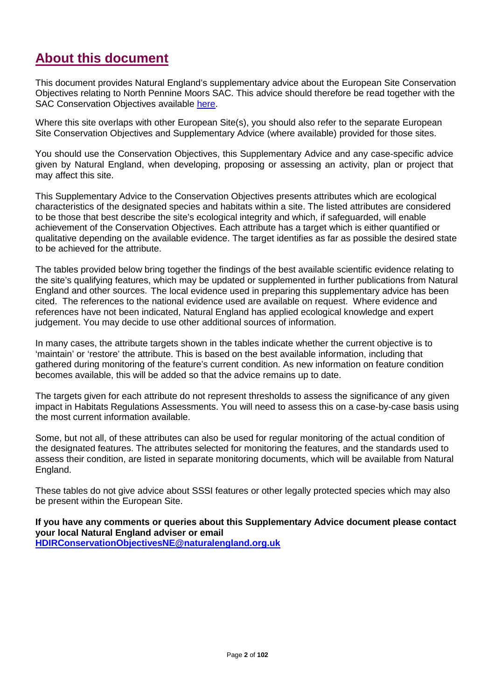# **About this document**

This document provides Natural England's supplementary advice about the European Site Conservation Objectives relating to North Pennine Moors SAC. This advice should therefore be read together with the SAC Conservation Objectives available [here.](http://publications.naturalengland.org.uk/publication/6361191412662272)

Where this site overlaps with other European Site(s), you should also refer to the separate European Site Conservation Objectives and Supplementary Advice (where available) provided for those sites.

You should use the Conservation Objectives, this Supplementary Advice and any case-specific advice given by Natural England, when developing, proposing or assessing an activity, plan or project that may affect this site.

This Supplementary Advice to the Conservation Objectives presents attributes which are ecological characteristics of the designated species and habitats within a site. The listed attributes are considered to be those that best describe the site's ecological integrity and which, if safeguarded, will enable achievement of the Conservation Objectives. Each attribute has a target which is either quantified or qualitative depending on the available evidence. The target identifies as far as possible the desired state to be achieved for the attribute.

The tables provided below bring together the findings of the best available scientific evidence relating to the site's qualifying features, which may be updated or supplemented in further publications from Natural England and other sources. The local evidence used in preparing this supplementary advice has been cited. The references to the national evidence used are available on request. Where evidence and references have not been indicated, Natural England has applied ecological knowledge and expert judgement. You may decide to use other additional sources of information.

In many cases, the attribute targets shown in the tables indicate whether the current objective is to 'maintain' or 'restore' the attribute. This is based on the best available information, including that gathered during monitoring of the feature's current condition. As new information on feature condition becomes available, this will be added so that the advice remains up to date.

The targets given for each attribute do not represent thresholds to assess the significance of any given impact in Habitats Regulations Assessments. You will need to assess this on a case-by-case basis using the most current information available.

Some, but not all, of these attributes can also be used for regular monitoring of the actual condition of the designated features. The attributes selected for monitoring the features, and the standards used to assess their condition, are listed in separate monitoring documents, which will be available from Natural England.

These tables do not give advice about SSSI features or other legally protected species which may also be present within the European Site.

**If you have any comments or queries about this Supplementary Advice document please contact your local Natural England adviser or email [HDIRConservationObjectivesNE@naturalengland.org.uk](mailto:HDIRConservationObjectivesNE@naturalengland.org.uk)**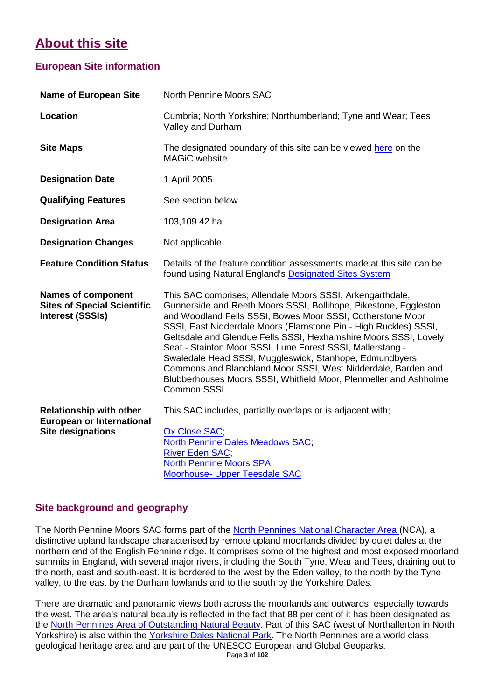# **About this site**

### **European Site information**

| <b>Name of European Site</b>                                                                   | <b>North Pennine Moors SAC</b>                                                                                                                                                                                                                                                                                                                                                                                                                                                                                                                                                                                           |
|------------------------------------------------------------------------------------------------|--------------------------------------------------------------------------------------------------------------------------------------------------------------------------------------------------------------------------------------------------------------------------------------------------------------------------------------------------------------------------------------------------------------------------------------------------------------------------------------------------------------------------------------------------------------------------------------------------------------------------|
| Location                                                                                       | Cumbria; North Yorkshire; Northumberland; Tyne and Wear; Tees<br>Valley and Durham                                                                                                                                                                                                                                                                                                                                                                                                                                                                                                                                       |
| <b>Site Maps</b>                                                                               | The designated boundary of this site can be viewed here on the<br><b>MAGiC</b> website                                                                                                                                                                                                                                                                                                                                                                                                                                                                                                                                   |
| <b>Designation Date</b>                                                                        | 1 April 2005                                                                                                                                                                                                                                                                                                                                                                                                                                                                                                                                                                                                             |
| <b>Qualifying Features</b>                                                                     | See section below                                                                                                                                                                                                                                                                                                                                                                                                                                                                                                                                                                                                        |
| <b>Designation Area</b>                                                                        | 103,109.42 ha                                                                                                                                                                                                                                                                                                                                                                                                                                                                                                                                                                                                            |
| <b>Designation Changes</b>                                                                     | Not applicable                                                                                                                                                                                                                                                                                                                                                                                                                                                                                                                                                                                                           |
| <b>Feature Condition Status</b>                                                                | Details of the feature condition assessments made at this site can be<br>found using Natural England's Designated Sites System                                                                                                                                                                                                                                                                                                                                                                                                                                                                                           |
| <b>Names of component</b><br><b>Sites of Special Scientific</b><br><b>Interest (SSSIs)</b>     | This SAC comprises; Allendale Moors SSSI, Arkengarthdale,<br>Gunnerside and Reeth Moors SSSI, Bollihope, Pikestone, Eggleston<br>and Woodland Fells SSSI, Bowes Moor SSSI, Cotherstone Moor<br>SSSI, East Nidderdale Moors (Flamstone Pin - High Ruckles) SSSI,<br>Geltsdale and Glendue Fells SSSI, Hexhamshire Moors SSSI, Lovely<br>Seat - Stainton Moor SSSI, Lune Forest SSSI, Mallerstang -<br>Swaledale Head SSSI, Muggleswick, Stanhope, Edmundbyers<br>Commons and Blanchland Moor SSSI, West Nidderdale, Barden and<br>Blubberhouses Moors SSSI, Whitfield Moor, Plenmeller and Ashholme<br><b>Common SSSI</b> |
| <b>Relationship with other</b><br><b>European or International</b><br><b>Site designations</b> | This SAC includes, partially overlaps or is adjacent with;<br>Ox Close SAC;<br><b>North Pennine Dales Meadows SAC;</b><br><b>River Eden SAC;</b><br><b>North Pennine Moors SPA;</b><br><b>Moorhouse- Upper Teesdale SAC</b>                                                                                                                                                                                                                                                                                                                                                                                              |

### **Site background and geography**

The North Pennine Moors SAC forms part of the [North Pennines National Character Area \(](http://publications.naturalengland.org.uk/publication/5682293)NCA), a distinctive upland landscape characterised by remote upland moorlands divided by quiet dales at the northern end of the English Pennine ridge. It comprises some of the highest and most exposed moorland summits in England, with several major rivers, including the South Tyne, Wear and Tees, draining out to the north, east and south-east. It is bordered to the west by the Eden valley, to the north by the Tyne valley, to the east by the Durham lowlands and to the south by the Yorkshire Dales.

There are dramatic and panoramic views both across the moorlands and outwards, especially towards the west. The area's natural beauty is reflected in the fact that 88 per cent of it has been designated as the [North Pennines Area of Outstanding Natural Beauty.](http://www.northpennines.org.uk/) Part of this SAC (west of Northallerton in North Yorkshire) is also within the [Yorkshire Dales National Park.](http://www.yorkshiredales.org.uk/) The North Pennines are a world class geological heritage area and are part of the UNESCO European and Global Geoparks.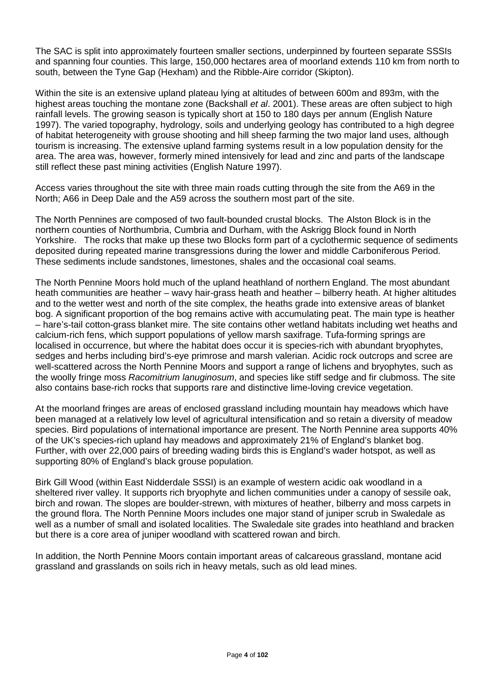The SAC is split into approximately fourteen smaller sections, underpinned by fourteen separate SSSIs and spanning four counties. This large, 150,000 hectares area of moorland extends 110 km from north to south, between the Tyne Gap (Hexham) and the Ribble-Aire corridor (Skipton).

Within the site is an extensive upland plateau lying at altitudes of between 600m and 893m, with the highest areas touching the montane zone (Backshall *et al*. 2001). These areas are often subject to high rainfall levels. The growing season is typically short at 150 to 180 days per annum (English Nature 1997). The varied topography, hydrology, soils and underlying geology has contributed to a high degree of habitat heterogeneity with grouse shooting and hill sheep farming the two major land uses, although tourism is increasing. The extensive upland farming systems result in a low population density for the area. The area was, however, formerly mined intensively for lead and zinc and parts of the landscape still reflect these past mining activities (English Nature 1997).

Access varies throughout the site with three main roads cutting through the site from the A69 in the North: A66 in Deep Dale and the A59 across the southern most part of the site.

The North Pennines are composed of two fault-bounded crustal blocks. The Alston Block is in the northern counties of Northumbria, Cumbria and Durham, with the Askrigg Block found in North Yorkshire. The rocks that make up these two Blocks form part of a cyclothermic sequence of sediments deposited during repeated marine transgressions during the lower and middle Carboniferous Period. These sediments include sandstones, limestones, shales and the occasional coal seams.

The North Pennine Moors hold much of the upland heathland of northern England. The most abundant heath communities are heather – wavy hair-grass heath and heather – bilberry heath. At higher altitudes and to the wetter west and north of the site complex, the heaths grade into extensive areas of blanket bog. A significant proportion of the bog remains active with accumulating peat. The main type is heather – hare's-tail cotton-grass blanket mire. The site contains other wetland habitats including wet heaths and calcium-rich fens, which support populations of yellow marsh saxifrage. Tufa-forming springs are localised in occurrence, but where the habitat does occur it is species-rich with abundant bryophytes, sedges and herbs including bird's-eye primrose and marsh valerian. Acidic rock outcrops and scree are well-scattered across the North Pennine Moors and support a range of lichens and bryophytes, such as the woolly fringe moss *Racomitrium lanuginosum*, and species like stiff sedge and fir clubmoss. The site also contains base-rich rocks that supports rare and distinctive lime-loving crevice vegetation.

At the moorland fringes are areas of enclosed grassland including mountain hay meadows which have been managed at a relatively low level of agricultural intensification and so retain a diversity of meadow species. Bird populations of international importance are present. The North Pennine area supports 40% of the UK's species-rich upland hay meadows and approximately 21% of England's blanket bog. Further, with over 22,000 pairs of breeding wading birds this is England's wader hotspot, as well as supporting 80% of England's black grouse population.

Birk Gill Wood (within East Nidderdale SSSI) is an example of western acidic oak woodland in a sheltered river valley. It supports rich bryophyte and lichen communities under a canopy of sessile oak, birch and rowan. The slopes are boulder-strewn, with mixtures of heather, bilberry and moss carpets in the ground flora. The North Pennine Moors includes one major stand of juniper scrub in Swaledale as well as a number of small and isolated localities. The Swaledale site grades into heathland and bracken but there is a core area of juniper woodland with scattered rowan and birch.

In addition, the North Pennine Moors contain important areas of calcareous grassland, montane acid grassland and grasslands on soils rich in heavy metals, such as old lead mines.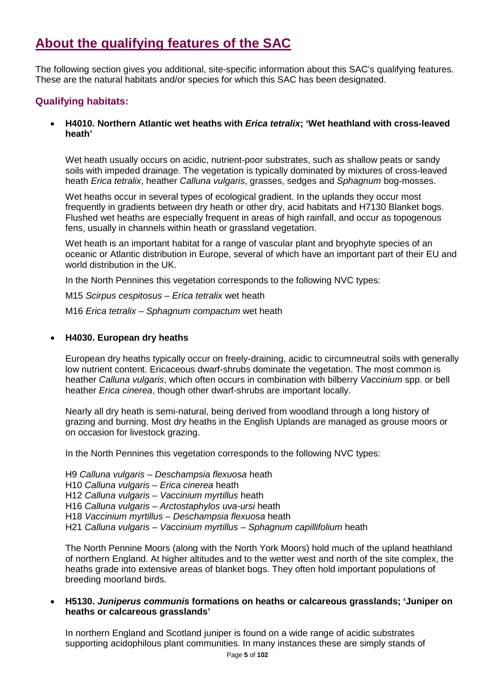# **About the qualifying features of the SAC**

The following section gives you additional, site-specific information about this SAC's qualifying features. These are the natural habitats and/or species for which this SAC has been designated.

### **Qualifying habitats:**

• **H4010. Northern Atlantic wet heaths with** *Erica tetralix***; 'Wet heathland with cross-leaved heath'**

Wet heath usually occurs on acidic, nutrient-poor substrates, such as shallow peats or sandy soils with impeded drainage. The vegetation is typically dominated by mixtures of cross-leaved heath *Erica tetralix*, heather *Calluna vulgaris*, grasses, sedges and *Sphagnum* bog-mosses.

Wet heaths occur in several types of ecological gradient. In the uplands they occur most frequently in gradients between dry heath or other dry, acid habitats and H7130 Blanket bogs. Flushed wet heaths are especially frequent in areas of high rainfall, and occur as topogenous fens, usually in channels within heath or grassland vegetation.

Wet heath is an important habitat for a range of vascular plant and bryophyte species of an oceanic or Atlantic distribution in Europe, several of which have an important part of their EU and world distribution in the UK.

In the North Pennines this vegetation corresponds to the following NVC types:

M15 *Scirpus cespitosus – Erica tetralix* wet heath M16 *Erica tetralix – Sphagnum compactum* wet heath

#### • **H4030. European dry heaths**

European dry heaths typically occur on freely-draining, acidic to circumneutral soils with generally low nutrient content. Ericaceous dwarf-shrubs dominate the vegetation. The most common is heather *Calluna vulgaris*, which often occurs in combination with bilberry *Vaccinium* spp. or bell heather *Erica cinerea*, though other dwarf-shrubs are important locally.

Nearly all dry heath is semi-natural, being derived from woodland through a long history of grazing and burning. Most dry heaths in the English Uplands are managed as grouse moors or on occasion for livestock grazing.

In the North Pennines this vegetation corresponds to the following NVC types:

H9 *Calluna vulgaris – Deschampsia flexuosa* heath

H10 *Calluna vulgaris – Erica cinerea* heath

H12 *Calluna vulgaris – Vaccinium myrtillus* heath

H16 *Calluna vulgaris – Arctostaphylos uva-ursi* heath

H18 *Vaccinium myrtillus – Deschampsia flexuosa* heath

H21 *Calluna vulgaris – Vaccinium myrtillus – Sphagnum capillifolium* heath

The North Pennine Moors (along with the North York Moors) hold much of the upland heathland of northern England. At higher altitudes and to the wetter west and north of the site complex, the heaths grade into extensive areas of blanket bogs. They often hold important populations of breeding moorland birds.

#### • **H5130.** *Juniperus communis* **formations on heaths or calcareous grasslands; 'Juniper on heaths or calcareous grasslands'**

In northern England and Scotland juniper is found on a wide range of acidic substrates supporting acidophilous plant communities. In many instances these are simply stands of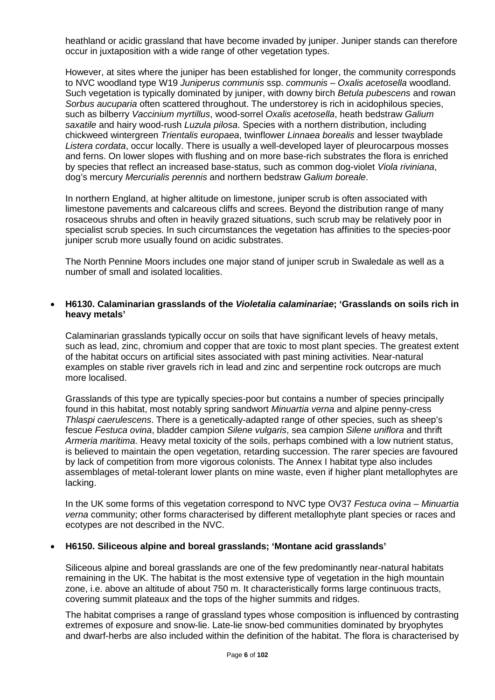heathland or acidic grassland that have become invaded by juniper. Juniper stands can therefore occur in juxtaposition with a wide range of other vegetation types.

However, at sites where the juniper has been established for longer, the community corresponds to NVC woodland type W19 *Juniperus communis* ssp. *communis – Oxalis acetosella* woodland. Such vegetation is typically dominated by juniper, with downy birch *Betula pubescens* and rowan *Sorbus aucuparia* often scattered throughout. The understorey is rich in acidophilous species, such as bilberry *Vaccinium myrtillus*, wood-sorrel *Oxalis acetosella*, heath bedstraw *Galium saxatile* and hairy wood-rush *Luzula pilosa*. Species with a northern distribution, including chickweed wintergreen *Trientalis europaea*, twinflower *Linnaea borealis* and lesser twayblade *Listera cordata*, occur locally. There is usually a well-developed layer of pleurocarpous mosses and ferns. On lower slopes with flushing and on more base-rich substrates the flora is enriched by species that reflect an increased base-status, such as common dog-violet *Viola riviniana*, dog's mercury *Mercurialis perennis* and northern bedstraw *Galium boreale*.

In northern England, at higher altitude on limestone, juniper scrub is often associated with limestone pavements and calcareous cliffs and screes. Beyond the distribution range of many rosaceous shrubs and often in heavily grazed situations, such scrub may be relatively poor in specialist scrub species. In such circumstances the vegetation has affinities to the species-poor juniper scrub more usually found on acidic substrates.

The North Pennine Moors includes one major stand of juniper scrub in Swaledale as well as a number of small and isolated localities.

#### • **H6130. Calaminarian grasslands of the** *Violetalia calaminariae***; 'Grasslands on soils rich in heavy metals'**

Calaminarian grasslands typically occur on soils that have significant levels of heavy metals, such as lead, zinc, chromium and copper that are toxic to most plant species. The greatest extent of the habitat occurs on artificial sites associated with past mining activities. Near-natural examples on stable river gravels rich in lead and zinc and serpentine rock outcrops are much more localised.

Grasslands of this type are typically species-poor but contains a number of species principally found in this habitat, most notably spring sandwort *Minuartia verna* and alpine penny-cress *Thlaspi caerulescens*. There is a genetically-adapted range of other species, such as sheep's fescue *Festuca ovina*, bladder campion *Silene vulgaris*, sea campion *Silene uniflora* and thrift *Armeria maritima*. Heavy metal toxicity of the soils, perhaps combined with a low nutrient status, is believed to maintain the open vegetation, retarding succession. The rarer species are favoured by lack of competition from more vigorous colonists. The Annex I habitat type also includes assemblages of metal-tolerant lower plants on mine waste, even if higher plant metallophytes are lacking.

In the UK some forms of this vegetation correspond to NVC type OV37 *Festuca ovina – Minuartia verna* community; other forms characterised by different metallophyte plant species or races and ecotypes are not described in the NVC.

#### • **H6150. Siliceous alpine and boreal grasslands; 'Montane acid grasslands'**

Siliceous alpine and boreal grasslands are one of the few predominantly near-natural habitats remaining in the UK. The habitat is the most extensive type of vegetation in the high mountain zone, i.e. above an altitude of about 750 m. It characteristically forms large continuous tracts, covering summit plateaux and the tops of the higher summits and ridges.

The habitat comprises a range of grassland types whose composition is influenced by contrasting extremes of exposure and snow-lie. Late-lie snow-bed communities dominated by bryophytes and dwarf-herbs are also included within the definition of the habitat. The flora is characterised by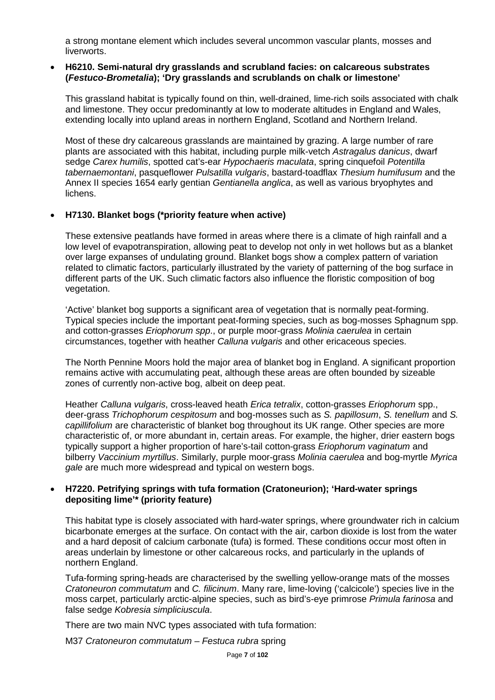a strong montane element which includes several uncommon vascular plants, mosses and liverworts.

#### • **H6210. Semi-natural dry grasslands and scrubland facies: on calcareous substrates (***Festuco-Brometalia***); 'Dry grasslands and scrublands on chalk or limestone'**

This grassland habitat is typically found on thin, well-drained, lime-rich soils associated with chalk and limestone. They occur predominantly at low to moderate altitudes in England and Wales, extending locally into upland areas in northern England, Scotland and Northern Ireland.

Most of these dry calcareous grasslands are maintained by grazing. A large number of rare plants are associated with this habitat, including purple milk-vetch *Astragalus danicus*, dwarf sedge *Carex humilis*, spotted cat's-ear *Hypochaeris maculata*, spring cinquefoil *Potentilla tabernaemontani*, pasqueflower *Pulsatilla vulgaris*, bastard-toadflax *Thesium humifusum* and the Annex II species 1654 early gentian *Gentianella anglica*, as well as various bryophytes and lichens.

#### • **H7130. Blanket bogs (\*priority feature when active)**

These extensive peatlands have formed in areas where there is a climate of high rainfall and a low level of evapotranspiration, allowing peat to develop not only in wet hollows but as a blanket over large expanses of undulating ground. Blanket bogs show a complex pattern of variation related to climatic factors, particularly illustrated by the variety of patterning of the bog surface in different parts of the UK. Such climatic factors also influence the floristic composition of bog vegetation.

'Active' blanket bog supports a significant area of vegetation that is normally peat-forming. Typical species include the important peat-forming species, such as bog-mosses Sphagnum spp. and cotton-grasses *Eriophorum spp*., or purple moor-grass *Molinia caerulea* in certain circumstances, together with heather *Calluna vulgaris* and other ericaceous species.

The North Pennine Moors hold the major area of blanket bog in England. A significant proportion remains active with accumulating peat, although these areas are often bounded by sizeable zones of currently non-active bog, albeit on deep peat.

Heather *Calluna vulgaris*, cross-leaved heath *Erica tetralix*, cotton-grasses *Eriophorum* spp., deer-grass *Trichophorum cespitosum* and bog-mosses such as *S. papillosum*, *S. tenellum* and *S. capillifolium* are characteristic of blanket bog throughout its UK range. Other species are more characteristic of, or more abundant in, certain areas. For example, the higher, drier eastern bogs typically support a higher proportion of hare's-tail cotton-grass *Eriophorum vaginatum* and bilberry *Vaccinium myrtillus*. Similarly, purple moor-grass *Molinia caerulea* and bog-myrtle *Myrica gale* are much more widespread and typical on western bogs.

#### • **H7220. Petrifying springs with tufa formation (Cratoneurion); 'Hard-water springs depositing lime'\* (priority feature)**

This habitat type is closely associated with hard-water springs, where groundwater rich in calcium bicarbonate emerges at the surface. On contact with the air, carbon dioxide is lost from the water and a hard deposit of calcium carbonate (tufa) is formed. These conditions occur most often in areas underlain by limestone or other calcareous rocks, and particularly in the uplands of northern England.

Tufa-forming spring-heads are characterised by the swelling yellow-orange mats of the mosses *Cratoneuron commutatum* and *C. filicinum*. Many rare, lime-loving ('calcicole') species live in the moss carpet, particularly arctic-alpine species, such as bird's-eye primrose *Primula farinosa* and false sedge *Kobresia simpliciuscula*.

There are two main NVC types associated with tufa formation:

M37 *Cratoneuron commutatum – Festuca rubra* spring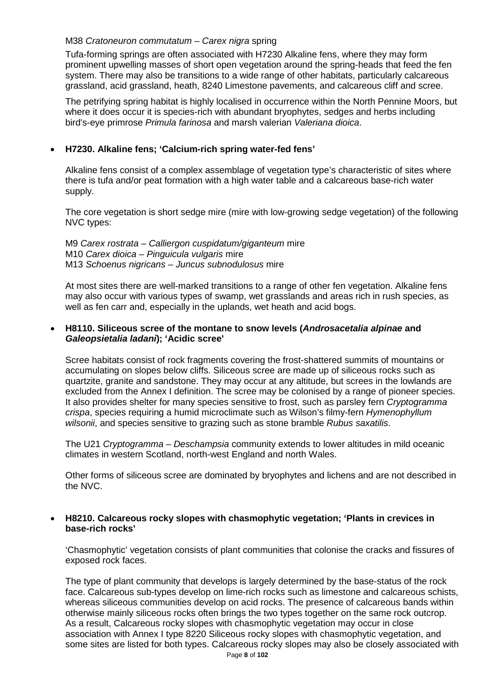#### M38 *Cratoneuron commutatum – Carex nigra* spring

Tufa-forming springs are often associated with H7230 Alkaline fens, where they may form prominent upwelling masses of short open vegetation around the spring-heads that feed the fen system. There may also be transitions to a wide range of other habitats, particularly calcareous grassland, acid grassland, heath, 8240 Limestone pavements, and calcareous cliff and scree.

The petrifying spring habitat is highly localised in occurrence within the North Pennine Moors, but where it does occur it is species-rich with abundant bryophytes, sedges and herbs including bird's-eye primrose *Primula farinosa* and marsh valerian *Valeriana dioica*.

#### • **H7230. Alkaline fens; 'Calcium-rich spring water-fed fens'**

Alkaline fens consist of a complex assemblage of vegetation type's characteristic of sites where there is tufa and/or peat formation with a high water table and a calcareous base-rich water supply.

The core vegetation is short sedge mire (mire with low-growing sedge vegetation) of the following NVC types:

M9 *Carex rostrata – Calliergon cuspidatum/giganteum* mire M10 *Carex dioica – Pinguicula vulgaris* mire M13 *Schoenus nigricans – Juncus subnodulosus* mire

At most sites there are well-marked transitions to a range of other fen vegetation. Alkaline fens may also occur with various types of swamp, wet grasslands and areas rich in rush species, as well as fen carr and, especially in the uplands, wet heath and acid bogs.

#### • **H8110. Siliceous scree of the montane to snow levels (***Androsacetalia alpinae* **and**  *Galeopsietalia ladani***); 'Acidic scree'**

Scree habitats consist of rock fragments covering the frost-shattered summits of mountains or accumulating on slopes below cliffs. Siliceous scree are made up of siliceous rocks such as quartzite, granite and sandstone. They may occur at any altitude, but screes in the lowlands are excluded from the Annex I definition. The scree may be colonised by a range of pioneer species. It also provides shelter for many species sensitive to frost, such as parsley fern *Cryptogramma crispa*, species requiring a humid microclimate such as Wilson's filmy-fern *Hymenophyllum wilsonii*, and species sensitive to grazing such as stone bramble *Rubus saxatilis*.

The U21 *Cryptogramma – Deschampsia* community extends to lower altitudes in mild oceanic climates in western Scotland, north-west England and north Wales.

Other forms of siliceous scree are dominated by bryophytes and lichens and are not described in the NVC.

#### • **H8210. Calcareous rocky slopes with chasmophytic vegetation; 'Plants in crevices in base-rich rocks'**

'Chasmophytic' vegetation consists of plant communities that colonise the cracks and fissures of exposed rock faces.

The type of plant community that develops is largely determined by the base-status of the rock face. Calcareous sub-types develop on lime-rich rocks such as limestone and calcareous schists, whereas siliceous communities develop on acid rocks. The presence of calcareous bands within otherwise mainly siliceous rocks often brings the two types together on the same rock outcrop. As a result, Calcareous rocky slopes with chasmophytic vegetation may occur in close association with Annex I type 8220 Siliceous rocky slopes with chasmophytic vegetation, and some sites are listed for both types. Calcareous rocky slopes may also be closely associated with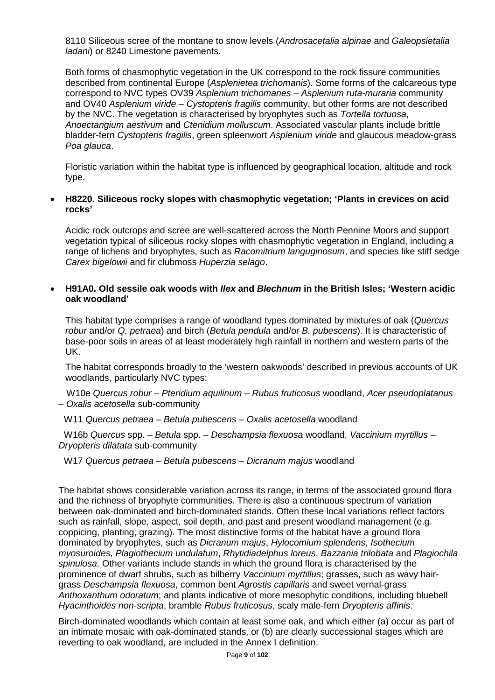8110 Siliceous scree of the montane to snow levels (*Androsacetalia alpinae* and *Galeopsietalia ladani*) or 8240 Limestone pavements.

Both forms of chasmophytic vegetation in the UK correspond to the rock fissure communities described from continental Europe (*Asplenietea trichomanis*). Some forms of the calcareous type correspond to NVC types OV39 *Asplenium trichomanes – Asplenium ruta-muraria* community and OV40 *Asplenium viride – Cystopteris fragilis* community, but other forms are not described by the NVC. The vegetation is characterised by bryophytes such as *Tortella tortuosa*, *Anoectangium aestivum* and *Ctenidium molluscum*. Associated vascular plants include brittle bladder-fern *Cystopteris fragilis*, green spleenwort *Asplenium viride* and glaucous meadow-grass *Poa glauca*.

Floristic variation within the habitat type is influenced by geographical location, altitude and rock type.

#### • **H8220. Siliceous rocky slopes with chasmophytic vegetation; 'Plants in crevices on acid rocks'**

Acidic rock outcrops and scree are well-scattered across the North Pennine Moors and support vegetation typical of siliceous rocky slopes with chasmophytic vegetation in England, including a range of lichens and bryophytes, such as *Racomitrium languginosum*, and species like stiff sedge *Carex bigelowii* and fir clubmoss *Huperzia selago*.

#### • **H91A0. Old sessile oak woods with** *Ilex* **and** *Blechnum* **in the British Isles; 'Western acidic oak woodland'**

This habitat type comprises a range of woodland types dominated by mixtures of oak (*Quercus robur* and/or *Q. petraea*) and birch (*Betula pendula* and/or *B. pubescens*). It is characteristic of base-poor soils in areas of at least moderately high rainfall in northern and western parts of the UK.

The habitat corresponds broadly to the 'western oakwoods' described in previous accounts of UK woodlands, particularly NVC types:

 W10e *Quercus robur – Pteridium aquilinum – Rubus fruticosus* woodland, *Acer pseudoplatanus – Oxalis acetosella* sub-community

W11 *Quercus petraea – Betula pubescens – Oxalis acetosella* woodland

 W16b *Quercus* spp. *– Betula* spp. *– Deschampsia flexuosa* woodland, *Vaccinium myrtillus – Dryopteris dilatata* sub-community

W17 *Quercus petraea – Betula pubescens – Dicranum majus* woodland

The habitat shows considerable variation across its range, in terms of the associated ground flora and the richness of bryophyte communities. There is also a continuous spectrum of variation between oak-dominated and birch-dominated stands. Often these local variations reflect factors such as rainfall, slope, aspect, soil depth, and past and present woodland management (e.g. coppicing, planting, grazing). The most distinctive forms of the habitat have a ground flora dominated by bryophytes, such as *Dicranum majus*, *Hylocomium splendens*, *Isothecium myosuroides*, *Plagiothecium undulatum*, *Rhytidiadelphus loreus*, *Bazzania trilobata* and *Plagiochila spinulosa*. Other variants include stands in which the ground flora is characterised by the prominence of dwarf shrubs, such as bilberry *Vaccinium myrtillus*; grasses, such as wavy hairgrass *Deschampsia flexuosa*, common bent *Agrostis capillaris* and sweet vernal-grass *Anthoxanthum odoratum*; and plants indicative of more mesophytic conditions, including bluebell *Hyacinthoides non-scripta*, bramble *Rubus fruticosus*, scaly male-fern *Dryopteris affinis*.

Birch-dominated woodlands which contain at least some oak, and which either (a) occur as part of an intimate mosaic with oak-dominated stands, or (b) are clearly successional stages which are reverting to oak woodland, are included in the Annex I definition.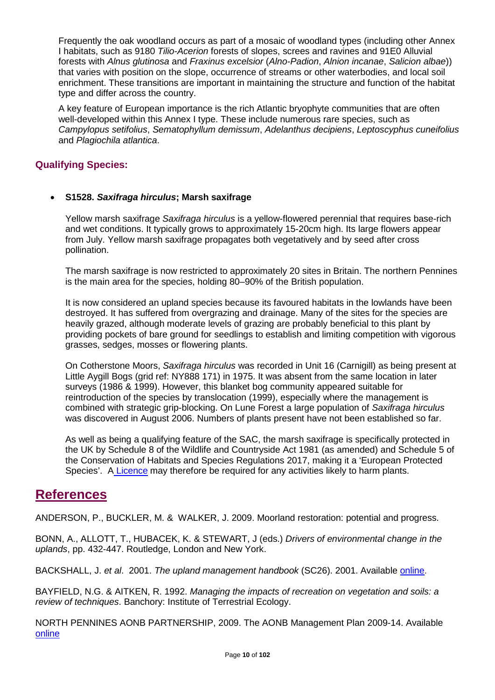Frequently the oak woodland occurs as part of a mosaic of woodland types (including other Annex I habitats, such as 9180 *Tilio-Acerion* forests of slopes, screes and ravines and 91E0 Alluvial forests with *Alnus glutinosa* and *Fraxinus excelsior* (*Alno-Padion*, *Alnion incanae*, *Salicion albae*)) that varies with position on the slope, occurrence of streams or other waterbodies, and local soil enrichment. These transitions are important in maintaining the structure and function of the habitat type and differ across the country.

A key feature of European importance is the rich Atlantic bryophyte communities that are often well-developed within this Annex I type. These include numerous rare species, such as *Campylopus setifolius*, *Sematophyllum demissum*, *Adelanthus decipiens*, *Leptoscyphus cuneifolius* and *Plagiochila atlantica*.

### **Qualifying Species:**

#### • **S1528.** *Saxifraga hirculus***; Marsh saxifrage**

Yellow marsh saxifrage *Saxifraga hirculus* is a yellow-flowered perennial that requires base-rich and wet conditions. It typically grows to approximately 15-20cm high. Its large flowers appear from July. Yellow marsh saxifrage propagates both vegetatively and by seed after cross pollination.

The marsh saxifrage is now restricted to approximately 20 sites in Britain. The northern Pennines is the main area for the species, holding 80–90% of the British population.

It is now considered an upland species because its favoured habitats in the lowlands have been destroyed. It has suffered from overgrazing and drainage. Many of the sites for the species are heavily grazed, although moderate levels of grazing are probably beneficial to this plant by providing pockets of bare ground for seedlings to establish and limiting competition with vigorous grasses, sedges, mosses or flowering plants.

On Cotherstone Moors, *Saxifraga hirculus* was recorded in Unit 16 (Carnigill) as being present at Little Aygill Bogs (grid ref: NY888 171) in 1975. It was absent from the same location in later surveys (1986 & 1999). However, this blanket bog community appeared suitable for reintroduction of the species by translocation (1999), especially where the management is combined with strategic grip-blocking. On Lune Forest a large population of *Saxifraga hirculus* was discovered in August 2006. Numbers of plants present have not been established so far.

As well as being a qualifying feature of the SAC, the marsh saxifrage is specifically protected in the UK by Schedule 8 of the Wildlife and Countryside Act 1981 (as amended) and Schedule 5 of the Conservation of Habitats and Species Regulations 2017, making it a 'European Protected Species'. A [Licence](https://www.gov.uk/guidance/protected-plants-protection-surveys-and-licences) may therefore be required for any activities likely to harm plants.

## **References**

ANDERSON, P., BUCKLER, M. & WALKER, J. 2009. Moorland restoration: potential and progress.

BONN, A., ALLOTT, T., HUBACEK, K. & STEWART, J (eds.) *Drivers of environmental change in the uplands*, pp. 432-447. Routledge, London and New York.

BACKSHALL, J. *et al*. 2001. *The upland management handbook* (SC26). 2001. Available [online.](http://publications.naturalengland.org.uk/publication/82050)

BAYFIELD, N.G. & AITKEN, R. 1992. *Managing the impacts of recreation on vegetation and soils: a review of techniques*. Banchory: Institute of Terrestrial Ecology.

NORTH PENNINES AONB PARTNERSHIP, 2009. The AONB Management Plan 2009-14. Available [online](http://www.northpennines.org.uk/Pages/TheAONBManagementPlan2009-14.aspx)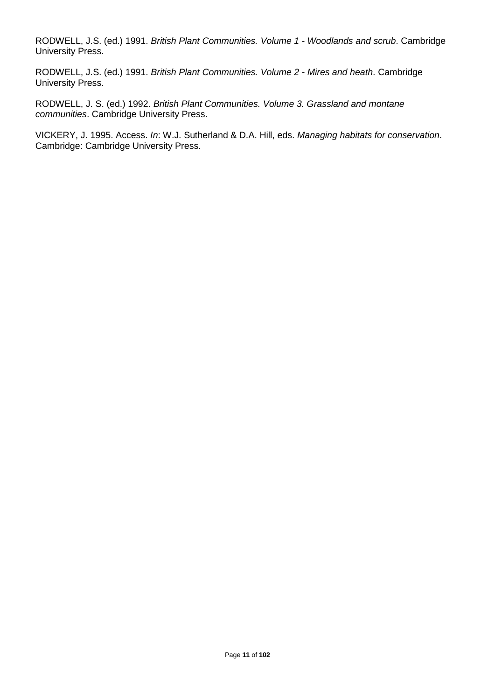RODWELL, J.S. (ed.) 1991. *British Plant Communities. Volume 1 - Woodlands and scrub*. Cambridge University Press.

RODWELL, J.S. (ed.) 1991. *British Plant Communities. Volume 2 - Mires and heath*. Cambridge University Press.

RODWELL, J. S. (ed.) 1992. *British Plant Communities. Volume 3. Grassland and montane communities*. Cambridge University Press.

VICKERY, J. 1995. Access. *In*: W.J. Sutherland & D.A. Hill, eds. *Managing habitats for conservation*. Cambridge: Cambridge University Press.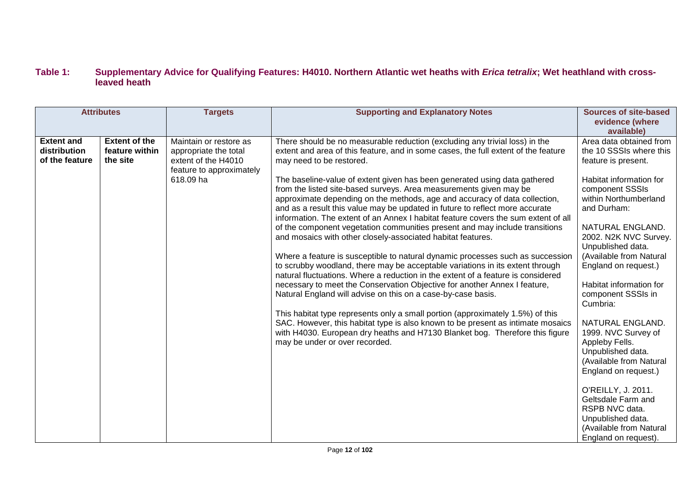#### **Table 1: Supplementary Advice for Qualifying Features: H4010. Northern Atlantic wet heaths with** *Erica tetralix***; Wet heathland with crossleaved heath**

|                                                     | <b>Attributes</b>                                  | <b>Targets</b>                                                                                                  | <b>Supporting and Explanatory Notes</b>                                                                                                                                                                                                                                                                                                                                                                                                                                                                                                                                                                                                                                                                                                                                                                                                                                                                                                                                                                                                                                                                                                                                                                                                                                                                                                                                                                                                       | <b>Sources of site-based</b><br>evidence (where<br>available)                                                                                                                                                                                                                                                                                                                                                                                                                                                                                                                                                                |
|-----------------------------------------------------|----------------------------------------------------|-----------------------------------------------------------------------------------------------------------------|-----------------------------------------------------------------------------------------------------------------------------------------------------------------------------------------------------------------------------------------------------------------------------------------------------------------------------------------------------------------------------------------------------------------------------------------------------------------------------------------------------------------------------------------------------------------------------------------------------------------------------------------------------------------------------------------------------------------------------------------------------------------------------------------------------------------------------------------------------------------------------------------------------------------------------------------------------------------------------------------------------------------------------------------------------------------------------------------------------------------------------------------------------------------------------------------------------------------------------------------------------------------------------------------------------------------------------------------------------------------------------------------------------------------------------------------------|------------------------------------------------------------------------------------------------------------------------------------------------------------------------------------------------------------------------------------------------------------------------------------------------------------------------------------------------------------------------------------------------------------------------------------------------------------------------------------------------------------------------------------------------------------------------------------------------------------------------------|
| <b>Extent and</b><br>distribution<br>of the feature | <b>Extent of the</b><br>feature within<br>the site | Maintain or restore as<br>appropriate the total<br>extent of the H4010<br>feature to approximately<br>618.09 ha | There should be no measurable reduction (excluding any trivial loss) in the<br>extent and area of this feature, and in some cases, the full extent of the feature<br>may need to be restored.<br>The baseline-value of extent given has been generated using data gathered<br>from the listed site-based surveys. Area measurements given may be<br>approximate depending on the methods, age and accuracy of data collection,<br>and as a result this value may be updated in future to reflect more accurate<br>information. The extent of an Annex I habitat feature covers the sum extent of all<br>of the component vegetation communities present and may include transitions<br>and mosaics with other closely-associated habitat features.<br>Where a feature is susceptible to natural dynamic processes such as succession<br>to scrubby woodland, there may be acceptable variations in its extent through<br>natural fluctuations. Where a reduction in the extent of a feature is considered<br>necessary to meet the Conservation Objective for another Annex I feature,<br>Natural England will advise on this on a case-by-case basis.<br>This habitat type represents only a small portion (approximately 1.5%) of this<br>SAC. However, this habitat type is also known to be present as intimate mosaics<br>with H4030. European dry heaths and H7130 Blanket bog. Therefore this figure<br>may be under or over recorded. | Area data obtained from<br>the 10 SSSIs where this<br>feature is present.<br>Habitat information for<br>component SSSIs<br>within Northumberland<br>and Durham:<br>NATURAL ENGLAND.<br>2002. N2K NVC Survey.<br>Unpublished data.<br>(Available from Natural<br>England on request.)<br>Habitat information for<br>component SSSIs in<br>Cumbria:<br>NATURAL ENGLAND.<br>1999. NVC Survey of<br>Appleby Fells.<br>Unpublished data.<br>(Available from Natural<br>England on request.)<br>O'REILLY, J. 2011.<br>Geltsdale Farm and<br>RSPB NVC data.<br>Unpublished data.<br>(Available from Natural<br>England on request). |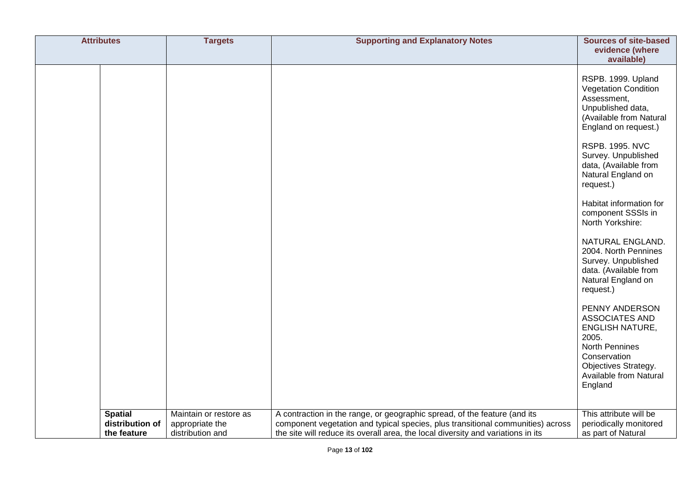| <b>Attributes</b>                                | <b>Targets</b>                                                | <b>Supporting and Explanatory Notes</b>                                                                                                                                                                                                          | <b>Sources of site-based</b><br>evidence (where<br>available)                                                                                                                                                                                                                                                                                                                                                                                                                                                                                                                                                                   |
|--------------------------------------------------|---------------------------------------------------------------|--------------------------------------------------------------------------------------------------------------------------------------------------------------------------------------------------------------------------------------------------|---------------------------------------------------------------------------------------------------------------------------------------------------------------------------------------------------------------------------------------------------------------------------------------------------------------------------------------------------------------------------------------------------------------------------------------------------------------------------------------------------------------------------------------------------------------------------------------------------------------------------------|
|                                                  |                                                               |                                                                                                                                                                                                                                                  | RSPB. 1999. Upland<br><b>Vegetation Condition</b><br>Assessment,<br>Unpublished data,<br>(Available from Natural<br>England on request.)<br><b>RSPB. 1995. NVC</b><br>Survey. Unpublished<br>data, (Available from<br>Natural England on<br>request.)<br>Habitat information for<br>component SSSIs in<br>North Yorkshire:<br>NATURAL ENGLAND.<br>2004. North Pennines<br>Survey. Unpublished<br>data. (Available from<br>Natural England on<br>request.)<br>PENNY ANDERSON<br>ASSOCIATES AND<br><b>ENGLISH NATURE,</b><br>2005.<br>North Pennines<br>Conservation<br>Objectives Strategy.<br>Available from Natural<br>England |
| <b>Spatial</b><br>distribution of<br>the feature | Maintain or restore as<br>appropriate the<br>distribution and | A contraction in the range, or geographic spread, of the feature (and its<br>component vegetation and typical species, plus transitional communities) across<br>the site will reduce its overall area, the local diversity and variations in its | This attribute will be<br>periodically monitored<br>as part of Natural                                                                                                                                                                                                                                                                                                                                                                                                                                                                                                                                                          |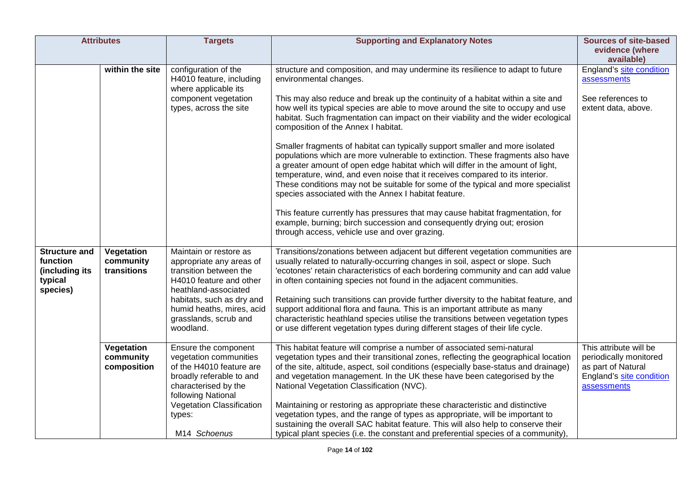|                                                    | <b>Attributes</b>                      | <b>Targets</b>                                                                                                                                       | <b>Supporting and Explanatory Notes</b>                                                                                                                                                                                                                                                                                                                                                                                                                                       | <b>Sources of site-based</b><br>evidence (where<br>available)                                                     |
|----------------------------------------------------|----------------------------------------|------------------------------------------------------------------------------------------------------------------------------------------------------|-------------------------------------------------------------------------------------------------------------------------------------------------------------------------------------------------------------------------------------------------------------------------------------------------------------------------------------------------------------------------------------------------------------------------------------------------------------------------------|-------------------------------------------------------------------------------------------------------------------|
|                                                    | within the site                        | configuration of the<br>H4010 feature, including<br>where applicable its                                                                             | structure and composition, and may undermine its resilience to adapt to future<br>environmental changes.                                                                                                                                                                                                                                                                                                                                                                      | England's site condition<br>assessments                                                                           |
|                                                    |                                        | component vegetation<br>types, across the site                                                                                                       | This may also reduce and break up the continuity of a habitat within a site and<br>how well its typical species are able to move around the site to occupy and use<br>habitat. Such fragmentation can impact on their viability and the wider ecological<br>composition of the Annex I habitat.                                                                                                                                                                               | See references to<br>extent data, above.                                                                          |
|                                                    |                                        |                                                                                                                                                      | Smaller fragments of habitat can typically support smaller and more isolated<br>populations which are more vulnerable to extinction. These fragments also have<br>a greater amount of open edge habitat which will differ in the amount of light,<br>temperature, wind, and even noise that it receives compared to its interior.<br>These conditions may not be suitable for some of the typical and more specialist<br>species associated with the Annex I habitat feature. |                                                                                                                   |
|                                                    |                                        |                                                                                                                                                      | This feature currently has pressures that may cause habitat fragmentation, for<br>example, burning; birch succession and consequently drying out; erosion<br>through access, vehicle use and over grazing.                                                                                                                                                                                                                                                                    |                                                                                                                   |
| <b>Structure and</b><br>function<br>(including its | Vegetation<br>community<br>transitions | Maintain or restore as<br>appropriate any areas of<br>transition between the<br>H4010 feature and other                                              | Transitions/zonations between adjacent but different vegetation communities are<br>usually related to naturally-occurring changes in soil, aspect or slope. Such<br>'ecotones' retain characteristics of each bordering community and can add value<br>in often containing species not found in the adjacent communities.                                                                                                                                                     |                                                                                                                   |
| typical<br>species)                                |                                        | heathland-associated<br>habitats, such as dry and<br>humid heaths, mires, acid<br>grasslands, scrub and<br>woodland.                                 | Retaining such transitions can provide further diversity to the habitat feature, and<br>support additional flora and fauna. This is an important attribute as many<br>characteristic heathland species utilise the transitions between vegetation types<br>or use different vegetation types during different stages of their life cycle.                                                                                                                                     |                                                                                                                   |
|                                                    | Vegetation<br>community<br>composition | Ensure the component<br>vegetation communities<br>of the H4010 feature are<br>broadly referable to and<br>characterised by the<br>following National | This habitat feature will comprise a number of associated semi-natural<br>vegetation types and their transitional zones, reflecting the geographical location<br>of the site, altitude, aspect, soil conditions (especially base-status and drainage)<br>and vegetation management. In the UK these have been categorised by the<br>National Vegetation Classification (NVC).                                                                                                 | This attribute will be<br>periodically monitored<br>as part of Natural<br>England's site condition<br>assessments |
|                                                    |                                        | Vegetation Classification<br>types:<br>M14 Schoenus                                                                                                  | Maintaining or restoring as appropriate these characteristic and distinctive<br>vegetation types, and the range of types as appropriate, will be important to<br>sustaining the overall SAC habitat feature. This will also help to conserve their<br>typical plant species (i.e. the constant and preferential species of a community),                                                                                                                                      |                                                                                                                   |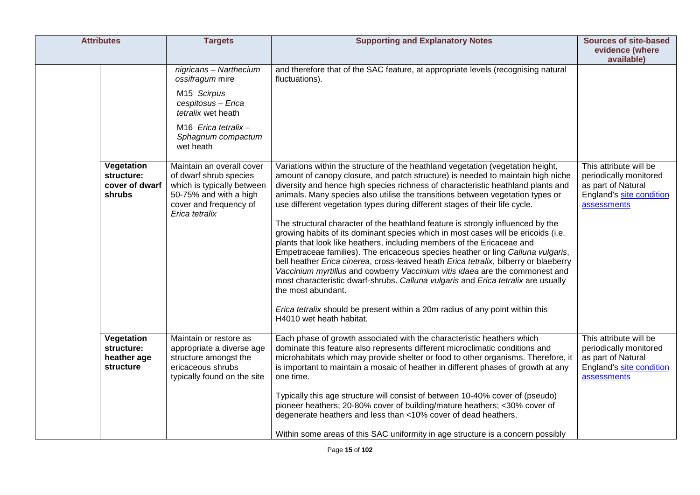| <b>Attributes</b>                                    | <b>Targets</b>                                                                                                                                                                                                                                                                                                                         | <b>Supporting and Explanatory Notes</b>                                                                                                                                                                                                                                                                                                                                                                                                                                                                                                                                                                                                                                                                                                                                                                                                                                                                                                                                                                                                                                                                                                                                                                                                                             | <b>Sources of site-based</b>                                                                                      |
|------------------------------------------------------|----------------------------------------------------------------------------------------------------------------------------------------------------------------------------------------------------------------------------------------------------------------------------------------------------------------------------------------|---------------------------------------------------------------------------------------------------------------------------------------------------------------------------------------------------------------------------------------------------------------------------------------------------------------------------------------------------------------------------------------------------------------------------------------------------------------------------------------------------------------------------------------------------------------------------------------------------------------------------------------------------------------------------------------------------------------------------------------------------------------------------------------------------------------------------------------------------------------------------------------------------------------------------------------------------------------------------------------------------------------------------------------------------------------------------------------------------------------------------------------------------------------------------------------------------------------------------------------------------------------------|-------------------------------------------------------------------------------------------------------------------|
|                                                      |                                                                                                                                                                                                                                                                                                                                        |                                                                                                                                                                                                                                                                                                                                                                                                                                                                                                                                                                                                                                                                                                                                                                                                                                                                                                                                                                                                                                                                                                                                                                                                                                                                     | evidence (where<br>available)                                                                                     |
| Vegetation<br>structure:<br>cover of dwarf<br>shrubs | nigricans - Narthecium<br>ossifragum mire<br>M15 Scirpus<br>cespitosus - Erica<br>tetralix wet heath<br>M <sub>16</sub> Erica tetralix -<br>Sphagnum compactum<br>wet heath<br>Maintain an overall cover<br>of dwarf shrub species<br>which is typically between<br>50-75% and with a high<br>cover and frequency of<br>Erica tetralix | and therefore that of the SAC feature, at appropriate levels (recognising natural<br>fluctuations).<br>Variations within the structure of the heathland vegetation (vegetation height,<br>amount of canopy closure, and patch structure) is needed to maintain high niche<br>diversity and hence high species richness of characteristic heathland plants and<br>animals. Many species also utilise the transitions between vegetation types or<br>use different vegetation types during different stages of their life cycle.<br>The structural character of the heathland feature is strongly influenced by the<br>growing habits of its dominant species which in most cases will be ericoids (i.e.<br>plants that look like heathers, including members of the Ericaceae and<br>Empetraceae families). The ericaceous species heather or ling Calluna vulgaris,<br>bell heather Erica cinerea, cross-leaved heath Erica tetralix, bilberry or blaeberry<br>Vaccinium myrtillus and cowberry Vaccinium vitis idaea are the commonest and<br>most characteristic dwarf-shrubs. Calluna vulgaris and Erica tetralix are usually<br>the most abundant.<br>Erica tetralix should be present within a 20m radius of any point within this<br>H4010 wet heath habitat. | This attribute will be<br>periodically monitored<br>as part of Natural<br>England's site condition<br>assessments |
| Vegetation<br>structure:<br>heather age<br>structure | Maintain or restore as<br>appropriate a diverse age<br>structure amongst the<br>ericaceous shrubs<br>typically found on the site                                                                                                                                                                                                       | Each phase of growth associated with the characteristic heathers which<br>dominate this feature also represents different microclimatic conditions and<br>microhabitats which may provide shelter or food to other organisms. Therefore, it<br>is important to maintain a mosaic of heather in different phases of growth at any<br>one time.<br>Typically this age structure will consist of between 10-40% cover of (pseudo)<br>pioneer heathers; 20-80% cover of building/mature heathers; <30% cover of<br>degenerate heathers and less than <10% cover of dead heathers.<br>Within some areas of this SAC uniformity in age structure is a concern possibly                                                                                                                                                                                                                                                                                                                                                                                                                                                                                                                                                                                                    | This attribute will be<br>periodically monitored<br>as part of Natural<br>England's site condition<br>assessments |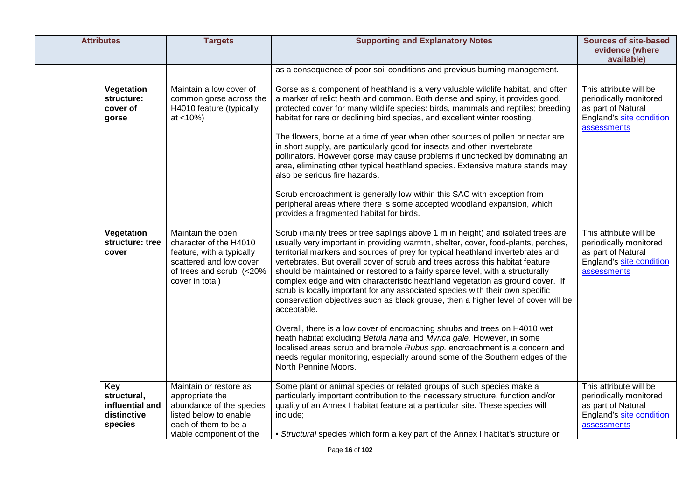| <b>Attributes</b>                                   |                 | <b>Targets</b>                                                                                                                                     | <b>Supporting and Explanatory Notes</b>                                                                                                                                                                                                                                                                                                                                                                                                                                                                                                                                                                                                                                                                                                                                                                                                                                                                                                                                                                                                          | <b>Sources of site-based</b><br>evidence (where<br>available)                                                     |
|-----------------------------------------------------|-----------------|----------------------------------------------------------------------------------------------------------------------------------------------------|--------------------------------------------------------------------------------------------------------------------------------------------------------------------------------------------------------------------------------------------------------------------------------------------------------------------------------------------------------------------------------------------------------------------------------------------------------------------------------------------------------------------------------------------------------------------------------------------------------------------------------------------------------------------------------------------------------------------------------------------------------------------------------------------------------------------------------------------------------------------------------------------------------------------------------------------------------------------------------------------------------------------------------------------------|-------------------------------------------------------------------------------------------------------------------|
|                                                     |                 |                                                                                                                                                    | as a consequence of poor soil conditions and previous burning management.                                                                                                                                                                                                                                                                                                                                                                                                                                                                                                                                                                                                                                                                                                                                                                                                                                                                                                                                                                        |                                                                                                                   |
| Vegetation<br>structure:<br>cover of<br>gorse       |                 | Maintain a low cover of<br>common gorse across the<br>H4010 feature (typically<br>$at < 10\%)$                                                     | Gorse as a component of heathland is a very valuable wildlife habitat, and often<br>a marker of relict heath and common. Both dense and spiny, it provides good,<br>protected cover for many wildlife species: birds, mammals and reptiles; breeding<br>habitat for rare or declining bird species, and excellent winter roosting.<br>The flowers, borne at a time of year when other sources of pollen or nectar are<br>in short supply, are particularly good for insects and other invertebrate<br>pollinators. However gorse may cause problems if unchecked by dominating an<br>area, eliminating other typical heathland species. Extensive mature stands may<br>also be serious fire hazards.<br>Scrub encroachment is generally low within this SAC with exception from<br>peripheral areas where there is some accepted woodland expansion, which<br>provides a fragmented habitat for birds.                                                                                                                                           | This attribute will be<br>periodically monitored<br>as part of Natural<br>England's site condition<br>assessments |
| Vegetation<br>cover                                 | structure: tree | Maintain the open<br>character of the H4010<br>feature, with a typically<br>scattered and low cover<br>of trees and scrub (<20%<br>cover in total) | Scrub (mainly trees or tree saplings above 1 m in height) and isolated trees are<br>usually very important in providing warmth, shelter, cover, food-plants, perches,<br>territorial markers and sources of prey for typical heathland invertebrates and<br>vertebrates. But overall cover of scrub and trees across this habitat feature<br>should be maintained or restored to a fairly sparse level, with a structurally<br>complex edge and with characteristic heathland vegetation as ground cover. If<br>scrub is locally important for any associated species with their own specific<br>conservation objectives such as black grouse, then a higher level of cover will be<br>acceptable.<br>Overall, there is a low cover of encroaching shrubs and trees on H4010 wet<br>heath habitat excluding Betula nana and Myrica gale. However, in some<br>localised areas scrub and bramble Rubus spp. encroachment is a concern and<br>needs regular monitoring, especially around some of the Southern edges of the<br>North Pennine Moors. | This attribute will be<br>periodically monitored<br>as part of Natural<br>England's site condition<br>assessments |
| <b>Key</b><br>structural,<br>distinctive<br>species | influential and | Maintain or restore as<br>appropriate the<br>abundance of the species<br>listed below to enable<br>each of them to be a<br>viable component of the | Some plant or animal species or related groups of such species make a<br>particularly important contribution to the necessary structure, function and/or<br>quality of an Annex I habitat feature at a particular site. These species will<br>include;<br>• Structural species which form a key part of the Annex I habitat's structure or                                                                                                                                                                                                                                                                                                                                                                                                                                                                                                                                                                                                                                                                                                       | This attribute will be<br>periodically monitored<br>as part of Natural<br>England's site condition<br>assessments |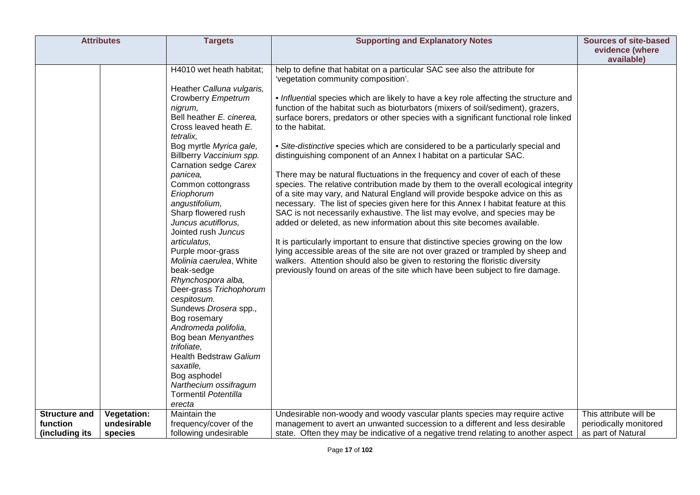| <b>Attributes</b>                                                     | <b>Targets</b>                                                                                                                                                                                                                                                                                                                                                                                                                                                                                                                                                                                                                                                                                                                                                | <b>Supporting and Explanatory Notes</b>                                                                                                                                                                                                                                                                                                                                                                                                                                                                                                                                                                                                                                                                                                                                                                                                                                                                                                                                                                                                                                                                                                                                                                                                                                                                                                                                                                                 | <b>Sources of site-based</b><br>evidence (where  |
|-----------------------------------------------------------------------|---------------------------------------------------------------------------------------------------------------------------------------------------------------------------------------------------------------------------------------------------------------------------------------------------------------------------------------------------------------------------------------------------------------------------------------------------------------------------------------------------------------------------------------------------------------------------------------------------------------------------------------------------------------------------------------------------------------------------------------------------------------|-------------------------------------------------------------------------------------------------------------------------------------------------------------------------------------------------------------------------------------------------------------------------------------------------------------------------------------------------------------------------------------------------------------------------------------------------------------------------------------------------------------------------------------------------------------------------------------------------------------------------------------------------------------------------------------------------------------------------------------------------------------------------------------------------------------------------------------------------------------------------------------------------------------------------------------------------------------------------------------------------------------------------------------------------------------------------------------------------------------------------------------------------------------------------------------------------------------------------------------------------------------------------------------------------------------------------------------------------------------------------------------------------------------------------|--------------------------------------------------|
|                                                                       |                                                                                                                                                                                                                                                                                                                                                                                                                                                                                                                                                                                                                                                                                                                                                               |                                                                                                                                                                                                                                                                                                                                                                                                                                                                                                                                                                                                                                                                                                                                                                                                                                                                                                                                                                                                                                                                                                                                                                                                                                                                                                                                                                                                                         | available)                                       |
|                                                                       | H4010 wet heath habitat;<br>Heather Calluna vulgaris,<br>Crowberry Empetrum<br>nigrum,<br>Bell heather E. cinerea.<br>Cross leaved heath E.<br>tetralix.<br>Bog myrtle Myrica gale,<br>Billberry Vaccinium spp.<br>Carnation sedge Carex<br>panicea,<br>Common cottongrass<br>Eriophorum<br>angustifolium,<br>Sharp flowered rush<br>Juncus acutiflorus,<br>Jointed rush Juncus<br>articulatus,<br>Purple moor-grass<br>Molinia caerulea, White<br>beak-sedge<br>Rhynchospora alba,<br>Deer-grass Trichophorum<br>cespitosum.<br>Sundews Drosera spp.,<br>Bog rosemary<br>Andromeda polifolia,<br>Bog bean Menyanthes<br>trifoliate,<br>Health Bedstraw Galium<br>saxatile,<br>Bog asphodel<br>Narthecium ossifragum<br><b>Tormentil Potentilla</b><br>erecta | help to define that habitat on a particular SAC see also the attribute for<br>'vegetation community composition'.<br>• Influential species which are likely to have a key role affecting the structure and<br>function of the habitat such as bioturbators (mixers of soil/sediment), grazers,<br>surface borers, predators or other species with a significant functional role linked<br>to the habitat.<br>• Site-distinctive species which are considered to be a particularly special and<br>distinguishing component of an Annex I habitat on a particular SAC.<br>There may be natural fluctuations in the frequency and cover of each of these<br>species. The relative contribution made by them to the overall ecological integrity<br>of a site may vary, and Natural England will provide bespoke advice on this as<br>necessary. The list of species given here for this Annex I habitat feature at this<br>SAC is not necessarily exhaustive. The list may evolve, and species may be<br>added or deleted, as new information about this site becomes available.<br>It is particularly important to ensure that distinctive species growing on the low<br>lying accessible areas of the site are not over grazed or trampled by sheep and<br>walkers. Attention should also be given to restoring the floristic diversity<br>previously found on areas of the site which have been subject to fire damage. |                                                  |
| <b>Structure and</b><br><b>Vegetation:</b><br>function<br>undesirable | Maintain the<br>frequency/cover of the                                                                                                                                                                                                                                                                                                                                                                                                                                                                                                                                                                                                                                                                                                                        | Undesirable non-woody and woody vascular plants species may require active<br>management to avert an unwanted succession to a different and less desirable                                                                                                                                                                                                                                                                                                                                                                                                                                                                                                                                                                                                                                                                                                                                                                                                                                                                                                                                                                                                                                                                                                                                                                                                                                                              | This attribute will be<br>periodically monitored |
| (including its<br>species                                             | following undesirable                                                                                                                                                                                                                                                                                                                                                                                                                                                                                                                                                                                                                                                                                                                                         | state. Often they may be indicative of a negative trend relating to another aspect                                                                                                                                                                                                                                                                                                                                                                                                                                                                                                                                                                                                                                                                                                                                                                                                                                                                                                                                                                                                                                                                                                                                                                                                                                                                                                                                      | as part of Natural                               |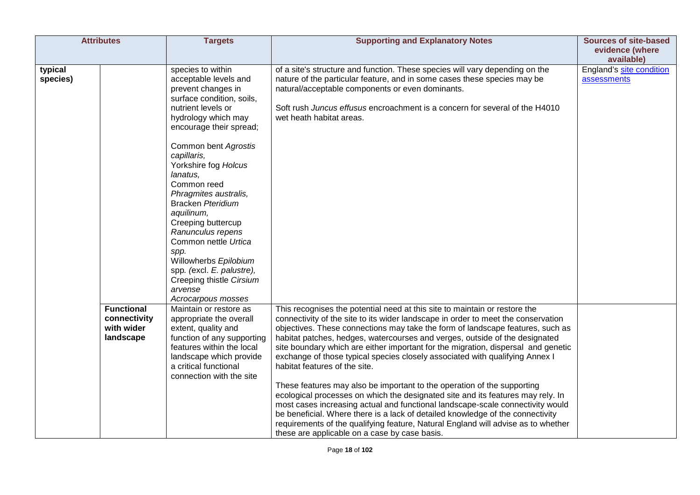|                     | <b>Attributes</b>                                            | <b>Targets</b>                                                                                                                                                                                                                                                                                                                                                                                                                                                                                                                   | <b>Supporting and Explanatory Notes</b>                                                                                                                                                                                                                                                                                                                                                                                                                                                                                                                                                                                                                                                                                                                                                                                                                                                                                                                                                                        | <b>Sources of site-based</b><br>evidence (where |
|---------------------|--------------------------------------------------------------|----------------------------------------------------------------------------------------------------------------------------------------------------------------------------------------------------------------------------------------------------------------------------------------------------------------------------------------------------------------------------------------------------------------------------------------------------------------------------------------------------------------------------------|----------------------------------------------------------------------------------------------------------------------------------------------------------------------------------------------------------------------------------------------------------------------------------------------------------------------------------------------------------------------------------------------------------------------------------------------------------------------------------------------------------------------------------------------------------------------------------------------------------------------------------------------------------------------------------------------------------------------------------------------------------------------------------------------------------------------------------------------------------------------------------------------------------------------------------------------------------------------------------------------------------------|-------------------------------------------------|
|                     |                                                              |                                                                                                                                                                                                                                                                                                                                                                                                                                                                                                                                  |                                                                                                                                                                                                                                                                                                                                                                                                                                                                                                                                                                                                                                                                                                                                                                                                                                                                                                                                                                                                                | available)                                      |
| typical<br>species) |                                                              | species to within<br>acceptable levels and<br>prevent changes in<br>surface condition, soils,<br>nutrient levels or<br>hydrology which may<br>encourage their spread;<br>Common bent Agrostis<br>capillaris,<br>Yorkshire fog Holcus<br>lanatus,<br>Common reed<br>Phragmites australis,<br><b>Bracken Pteridium</b><br>aquilinum,<br>Creeping buttercup<br>Ranunculus repens<br>Common nettle Urtica<br>spp.<br>Willowherbs Epilobium<br>spp. (excl. E. palustre),<br>Creeping thistle Cirsium<br>arvense<br>Acrocarpous mosses | of a site's structure and function. These species will vary depending on the<br>nature of the particular feature, and in some cases these species may be<br>natural/acceptable components or even dominants.<br>Soft rush Juncus effusus encroachment is a concern for several of the H4010<br>wet heath habitat areas.                                                                                                                                                                                                                                                                                                                                                                                                                                                                                                                                                                                                                                                                                        | England's site condition<br>assessments         |
|                     | <b>Functional</b><br>connectivity<br>with wider<br>landscape | Maintain or restore as<br>appropriate the overall<br>extent, quality and<br>function of any supporting<br>features within the local<br>landscape which provide<br>a critical functional<br>connection with the site                                                                                                                                                                                                                                                                                                              | This recognises the potential need at this site to maintain or restore the<br>connectivity of the site to its wider landscape in order to meet the conservation<br>objectives. These connections may take the form of landscape features, such as<br>habitat patches, hedges, watercourses and verges, outside of the designated<br>site boundary which are either important for the migration, dispersal and genetic<br>exchange of those typical species closely associated with qualifying Annex I<br>habitat features of the site.<br>These features may also be important to the operation of the supporting<br>ecological processes on which the designated site and its features may rely. In<br>most cases increasing actual and functional landscape-scale connectivity would<br>be beneficial. Where there is a lack of detailed knowledge of the connectivity<br>requirements of the qualifying feature, Natural England will advise as to whether<br>these are applicable on a case by case basis. |                                                 |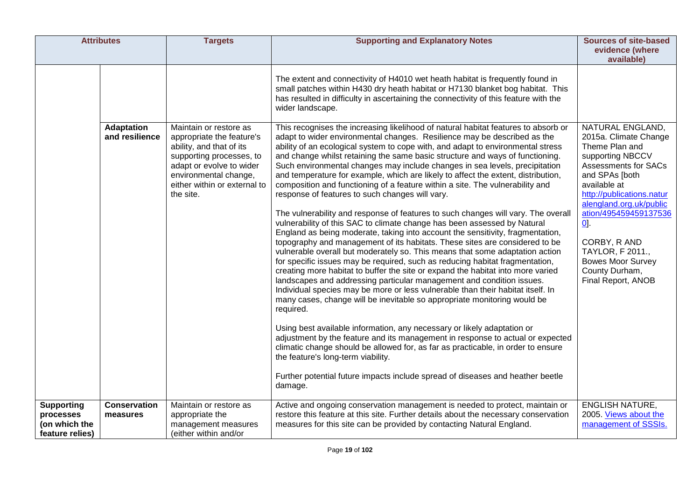| <b>Attributes</b>                             |                                                     | <b>Targets</b>                                                                                                                                                                                                                          | <b>Supporting and Explanatory Notes</b>                                                                                                                                                                                                                                                                                                                                                                                                                                                                                                                                                                                                                                                                                                                                                                                                                                                                                                                                                                                                                                                                                                                                                                                                                                                                                                                                                                                                                                                                                                                                                                                                                                                                                                                                                                                                                                                                                                                                                                                                                                                                                                                                                                                                 | <b>Sources of site-based</b><br>evidence (where                                                                                                                                                                                                                                                                                                                                                        |
|-----------------------------------------------|-----------------------------------------------------|-----------------------------------------------------------------------------------------------------------------------------------------------------------------------------------------------------------------------------------------|-----------------------------------------------------------------------------------------------------------------------------------------------------------------------------------------------------------------------------------------------------------------------------------------------------------------------------------------------------------------------------------------------------------------------------------------------------------------------------------------------------------------------------------------------------------------------------------------------------------------------------------------------------------------------------------------------------------------------------------------------------------------------------------------------------------------------------------------------------------------------------------------------------------------------------------------------------------------------------------------------------------------------------------------------------------------------------------------------------------------------------------------------------------------------------------------------------------------------------------------------------------------------------------------------------------------------------------------------------------------------------------------------------------------------------------------------------------------------------------------------------------------------------------------------------------------------------------------------------------------------------------------------------------------------------------------------------------------------------------------------------------------------------------------------------------------------------------------------------------------------------------------------------------------------------------------------------------------------------------------------------------------------------------------------------------------------------------------------------------------------------------------------------------------------------------------------------------------------------------------|--------------------------------------------------------------------------------------------------------------------------------------------------------------------------------------------------------------------------------------------------------------------------------------------------------------------------------------------------------------------------------------------------------|
| <b>Supporting</b>                             | <b>Adaptation</b><br>and resilience<br>Conservation | Maintain or restore as<br>appropriate the feature's<br>ability, and that of its<br>supporting processes, to<br>adapt or evolve to wider<br>environmental change,<br>either within or external to<br>the site.<br>Maintain or restore as | The extent and connectivity of H4010 wet heath habitat is frequently found in<br>small patches within H430 dry heath habitat or H7130 blanket bog habitat. This<br>has resulted in difficulty in ascertaining the connectivity of this feature with the<br>wider landscape.<br>This recognises the increasing likelihood of natural habitat features to absorb or<br>adapt to wider environmental changes. Resilience may be described as the<br>ability of an ecological system to cope with, and adapt to environmental stress<br>and change whilst retaining the same basic structure and ways of functioning.<br>Such environmental changes may include changes in sea levels, precipitation<br>and temperature for example, which are likely to affect the extent, distribution,<br>composition and functioning of a feature within a site. The vulnerability and<br>response of features to such changes will vary.<br>The vulnerability and response of features to such changes will vary. The overall<br>vulnerability of this SAC to climate change has been assessed by Natural<br>England as being moderate, taking into account the sensitivity, fragmentation,<br>topography and management of its habitats. These sites are considered to be<br>vulnerable overall but moderately so. This means that some adaptation action<br>for specific issues may be required, such as reducing habitat fragmentation,<br>creating more habitat to buffer the site or expand the habitat into more varied<br>landscapes and addressing particular management and condition issues.<br>Individual species may be more or less vulnerable than their habitat itself. In<br>many cases, change will be inevitable so appropriate monitoring would be<br>required.<br>Using best available information, any necessary or likely adaptation or<br>adjustment by the feature and its management in response to actual or expected<br>climatic change should be allowed for, as far as practicable, in order to ensure<br>the feature's long-term viability.<br>Further potential future impacts include spread of diseases and heather beetle<br>damage.<br>Active and ongoing conservation management is needed to protect, maintain or | available)<br>NATURAL ENGLAND,<br>2015a. Climate Change<br>Theme Plan and<br>supporting NBCCV<br><b>Assessments for SACs</b><br>and SPAs [both<br>available at<br>http://publications.natur<br>alengland.org.uk/public<br>ation/495459459137536<br>$\underline{0}$ .<br>CORBY, R AND<br>TAYLOR, F 2011.,<br><b>Bowes Moor Survey</b><br>County Durham,<br>Final Report, ANOB<br><b>ENGLISH NATURE,</b> |
| processes<br>(on which the<br>feature relies) | measures                                            | appropriate the<br>management measures<br>(either within and/or                                                                                                                                                                         | restore this feature at this site. Further details about the necessary conservation<br>measures for this site can be provided by contacting Natural England.                                                                                                                                                                                                                                                                                                                                                                                                                                                                                                                                                                                                                                                                                                                                                                                                                                                                                                                                                                                                                                                                                                                                                                                                                                                                                                                                                                                                                                                                                                                                                                                                                                                                                                                                                                                                                                                                                                                                                                                                                                                                            | 2005. Views about the<br>management of SSSIs.                                                                                                                                                                                                                                                                                                                                                          |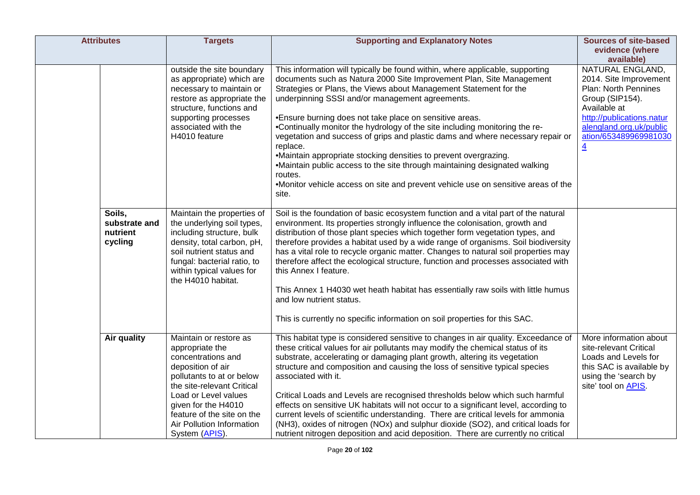| <b>Attributes</b>                              | <b>Targets</b>                                                                                                                                                                                                                                                              | <b>Supporting and Explanatory Notes</b>                                                                                                                                                                                                                                                                                                                                                                                                                                                                                                                                                                                                                                                                                                                                                        | <b>Sources of site-based</b><br>evidence (where                                                                                                                                                                        |
|------------------------------------------------|-----------------------------------------------------------------------------------------------------------------------------------------------------------------------------------------------------------------------------------------------------------------------------|------------------------------------------------------------------------------------------------------------------------------------------------------------------------------------------------------------------------------------------------------------------------------------------------------------------------------------------------------------------------------------------------------------------------------------------------------------------------------------------------------------------------------------------------------------------------------------------------------------------------------------------------------------------------------------------------------------------------------------------------------------------------------------------------|------------------------------------------------------------------------------------------------------------------------------------------------------------------------------------------------------------------------|
|                                                | outside the site boundary<br>as appropriate) which are<br>necessary to maintain or<br>restore as appropriate the<br>structure, functions and<br>supporting processes<br>associated with the<br>H4010 feature                                                                | This information will typically be found within, where applicable, supporting<br>documents such as Natura 2000 Site Improvement Plan, Site Management<br>Strategies or Plans, the Views about Management Statement for the<br>underpinning SSSI and/or management agreements.<br>•Ensure burning does not take place on sensitive areas.<br>•Continually monitor the hydrology of the site including monitoring the re-<br>vegetation and success of grips and plastic dams and where necessary repair or<br>replace.<br>•Maintain appropriate stocking densities to prevent overgrazing.<br>•Maintain public access to the site through maintaining designated walking<br>routes.<br>•Monitor vehicle access on site and prevent vehicle use on sensitive areas of the<br>site.               | available)<br>NATURAL ENGLAND,<br>2014. Site Improvement<br>Plan: North Pennines<br>Group (SIP154).<br>Available at<br>http://publications.natur<br>alengland.org.uk/public<br>ation/653489969981030<br>$\overline{4}$ |
| Soils,<br>substrate and<br>nutrient<br>cycling | Maintain the properties of<br>the underlying soil types,<br>including structure, bulk<br>density, total carbon, pH,<br>soil nutrient status and<br>fungal: bacterial ratio, to<br>within typical values for<br>the H4010 habitat.                                           | Soil is the foundation of basic ecosystem function and a vital part of the natural<br>environment. Its properties strongly influence the colonisation, growth and<br>distribution of those plant species which together form vegetation types, and<br>therefore provides a habitat used by a wide range of organisms. Soil biodiversity<br>has a vital role to recycle organic matter. Changes to natural soil properties may<br>therefore affect the ecological structure, function and processes associated with<br>this Annex I feature.<br>This Annex 1 H4030 wet heath habitat has essentially raw soils with little humus<br>and low nutrient status.<br>This is currently no specific information on soil properties for this SAC.                                                      |                                                                                                                                                                                                                        |
| Air quality                                    | Maintain or restore as<br>appropriate the<br>concentrations and<br>deposition of air<br>pollutants to at or below<br>the site-relevant Critical<br>Load or Level values<br>given for the H4010<br>feature of the site on the<br>Air Pollution Information<br>System (APIS). | This habitat type is considered sensitive to changes in air quality. Exceedance of<br>these critical values for air pollutants may modify the chemical status of its<br>substrate, accelerating or damaging plant growth, altering its vegetation<br>structure and composition and causing the loss of sensitive typical species<br>associated with it.<br>Critical Loads and Levels are recognised thresholds below which such harmful<br>effects on sensitive UK habitats will not occur to a significant level, according to<br>current levels of scientific understanding. There are critical levels for ammonia<br>(NH3), oxides of nitrogen (NOx) and sulphur dioxide (SO2), and critical loads for<br>nutrient nitrogen deposition and acid deposition. There are currently no critical | More information about<br>site-relevant Critical<br>Loads and Levels for<br>this SAC is available by<br>using the 'search by<br>site' tool on APIS.                                                                    |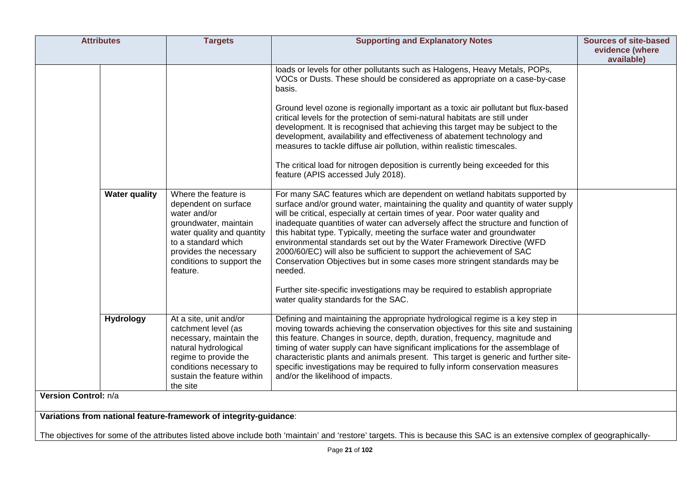| <b>Attributes</b>                                                 | <b>Targets</b>                                                                                                                                                                                                | <b>Supporting and Explanatory Notes</b>                                                                                                                                                                                                                                                                                                                                                                                                                                                                                                                                                                                                                                                                                                     | <b>Sources of site-based</b><br>evidence (where<br>available) |
|-------------------------------------------------------------------|---------------------------------------------------------------------------------------------------------------------------------------------------------------------------------------------------------------|---------------------------------------------------------------------------------------------------------------------------------------------------------------------------------------------------------------------------------------------------------------------------------------------------------------------------------------------------------------------------------------------------------------------------------------------------------------------------------------------------------------------------------------------------------------------------------------------------------------------------------------------------------------------------------------------------------------------------------------------|---------------------------------------------------------------|
|                                                                   |                                                                                                                                                                                                               | loads or levels for other pollutants such as Halogens, Heavy Metals, POPs,<br>VOCs or Dusts. These should be considered as appropriate on a case-by-case<br>basis.                                                                                                                                                                                                                                                                                                                                                                                                                                                                                                                                                                          |                                                               |
|                                                                   |                                                                                                                                                                                                               | Ground level ozone is regionally important as a toxic air pollutant but flux-based<br>critical levels for the protection of semi-natural habitats are still under<br>development. It is recognised that achieving this target may be subject to the<br>development, availability and effectiveness of abatement technology and<br>measures to tackle diffuse air pollution, within realistic timescales.                                                                                                                                                                                                                                                                                                                                    |                                                               |
|                                                                   |                                                                                                                                                                                                               | The critical load for nitrogen deposition is currently being exceeded for this<br>feature (APIS accessed July 2018).                                                                                                                                                                                                                                                                                                                                                                                                                                                                                                                                                                                                                        |                                                               |
| <b>Water quality</b>                                              | Where the feature is<br>dependent on surface<br>water and/or<br>groundwater, maintain<br>water quality and quantity<br>to a standard which<br>provides the necessary<br>conditions to support the<br>feature. | For many SAC features which are dependent on wetland habitats supported by<br>surface and/or ground water, maintaining the quality and quantity of water supply<br>will be critical, especially at certain times of year. Poor water quality and<br>inadequate quantities of water can adversely affect the structure and function of<br>this habitat type. Typically, meeting the surface water and groundwater<br>environmental standards set out by the Water Framework Directive (WFD<br>2000/60/EC) will also be sufficient to support the achievement of SAC<br>Conservation Objectives but in some cases more stringent standards may be<br>needed.<br>Further site-specific investigations may be required to establish appropriate |                                                               |
|                                                                   |                                                                                                                                                                                                               | water quality standards for the SAC.                                                                                                                                                                                                                                                                                                                                                                                                                                                                                                                                                                                                                                                                                                        |                                                               |
| <b>Hydrology</b>                                                  | At a site, unit and/or<br>catchment level (as<br>necessary, maintain the<br>natural hydrological<br>regime to provide the<br>conditions necessary to<br>sustain the feature within<br>the site                | Defining and maintaining the appropriate hydrological regime is a key step in<br>moving towards achieving the conservation objectives for this site and sustaining<br>this feature. Changes in source, depth, duration, frequency, magnitude and<br>timing of water supply can have significant implications for the assemblage of<br>characteristic plants and animals present. This target is generic and further site-<br>specific investigations may be required to fully inform conservation measures<br>and/or the likelihood of impacts.                                                                                                                                                                                             |                                                               |
| Version Control: n/a                                              |                                                                                                                                                                                                               |                                                                                                                                                                                                                                                                                                                                                                                                                                                                                                                                                                                                                                                                                                                                             |                                                               |
| Variations from national feature-framework of integrity-guidance: |                                                                                                                                                                                                               |                                                                                                                                                                                                                                                                                                                                                                                                                                                                                                                                                                                                                                                                                                                                             |                                                               |

The objectives for some of the attributes listed above include both 'maintain' and 'restore' targets. This is because this SAC is an extensive complex of geographically-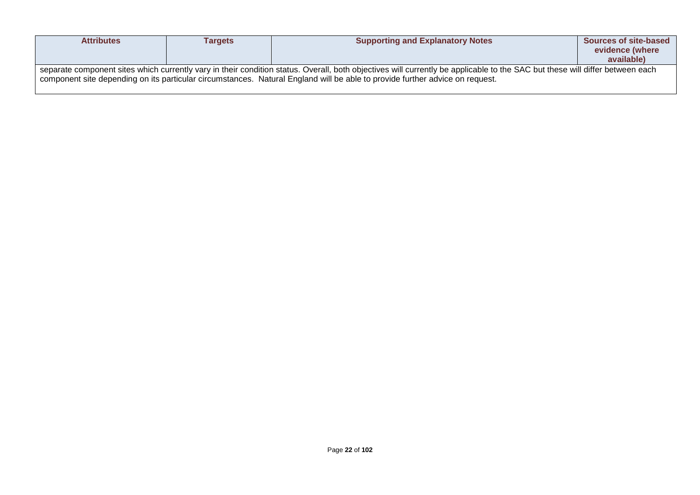| <b>Attributes</b>                                                                                                                                                                                                                                                                                            | <b>Targets</b> | <b>Supporting and Explanatory Notes</b> | <b>Sources of site-based</b><br>evidence (where<br>available) |
|--------------------------------------------------------------------------------------------------------------------------------------------------------------------------------------------------------------------------------------------------------------------------------------------------------------|----------------|-----------------------------------------|---------------------------------------------------------------|
| separate component sites which currently vary in their condition status. Overall, both objectives will currently be applicable to the SAC but these will differ between each<br>component site depending on its particular circumstances. Natural England will be able to provide further advice on request. |                |                                         |                                                               |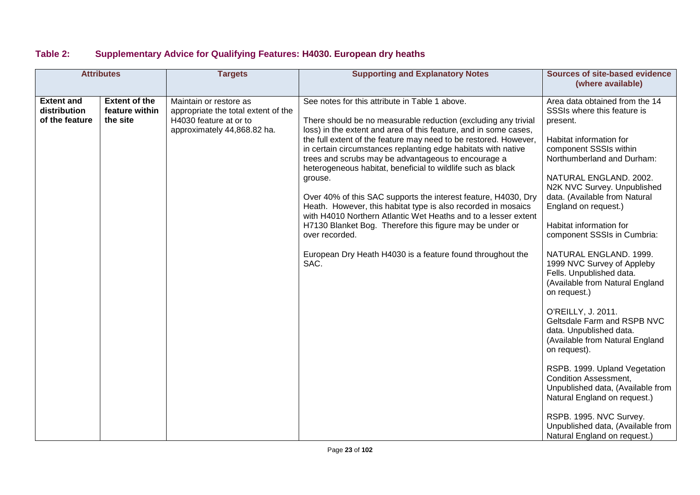### **Table 2: Supplementary Advice for Qualifying Features: H4030. European dry heaths**

| <b>Attributes</b>                                   |                                                    | <b>Targets</b>                                                                                                         | <b>Supporting and Explanatory Notes</b>                                                                                                                                                                                                                                                                                                                                                                                                                                                                                                                                                                                                                                                                                                                                                                             | <b>Sources of site-based evidence</b><br>(where available)                                                                                                                                                                                                                                                                                                                                                                                                                                                                                                                                                                                                                                                                                                                                                                                               |
|-----------------------------------------------------|----------------------------------------------------|------------------------------------------------------------------------------------------------------------------------|---------------------------------------------------------------------------------------------------------------------------------------------------------------------------------------------------------------------------------------------------------------------------------------------------------------------------------------------------------------------------------------------------------------------------------------------------------------------------------------------------------------------------------------------------------------------------------------------------------------------------------------------------------------------------------------------------------------------------------------------------------------------------------------------------------------------|----------------------------------------------------------------------------------------------------------------------------------------------------------------------------------------------------------------------------------------------------------------------------------------------------------------------------------------------------------------------------------------------------------------------------------------------------------------------------------------------------------------------------------------------------------------------------------------------------------------------------------------------------------------------------------------------------------------------------------------------------------------------------------------------------------------------------------------------------------|
| <b>Extent and</b><br>distribution<br>of the feature | <b>Extent of the</b><br>feature within<br>the site | Maintain or restore as<br>appropriate the total extent of the<br>H4030 feature at or to<br>approximately 44,868.82 ha. | See notes for this attribute in Table 1 above.<br>There should be no measurable reduction (excluding any trivial<br>loss) in the extent and area of this feature, and in some cases,<br>the full extent of the feature may need to be restored. However,<br>in certain circumstances replanting edge habitats with native<br>trees and scrubs may be advantageous to encourage a<br>heterogeneous habitat, beneficial to wildlife such as black<br>grouse.<br>Over 40% of this SAC supports the interest feature, H4030, Dry<br>Heath. However, this habitat type is also recorded in mosaics<br>with H4010 Northern Atlantic Wet Heaths and to a lesser extent<br>H7130 Blanket Bog. Therefore this figure may be under or<br>over recorded.<br>European Dry Heath H4030 is a feature found throughout the<br>SAC. | Area data obtained from the 14<br>SSSIs where this feature is<br>present.<br>Habitat information for<br>component SSSIs within<br>Northumberland and Durham:<br>NATURAL ENGLAND. 2002.<br>N2K NVC Survey. Unpublished<br>data. (Available from Natural<br>England on request.)<br>Habitat information for<br>component SSSIs in Cumbria:<br>NATURAL ENGLAND. 1999.<br>1999 NVC Survey of Appleby<br>Fells. Unpublished data.<br>(Available from Natural England<br>on request.)<br>O'REILLY, J. 2011.<br>Geltsdale Farm and RSPB NVC<br>data. Unpublished data.<br>(Available from Natural England<br>on request).<br>RSPB. 1999. Upland Vegetation<br><b>Condition Assessment,</b><br>Unpublished data, (Available from<br>Natural England on request.)<br>RSPB. 1995. NVC Survey.<br>Unpublished data, (Available from<br>Natural England on request.) |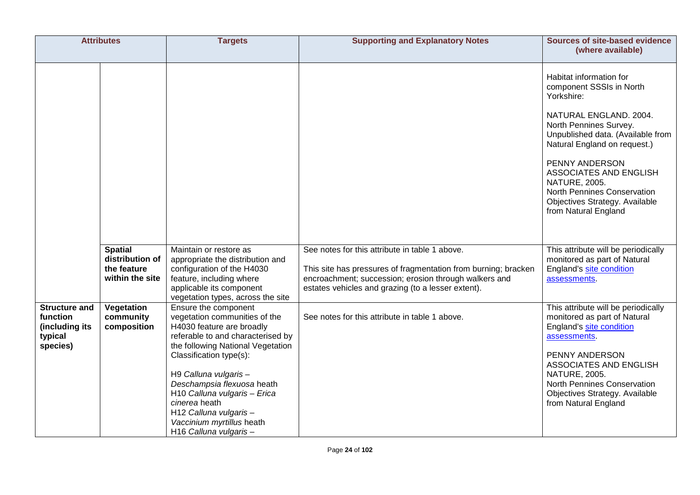| <b>Attributes</b>                                                         |                                                                                                               | <b>Targets</b>                                                                                                                                                                                                                                                                                                                                                                                                                                                                                                                                                         | <b>Supporting and Explanatory Notes</b>                                                                                                                                                                                                                                           | Sources of site-based evidence                                                                                                                                                                                                                                                                                                                                                                                                                                                                                                                                                                                                                                                                                                                                                                |
|---------------------------------------------------------------------------|---------------------------------------------------------------------------------------------------------------|------------------------------------------------------------------------------------------------------------------------------------------------------------------------------------------------------------------------------------------------------------------------------------------------------------------------------------------------------------------------------------------------------------------------------------------------------------------------------------------------------------------------------------------------------------------------|-----------------------------------------------------------------------------------------------------------------------------------------------------------------------------------------------------------------------------------------------------------------------------------|-----------------------------------------------------------------------------------------------------------------------------------------------------------------------------------------------------------------------------------------------------------------------------------------------------------------------------------------------------------------------------------------------------------------------------------------------------------------------------------------------------------------------------------------------------------------------------------------------------------------------------------------------------------------------------------------------------------------------------------------------------------------------------------------------|
| <b>Structure and</b><br>function<br>(including its<br>typical<br>species) | <b>Spatial</b><br>distribution of<br>the feature<br>within the site<br>Vegetation<br>community<br>composition | Maintain or restore as<br>appropriate the distribution and<br>configuration of the H4030<br>feature, including where<br>applicable its component<br>vegetation types, across the site<br>Ensure the component<br>vegetation communities of the<br>H4030 feature are broadly<br>referable to and characterised by<br>the following National Vegetation<br>Classification type(s):<br>H9 Calluna vulgaris-<br>Deschampsia flexuosa heath<br>H10 Calluna vulgaris - Erica<br>cinerea heath<br>H12 Calluna vulgaris-<br>Vaccinium myrtillus heath<br>H16 Calluna vulgaris- | See notes for this attribute in table 1 above.<br>This site has pressures of fragmentation from burning; bracken<br>encroachment; succession; erosion through walkers and<br>estates vehicles and grazing (to a lesser extent).<br>See notes for this attribute in table 1 above. | (where available)<br>Habitat information for<br>component SSSIs in North<br>Yorkshire:<br>NATURAL ENGLAND. 2004.<br>North Pennines Survey.<br>Unpublished data. (Available from<br>Natural England on request.)<br>PENNY ANDERSON<br>ASSOCIATES AND ENGLISH<br><b>NATURE, 2005.</b><br><b>North Pennines Conservation</b><br>Objectives Strategy. Available<br>from Natural England<br>This attribute will be periodically<br>monitored as part of Natural<br>England's site condition<br>assessments.<br>This attribute will be periodically<br>monitored as part of Natural<br>England's site condition<br>assessments.<br>PENNY ANDERSON<br>ASSOCIATES AND ENGLISH<br><b>NATURE, 2005.</b><br><b>North Pennines Conservation</b><br>Objectives Strategy. Available<br>from Natural England |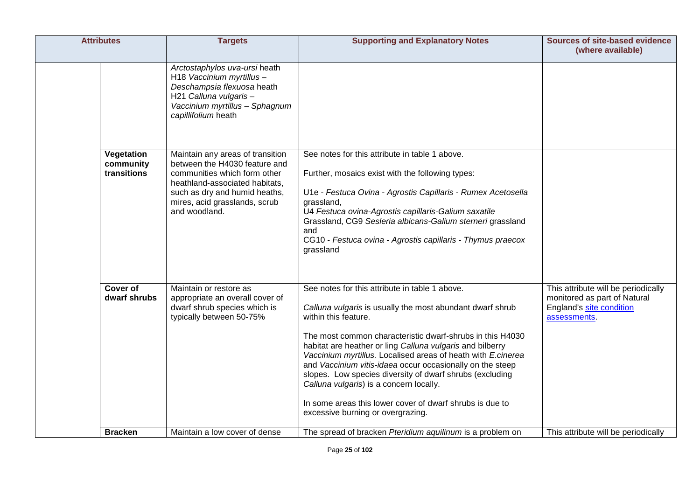| <b>Attributes</b>                      | <b>Targets</b>                                                                                                                                                                                                         | <b>Supporting and Explanatory Notes</b>                                                                                                                                                                                                                                                                                                                                                                                                                                                                                                                                                            | Sources of site-based evidence<br>(where available)                                                             |
|----------------------------------------|------------------------------------------------------------------------------------------------------------------------------------------------------------------------------------------------------------------------|----------------------------------------------------------------------------------------------------------------------------------------------------------------------------------------------------------------------------------------------------------------------------------------------------------------------------------------------------------------------------------------------------------------------------------------------------------------------------------------------------------------------------------------------------------------------------------------------------|-----------------------------------------------------------------------------------------------------------------|
|                                        | Arctostaphylos uva-ursi heath<br>H18 Vaccinium myrtillus-<br>Deschampsia flexuosa heath<br>H21 Calluna vulgaris-<br>Vaccinium myrtillus - Sphagnum<br>capillifolium heath                                              |                                                                                                                                                                                                                                                                                                                                                                                                                                                                                                                                                                                                    |                                                                                                                 |
| Vegetation<br>community<br>transitions | Maintain any areas of transition<br>between the H4030 feature and<br>communities which form other<br>heathland-associated habitats,<br>such as dry and humid heaths,<br>mires, acid grasslands, scrub<br>and woodland. | See notes for this attribute in table 1 above.<br>Further, mosaics exist with the following types:<br>U1e - Festuca Ovina - Agrostis Capillaris - Rumex Acetosella<br>grassland,<br>U4 Festuca ovina-Agrostis capillaris-Galium saxatile<br>Grassland, CG9 Sesleria albicans-Galium sterneri grassland<br>and<br>CG10 - Festuca ovina - Agrostis capillaris - Thymus praecox<br>grassland                                                                                                                                                                                                          |                                                                                                                 |
| Cover of<br>dwarf shrubs               | Maintain or restore as<br>appropriate an overall cover of<br>dwarf shrub species which is<br>typically between 50-75%                                                                                                  | See notes for this attribute in table 1 above.<br>Calluna vulgaris is usually the most abundant dwarf shrub<br>within this feature.<br>The most common characteristic dwarf-shrubs in this H4030<br>habitat are heather or ling Calluna vulgaris and bilberry<br>Vaccinium myrtillus. Localised areas of heath with E.cinerea<br>and Vaccinium vitis-idaea occur occasionally on the steep<br>slopes. Low species diversity of dwarf shrubs (excluding<br>Calluna vulgaris) is a concern locally.<br>In some areas this lower cover of dwarf shrubs is due to<br>excessive burning or overgrazing. | This attribute will be periodically<br>monitored as part of Natural<br>England's site condition<br>assessments. |
| <b>Bracken</b>                         | Maintain a low cover of dense                                                                                                                                                                                          | The spread of bracken Pteridium aquilinum is a problem on                                                                                                                                                                                                                                                                                                                                                                                                                                                                                                                                          | This attribute will be periodically                                                                             |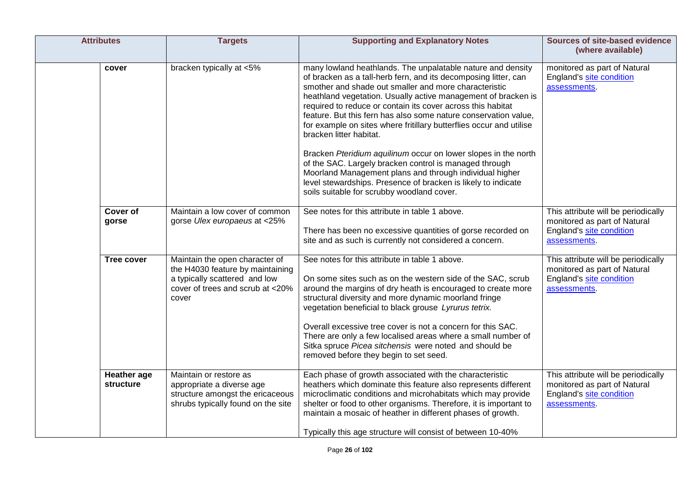| <b>Attributes</b>                      | <b>Targets</b>                                                                                                                                   | <b>Supporting and Explanatory Notes</b>                                                                                                                                                                                                                                                                                                                                                                                                                                                                                                                                                                                                                                                                                                                                                            | <b>Sources of site-based evidence</b><br>(where available)                                                      |
|----------------------------------------|--------------------------------------------------------------------------------------------------------------------------------------------------|----------------------------------------------------------------------------------------------------------------------------------------------------------------------------------------------------------------------------------------------------------------------------------------------------------------------------------------------------------------------------------------------------------------------------------------------------------------------------------------------------------------------------------------------------------------------------------------------------------------------------------------------------------------------------------------------------------------------------------------------------------------------------------------------------|-----------------------------------------------------------------------------------------------------------------|
| cover                                  | bracken typically at <5%                                                                                                                         | many lowland heathlands. The unpalatable nature and density<br>of bracken as a tall-herb fern, and its decomposing litter, can<br>smother and shade out smaller and more characteristic<br>heathland vegetation. Usually active management of bracken is<br>required to reduce or contain its cover across this habitat<br>feature. But this fern has also some nature conservation value,<br>for example on sites where fritillary butterflies occur and utilise<br>bracken litter habitat.<br>Bracken Pteridium aquilinum occur on lower slopes in the north<br>of the SAC. Largely bracken control is managed through<br>Moorland Management plans and through individual higher<br>level stewardships. Presence of bracken is likely to indicate<br>soils suitable for scrubby woodland cover. | monitored as part of Natural<br>England's site condition<br>assessments.                                        |
| <b>Cover of</b><br>gorse               | Maintain a low cover of common<br>gorse Ulex europaeus at <25%                                                                                   | See notes for this attribute in table 1 above.<br>There has been no excessive quantities of gorse recorded on<br>site and as such is currently not considered a concern.                                                                                                                                                                                                                                                                                                                                                                                                                                                                                                                                                                                                                           | This attribute will be periodically<br>monitored as part of Natural<br>England's site condition<br>assessments. |
| <b>Tree cover</b>                      | Maintain the open character of<br>the H4030 feature by maintaining<br>a typically scattered and low<br>cover of trees and scrub at <20%<br>cover | See notes for this attribute in table 1 above.<br>On some sites such as on the western side of the SAC, scrub<br>around the margins of dry heath is encouraged to create more<br>structural diversity and more dynamic moorland fringe<br>vegetation beneficial to black grouse Lyrurus tetrix.<br>Overall excessive tree cover is not a concern for this SAC.<br>There are only a few localised areas where a small number of<br>Sitka spruce Picea sitchensis were noted and should be<br>removed before they begin to set seed.                                                                                                                                                                                                                                                                 | This attribute will be periodically<br>monitored as part of Natural<br>England's site condition<br>assessments. |
| <b>Heather</b> age<br><b>structure</b> | Maintain or restore as<br>appropriate a diverse age<br>structure amongst the ericaceous<br>shrubs typically found on the site                    | Each phase of growth associated with the characteristic<br>heathers which dominate this feature also represents different<br>microclimatic conditions and microhabitats which may provide<br>shelter or food to other organisms. Therefore, it is important to<br>maintain a mosaic of heather in different phases of growth.<br>Typically this age structure will consist of between 10-40%                                                                                                                                                                                                                                                                                                                                                                                                       | This attribute will be periodically<br>monitored as part of Natural<br>England's site condition<br>assessments. |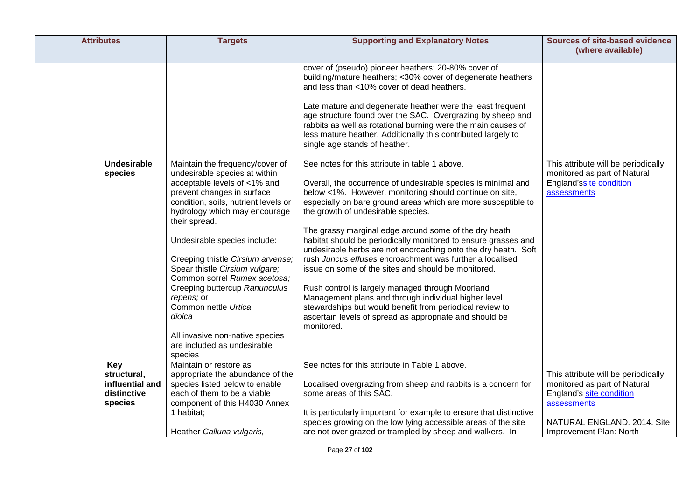| <b>Attributes</b>                                               | <b>Targets</b>                                                                                                                                                                                                                                                                                                                                                                                                                                                                                                                | <b>Supporting and Explanatory Notes</b>                                                                                                                                                                                                                                                                                                                                                                                                                                                                                                                                                                                                                                                                                                                                                                                                            | <b>Sources of site-based evidence</b><br>(where available)                                                                                    |
|-----------------------------------------------------------------|-------------------------------------------------------------------------------------------------------------------------------------------------------------------------------------------------------------------------------------------------------------------------------------------------------------------------------------------------------------------------------------------------------------------------------------------------------------------------------------------------------------------------------|----------------------------------------------------------------------------------------------------------------------------------------------------------------------------------------------------------------------------------------------------------------------------------------------------------------------------------------------------------------------------------------------------------------------------------------------------------------------------------------------------------------------------------------------------------------------------------------------------------------------------------------------------------------------------------------------------------------------------------------------------------------------------------------------------------------------------------------------------|-----------------------------------------------------------------------------------------------------------------------------------------------|
|                                                                 |                                                                                                                                                                                                                                                                                                                                                                                                                                                                                                                               | cover of (pseudo) pioneer heathers; 20-80% cover of<br>building/mature heathers; <30% cover of degenerate heathers<br>and less than <10% cover of dead heathers.<br>Late mature and degenerate heather were the least frequent<br>age structure found over the SAC. Overgrazing by sheep and<br>rabbits as well as rotational burning were the main causes of<br>less mature heather. Additionally this contributed largely to<br>single age stands of heather.                                                                                                                                                                                                                                                                                                                                                                                    |                                                                                                                                               |
| <b>Undesirable</b><br>species                                   | Maintain the frequency/cover of<br>undesirable species at within<br>acceptable levels of <1% and<br>prevent changes in surface<br>condition, soils, nutrient levels or<br>hydrology which may encourage<br>their spread.<br>Undesirable species include:<br>Creeping thistle Cirsium arvense;<br>Spear thistle Cirsium vulgare;<br>Common sorrel Rumex acetosa:<br>Creeping buttercup Ranunculus<br>repens; or<br>Common nettle Urtica<br>dioica<br>All invasive non-native species<br>are included as undesirable<br>species | See notes for this attribute in table 1 above.<br>Overall, the occurrence of undesirable species is minimal and<br>below <1%. However, monitoring should continue on site,<br>especially on bare ground areas which are more susceptible to<br>the growth of undesirable species.<br>The grassy marginal edge around some of the dry heath<br>habitat should be periodically monitored to ensure grasses and<br>undesirable herbs are not encroaching onto the dry heath. Soft<br>rush Juncus effuses encroachment was further a localised<br>issue on some of the sites and should be monitored.<br>Rush control is largely managed through Moorland<br>Management plans and through individual higher level<br>stewardships but would benefit from periodical review to<br>ascertain levels of spread as appropriate and should be<br>monitored. | This attribute will be periodically<br>monitored as part of Natural<br>England'ssite condition<br>assessments                                 |
| Key<br>structural,<br>influential and<br>distinctive<br>species | Maintain or restore as<br>appropriate the abundance of the<br>species listed below to enable<br>each of them to be a viable<br>component of this H4030 Annex<br>1 habitat;                                                                                                                                                                                                                                                                                                                                                    | See notes for this attribute in Table 1 above.<br>Localised overgrazing from sheep and rabbits is a concern for<br>some areas of this SAC.<br>It is particularly important for example to ensure that distinctive<br>species growing on the low lying accessible areas of the site                                                                                                                                                                                                                                                                                                                                                                                                                                                                                                                                                                 | This attribute will be periodically<br>monitored as part of Natural<br>England's site condition<br>assessments<br>NATURAL ENGLAND. 2014. Site |
|                                                                 | Heather Calluna vulgaris,                                                                                                                                                                                                                                                                                                                                                                                                                                                                                                     | are not over grazed or trampled by sheep and walkers. In                                                                                                                                                                                                                                                                                                                                                                                                                                                                                                                                                                                                                                                                                                                                                                                           | Improvement Plan: North                                                                                                                       |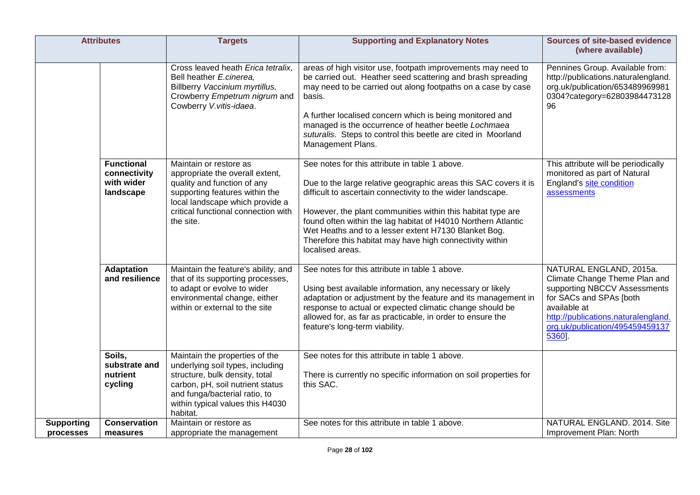| <b>Attributes</b>              |                                                              | <b>Targets</b>                                                                                                                                                                                                            | <b>Supporting and Explanatory Notes</b>                                                                                                                                                                                                                                                                                                                                                                                                                   | <b>Sources of site-based evidence</b><br>(where available)                                                                                                                                                              |
|--------------------------------|--------------------------------------------------------------|---------------------------------------------------------------------------------------------------------------------------------------------------------------------------------------------------------------------------|-----------------------------------------------------------------------------------------------------------------------------------------------------------------------------------------------------------------------------------------------------------------------------------------------------------------------------------------------------------------------------------------------------------------------------------------------------------|-------------------------------------------------------------------------------------------------------------------------------------------------------------------------------------------------------------------------|
|                                |                                                              | Cross leaved heath Erica tetralix.<br>Bell heather E.cinerea,<br>Billberry Vaccinium myrtillus,<br>Crowberry Empetrum nigrum and<br>Cowberry V.vitis-idaea.                                                               | areas of high visitor use, footpath improvements may need to<br>be carried out. Heather seed scattering and brash spreading<br>may need to be carried out along footpaths on a case by case<br>basis.<br>A further localised concern which is being monitored and<br>managed is the occurrence of heather beetle Lochmaea<br>suturalis. Steps to control this beetle are cited in Moorland<br>Management Plans.                                           | Pennines Group. Available from:<br>http://publications.naturalengland.<br>org.uk/publication/653489969981<br>0304?category=62803984473128<br>96                                                                         |
|                                | <b>Functional</b><br>connectivity<br>with wider<br>landscape | Maintain or restore as<br>appropriate the overall extent,<br>quality and function of any<br>supporting features within the<br>local landscape which provide a<br>critical functional connection with<br>the site.         | See notes for this attribute in table 1 above.<br>Due to the large relative geographic areas this SAC covers it is<br>difficult to ascertain connectivity to the wider landscape.<br>However, the plant communities within this habitat type are<br>found often within the lag habitat of H4010 Northern Atlantic<br>Wet Heaths and to a lesser extent H7130 Blanket Bog.<br>Therefore this habitat may have high connectivity within<br>localised areas. | This attribute will be periodically<br>monitored as part of Natural<br>England's site condition<br>assessments                                                                                                          |
|                                | <b>Adaptation</b><br>and resilience                          | Maintain the feature's ability, and<br>that of its supporting processes,<br>to adapt or evolve to wider<br>environmental change, either<br>within or external to the site                                                 | See notes for this attribute in table 1 above.<br>Using best available information, any necessary or likely<br>adaptation or adjustment by the feature and its management in<br>response to actual or expected climatic change should be<br>allowed for, as far as practicable, in order to ensure the<br>feature's long-term viability.                                                                                                                  | NATURAL ENGLAND, 2015a.<br>Climate Change Theme Plan and<br>supporting NBCCV Assessments<br>for SACs and SPAs [both<br>available at<br>http://publications.naturalengland.<br>org.uk/publication/495459459137<br>5360]. |
|                                | Soils,<br>substrate and<br>nutrient<br>cycling               | Maintain the properties of the<br>underlying soil types, including<br>structure, bulk density, total<br>carbon, pH, soil nutrient status<br>and funga/bacterial ratio, to<br>within typical values this H4030<br>habitat. | See notes for this attribute in table 1 above.<br>There is currently no specific information on soil properties for<br>this SAC.                                                                                                                                                                                                                                                                                                                          |                                                                                                                                                                                                                         |
| <b>Supporting</b><br>processes | <b>Conservation</b><br>measures                              | Maintain or restore as<br>appropriate the management                                                                                                                                                                      | See notes for this attribute in table 1 above.                                                                                                                                                                                                                                                                                                                                                                                                            | NATURAL ENGLAND. 2014. Site<br>Improvement Plan: North                                                                                                                                                                  |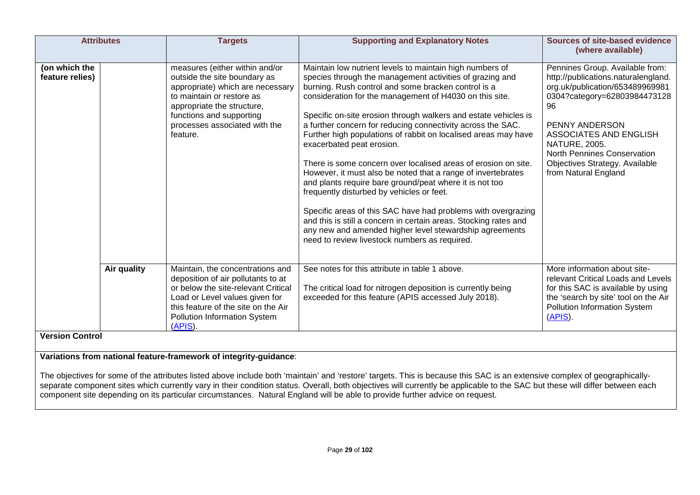|                                  | <b>Attributes</b> | <b>Targets</b>                                                                                                                                                                                                                         | <b>Supporting and Explanatory Notes</b>                                                                                                                                                                                                                                                                                                                                                                                                                                                                                                                                                                                                                                                                                                                                                                                                                                                                                                                            | <b>Sources of site-based evidence</b><br>(where available)                                                                                                                                                                                                                                                   |
|----------------------------------|-------------------|----------------------------------------------------------------------------------------------------------------------------------------------------------------------------------------------------------------------------------------|--------------------------------------------------------------------------------------------------------------------------------------------------------------------------------------------------------------------------------------------------------------------------------------------------------------------------------------------------------------------------------------------------------------------------------------------------------------------------------------------------------------------------------------------------------------------------------------------------------------------------------------------------------------------------------------------------------------------------------------------------------------------------------------------------------------------------------------------------------------------------------------------------------------------------------------------------------------------|--------------------------------------------------------------------------------------------------------------------------------------------------------------------------------------------------------------------------------------------------------------------------------------------------------------|
| (on which the<br>feature relies) |                   | measures (either within and/or<br>outside the site boundary as<br>appropriate) which are necessary<br>to maintain or restore as<br>appropriate the structure,<br>functions and supporting<br>processes associated with the<br>feature. | Maintain low nutrient levels to maintain high numbers of<br>species through the management activities of grazing and<br>burning. Rush control and some bracken control is a<br>consideration for the management of H4030 on this site.<br>Specific on-site erosion through walkers and estate vehicles is<br>a further concern for reducing connectivity across the SAC.<br>Further high populations of rabbit on localised areas may have<br>exacerbated peat erosion.<br>There is some concern over localised areas of erosion on site.<br>However, it must also be noted that a range of invertebrates<br>and plants require bare ground/peat where it is not too<br>frequently disturbed by vehicles or feet.<br>Specific areas of this SAC have had problems with overgrazing<br>and this is still a concern in certain areas. Stocking rates and<br>any new and amended higher level stewardship agreements<br>need to review livestock numbers as required. | Pennines Group. Available from:<br>http://publications.naturalengland.<br>org.uk/publication/653489969981<br>0304?category=62803984473128<br>96<br>PENNY ANDERSON<br>ASSOCIATES AND ENGLISH<br><b>NATURE, 2005.</b><br>North Pennines Conservation<br>Objectives Strategy. Available<br>from Natural England |
| <b>Version Control</b>           | Air quality       | Maintain, the concentrations and<br>deposition of air pollutants to at<br>or below the site-relevant Critical<br>Load or Level values given for<br>this feature of the site on the Air<br>Pollution Information System<br>(APIS).      | See notes for this attribute in table 1 above.<br>The critical load for nitrogen deposition is currently being<br>exceeded for this feature (APIS accessed July 2018).                                                                                                                                                                                                                                                                                                                                                                                                                                                                                                                                                                                                                                                                                                                                                                                             | More information about site-<br>relevant Critical Loads and Levels<br>for this SAC is available by using<br>the 'search by site' tool on the Air<br><b>Pollution Information System</b><br>$(APIS)$ .                                                                                                        |

**Variations from national feature-framework of integrity-guidance**:

The objectives for some of the attributes listed above include both 'maintain' and 'restore' targets. This is because this SAC is an extensive complex of geographicallyseparate component sites which currently vary in their condition status. Overall, both objectives will currently be applicable to the SAC but these will differ between each component site depending on its particular circumstances. Natural England will be able to provide further advice on request.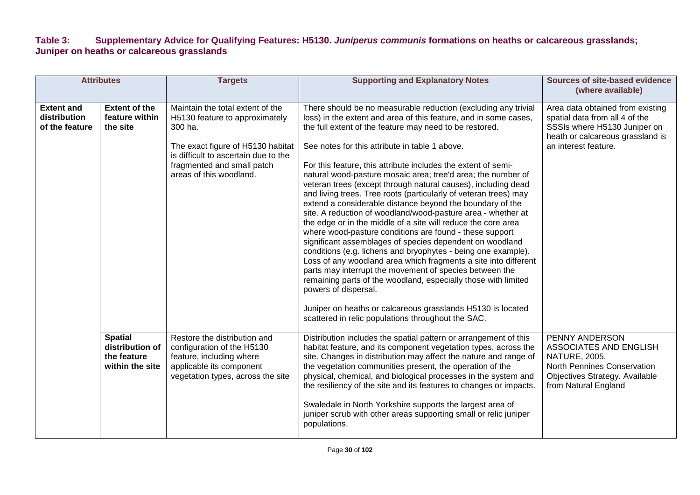#### **Table 3: Supplementary Advice for Qualifying Features: H5130.** *Juniperus communis* **formations on heaths or calcareous grasslands; Juniper on heaths or calcareous grasslands**

|                                                     | <b>Attributes</b>                                                   | <b>Targets</b>                                                                                                                                                                                                      | <b>Supporting and Explanatory Notes</b>                                                                                                                                                                                                                                                                                                                                                                                                                                                                                                                                                                                                                                                                                                                                                                                                                                                                                                                                                                                                                                                                                                                                                                                                                  | <b>Sources of site-based evidence</b><br>(where available)                                                                                                     |
|-----------------------------------------------------|---------------------------------------------------------------------|---------------------------------------------------------------------------------------------------------------------------------------------------------------------------------------------------------------------|----------------------------------------------------------------------------------------------------------------------------------------------------------------------------------------------------------------------------------------------------------------------------------------------------------------------------------------------------------------------------------------------------------------------------------------------------------------------------------------------------------------------------------------------------------------------------------------------------------------------------------------------------------------------------------------------------------------------------------------------------------------------------------------------------------------------------------------------------------------------------------------------------------------------------------------------------------------------------------------------------------------------------------------------------------------------------------------------------------------------------------------------------------------------------------------------------------------------------------------------------------|----------------------------------------------------------------------------------------------------------------------------------------------------------------|
| <b>Extent and</b><br>distribution<br>of the feature | <b>Extent of the</b><br>feature within<br>the site                  | Maintain the total extent of the<br>H5130 feature to approximately<br>300 ha.<br>The exact figure of H5130 habitat<br>is difficult to ascertain due to the<br>fragmented and small patch<br>areas of this woodland. | There should be no measurable reduction (excluding any trivial<br>loss) in the extent and area of this feature, and in some cases,<br>the full extent of the feature may need to be restored.<br>See notes for this attribute in table 1 above.<br>For this feature, this attribute includes the extent of semi-<br>natural wood-pasture mosaic area; tree'd area; the number of<br>veteran trees (except through natural causes), including dead<br>and living trees. Tree roots (particularly of veteran trees) may<br>extend a considerable distance beyond the boundary of the<br>site. A reduction of woodland/wood-pasture area - whether at<br>the edge or in the middle of a site will reduce the core area<br>where wood-pasture conditions are found - these support<br>significant assemblages of species dependent on woodland<br>conditions (e.g. lichens and bryophytes - being one example).<br>Loss of any woodland area which fragments a site into different<br>parts may interrupt the movement of species between the<br>remaining parts of the woodland, especially those with limited<br>powers of dispersal.<br>Juniper on heaths or calcareous grasslands H5130 is located<br>scattered in relic populations throughout the SAC. | Area data obtained from existing<br>spatial data from all 4 of the<br>SSSIs where H5130 Juniper on<br>heath or calcareous grassland is<br>an interest feature. |
|                                                     | <b>Spatial</b><br>distribution of<br>the feature<br>within the site | Restore the distribution and<br>configuration of the H5130<br>feature, including where<br>applicable its component<br>vegetation types, across the site                                                             | Distribution includes the spatial pattern or arrangement of this<br>habitat feature, and its component vegetation types, across the<br>site. Changes in distribution may affect the nature and range of<br>the vegetation communities present, the operation of the<br>physical, chemical, and biological processes in the system and<br>the resiliency of the site and its features to changes or impacts.<br>Swaledale in North Yorkshire supports the largest area of<br>juniper scrub with other areas supporting small or relic juniper<br>populations.                                                                                                                                                                                                                                                                                                                                                                                                                                                                                                                                                                                                                                                                                             | PENNY ANDERSON<br><b>ASSOCIATES AND ENGLISH</b><br>NATURE, 2005.<br>North Pennines Conservation<br>Objectives Strategy. Available<br>from Natural England      |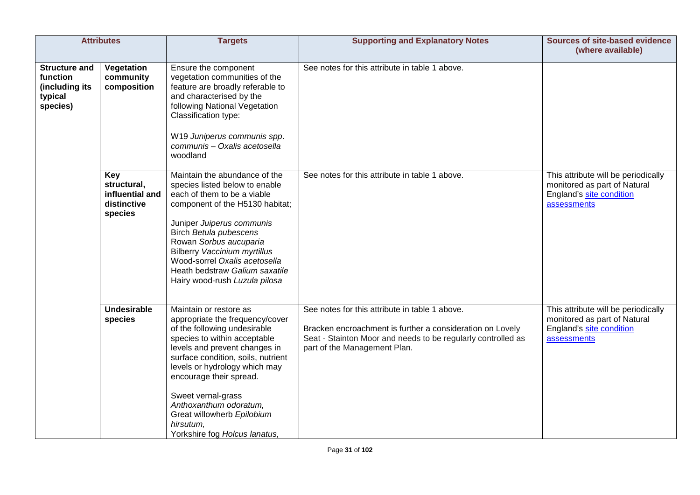|                                                                           | <b>Attributes</b>                                               | <b>Targets</b>                                                                                                                                                                                                                                                                                                                                                                           | <b>Supporting and Explanatory Notes</b>                                                                                                                                                                     | <b>Sources of site-based evidence</b><br>(where available)                                                     |
|---------------------------------------------------------------------------|-----------------------------------------------------------------|------------------------------------------------------------------------------------------------------------------------------------------------------------------------------------------------------------------------------------------------------------------------------------------------------------------------------------------------------------------------------------------|-------------------------------------------------------------------------------------------------------------------------------------------------------------------------------------------------------------|----------------------------------------------------------------------------------------------------------------|
| <b>Structure and</b><br>function<br>(including its<br>typical<br>species) | Vegetation<br>community<br>composition                          | Ensure the component<br>vegetation communities of the<br>feature are broadly referable to<br>and characterised by the<br>following National Vegetation<br>Classification type:<br>W19 Juniperus communis spp.<br>communis - Oxalis acetosella<br>woodland                                                                                                                                | See notes for this attribute in table 1 above.                                                                                                                                                              |                                                                                                                |
|                                                                           | Key<br>structural,<br>influential and<br>distinctive<br>species | Maintain the abundance of the<br>species listed below to enable<br>each of them to be a viable<br>component of the H5130 habitat;<br>Juniper Juiperus communis<br>Birch Betula pubescens<br>Rowan Sorbus aucuparia<br><b>Bilberry Vaccinium myrtillus</b><br>Wood-sorrel Oxalis acetosella<br>Heath bedstraw Galium saxatile<br>Hairy wood-rush Luzula pilosa                            | See notes for this attribute in table 1 above.                                                                                                                                                              | This attribute will be periodically<br>monitored as part of Natural<br>England's site condition<br>assessments |
|                                                                           | <b>Undesirable</b><br>species                                   | Maintain or restore as<br>appropriate the frequency/cover<br>of the following undesirable<br>species to within acceptable<br>levels and prevent changes in<br>surface condition, soils, nutrient<br>levels or hydrology which may<br>encourage their spread.<br>Sweet vernal-grass<br>Anthoxanthum odoratum,<br>Great willowherb Epilobium<br>hirsutum,<br>Yorkshire fog Holcus lanatus, | See notes for this attribute in table 1 above.<br>Bracken encroachment is further a consideration on Lovely<br>Seat - Stainton Moor and needs to be regularly controlled as<br>part of the Management Plan. | This attribute will be periodically<br>monitored as part of Natural<br>England's site condition<br>assessments |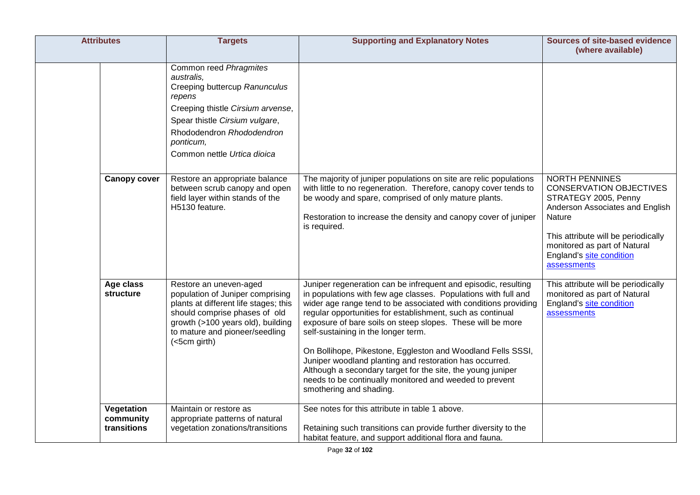| <b>Attributes</b>                      | <b>Targets</b>                                                                                                                                                                                                                                                                                                                         | <b>Supporting and Explanatory Notes</b>                                                                                                                                                                                                                                                                                                                                                                                                                                                                                                                                                                                                               | <b>Sources of site-based evidence</b><br>(where available)                                                                                                  |
|----------------------------------------|----------------------------------------------------------------------------------------------------------------------------------------------------------------------------------------------------------------------------------------------------------------------------------------------------------------------------------------|-------------------------------------------------------------------------------------------------------------------------------------------------------------------------------------------------------------------------------------------------------------------------------------------------------------------------------------------------------------------------------------------------------------------------------------------------------------------------------------------------------------------------------------------------------------------------------------------------------------------------------------------------------|-------------------------------------------------------------------------------------------------------------------------------------------------------------|
| <b>Canopy cover</b>                    | Common reed Phragmites<br>australis,<br>Creeping buttercup Ranunculus<br>repens<br>Creeping thistle Cirsium arvense,<br>Spear thistle Cirsium vulgare,<br>Rhododendron Rhododendron<br>ponticum,<br>Common nettle Urtica dioica<br>Restore an appropriate balance<br>between scrub canopy and open<br>field layer within stands of the | The majority of juniper populations on site are relic populations<br>with little to no regeneration. Therefore, canopy cover tends to<br>be woody and spare, comprised of only mature plants.                                                                                                                                                                                                                                                                                                                                                                                                                                                         | <b>NORTH PENNINES</b><br><b>CONSERVATION OBJECTIVES</b><br>STRATEGY 2005, Penny                                                                             |
|                                        | H5130 feature.                                                                                                                                                                                                                                                                                                                         | Restoration to increase the density and canopy cover of juniper<br>is required.                                                                                                                                                                                                                                                                                                                                                                                                                                                                                                                                                                       | Anderson Associates and English<br>Nature<br>This attribute will be periodically<br>monitored as part of Natural<br>England's site condition<br>assessments |
| Age class<br><b>structure</b>          | Restore an uneven-aged<br>population of Juniper comprising<br>plants at different life stages; this<br>should comprise phases of old<br>growth (>100 years old), building<br>to mature and pioneer/seedling<br>(<5cm girth)                                                                                                            | Juniper regeneration can be infrequent and episodic, resulting<br>in populations with few age classes. Populations with full and<br>wider age range tend to be associated with conditions providing<br>regular opportunities for establishment, such as continual<br>exposure of bare soils on steep slopes. These will be more<br>self-sustaining in the longer term.<br>On Bollihope, Pikestone, Eggleston and Woodland Fells SSSI,<br>Juniper woodland planting and restoration has occurred.<br>Although a secondary target for the site, the young juniper<br>needs to be continually monitored and weeded to prevent<br>smothering and shading. | This attribute will be periodically<br>monitored as part of Natural<br>England's site condition<br>assessments                                              |
| Vegetation<br>community<br>transitions | Maintain or restore as<br>appropriate patterns of natural<br>vegetation zonations/transitions                                                                                                                                                                                                                                          | See notes for this attribute in table 1 above.<br>Retaining such transitions can provide further diversity to the<br>habitat feature, and support additional flora and fauna.                                                                                                                                                                                                                                                                                                                                                                                                                                                                         |                                                                                                                                                             |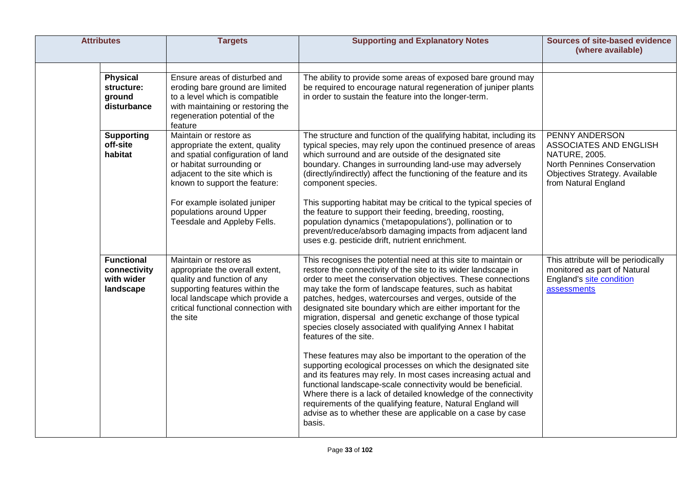| <b>Attributes</b>                                            | <b>Targets</b>                                                                                                                                                                                                                                                                           | <b>Supporting and Explanatory Notes</b>                                                                                                                                                                                                                                                                                                                                                                                                                                                                                                                                                                                                                                                                                                                                                                                                                                                                                                                                                                                    | <b>Sources of site-based evidence</b><br>(where available)                                                                                         |
|--------------------------------------------------------------|------------------------------------------------------------------------------------------------------------------------------------------------------------------------------------------------------------------------------------------------------------------------------------------|----------------------------------------------------------------------------------------------------------------------------------------------------------------------------------------------------------------------------------------------------------------------------------------------------------------------------------------------------------------------------------------------------------------------------------------------------------------------------------------------------------------------------------------------------------------------------------------------------------------------------------------------------------------------------------------------------------------------------------------------------------------------------------------------------------------------------------------------------------------------------------------------------------------------------------------------------------------------------------------------------------------------------|----------------------------------------------------------------------------------------------------------------------------------------------------|
| <b>Physical</b><br>structure:<br>ground<br>disturbance       | Ensure areas of disturbed and<br>eroding bare ground are limited<br>to a level which is compatible<br>with maintaining or restoring the<br>regeneration potential of the<br>feature                                                                                                      | The ability to provide some areas of exposed bare ground may<br>be required to encourage natural regeneration of juniper plants<br>in order to sustain the feature into the longer-term.                                                                                                                                                                                                                                                                                                                                                                                                                                                                                                                                                                                                                                                                                                                                                                                                                                   |                                                                                                                                                    |
| <b>Supporting</b><br>off-site<br>habitat                     | Maintain or restore as<br>appropriate the extent, quality<br>and spatial configuration of land<br>or habitat surrounding or<br>adjacent to the site which is<br>known to support the feature:<br>For example isolated juniper<br>populations around Upper<br>Teesdale and Appleby Fells. | The structure and function of the qualifying habitat, including its<br>typical species, may rely upon the continued presence of areas<br>which surround and are outside of the designated site<br>boundary. Changes in surrounding land-use may adversely<br>(directly/indirectly) affect the functioning of the feature and its<br>component species.<br>This supporting habitat may be critical to the typical species of<br>the feature to support their feeding, breeding, roosting,<br>population dynamics ('metapopulations'), pollination or to<br>prevent/reduce/absorb damaging impacts from adjacent land<br>uses e.g. pesticide drift, nutrient enrichment.                                                                                                                                                                                                                                                                                                                                                     | PENNY ANDERSON<br>ASSOCIATES AND ENGLISH<br>NATURE, 2005.<br>North Pennines Conservation<br>Objectives Strategy. Available<br>from Natural England |
| <b>Functional</b><br>connectivity<br>with wider<br>landscape | Maintain or restore as<br>appropriate the overall extent,<br>quality and function of any<br>supporting features within the<br>local landscape which provide a<br>critical functional connection with<br>the site                                                                         | This recognises the potential need at this site to maintain or<br>restore the connectivity of the site to its wider landscape in<br>order to meet the conservation objectives. These connections<br>may take the form of landscape features, such as habitat<br>patches, hedges, watercourses and verges, outside of the<br>designated site boundary which are either important for the<br>migration, dispersal and genetic exchange of those typical<br>species closely associated with qualifying Annex I habitat<br>features of the site.<br>These features may also be important to the operation of the<br>supporting ecological processes on which the designated site<br>and its features may rely. In most cases increasing actual and<br>functional landscape-scale connectivity would be beneficial.<br>Where there is a lack of detailed knowledge of the connectivity<br>requirements of the qualifying feature, Natural England will<br>advise as to whether these are applicable on a case by case<br>basis. | This attribute will be periodically<br>monitored as part of Natural<br>England's site condition<br>assessments                                     |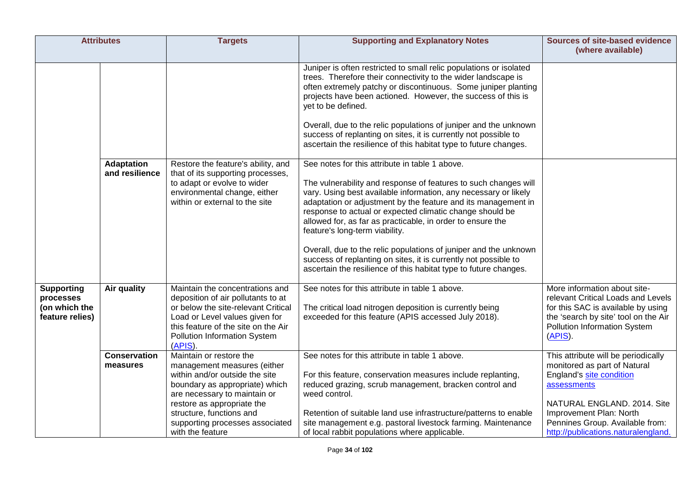| <b>Attributes</b>                                                  |                                     | <b>Targets</b>                                                                                                                                                                                                                                                              | <b>Supporting and Explanatory Notes</b>                                                                                                                                                                                                                                                                                                                                                                                                                                                                                                                                                                                      | <b>Sources of site-based evidence</b><br>(where available)                                                                                                                                                                                         |
|--------------------------------------------------------------------|-------------------------------------|-----------------------------------------------------------------------------------------------------------------------------------------------------------------------------------------------------------------------------------------------------------------------------|------------------------------------------------------------------------------------------------------------------------------------------------------------------------------------------------------------------------------------------------------------------------------------------------------------------------------------------------------------------------------------------------------------------------------------------------------------------------------------------------------------------------------------------------------------------------------------------------------------------------------|----------------------------------------------------------------------------------------------------------------------------------------------------------------------------------------------------------------------------------------------------|
|                                                                    |                                     |                                                                                                                                                                                                                                                                             | Juniper is often restricted to small relic populations or isolated<br>trees. Therefore their connectivity to the wider landscape is<br>often extremely patchy or discontinuous. Some juniper planting<br>projects have been actioned. However, the success of this is<br>yet to be defined.<br>Overall, due to the relic populations of juniper and the unknown<br>success of replanting on sites, it is currently not possible to<br>ascertain the resilience of this habitat type to future changes.                                                                                                                       |                                                                                                                                                                                                                                                    |
|                                                                    | <b>Adaptation</b><br>and resilience | Restore the feature's ability, and<br>that of its supporting processes,<br>to adapt or evolve to wider<br>environmental change, either<br>within or external to the site                                                                                                    | See notes for this attribute in table 1 above.<br>The vulnerability and response of features to such changes will<br>vary. Using best available information, any necessary or likely<br>adaptation or adjustment by the feature and its management in<br>response to actual or expected climatic change should be<br>allowed for, as far as practicable, in order to ensure the<br>feature's long-term viability.<br>Overall, due to the relic populations of juniper and the unknown<br>success of replanting on sites, it is currently not possible to<br>ascertain the resilience of this habitat type to future changes. |                                                                                                                                                                                                                                                    |
| <b>Supporting</b><br>processes<br>(on which the<br>feature relies) | Air quality                         | Maintain the concentrations and<br>deposition of air pollutants to at<br>or below the site-relevant Critical<br>Load or Level values given for<br>this feature of the site on the Air<br>Pollution Information System<br>$(APIS)$ .                                         | See notes for this attribute in table 1 above.<br>The critical load nitrogen deposition is currently being<br>exceeded for this feature (APIS accessed July 2018).                                                                                                                                                                                                                                                                                                                                                                                                                                                           | More information about site-<br>relevant Critical Loads and Levels<br>for this SAC is available by using<br>the 'search by site' tool on the Air<br>Pollution Information System<br>$(APIS)$ .                                                     |
|                                                                    | <b>Conservation</b><br>measures     | Maintain or restore the<br>management measures (either<br>within and/or outside the site<br>boundary as appropriate) which<br>are necessary to maintain or<br>restore as appropriate the<br>structure, functions and<br>supporting processes associated<br>with the feature | See notes for this attribute in table 1 above.<br>For this feature, conservation measures include replanting,<br>reduced grazing, scrub management, bracken control and<br>weed control.<br>Retention of suitable land use infrastructure/patterns to enable<br>site management e.g. pastoral livestock farming. Maintenance<br>of local rabbit populations where applicable.                                                                                                                                                                                                                                                | This attribute will be periodically<br>monitored as part of Natural<br>England's site condition<br>assessments<br>NATURAL ENGLAND. 2014. Site<br>Improvement Plan: North<br>Pennines Group. Available from:<br>http://publications.naturalengland. |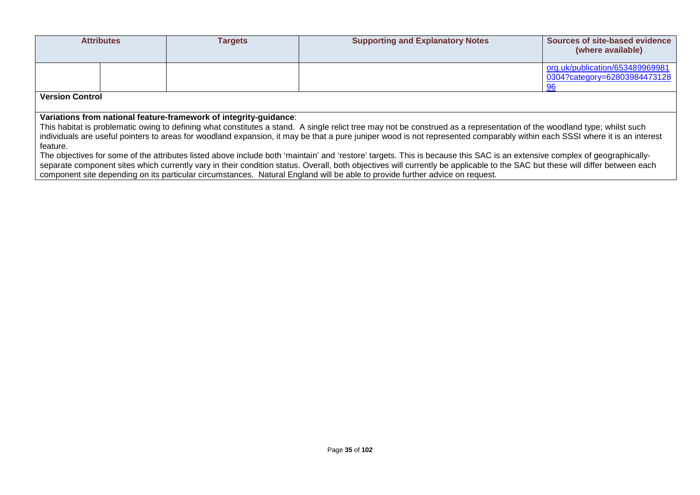| <b>Attributes</b>                                                                                                                                                                                                                            |  | <b>Targets</b> | <b>Supporting and Explanatory Notes</b> | Sources of site-based evidence<br>(where available) |  |  |  |  |
|----------------------------------------------------------------------------------------------------------------------------------------------------------------------------------------------------------------------------------------------|--|----------------|-----------------------------------------|-----------------------------------------------------|--|--|--|--|
|                                                                                                                                                                                                                                              |  |                |                                         | org.uk/publication/653489969981                     |  |  |  |  |
|                                                                                                                                                                                                                                              |  |                |                                         | 0304?category=62803984473128<br>96                  |  |  |  |  |
| <b>Version Control</b>                                                                                                                                                                                                                       |  |                |                                         |                                                     |  |  |  |  |
|                                                                                                                                                                                                                                              |  |                |                                         |                                                     |  |  |  |  |
| Variations from national feature-framework of integrity-guidance:<br>This habitat is problematic owing to defining what constitutes a stand. A single relict tree may not be construed as a representation of the woodland type; whilst such |  |                |                                         |                                                     |  |  |  |  |
| individuals are useful pointers to areas for woodland expansion, it may be that a pure juniper wood is not represented comparably within each SSSI where it is an interest                                                                   |  |                |                                         |                                                     |  |  |  |  |
| feature.                                                                                                                                                                                                                                     |  |                |                                         |                                                     |  |  |  |  |
| The objectives for some of the attributes listed above include both 'maintain' and 'restore' targets. This is because this SAC is an extensive complex of geographically-                                                                    |  |                |                                         |                                                     |  |  |  |  |

The objectives for some of the attributes listed above include both 'maintain' and 'restore' targets. This is because this SAC is an extensive complex of geographicallyseparate component sites which currently vary in their condition status. Overall, both objectives will currently be applicable to the SAC but these will differ between each component site depending on its particular circumstances. Natural England will be able to provide further advice on request.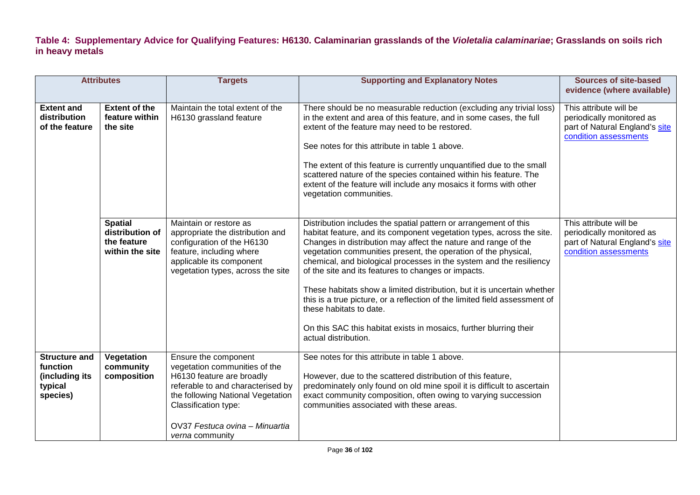**Table 4: Supplementary Advice for Qualifying Features: H6130. Calaminarian grasslands of the** *Violetalia calaminariae***; Grasslands on soils rich in heavy metals**

| <b>Attributes</b>                                                         |                                                                     | <b>Targets</b>                                                                                                                                                                                                                                   | <b>Supporting and Explanatory Notes</b>                                                                                                                                                                                                                                                                                                                                                                                                                                                                                                                                                                                                                                                       | <b>Sources of site-based</b><br>evidence (where available)                                                     |
|---------------------------------------------------------------------------|---------------------------------------------------------------------|--------------------------------------------------------------------------------------------------------------------------------------------------------------------------------------------------------------------------------------------------|-----------------------------------------------------------------------------------------------------------------------------------------------------------------------------------------------------------------------------------------------------------------------------------------------------------------------------------------------------------------------------------------------------------------------------------------------------------------------------------------------------------------------------------------------------------------------------------------------------------------------------------------------------------------------------------------------|----------------------------------------------------------------------------------------------------------------|
| <b>Extent and</b><br>distribution<br>of the feature                       | <b>Extent of the</b><br>feature within<br>the site                  | Maintain the total extent of the<br>H6130 grassland feature                                                                                                                                                                                      | There should be no measurable reduction (excluding any trivial loss)<br>in the extent and area of this feature, and in some cases, the full<br>extent of the feature may need to be restored.<br>See notes for this attribute in table 1 above.<br>The extent of this feature is currently unquantified due to the small<br>scattered nature of the species contained within his feature. The<br>extent of the feature will include any mosaics it forms with other<br>vegetation communities.                                                                                                                                                                                                | This attribute will be<br>periodically monitored as<br>part of Natural England's site<br>condition assessments |
|                                                                           | <b>Spatial</b><br>distribution of<br>the feature<br>within the site | Maintain or restore as<br>appropriate the distribution and<br>configuration of the H6130<br>feature, including where<br>applicable its component<br>vegetation types, across the site                                                            | Distribution includes the spatial pattern or arrangement of this<br>habitat feature, and its component vegetation types, across the site.<br>Changes in distribution may affect the nature and range of the<br>vegetation communities present, the operation of the physical,<br>chemical, and biological processes in the system and the resiliency<br>of the site and its features to changes or impacts.<br>These habitats show a limited distribution, but it is uncertain whether<br>this is a true picture, or a reflection of the limited field assessment of<br>these habitats to date.<br>On this SAC this habitat exists in mosaics, further blurring their<br>actual distribution. | This attribute will be<br>periodically monitored as<br>part of Natural England's site<br>condition assessments |
| <b>Structure and</b><br>function<br>(including its<br>typical<br>species) | Vegetation<br>community<br>composition                              | Ensure the component<br>vegetation communities of the<br>H6130 feature are broadly<br>referable to and characterised by<br>the following National Vegetation<br>Classification type:<br>OV37 Festuca ovina - Minuartia<br><i>verna</i> community | See notes for this attribute in table 1 above.<br>However, due to the scattered distribution of this feature,<br>predominately only found on old mine spoil it is difficult to ascertain<br>exact community composition, often owing to varying succession<br>communities associated with these areas.                                                                                                                                                                                                                                                                                                                                                                                        |                                                                                                                |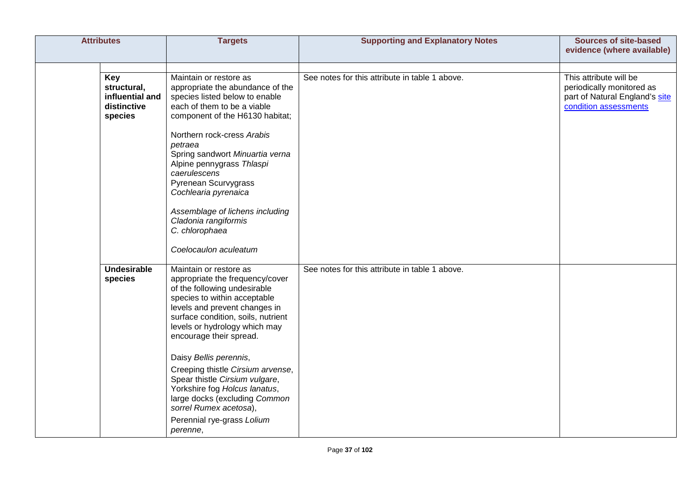| <b>Attributes</b>                                               | <b>Targets</b>                                                                                                                                                                                                                                                                                                                                                                                                                                                                                      | <b>Supporting and Explanatory Notes</b>        | <b>Sources of site-based</b><br>evidence (where available)                                                     |
|-----------------------------------------------------------------|-----------------------------------------------------------------------------------------------------------------------------------------------------------------------------------------------------------------------------------------------------------------------------------------------------------------------------------------------------------------------------------------------------------------------------------------------------------------------------------------------------|------------------------------------------------|----------------------------------------------------------------------------------------------------------------|
| Key<br>structural,<br>influential and<br>distinctive<br>species | Maintain or restore as<br>appropriate the abundance of the<br>species listed below to enable<br>each of them to be a viable<br>component of the H6130 habitat;<br>Northern rock-cress Arabis<br>petraea<br>Spring sandwort Minuartia verna<br>Alpine pennygrass Thlaspi<br>caerulescens<br>Pyrenean Scurvygrass<br>Cochlearia pyrenaica<br>Assemblage of lichens including<br>Cladonia rangiformis<br>C. chlorophaea<br>Coelocaulon aculeatum                                                       | See notes for this attribute in table 1 above. | This attribute will be<br>periodically monitored as<br>part of Natural England's site<br>condition assessments |
| <b>Undesirable</b><br>species                                   | Maintain or restore as<br>appropriate the frequency/cover<br>of the following undesirable<br>species to within acceptable<br>levels and prevent changes in<br>surface condition, soils, nutrient<br>levels or hydrology which may<br>encourage their spread.<br>Daisy Bellis perennis,<br>Creeping thistle Cirsium arvense,<br>Spear thistle Cirsium vulgare,<br>Yorkshire fog Holcus lanatus,<br>large docks (excluding Common<br>sorrel Rumex acetosa),<br>Perennial rye-grass Lolium<br>perenne, | See notes for this attribute in table 1 above. |                                                                                                                |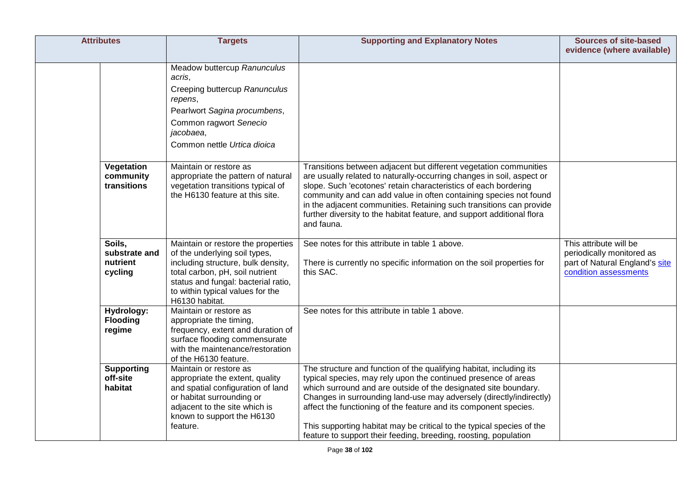| <b>Attributes</b>                              | <b>Targets</b>                                                                                                                                                                                                                            | <b>Supporting and Explanatory Notes</b>                                                                                                                                                                                                                                                                                                                                                                                                                                                          | <b>Sources of site-based</b>                                                                                   |
|------------------------------------------------|-------------------------------------------------------------------------------------------------------------------------------------------------------------------------------------------------------------------------------------------|--------------------------------------------------------------------------------------------------------------------------------------------------------------------------------------------------------------------------------------------------------------------------------------------------------------------------------------------------------------------------------------------------------------------------------------------------------------------------------------------------|----------------------------------------------------------------------------------------------------------------|
|                                                |                                                                                                                                                                                                                                           |                                                                                                                                                                                                                                                                                                                                                                                                                                                                                                  | evidence (where available)                                                                                     |
|                                                | Meadow buttercup Ranunculus<br>acris,<br>Creeping buttercup Ranunculus<br>repens,<br>Pearlwort Sagina procumbens,<br>Common ragwort Senecio<br>jacobaea,<br>Common nettle Urtica dioica                                                   |                                                                                                                                                                                                                                                                                                                                                                                                                                                                                                  |                                                                                                                |
| Vegetation<br>community<br>transitions         | Maintain or restore as<br>appropriate the pattern of natural<br>vegetation transitions typical of<br>the H6130 feature at this site.                                                                                                      | Transitions between adjacent but different vegetation communities<br>are usually related to naturally-occurring changes in soil, aspect or<br>slope. Such 'ecotones' retain characteristics of each bordering<br>community and can add value in often containing species not found<br>in the adjacent communities. Retaining such transitions can provide<br>further diversity to the habitat feature, and support additional flora<br>and fauna.                                                |                                                                                                                |
| Soils.<br>substrate and<br>nutrient<br>cycling | Maintain or restore the properties<br>of the underlying soil types,<br>including structure, bulk density,<br>total carbon, pH, soil nutrient<br>status and fungal: bacterial ratio,<br>to within typical values for the<br>H6130 habitat. | See notes for this attribute in table 1 above.<br>There is currently no specific information on the soil properties for<br>this SAC.                                                                                                                                                                                                                                                                                                                                                             | This attribute will be<br>periodically monitored as<br>part of Natural England's site<br>condition assessments |
| Hydrology:<br><b>Flooding</b><br>regime        | Maintain or restore as<br>appropriate the timing,<br>frequency, extent and duration of<br>surface flooding commensurate<br>with the maintenance/restoration<br>of the H6130 feature.                                                      | See notes for this attribute in table 1 above.                                                                                                                                                                                                                                                                                                                                                                                                                                                   |                                                                                                                |
| <b>Supporting</b><br>off-site<br>habitat       | Maintain or restore as<br>appropriate the extent, quality<br>and spatial configuration of land<br>or habitat surrounding or<br>adjacent to the site which is<br>known to support the H6130<br>feature.                                    | The structure and function of the qualifying habitat, including its<br>typical species, may rely upon the continued presence of areas<br>which surround and are outside of the designated site boundary.<br>Changes in surrounding land-use may adversely (directly/indirectly)<br>affect the functioning of the feature and its component species.<br>This supporting habitat may be critical to the typical species of the<br>feature to support their feeding, breeding, roosting, population |                                                                                                                |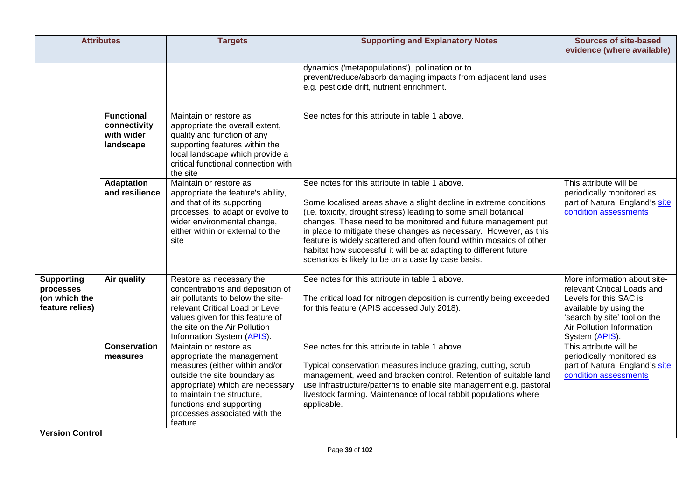|                                                                    | <b>Attributes</b>                                            | <b>Targets</b>                                                                                                                                                                                                                                                    | <b>Supporting and Explanatory Notes</b>                                                                                                                                                                                                                                                                                                                                                                                                                                                                                        | <b>Sources of site-based</b><br>evidence (where available)                                                                                                                                     |
|--------------------------------------------------------------------|--------------------------------------------------------------|-------------------------------------------------------------------------------------------------------------------------------------------------------------------------------------------------------------------------------------------------------------------|--------------------------------------------------------------------------------------------------------------------------------------------------------------------------------------------------------------------------------------------------------------------------------------------------------------------------------------------------------------------------------------------------------------------------------------------------------------------------------------------------------------------------------|------------------------------------------------------------------------------------------------------------------------------------------------------------------------------------------------|
|                                                                    |                                                              |                                                                                                                                                                                                                                                                   | dynamics ('metapopulations'), pollination or to<br>prevent/reduce/absorb damaging impacts from adjacent land uses<br>e.g. pesticide drift, nutrient enrichment.                                                                                                                                                                                                                                                                                                                                                                |                                                                                                                                                                                                |
|                                                                    | <b>Functional</b><br>connectivity<br>with wider<br>landscape | Maintain or restore as<br>appropriate the overall extent,<br>quality and function of any<br>supporting features within the<br>local landscape which provide a<br>critical functional connection with<br>the site                                                  | See notes for this attribute in table 1 above.                                                                                                                                                                                                                                                                                                                                                                                                                                                                                 |                                                                                                                                                                                                |
|                                                                    | <b>Adaptation</b><br>and resilience                          | Maintain or restore as<br>appropriate the feature's ability,<br>and that of its supporting<br>processes, to adapt or evolve to<br>wider environmental change,<br>either within or external to the<br>site                                                         | See notes for this attribute in table 1 above.<br>Some localised areas shave a slight decline in extreme conditions<br>(i.e. toxicity, drought stress) leading to some small botanical<br>changes. These need to be monitored and future management put<br>in place to mitigate these changes as necessary. However, as this<br>feature is widely scattered and often found within mosaics of other<br>habitat how successful it will be at adapting to different future<br>scenarios is likely to be on a case by case basis. | This attribute will be<br>periodically monitored as<br>part of Natural England's site<br>condition assessments                                                                                 |
| <b>Supporting</b><br>processes<br>(on which the<br>feature relies) | Air quality                                                  | Restore as necessary the<br>concentrations and deposition of<br>air pollutants to below the site-<br>relevant Critical Load or Level<br>values given for this feature of<br>the site on the Air Pollution<br>Information System (APIS).                           | See notes for this attribute in table 1 above.<br>The critical load for nitrogen deposition is currently being exceeded<br>for this feature (APIS accessed July 2018).                                                                                                                                                                                                                                                                                                                                                         | More information about site-<br>relevant Critical Loads and<br>Levels for this SAC is<br>available by using the<br>'search by site' tool on the<br>Air Pollution Information<br>System (APIS). |
| <b>Version Control</b>                                             | <b>Conservation</b><br>measures                              | Maintain or restore as<br>appropriate the management<br>measures (either within and/or<br>outside the site boundary as<br>appropriate) which are necessary<br>to maintain the structure,<br>functions and supporting<br>processes associated with the<br>feature. | See notes for this attribute in table 1 above.<br>Typical conservation measures include grazing, cutting, scrub<br>management, weed and bracken control. Retention of suitable land<br>use infrastructure/patterns to enable site management e.g. pastoral<br>livestock farming. Maintenance of local rabbit populations where<br>applicable.                                                                                                                                                                                  | This attribute will be<br>periodically monitored as<br>part of Natural England's site<br>condition assessments                                                                                 |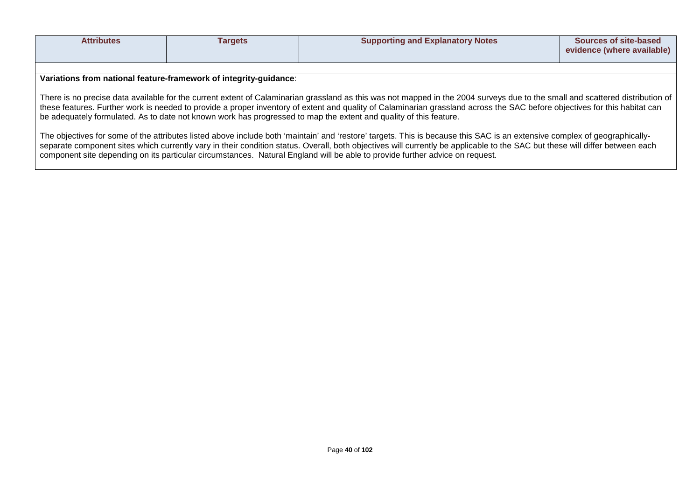| Attributes | <b>Fargets</b> | <b>Supporting and Explanatory Notes</b> | <b>Sources of site-based</b> |
|------------|----------------|-----------------------------------------|------------------------------|
|            |                |                                         |                              |
|            |                |                                         | evidence (where available)   |
|            |                |                                         |                              |
|            |                |                                         |                              |

**Variations from national feature-framework of integrity-guidance**:

There is no precise data available for the current extent of Calaminarian grassland as this was not mapped in the 2004 surveys due to the small and scattered distribution of these features. Further work is needed to provide a proper inventory of extent and quality of Calaminarian grassland across the SAC before objectives for this habitat can be adequately formulated. As to date not known work has progressed to map the extent and quality of this feature.

The objectives for some of the attributes listed above include both 'maintain' and 'restore' targets. This is because this SAC is an extensive complex of geographicallyseparate component sites which currently vary in their condition status. Overall, both objectives will currently be applicable to the SAC but these will differ between each component site depending on its particular circumstances. Natural England will be able to provide further advice on request.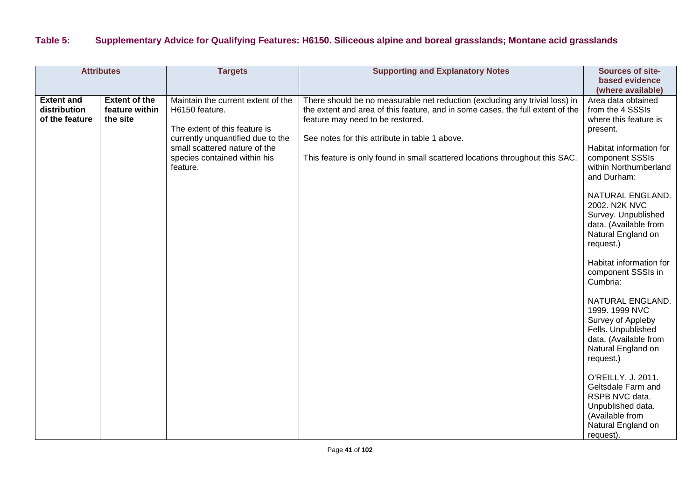## **Table 5: Supplementary Advice for Qualifying Features: H6150. Siliceous alpine and boreal grasslands; Montane acid grasslands**

| <b>Attributes</b>                                   |                                                    | <b>Targets</b>                                                                                                                                                                                          | <b>Supporting and Explanatory Notes</b>                                                                                                                                                                                                                                                                                             | Sources of site-<br>based evidence<br>(where available)                                                                                                                                                                                                                                                                                                                                                                                                                                                                                                                                                                                      |
|-----------------------------------------------------|----------------------------------------------------|---------------------------------------------------------------------------------------------------------------------------------------------------------------------------------------------------------|-------------------------------------------------------------------------------------------------------------------------------------------------------------------------------------------------------------------------------------------------------------------------------------------------------------------------------------|----------------------------------------------------------------------------------------------------------------------------------------------------------------------------------------------------------------------------------------------------------------------------------------------------------------------------------------------------------------------------------------------------------------------------------------------------------------------------------------------------------------------------------------------------------------------------------------------------------------------------------------------|
| <b>Extent and</b><br>distribution<br>of the feature | <b>Extent of the</b><br>feature within<br>the site | Maintain the current extent of the<br>H6150 feature.<br>The extent of this feature is<br>currently unquantified due to the<br>small scattered nature of the<br>species contained within his<br>feature. | There should be no measurable net reduction (excluding any trivial loss) in<br>the extent and area of this feature, and in some cases, the full extent of the<br>feature may need to be restored.<br>See notes for this attribute in table 1 above.<br>This feature is only found in small scattered locations throughout this SAC. | Area data obtained<br>from the 4 SSSIs<br>where this feature is<br>present.<br>Habitat information for<br>component SSSIs<br>within Northumberland<br>and Durham:<br>NATURAL ENGLAND.<br>2002. N2K NVC<br>Survey. Unpublished<br>data. (Available from<br>Natural England on<br>request.)<br>Habitat information for<br>component SSSIs in<br>Cumbria:<br>NATURAL ENGLAND.<br>1999. 1999 NVC<br>Survey of Appleby<br>Fells. Unpublished<br>data. (Available from<br>Natural England on<br>request.)<br>O'REILLY, J. 2011.<br>Geltsdale Farm and<br>RSPB NVC data.<br>Unpublished data.<br>(Available from<br>Natural England on<br>request). |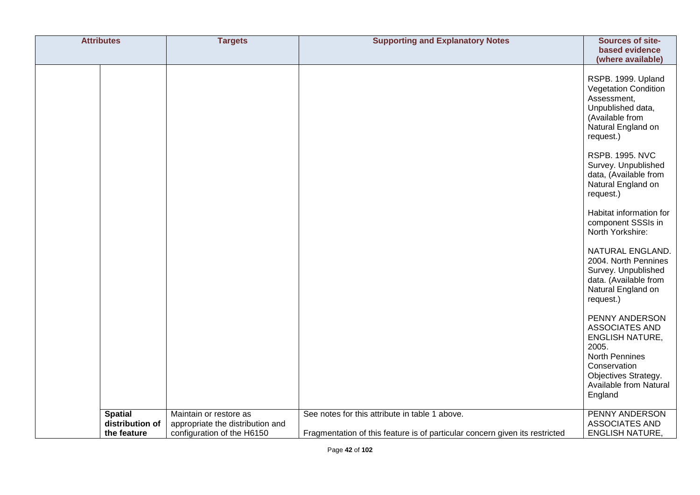| <b>Attributes</b>                                | <b>Targets</b>                                                                           | <b>Supporting and Explanatory Notes</b>                                                                                       | Sources of site-<br>based evidence<br>(where available)                                                                                                                   |
|--------------------------------------------------|------------------------------------------------------------------------------------------|-------------------------------------------------------------------------------------------------------------------------------|---------------------------------------------------------------------------------------------------------------------------------------------------------------------------|
|                                                  |                                                                                          |                                                                                                                               | RSPB. 1999. Upland<br><b>Vegetation Condition</b><br>Assessment,<br>Unpublished data,<br>(Available from<br>Natural England on<br>request.)                               |
|                                                  |                                                                                          |                                                                                                                               | <b>RSPB. 1995. NVC</b><br>Survey. Unpublished<br>data, (Available from<br>Natural England on<br>request.)                                                                 |
|                                                  |                                                                                          |                                                                                                                               | Habitat information for<br>component SSSIs in<br>North Yorkshire:                                                                                                         |
|                                                  |                                                                                          |                                                                                                                               | NATURAL ENGLAND.<br>2004. North Pennines<br>Survey. Unpublished<br>data. (Available from<br>Natural England on<br>request.)                                               |
|                                                  |                                                                                          |                                                                                                                               | PENNY ANDERSON<br>ASSOCIATES AND<br><b>ENGLISH NATURE,</b><br>2005.<br><b>North Pennines</b><br>Conservation<br>Objectives Strategy.<br>Available from Natural<br>England |
| <b>Spatial</b><br>distribution of<br>the feature | Maintain or restore as<br>appropriate the distribution and<br>configuration of the H6150 | See notes for this attribute in table 1 above.<br>Fragmentation of this feature is of particular concern given its restricted | <b>PENNY ANDERSON</b><br><b>ASSOCIATES AND</b><br><b>ENGLISH NATURE,</b>                                                                                                  |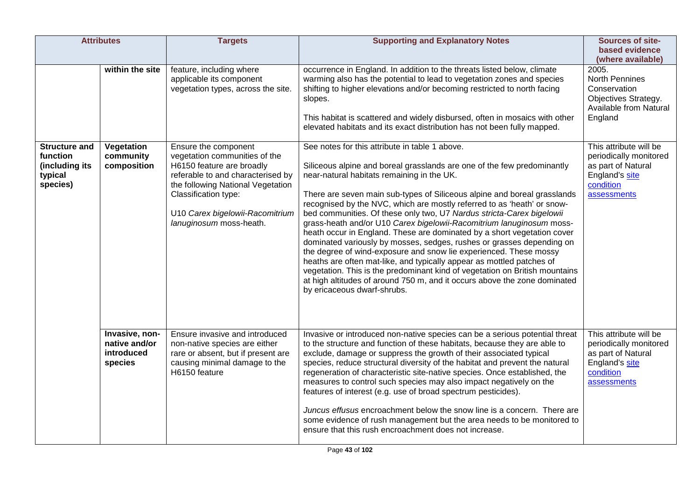| <b>Attributes</b>                                                         |                                                          | <b>Targets</b>                                                                                                                                                                                                                                     | <b>Supporting and Explanatory Notes</b>                                                                                                                                                                                                                                                                                                                                                                                                                                                                                                                                                                                                                                                                                                                                                                                                                                                                                                                                      | Sources of site-<br>based evidence<br>(where available)                                                              |
|---------------------------------------------------------------------------|----------------------------------------------------------|----------------------------------------------------------------------------------------------------------------------------------------------------------------------------------------------------------------------------------------------------|------------------------------------------------------------------------------------------------------------------------------------------------------------------------------------------------------------------------------------------------------------------------------------------------------------------------------------------------------------------------------------------------------------------------------------------------------------------------------------------------------------------------------------------------------------------------------------------------------------------------------------------------------------------------------------------------------------------------------------------------------------------------------------------------------------------------------------------------------------------------------------------------------------------------------------------------------------------------------|----------------------------------------------------------------------------------------------------------------------|
|                                                                           | within the site                                          | feature, including where<br>applicable its component<br>vegetation types, across the site.                                                                                                                                                         | occurrence in England. In addition to the threats listed below, climate<br>warming also has the potential to lead to vegetation zones and species<br>shifting to higher elevations and/or becoming restricted to north facing<br>slopes.<br>This habitat is scattered and widely disbursed, often in mosaics with other<br>elevated habitats and its exact distribution has not been fully mapped.                                                                                                                                                                                                                                                                                                                                                                                                                                                                                                                                                                           | 2005.<br><b>North Pennines</b><br>Conservation<br>Objectives Strategy.<br>Available from Natural<br>England          |
| <b>Structure and</b><br>function<br>(including its<br>typical<br>species) | Vegetation<br>community<br>composition                   | Ensure the component<br>vegetation communities of the<br>H6150 feature are broadly<br>referable to and characterised by<br>the following National Vegetation<br>Classification type:<br>U10 Carex bigelowii-Racomitrium<br>lanuginosum moss-heath. | See notes for this attribute in table 1 above.<br>Siliceous alpine and boreal grasslands are one of the few predominantly<br>near-natural habitats remaining in the UK.<br>There are seven main sub-types of Siliceous alpine and boreal grasslands<br>recognised by the NVC, which are mostly referred to as 'heath' or snow-<br>bed communities. Of these only two, U7 Nardus stricta-Carex bigelowii<br>grass-heath and/or U10 Carex bigelowii-Racomitrium lanuginosum moss-<br>heath occur in England. These are dominated by a short vegetation cover<br>dominated variously by mosses, sedges, rushes or grasses depending on<br>the degree of wind-exposure and snow lie experienced. These mossy<br>heaths are often mat-like, and typically appear as mottled patches of<br>vegetation. This is the predominant kind of vegetation on British mountains<br>at high altitudes of around 750 m, and it occurs above the zone dominated<br>by ericaceous dwarf-shrubs. | This attribute will be<br>periodically monitored<br>as part of Natural<br>England's site<br>condition<br>assessments |
|                                                                           | Invasive, non-<br>native and/or<br>introduced<br>species | Ensure invasive and introduced<br>non-native species are either<br>rare or absent, but if present are<br>causing minimal damage to the<br>H6150 feature                                                                                            | Invasive or introduced non-native species can be a serious potential threat<br>to the structure and function of these habitats, because they are able to<br>exclude, damage or suppress the growth of their associated typical<br>species, reduce structural diversity of the habitat and prevent the natural<br>regeneration of characteristic site-native species. Once established, the<br>measures to control such species may also impact negatively on the<br>features of interest (e.g. use of broad spectrum pesticides).<br>Juncus effusus encroachment below the snow line is a concern. There are<br>some evidence of rush management but the area needs to be monitored to<br>ensure that this rush encroachment does not increase.                                                                                                                                                                                                                              | This attribute will be<br>periodically monitored<br>as part of Natural<br>England's site<br>condition<br>assessments |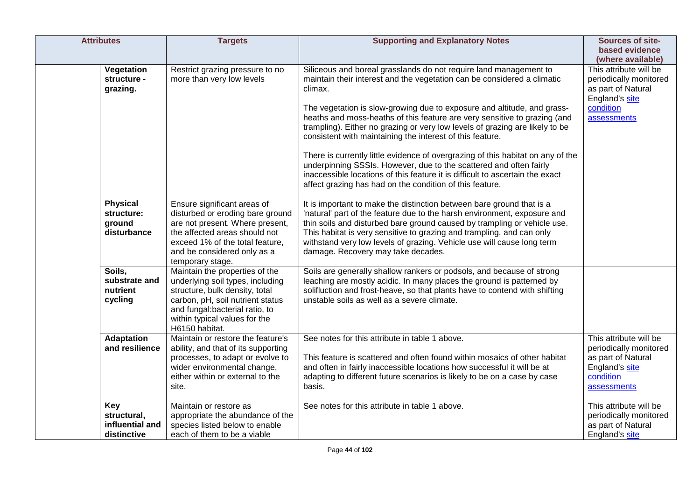| <b>Attributes</b>                                           | <b>Targets</b>                                                                                                                                                                                                                | <b>Supporting and Explanatory Notes</b>                                                                                                                                                                                                                                                                                                                                                                                                                                                                                                                                                                                                                                                                                                                            | Sources of site-<br>based evidence<br>(where available)                                                              |
|-------------------------------------------------------------|-------------------------------------------------------------------------------------------------------------------------------------------------------------------------------------------------------------------------------|--------------------------------------------------------------------------------------------------------------------------------------------------------------------------------------------------------------------------------------------------------------------------------------------------------------------------------------------------------------------------------------------------------------------------------------------------------------------------------------------------------------------------------------------------------------------------------------------------------------------------------------------------------------------------------------------------------------------------------------------------------------------|----------------------------------------------------------------------------------------------------------------------|
| Vegetation<br>structure -<br>grazing.                       | Restrict grazing pressure to no<br>more than very low levels                                                                                                                                                                  | Siliceous and boreal grasslands do not require land management to<br>maintain their interest and the vegetation can be considered a climatic<br>climax.<br>The vegetation is slow-growing due to exposure and altitude, and grass-<br>heaths and moss-heaths of this feature are very sensitive to grazing (and<br>trampling). Either no grazing or very low levels of grazing are likely to be<br>consistent with maintaining the interest of this feature.<br>There is currently little evidence of overgrazing of this habitat on any of the<br>underpinning SSSIs. However, due to the scattered and often fairly<br>inaccessible locations of this feature it is difficult to ascertain the exact<br>affect grazing has had on the condition of this feature. | This attribute will be<br>periodically monitored<br>as part of Natural<br>England's site<br>condition<br>assessments |
| <b>Physical</b><br>structure:<br>ground<br>disturbance      | Ensure significant areas of<br>disturbed or eroding bare ground<br>are not present. Where present,<br>the affected areas should not<br>exceed 1% of the total feature,<br>and be considered only as a<br>temporary stage.     | It is important to make the distinction between bare ground that is a<br>'natural' part of the feature due to the harsh environment, exposure and<br>thin soils and disturbed bare ground caused by trampling or vehicle use.<br>This habitat is very sensitive to grazing and trampling, and can only<br>withstand very low levels of grazing. Vehicle use will cause long term<br>damage. Recovery may take decades.                                                                                                                                                                                                                                                                                                                                             |                                                                                                                      |
| Soils,<br>substrate and<br>nutrient<br>cycling              | Maintain the properties of the<br>underlying soil types, including<br>structure, bulk density, total<br>carbon, pH, soil nutrient status<br>and fungal:bacterial ratio, to<br>within typical values for the<br>H6150 habitat. | Soils are generally shallow rankers or podsols, and because of strong<br>leaching are mostly acidic. In many places the ground is patterned by<br>solifluction and frost-heave, so that plants have to contend with shifting<br>unstable soils as well as a severe climate.                                                                                                                                                                                                                                                                                                                                                                                                                                                                                        |                                                                                                                      |
| <b>Adaptation</b><br>and resilience                         | Maintain or restore the feature's<br>ability, and that of its supporting<br>processes, to adapt or evolve to<br>wider environmental change,<br>either within or external to the<br>site.                                      | See notes for this attribute in table 1 above.<br>This feature is scattered and often found within mosaics of other habitat<br>and often in fairly inaccessible locations how successful it will be at<br>adapting to different future scenarios is likely to be on a case by case<br>basis.                                                                                                                                                                                                                                                                                                                                                                                                                                                                       | This attribute will be<br>periodically monitored<br>as part of Natural<br>England's site<br>condition<br>assessments |
| <b>Key</b><br>structural,<br>influential and<br>distinctive | Maintain or restore as<br>appropriate the abundance of the<br>species listed below to enable<br>each of them to be a viable                                                                                                   | See notes for this attribute in table 1 above.                                                                                                                                                                                                                                                                                                                                                                                                                                                                                                                                                                                                                                                                                                                     | This attribute will be<br>periodically monitored<br>as part of Natural<br>England's site                             |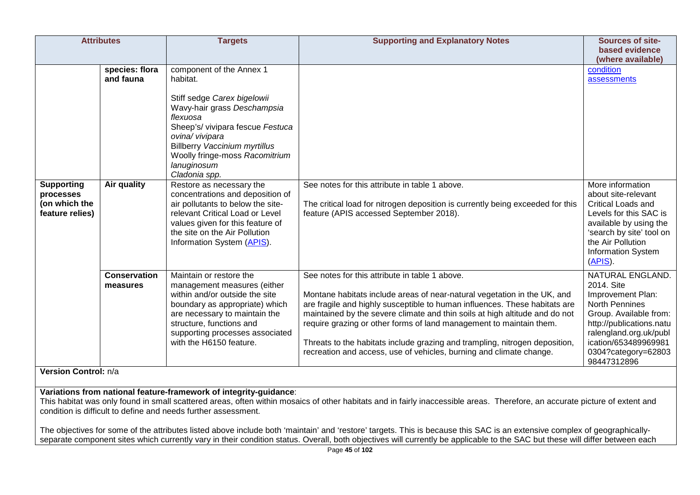|                                                                                                                                                                                                                                                                                                                                                                                                                                                                                                 | <b>Attributes</b>               | <b>Targets</b>                                                                                                                                                                                                                                                                  | <b>Supporting and Explanatory Notes</b>                                                                                                                                                                                                                                                                                                                                                                                                                                                                              | <b>Sources of site-</b><br>based evidence                                                                                                                                                                                  |
|-------------------------------------------------------------------------------------------------------------------------------------------------------------------------------------------------------------------------------------------------------------------------------------------------------------------------------------------------------------------------------------------------------------------------------------------------------------------------------------------------|---------------------------------|---------------------------------------------------------------------------------------------------------------------------------------------------------------------------------------------------------------------------------------------------------------------------------|----------------------------------------------------------------------------------------------------------------------------------------------------------------------------------------------------------------------------------------------------------------------------------------------------------------------------------------------------------------------------------------------------------------------------------------------------------------------------------------------------------------------|----------------------------------------------------------------------------------------------------------------------------------------------------------------------------------------------------------------------------|
|                                                                                                                                                                                                                                                                                                                                                                                                                                                                                                 | species: flora<br>and fauna     | component of the Annex 1<br>habitat.<br>Stiff sedge Carex bigelowii<br>Wavy-hair grass Deschampsia<br>flexuosa<br>Sheep's/ vivipara fescue Festuca<br>ovina/ vivipara<br><b>Billberry Vaccinium myrtillus</b><br>Woolly fringe-moss Racomitrium<br>lanuginosum<br>Cladonia spp. |                                                                                                                                                                                                                                                                                                                                                                                                                                                                                                                      | (where available)<br>condition<br>assessments                                                                                                                                                                              |
| <b>Supporting</b><br>processes<br>(on which the<br>feature relies)                                                                                                                                                                                                                                                                                                                                                                                                                              | Air quality                     | Restore as necessary the<br>concentrations and deposition of<br>air pollutants to below the site-<br>relevant Critical Load or Level<br>values given for this feature of<br>the site on the Air Pollution<br>Information System (APIS).                                         | See notes for this attribute in table 1 above.<br>The critical load for nitrogen deposition is currently being exceeded for this<br>feature (APIS accessed September 2018).                                                                                                                                                                                                                                                                                                                                          | More information<br>about site-relevant<br><b>Critical Loads and</b><br>Levels for this SAC is<br>available by using the<br>'search by site' tool on<br>the Air Pollution<br>Information System<br>(APIS).                 |
|                                                                                                                                                                                                                                                                                                                                                                                                                                                                                                 | <b>Conservation</b><br>measures | Maintain or restore the<br>management measures (either<br>within and/or outside the site<br>boundary as appropriate) which<br>are necessary to maintain the<br>structure, functions and<br>supporting processes associated<br>with the H6150 feature.                           | See notes for this attribute in table 1 above.<br>Montane habitats include areas of near-natural vegetation in the UK, and<br>are fragile and highly susceptible to human influences. These habitats are<br>maintained by the severe climate and thin soils at high altitude and do not<br>require grazing or other forms of land management to maintain them.<br>Threats to the habitats include grazing and trampling, nitrogen deposition,<br>recreation and access, use of vehicles, burning and climate change. | NATURAL ENGLAND.<br>2014. Site<br>Improvement Plan:<br><b>North Pennines</b><br>Group. Available from:<br>http://publications.natu<br>ralengland.org.uk/publ<br>ication/653489969981<br>0304?category=62803<br>98447312896 |
| Version Control: n/a                                                                                                                                                                                                                                                                                                                                                                                                                                                                            |                                 |                                                                                                                                                                                                                                                                                 |                                                                                                                                                                                                                                                                                                                                                                                                                                                                                                                      |                                                                                                                                                                                                                            |
| Variations from national feature-framework of integrity-guidance:<br>This habitat was only found in small scattered areas, often within mosaics of other habitats and in fairly inaccessible areas. Therefore, an accurate picture of extent and<br>condition is difficult to define and needs further assessment.<br>The objectives for some of the attributes listed above include both 'maintain' and 'restore' targets. This is because this SAC is an extensive complex of geographically- |                                 |                                                                                                                                                                                                                                                                                 |                                                                                                                                                                                                                                                                                                                                                                                                                                                                                                                      |                                                                                                                                                                                                                            |

separate component sites which currently vary in their condition status. Overall, both objectives will currently be applicable to the SAC but these will differ between each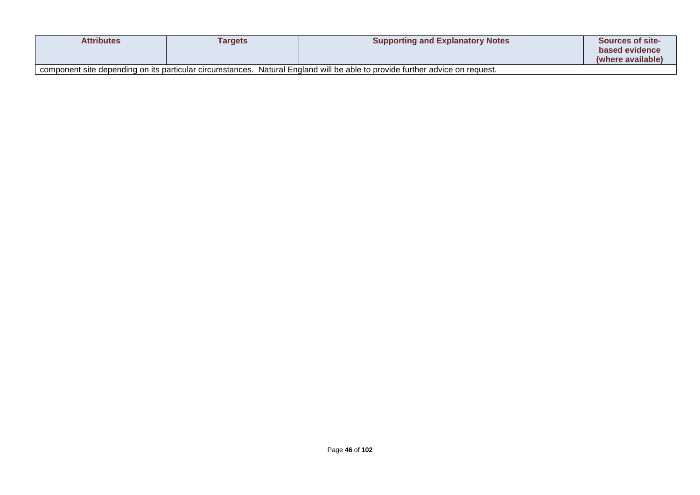| <b>Attributes</b> | Targets | <b>Supporting and Explanatory Notes</b>                                                                                      | <b>Sources of site-</b><br>based evidence<br>(where available) |
|-------------------|---------|------------------------------------------------------------------------------------------------------------------------------|----------------------------------------------------------------|
|                   |         | component site depending on its particular circumstances. Natural England will be able to provide further advice on request. |                                                                |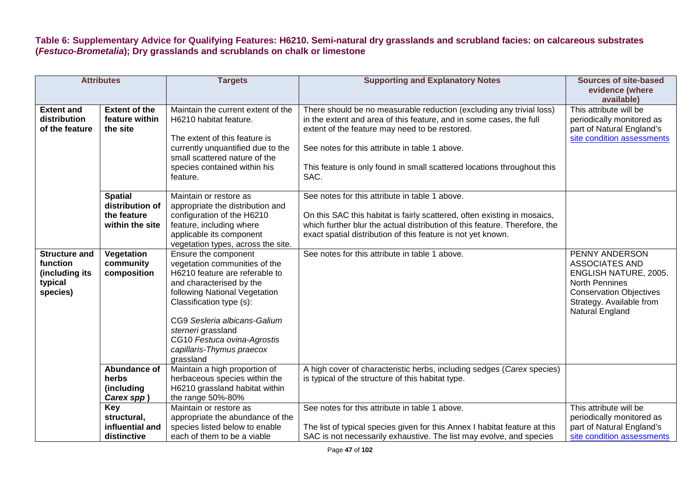**Table 6: Supplementary Advice for Qualifying Features: H6210. Semi-natural dry grasslands and scrubland facies: on calcareous substrates (***Festuco-Brometalia***); Dry grasslands and scrublands on chalk or limestone**

| <b>Attributes</b>                                                         |                                                                     | <b>Targets</b>                                                                                                                                                                                                                                                                                                  | <b>Supporting and Explanatory Notes</b>                                                                                                                                                                                                                                                                                            | <b>Sources of site-based</b><br>evidence (where                                                                                                                                   |
|---------------------------------------------------------------------------|---------------------------------------------------------------------|-----------------------------------------------------------------------------------------------------------------------------------------------------------------------------------------------------------------------------------------------------------------------------------------------------------------|------------------------------------------------------------------------------------------------------------------------------------------------------------------------------------------------------------------------------------------------------------------------------------------------------------------------------------|-----------------------------------------------------------------------------------------------------------------------------------------------------------------------------------|
|                                                                           |                                                                     |                                                                                                                                                                                                                                                                                                                 |                                                                                                                                                                                                                                                                                                                                    | available)                                                                                                                                                                        |
| <b>Extent and</b><br>distribution<br>of the feature                       | <b>Extent of the</b><br>feature within<br>the site                  | Maintain the current extent of the<br>H6210 habitat feature.<br>The extent of this feature is<br>currently unquantified due to the<br>small scattered nature of the<br>species contained within his<br>feature.                                                                                                 | There should be no measurable reduction (excluding any trivial loss)<br>in the extent and area of this feature, and in some cases, the full<br>extent of the feature may need to be restored.<br>See notes for this attribute in table 1 above.<br>This feature is only found in small scattered locations throughout this<br>SAC. | This attribute will be<br>periodically monitored as<br>part of Natural England's<br>site condition assessments                                                                    |
|                                                                           | <b>Spatial</b><br>distribution of<br>the feature<br>within the site | Maintain or restore as<br>appropriate the distribution and<br>configuration of the H6210<br>feature, including where<br>applicable its component<br>vegetation types, across the site.                                                                                                                          | See notes for this attribute in table 1 above.<br>On this SAC this habitat is fairly scattered, often existing in mosaics,<br>which further blur the actual distribution of this feature. Therefore, the<br>exact spatial distribution of this feature is not yet known.                                                           |                                                                                                                                                                                   |
| <b>Structure and</b><br>function<br>(including its<br>typical<br>species) | Vegetation<br>community<br>composition                              | Ensure the component<br>vegetation communities of the<br>H6210 feature are referable to<br>and characterised by the<br>following National Vegetation<br>Classification type (s):<br>CG9 Sesleria albicans-Galium<br>sterneri grassland<br>CG10 Festuca ovina-Agrostis<br>capillaris-Thymus praecox<br>grassland | See notes for this attribute in table 1 above.                                                                                                                                                                                                                                                                                     | PENNY ANDERSON<br><b>ASSOCIATES AND</b><br><b>ENGLISH NATURE, 2005.</b><br><b>North Pennines</b><br><b>Conservation Objectives</b><br>Strategy. Available from<br>Natural England |
|                                                                           | Abundance of<br>herbs<br>(including<br>Carex spp)                   | Maintain a high proportion of<br>herbaceous species within the<br>H6210 grassland habitat within<br>the range 50%-80%                                                                                                                                                                                           | A high cover of characteristic herbs, including sedges (Carex species)<br>is typical of the structure of this habitat type.                                                                                                                                                                                                        |                                                                                                                                                                                   |
|                                                                           | Key<br>structural,<br>influential and<br>distinctive                | Maintain or restore as<br>appropriate the abundance of the<br>species listed below to enable<br>each of them to be a viable                                                                                                                                                                                     | See notes for this attribute in table 1 above.<br>The list of typical species given for this Annex I habitat feature at this<br>SAC is not necessarily exhaustive. The list may evolve, and species                                                                                                                                | This attribute will be<br>periodically monitored as<br>part of Natural England's<br>site condition assessments                                                                    |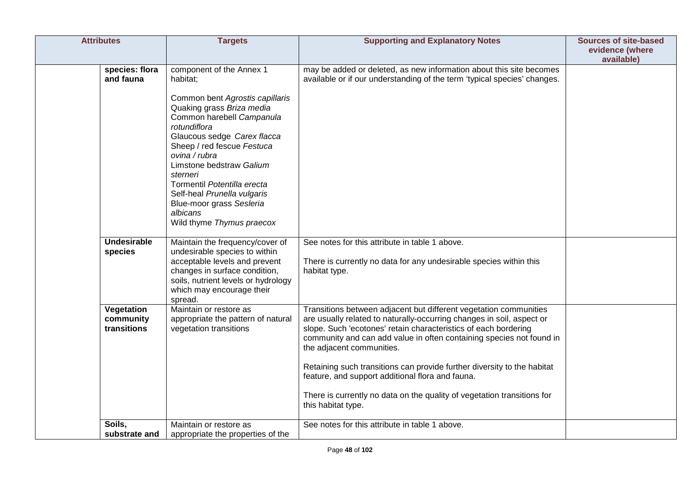| <b>Attributes</b>                      | <b>Targets</b>                                                                                                                                                                                                                                                                                                                                                                                             | <b>Supporting and Explanatory Notes</b>                                                                                                                                                                                                                                                                                                                                                                                                                                                                                                            | <b>Sources of site-based</b><br>evidence (where<br>available) |
|----------------------------------------|------------------------------------------------------------------------------------------------------------------------------------------------------------------------------------------------------------------------------------------------------------------------------------------------------------------------------------------------------------------------------------------------------------|----------------------------------------------------------------------------------------------------------------------------------------------------------------------------------------------------------------------------------------------------------------------------------------------------------------------------------------------------------------------------------------------------------------------------------------------------------------------------------------------------------------------------------------------------|---------------------------------------------------------------|
| species: flora<br>and fauna            | component of the Annex 1<br>habitat;<br>Common bent Agrostis capillaris<br>Quaking grass Briza media<br>Common harebell Campanula<br>rotundiflora<br>Glaucous sedge Carex flacca<br>Sheep / red fescue Festuca<br>ovina / rubra<br>Limstone bedstraw Galium<br>sterneri<br>Tormentil Potentilla erecta<br>Self-heal Prunella vulgaris<br>Blue-moor grass Sesleria<br>albicans<br>Wild thyme Thymus praecox | may be added or deleted, as new information about this site becomes<br>available or if our understanding of the term 'typical species' changes.                                                                                                                                                                                                                                                                                                                                                                                                    |                                                               |
| <b>Undesirable</b><br>species          | Maintain the frequency/cover of<br>undesirable species to within<br>acceptable levels and prevent<br>changes in surface condition,<br>soils, nutrient levels or hydrology<br>which may encourage their<br>spread.                                                                                                                                                                                          | See notes for this attribute in table 1 above.<br>There is currently no data for any undesirable species within this<br>habitat type.                                                                                                                                                                                                                                                                                                                                                                                                              |                                                               |
| Vegetation<br>community<br>transitions | Maintain or restore as<br>appropriate the pattern of natural<br>vegetation transitions                                                                                                                                                                                                                                                                                                                     | Transitions between adjacent but different vegetation communities<br>are usually related to naturally-occurring changes in soil, aspect or<br>slope. Such 'ecotones' retain characteristics of each bordering<br>community and can add value in often containing species not found in<br>the adjacent communities.<br>Retaining such transitions can provide further diversity to the habitat<br>feature, and support additional flora and fauna.<br>There is currently no data on the quality of vegetation transitions for<br>this habitat type. |                                                               |
| Soils.<br>substrate and                | Maintain or restore as<br>appropriate the properties of the                                                                                                                                                                                                                                                                                                                                                | See notes for this attribute in table 1 above.                                                                                                                                                                                                                                                                                                                                                                                                                                                                                                     |                                                               |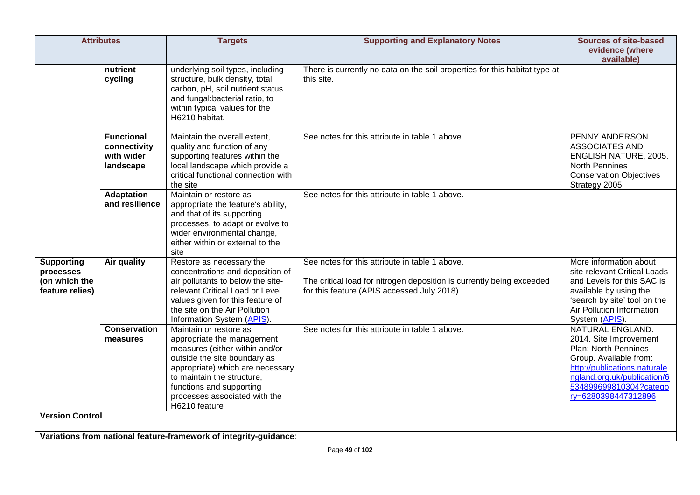|                                                                    | <b>Attributes</b>                                            | <b>Targets</b>                                                                                                                                                                                                                                                         | <b>Supporting and Explanatory Notes</b>                                                                                                                                | <b>Sources of site-based</b><br>evidence (where<br>available)                                                                                                                                                |
|--------------------------------------------------------------------|--------------------------------------------------------------|------------------------------------------------------------------------------------------------------------------------------------------------------------------------------------------------------------------------------------------------------------------------|------------------------------------------------------------------------------------------------------------------------------------------------------------------------|--------------------------------------------------------------------------------------------------------------------------------------------------------------------------------------------------------------|
|                                                                    | nutrient<br>cycling                                          | underlying soil types, including<br>structure, bulk density, total<br>carbon, pH, soil nutrient status<br>and fungal:bacterial ratio, to<br>within typical values for the<br>H6210 habitat.                                                                            | There is currently no data on the soil properties for this habitat type at<br>this site.                                                                               |                                                                                                                                                                                                              |
|                                                                    | <b>Functional</b><br>connectivity<br>with wider<br>landscape | Maintain the overall extent,<br>quality and function of any<br>supporting features within the<br>local landscape which provide a<br>critical functional connection with<br>the site                                                                                    | See notes for this attribute in table 1 above.                                                                                                                         | PENNY ANDERSON<br><b>ASSOCIATES AND</b><br>ENGLISH NATURE, 2005.<br><b>North Pennines</b><br><b>Conservation Objectives</b><br>Strategy 2005,                                                                |
|                                                                    | <b>Adaptation</b><br>and resilience                          | Maintain or restore as<br>appropriate the feature's ability,<br>and that of its supporting<br>processes, to adapt or evolve to<br>wider environmental change,<br>either within or external to the<br>site                                                              | See notes for this attribute in table 1 above.                                                                                                                         |                                                                                                                                                                                                              |
| <b>Supporting</b><br>processes<br>(on which the<br>feature relies) | Air quality                                                  | Restore as necessary the<br>concentrations and deposition of<br>air pollutants to below the site-<br>relevant Critical Load or Level<br>values given for this feature of<br>the site on the Air Pollution<br>Information System (APIS).                                | See notes for this attribute in table 1 above.<br>The critical load for nitrogen deposition is currently being exceeded<br>for this feature (APIS accessed July 2018). | More information about<br>site-relevant Critical Loads<br>and Levels for this SAC is<br>available by using the<br>'search by site' tool on the<br>Air Pollution Information<br>System (APIS).                |
|                                                                    | <b>Conservation</b><br>measures                              | Maintain or restore as<br>appropriate the management<br>measures (either within and/or<br>outside the site boundary as<br>appropriate) which are necessary<br>to maintain the structure,<br>functions and supporting<br>processes associated with the<br>H6210 feature | See notes for this attribute in table 1 above.                                                                                                                         | NATURAL ENGLAND.<br>2014. Site Improvement<br>Plan: North Pennines<br>Group. Available from:<br>http://publications.naturale<br>ngland.org.uk/publication/6<br>534899699810304?catego<br>ry=6280398447312896 |
| <b>Version Control</b>                                             |                                                              | Variations from national feature-framework of integrity-guidance:                                                                                                                                                                                                      |                                                                                                                                                                        |                                                                                                                                                                                                              |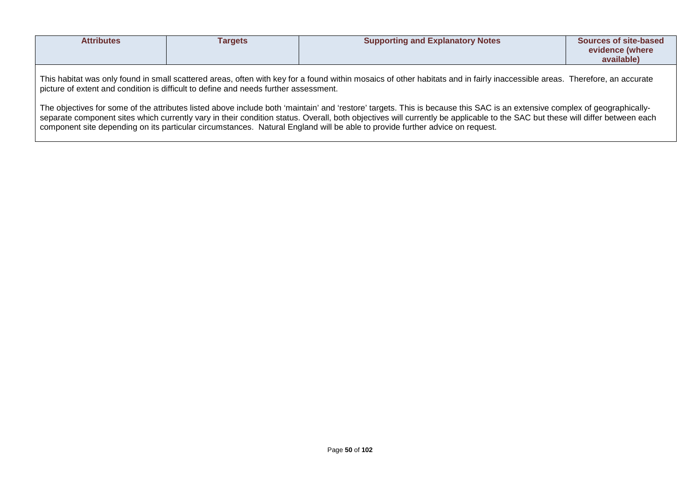| <b>Attributes</b>                                                                                                                                                                                                                                                                                                                                                                                                                                                                         | Targets | <b>Supporting and Explanatory Notes</b> | Sources of site-based<br>evidence (where<br>available) |  |  |
|-------------------------------------------------------------------------------------------------------------------------------------------------------------------------------------------------------------------------------------------------------------------------------------------------------------------------------------------------------------------------------------------------------------------------------------------------------------------------------------------|---------|-----------------------------------------|--------------------------------------------------------|--|--|
| This habitat was only found in small scattered areas, often with key for a found within mosaics of other habitats and in fairly inaccessible areas. Therefore, an accurate<br>picture of extent and condition is difficult to define and needs further assessment.                                                                                                                                                                                                                        |         |                                         |                                                        |  |  |
| The objectives for some of the attributes listed above include both 'maintain' and 'restore' targets. This is because this SAC is an extensive complex of geographically-<br>separate component sites which currently vary in their condition status. Overall, both objectives will currently be applicable to the SAC but these will differ between each<br>component site depending on its particular circumstances. Natural England will be able to provide further advice on request. |         |                                         |                                                        |  |  |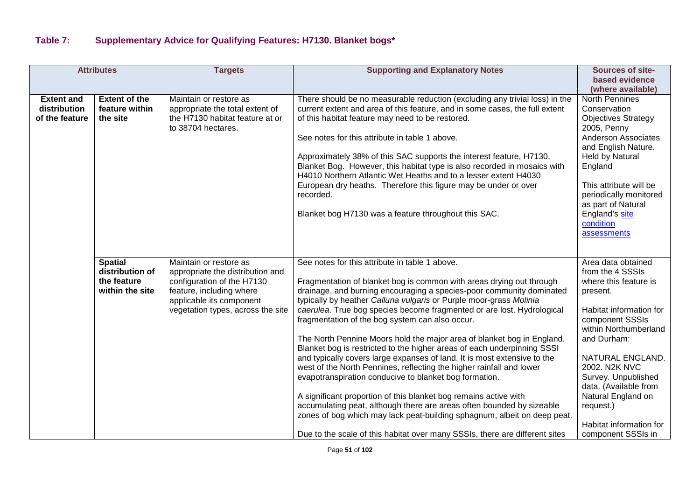## **Table 7: Supplementary Advice for Qualifying Features: H7130. Blanket bogs\***

|                                | <b>Attributes</b>          | <b>Targets</b>                                                     | <b>Supporting and Explanatory Notes</b>                                                                                                      | <b>Sources of site-</b>                     |
|--------------------------------|----------------------------|--------------------------------------------------------------------|----------------------------------------------------------------------------------------------------------------------------------------------|---------------------------------------------|
|                                |                            |                                                                    |                                                                                                                                              | based evidence                              |
|                                |                            |                                                                    |                                                                                                                                              | (where available)                           |
| <b>Extent and</b>              | <b>Extent of the</b>       | Maintain or restore as                                             | There should be no measurable reduction (excluding any trivial loss) in the                                                                  | <b>North Pennines</b>                       |
| distribution<br>of the feature | feature within<br>the site | appropriate the total extent of<br>the H7130 habitat feature at or | current extent and area of this feature, and in some cases, the full extent<br>of this habitat feature may need to be restored.              | Conservation<br><b>Objectives Strategy</b>  |
|                                |                            | to 38704 hectares.                                                 |                                                                                                                                              | 2005, Penny                                 |
|                                |                            |                                                                    | See notes for this attribute in table 1 above.                                                                                               | <b>Anderson Associates</b>                  |
|                                |                            |                                                                    |                                                                                                                                              | and English Nature.                         |
|                                |                            |                                                                    | Approximately 38% of this SAC supports the interest feature, H7130,                                                                          | Held by Natural                             |
|                                |                            |                                                                    | Blanket Bog. However, this habitat type is also recorded in mosaics with<br>H4010 Northern Atlantic Wet Heaths and to a lesser extent H4030  | England                                     |
|                                |                            |                                                                    | European dry heaths. Therefore this figure may be under or over                                                                              | This attribute will be                      |
|                                |                            |                                                                    | recorded.                                                                                                                                    | periodically monitored                      |
|                                |                            |                                                                    |                                                                                                                                              | as part of Natural                          |
|                                |                            |                                                                    | Blanket bog H7130 was a feature throughout this SAC.                                                                                         | England's site                              |
|                                |                            |                                                                    |                                                                                                                                              | condition                                   |
|                                |                            |                                                                    |                                                                                                                                              | assessments                                 |
|                                |                            |                                                                    |                                                                                                                                              |                                             |
|                                | <b>Spatial</b>             | Maintain or restore as                                             | See notes for this attribute in table 1 above.                                                                                               | Area data obtained                          |
|                                | distribution of            | appropriate the distribution and                                   |                                                                                                                                              | from the 4 SSSIs                            |
|                                | the feature                | configuration of the H7130                                         | Fragmentation of blanket bog is common with areas drying out through                                                                         | where this feature is                       |
|                                | within the site            | feature, including where                                           | drainage, and burning encouraging a species-poor community dominated                                                                         | present.                                    |
|                                |                            | applicable its component<br>vegetation types, across the site      | typically by heather Calluna vulgaris or Purple moor-grass Molinia<br>caerulea. True bog species become fragmented or are lost. Hydrological | Habitat information for                     |
|                                |                            |                                                                    | fragmentation of the bog system can also occur.                                                                                              | component SSSIs                             |
|                                |                            |                                                                    |                                                                                                                                              | within Northumberland                       |
|                                |                            |                                                                    | The North Pennine Moors hold the major area of blanket bog in England.                                                                       | and Durham:                                 |
|                                |                            |                                                                    | Blanket bog is restricted to the higher areas of each underpinning SSSI                                                                      |                                             |
|                                |                            |                                                                    | and typically covers large expanses of land. It is most extensive to the                                                                     | NATURAL ENGLAND.                            |
|                                |                            |                                                                    | west of the North Pennines, reflecting the higher rainfall and lower                                                                         | 2002. N2K NVC                               |
|                                |                            |                                                                    | evapotranspiration conducive to blanket bog formation.                                                                                       | Survey. Unpublished                         |
|                                |                            |                                                                    | A significant proportion of this blanket bog remains active with                                                                             | data. (Available from<br>Natural England on |
|                                |                            |                                                                    | accumulating peat, although there are areas often bounded by sizeable                                                                        | request.)                                   |
|                                |                            |                                                                    | zones of bog which may lack peat-building sphagnum, albeit on deep peat.                                                                     |                                             |
|                                |                            |                                                                    |                                                                                                                                              | Habitat information for                     |
|                                |                            |                                                                    | Due to the scale of this habitat over many SSSIs, there are different sites                                                                  | component SSSIs in                          |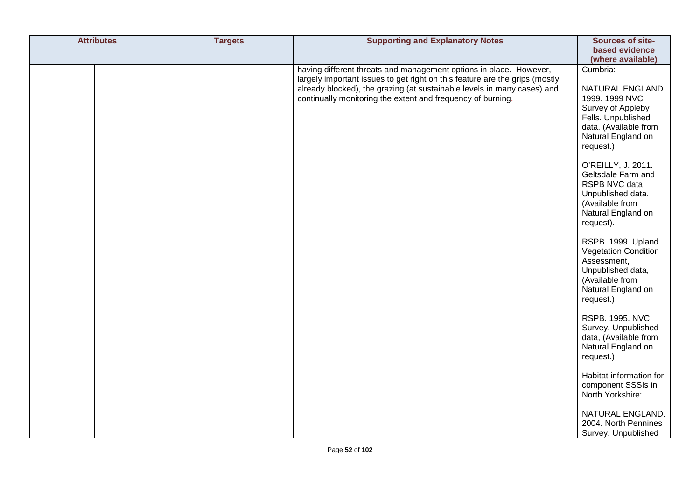| <b>Attributes</b> | <b>Targets</b> | <b>Supporting and Explanatory Notes</b>                                                                                                                                                                                                                                                     | Sources of site-<br>based evidence<br>(where available)                                                                                               |
|-------------------|----------------|---------------------------------------------------------------------------------------------------------------------------------------------------------------------------------------------------------------------------------------------------------------------------------------------|-------------------------------------------------------------------------------------------------------------------------------------------------------|
|                   |                | having different threats and management options in place. However,<br>largely important issues to get right on this feature are the grips (mostly<br>already blocked), the grazing (at sustainable levels in many cases) and<br>continually monitoring the extent and frequency of burning. | Cumbria:<br>NATURAL ENGLAND.<br>1999. 1999 NVC<br>Survey of Appleby<br>Fells. Unpublished<br>data. (Available from<br>Natural England on<br>request.) |
|                   |                |                                                                                                                                                                                                                                                                                             | O'REILLY, J. 2011.<br>Geltsdale Farm and<br>RSPB NVC data.<br>Unpublished data.<br>(Available from<br>Natural England on<br>request).                 |
|                   |                |                                                                                                                                                                                                                                                                                             | RSPB. 1999. Upland<br><b>Vegetation Condition</b><br>Assessment,<br>Unpublished data,<br>(Available from<br>Natural England on<br>request.)           |
|                   |                |                                                                                                                                                                                                                                                                                             | <b>RSPB. 1995. NVC</b><br>Survey. Unpublished<br>data, (Available from<br>Natural England on<br>request.)                                             |
|                   |                |                                                                                                                                                                                                                                                                                             | Habitat information for<br>component SSSIs in<br>North Yorkshire:                                                                                     |
|                   |                |                                                                                                                                                                                                                                                                                             | NATURAL ENGLAND.<br>2004. North Pennines<br>Survey. Unpublished                                                                                       |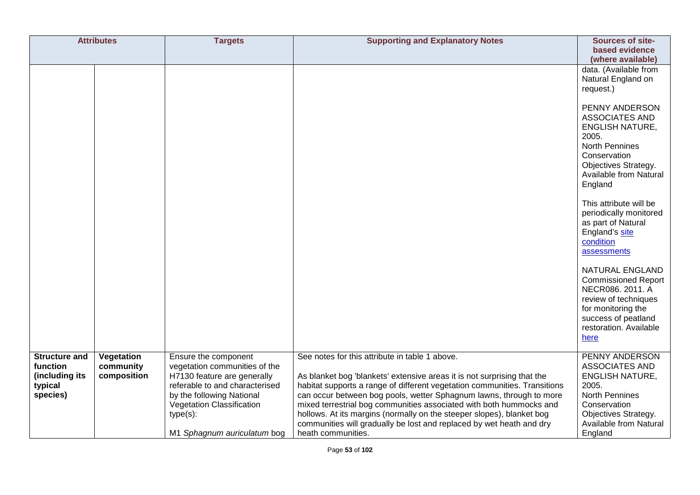|                                                                           | <b>Attributes</b>                      | <b>Targets</b>                                                                                                                                                                                                                 | <b>Supporting and Explanatory Notes</b>                                                                                                                                                                                                                                                                                                                                                                                                                                                                                     | Sources of site-<br>based evidence<br>(where available)                                                                                                                   |
|---------------------------------------------------------------------------|----------------------------------------|--------------------------------------------------------------------------------------------------------------------------------------------------------------------------------------------------------------------------------|-----------------------------------------------------------------------------------------------------------------------------------------------------------------------------------------------------------------------------------------------------------------------------------------------------------------------------------------------------------------------------------------------------------------------------------------------------------------------------------------------------------------------------|---------------------------------------------------------------------------------------------------------------------------------------------------------------------------|
|                                                                           |                                        |                                                                                                                                                                                                                                |                                                                                                                                                                                                                                                                                                                                                                                                                                                                                                                             | data. (Available from<br>Natural England on<br>request.)                                                                                                                  |
|                                                                           |                                        |                                                                                                                                                                                                                                |                                                                                                                                                                                                                                                                                                                                                                                                                                                                                                                             | PENNY ANDERSON<br>ASSOCIATES AND<br><b>ENGLISH NATURE,</b><br>2005.<br>North Pennines<br>Conservation<br>Objectives Strategy.<br>Available from Natural<br>England        |
|                                                                           |                                        |                                                                                                                                                                                                                                |                                                                                                                                                                                                                                                                                                                                                                                                                                                                                                                             | This attribute will be<br>periodically monitored<br>as part of Natural<br>England's site<br>condition<br>assessments                                                      |
|                                                                           |                                        |                                                                                                                                                                                                                                |                                                                                                                                                                                                                                                                                                                                                                                                                                                                                                                             | NATURAL ENGLAND<br><b>Commissioned Report</b><br>NECR086. 2011. A<br>review of techniques<br>for monitoring the<br>success of peatland<br>restoration. Available<br>here  |
| <b>Structure and</b><br>function<br>(including its<br>typical<br>species) | Vegetation<br>community<br>composition | Ensure the component<br>vegetation communities of the<br>H7130 feature are generally<br>referable to and characterised<br>by the following National<br>Vegetation Classification<br>$type(s)$ :<br>M1 Sphagnum auriculatum bog | See notes for this attribute in table 1 above.<br>As blanket bog 'blankets' extensive areas it is not surprising that the<br>habitat supports a range of different vegetation communities. Transitions<br>can occur between bog pools, wetter Sphagnum lawns, through to more<br>mixed terrestrial bog communities associated with both hummocks and<br>hollows. At its margins (normally on the steeper slopes), blanket bog<br>communities will gradually be lost and replaced by wet heath and dry<br>heath communities. | PENNY ANDERSON<br>ASSOCIATES AND<br><b>ENGLISH NATURE,</b><br>2005.<br><b>North Pennines</b><br>Conservation<br>Objectives Strategy.<br>Available from Natural<br>England |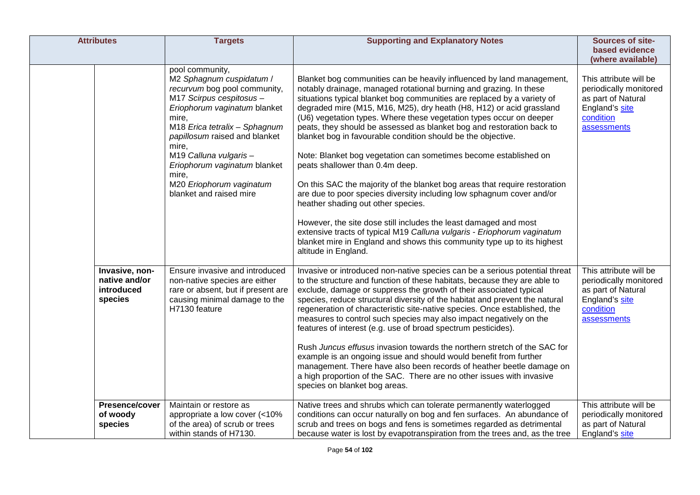| <b>Attributes</b>                                        | <b>Targets</b>                                                                                                                                                                                                                                                                                                                                       | <b>Supporting and Explanatory Notes</b>                                                                                                                                                                                                                                                                                                                                                                                                                                                                                                                                                                                                                                                                                                                                                                                                                                                                                                                                                                                                                              | <b>Sources of site-</b><br>based evidence<br>(where available)                                                       |
|----------------------------------------------------------|------------------------------------------------------------------------------------------------------------------------------------------------------------------------------------------------------------------------------------------------------------------------------------------------------------------------------------------------------|----------------------------------------------------------------------------------------------------------------------------------------------------------------------------------------------------------------------------------------------------------------------------------------------------------------------------------------------------------------------------------------------------------------------------------------------------------------------------------------------------------------------------------------------------------------------------------------------------------------------------------------------------------------------------------------------------------------------------------------------------------------------------------------------------------------------------------------------------------------------------------------------------------------------------------------------------------------------------------------------------------------------------------------------------------------------|----------------------------------------------------------------------------------------------------------------------|
|                                                          | pool community,<br>M2 Sphagnum cuspidatum /<br>recurvum bog pool community,<br>M17 Scirpus cespitosus -<br>Eriophorum vaginatum blanket<br>mire,<br>M18 Erica tetralix - Sphagnum<br>papillosum raised and blanket<br>mire,<br>M19 Calluna vulgaris-<br>Eriophorum vaginatum blanket<br>mire,<br>M20 Eriophorum vaginatum<br>blanket and raised mire | Blanket bog communities can be heavily influenced by land management,<br>notably drainage, managed rotational burning and grazing. In these<br>situations typical blanket bog communities are replaced by a variety of<br>degraded mire (M15, M16, M25), dry heath (H8, H12) or acid grassland<br>(U6) vegetation types. Where these vegetation types occur on deeper<br>peats, they should be assessed as blanket bog and restoration back to<br>blanket bog in favourable condition should be the objective.<br>Note: Blanket bog vegetation can sometimes become established on<br>peats shallower than 0.4m deep.<br>On this SAC the majority of the blanket bog areas that require restoration<br>are due to poor species diversity including low sphagnum cover and/or<br>heather shading out other species.<br>However, the site dose still includes the least damaged and most<br>extensive tracts of typical M19 Calluna vulgaris - Eriophorum vaginatum<br>blanket mire in England and shows this community type up to its highest<br>altitude in England. | This attribute will be<br>periodically monitored<br>as part of Natural<br>England's site<br>condition<br>assessments |
| Invasive, non-<br>native and/or<br>introduced<br>species | Ensure invasive and introduced<br>non-native species are either<br>rare or absent, but if present are<br>causing minimal damage to the<br>H7130 feature                                                                                                                                                                                              | Invasive or introduced non-native species can be a serious potential threat<br>to the structure and function of these habitats, because they are able to<br>exclude, damage or suppress the growth of their associated typical<br>species, reduce structural diversity of the habitat and prevent the natural<br>regeneration of characteristic site-native species. Once established, the<br>measures to control such species may also impact negatively on the<br>features of interest (e.g. use of broad spectrum pesticides).<br>Rush Juncus effusus invasion towards the northern stretch of the SAC for<br>example is an ongoing issue and should would benefit from further<br>management. There have also been records of heather beetle damage on<br>a high proportion of the SAC. There are no other issues with invasive<br>species on blanket bog areas.                                                                                                                                                                                                 | This attribute will be<br>periodically monitored<br>as part of Natural<br>England's site<br>condition<br>assessments |
| Presence/cover<br>of woody<br>species                    | Maintain or restore as<br>appropriate a low cover (<10%<br>of the area) of scrub or trees<br>within stands of H7130.                                                                                                                                                                                                                                 | Native trees and shrubs which can tolerate permanently waterlogged<br>conditions can occur naturally on bog and fen surfaces. An abundance of<br>scrub and trees on bogs and fens is sometimes regarded as detrimental<br>because water is lost by evapotranspiration from the trees and, as the tree                                                                                                                                                                                                                                                                                                                                                                                                                                                                                                                                                                                                                                                                                                                                                                | This attribute will be<br>periodically monitored<br>as part of Natural<br>England's site                             |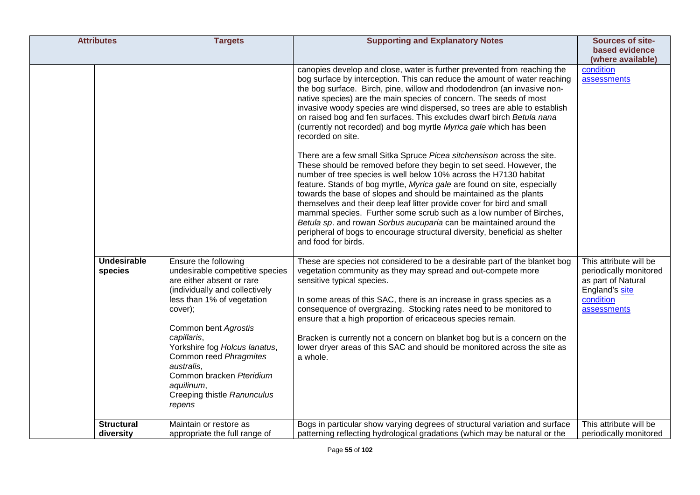| <b>Attributes</b>              | <b>Targets</b>                                                                                                                                                                                                                                                                                                                                                     | <b>Supporting and Explanatory Notes</b>                                                                                                                                                                                                                                                                                                                                                                                                                                                                                                                                                                                                                                                                                                                                                                                                                                                                                                                                                                                                                                                                                                                                                                                                                     | Sources of site-                                                                                                     |
|--------------------------------|--------------------------------------------------------------------------------------------------------------------------------------------------------------------------------------------------------------------------------------------------------------------------------------------------------------------------------------------------------------------|-------------------------------------------------------------------------------------------------------------------------------------------------------------------------------------------------------------------------------------------------------------------------------------------------------------------------------------------------------------------------------------------------------------------------------------------------------------------------------------------------------------------------------------------------------------------------------------------------------------------------------------------------------------------------------------------------------------------------------------------------------------------------------------------------------------------------------------------------------------------------------------------------------------------------------------------------------------------------------------------------------------------------------------------------------------------------------------------------------------------------------------------------------------------------------------------------------------------------------------------------------------|----------------------------------------------------------------------------------------------------------------------|
|                                |                                                                                                                                                                                                                                                                                                                                                                    |                                                                                                                                                                                                                                                                                                                                                                                                                                                                                                                                                                                                                                                                                                                                                                                                                                                                                                                                                                                                                                                                                                                                                                                                                                                             | based evidence                                                                                                       |
|                                |                                                                                                                                                                                                                                                                                                                                                                    |                                                                                                                                                                                                                                                                                                                                                                                                                                                                                                                                                                                                                                                                                                                                                                                                                                                                                                                                                                                                                                                                                                                                                                                                                                                             | (where available)                                                                                                    |
|                                |                                                                                                                                                                                                                                                                                                                                                                    | canopies develop and close, water is further prevented from reaching the<br>bog surface by interception. This can reduce the amount of water reaching<br>the bog surface. Birch, pine, willow and rhododendron (an invasive non-<br>native species) are the main species of concern. The seeds of most<br>invasive woody species are wind dispersed, so trees are able to establish<br>on raised bog and fen surfaces. This excludes dwarf birch Betula nana<br>(currently not recorded) and bog myrtle Myrica gale which has been<br>recorded on site.<br>There are a few small Sitka Spruce Picea sitchensison across the site.<br>These should be removed before they begin to set seed. However, the<br>number of tree species is well below 10% across the H7130 habitat<br>feature. Stands of bog myrtle, Myrica gale are found on site, especially<br>towards the base of slopes and should be maintained as the plants<br>themselves and their deep leaf litter provide cover for bird and small<br>mammal species. Further some scrub such as a low number of Birches,<br>Betula sp. and rowan Sorbus aucuparia can be maintained around the<br>peripheral of bogs to encourage structural diversity, beneficial as shelter<br>and food for birds. | condition<br>assessments                                                                                             |
| <b>Undesirable</b><br>species  | Ensure the following<br>undesirable competitive species<br>are either absent or rare<br>(individually and collectively<br>less than 1% of vegetation<br>cover);<br>Common bent Agrostis<br>capillaris,<br>Yorkshire fog Holcus lanatus,<br>Common reed Phragmites<br>australis,<br>Common bracken Pteridium<br>aquilinum,<br>Creeping thistle Ranunculus<br>repens | These are species not considered to be a desirable part of the blanket bog<br>vegetation community as they may spread and out-compete more<br>sensitive typical species.<br>In some areas of this SAC, there is an increase in grass species as a<br>consequence of overgrazing. Stocking rates need to be monitored to<br>ensure that a high proportion of ericaceous species remain.<br>Bracken is currently not a concern on blanket bog but is a concern on the<br>lower dryer areas of this SAC and should be monitored across the site as<br>a whole.                                                                                                                                                                                                                                                                                                                                                                                                                                                                                                                                                                                                                                                                                                 | This attribute will be<br>periodically monitored<br>as part of Natural<br>England's site<br>condition<br>assessments |
| <b>Structural</b><br>diversity | Maintain or restore as<br>appropriate the full range of                                                                                                                                                                                                                                                                                                            | Bogs in particular show varying degrees of structural variation and surface<br>patterning reflecting hydrological gradations (which may be natural or the                                                                                                                                                                                                                                                                                                                                                                                                                                                                                                                                                                                                                                                                                                                                                                                                                                                                                                                                                                                                                                                                                                   | This attribute will be<br>periodically monitored                                                                     |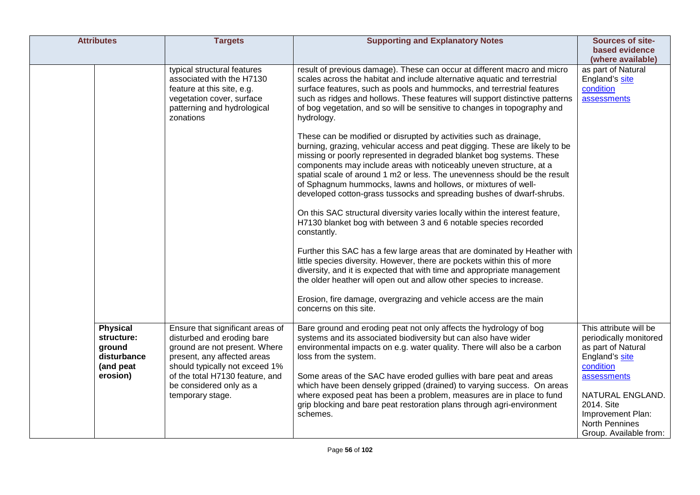| <b>Attributes</b>                                                               | <b>Targets</b>                                                                                                                                                                                                                 | <b>Supporting and Explanatory Notes</b>                                                                                                                                                                                                                                                                                                                                                                                                                                                                                 | Sources of site-<br>based evidence<br>(where available)                                                              |
|---------------------------------------------------------------------------------|--------------------------------------------------------------------------------------------------------------------------------------------------------------------------------------------------------------------------------|-------------------------------------------------------------------------------------------------------------------------------------------------------------------------------------------------------------------------------------------------------------------------------------------------------------------------------------------------------------------------------------------------------------------------------------------------------------------------------------------------------------------------|----------------------------------------------------------------------------------------------------------------------|
|                                                                                 | typical structural features<br>associated with the H7130<br>feature at this site, e.g.<br>vegetation cover, surface<br>patterning and hydrological<br>zonations                                                                | result of previous damage). These can occur at different macro and micro<br>scales across the habitat and include alternative aquatic and terrestrial<br>surface features, such as pools and hummocks, and terrestrial features<br>such as ridges and hollows. These features will support distinctive patterns<br>of bog vegetation, and so will be sensitive to changes in topography and<br>hydrology.                                                                                                               | as part of Natural<br>England's site<br>condition<br>assessments                                                     |
|                                                                                 |                                                                                                                                                                                                                                | These can be modified or disrupted by activities such as drainage,<br>burning, grazing, vehicular access and peat digging. These are likely to be<br>missing or poorly represented in degraded blanket bog systems. These<br>components may include areas with noticeably uneven structure, at a<br>spatial scale of around 1 m2 or less. The unevenness should be the result<br>of Sphagnum hummocks, lawns and hollows, or mixtures of well-<br>developed cotton-grass tussocks and spreading bushes of dwarf-shrubs. |                                                                                                                      |
|                                                                                 |                                                                                                                                                                                                                                | On this SAC structural diversity varies locally within the interest feature,<br>H7130 blanket bog with between 3 and 6 notable species recorded<br>constantly.                                                                                                                                                                                                                                                                                                                                                          |                                                                                                                      |
|                                                                                 |                                                                                                                                                                                                                                | Further this SAC has a few large areas that are dominated by Heather with<br>little species diversity. However, there are pockets within this of more<br>diversity, and it is expected that with time and appropriate management<br>the older heather will open out and allow other species to increase.                                                                                                                                                                                                                |                                                                                                                      |
|                                                                                 |                                                                                                                                                                                                                                | Erosion, fire damage, overgrazing and vehicle access are the main<br>concerns on this site.                                                                                                                                                                                                                                                                                                                                                                                                                             |                                                                                                                      |
| <b>Physical</b><br>structure:<br>ground<br>disturbance<br>(and peat<br>erosion) | Ensure that significant areas of<br>disturbed and eroding bare<br>ground are not present. Where<br>present, any affected areas<br>should typically not exceed 1%<br>of the total H7130 feature, and<br>be considered only as a | Bare ground and eroding peat not only affects the hydrology of bog<br>systems and its associated biodiversity but can also have wider<br>environmental impacts on e.g. water quality. There will also be a carbon<br>loss from the system.<br>Some areas of the SAC have eroded gullies with bare peat and areas<br>which have been densely gripped (drained) to varying success. On areas                                                                                                                              | This attribute will be<br>periodically monitored<br>as part of Natural<br>England's site<br>condition<br>assessments |
|                                                                                 | temporary stage.                                                                                                                                                                                                               | where exposed peat has been a problem, measures are in place to fund<br>grip blocking and bare peat restoration plans through agri-environment<br>schemes.                                                                                                                                                                                                                                                                                                                                                              | NATURAL ENGLAND.<br>2014. Site<br>Improvement Plan:<br><b>North Pennines</b><br>Group. Available from:               |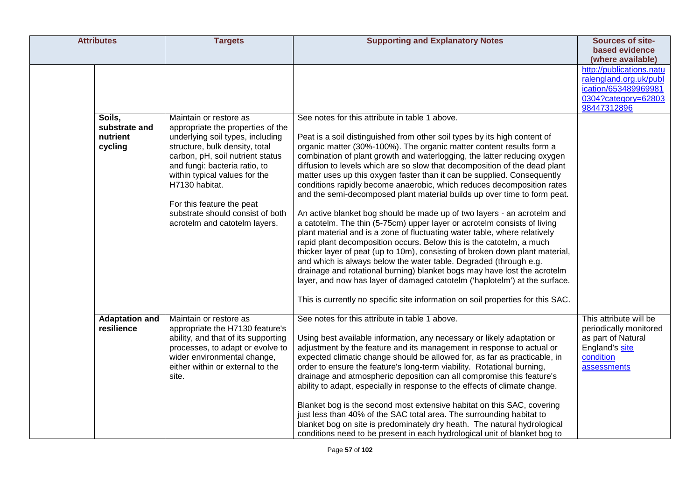| <b>Attributes</b>                              | <b>Targets</b>                                                                                                                                                                                                                                                                                                                                              | <b>Supporting and Explanatory Notes</b>                                                                                                                                                                                                                                                                                                                                                                                                                                                                                                                                                                                                                                                                                                                                                                                                                                                                                                                                                                                                                                                                                                                                                                                                                                                                      | Sources of site-<br>based evidence<br>(where available)                                                              |
|------------------------------------------------|-------------------------------------------------------------------------------------------------------------------------------------------------------------------------------------------------------------------------------------------------------------------------------------------------------------------------------------------------------------|--------------------------------------------------------------------------------------------------------------------------------------------------------------------------------------------------------------------------------------------------------------------------------------------------------------------------------------------------------------------------------------------------------------------------------------------------------------------------------------------------------------------------------------------------------------------------------------------------------------------------------------------------------------------------------------------------------------------------------------------------------------------------------------------------------------------------------------------------------------------------------------------------------------------------------------------------------------------------------------------------------------------------------------------------------------------------------------------------------------------------------------------------------------------------------------------------------------------------------------------------------------------------------------------------------------|----------------------------------------------------------------------------------------------------------------------|
|                                                |                                                                                                                                                                                                                                                                                                                                                             |                                                                                                                                                                                                                                                                                                                                                                                                                                                                                                                                                                                                                                                                                                                                                                                                                                                                                                                                                                                                                                                                                                                                                                                                                                                                                                              | http://publications.natu<br>ralengland.org.uk/publ<br>ication/653489969981<br>0304?category=62803<br>98447312896     |
| Soils,<br>substrate and<br>nutrient<br>cycling | Maintain or restore as<br>appropriate the properties of the<br>underlying soil types, including<br>structure, bulk density, total<br>carbon, pH, soil nutrient status<br>and fungi: bacteria ratio, to<br>within typical values for the<br>H7130 habitat.<br>For this feature the peat<br>substrate should consist of both<br>acrotelm and catotelm layers. | See notes for this attribute in table 1 above.<br>Peat is a soil distinguished from other soil types by its high content of<br>organic matter (30%-100%). The organic matter content results form a<br>combination of plant growth and waterlogging, the latter reducing oxygen<br>diffusion to levels which are so slow that decomposition of the dead plant<br>matter uses up this oxygen faster than it can be supplied. Consequently<br>conditions rapidly become anaerobic, which reduces decomposition rates<br>and the semi-decomposed plant material builds up over time to form peat.<br>An active blanket bog should be made up of two layers - an acrotelm and<br>a catotelm. The thin (5-75cm) upper layer or acrotelm consists of living<br>plant material and is a zone of fluctuating water table, where relatively<br>rapid plant decomposition occurs. Below this is the catotelm, a much<br>thicker layer of peat (up to 10m), consisting of broken down plant material,<br>and which is always below the water table. Degraded (through e.g.<br>drainage and rotational burning) blanket bogs may have lost the acrotelm<br>layer, and now has layer of damaged catotelm ('haplotelm') at the surface.<br>This is currently no specific site information on soil properties for this SAC. |                                                                                                                      |
| <b>Adaptation and</b><br>resilience            | Maintain or restore as<br>appropriate the H7130 feature's<br>ability, and that of its supporting<br>processes, to adapt or evolve to<br>wider environmental change,<br>either within or external to the<br>site.                                                                                                                                            | See notes for this attribute in table 1 above.<br>Using best available information, any necessary or likely adaptation or<br>adjustment by the feature and its management in response to actual or<br>expected climatic change should be allowed for, as far as practicable, in<br>order to ensure the feature's long-term viability. Rotational burning,<br>drainage and atmospheric deposition can all compromise this feature's<br>ability to adapt, especially in response to the effects of climate change.<br>Blanket bog is the second most extensive habitat on this SAC, covering<br>just less than 40% of the SAC total area. The surrounding habitat to<br>blanket bog on site is predominately dry heath. The natural hydrological<br>conditions need to be present in each hydrological unit of blanket bog to                                                                                                                                                                                                                                                                                                                                                                                                                                                                                  | This attribute will be<br>periodically monitored<br>as part of Natural<br>England's site<br>condition<br>assessments |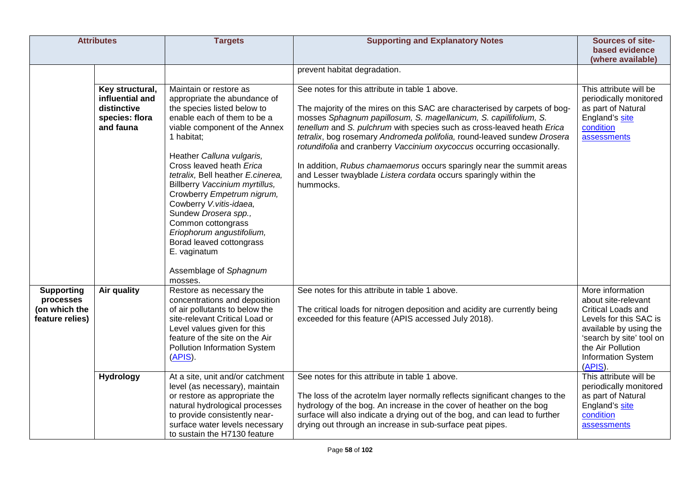|                                                                    | <b>Attributes</b>                                                                | <b>Targets</b>                                                                                                                                                                                                                                                                                                                                                                                                                                                                                                           | <b>Supporting and Explanatory Notes</b>                                                                                                                                                                                                                                                                                                                                                                                                                                                                                                                                                    | <b>Sources of site-</b><br>based evidence<br>(where available)                                                                                                                                                    |
|--------------------------------------------------------------------|----------------------------------------------------------------------------------|--------------------------------------------------------------------------------------------------------------------------------------------------------------------------------------------------------------------------------------------------------------------------------------------------------------------------------------------------------------------------------------------------------------------------------------------------------------------------------------------------------------------------|--------------------------------------------------------------------------------------------------------------------------------------------------------------------------------------------------------------------------------------------------------------------------------------------------------------------------------------------------------------------------------------------------------------------------------------------------------------------------------------------------------------------------------------------------------------------------------------------|-------------------------------------------------------------------------------------------------------------------------------------------------------------------------------------------------------------------|
|                                                                    |                                                                                  |                                                                                                                                                                                                                                                                                                                                                                                                                                                                                                                          | prevent habitat degradation.                                                                                                                                                                                                                                                                                                                                                                                                                                                                                                                                                               |                                                                                                                                                                                                                   |
|                                                                    | Key structural,<br>influential and<br>distinctive<br>species: flora<br>and fauna | Maintain or restore as<br>appropriate the abundance of<br>the species listed below to<br>enable each of them to be a<br>viable component of the Annex<br>1 habitat;<br>Heather Calluna vulgaris,<br>Cross leaved heath Erica<br>tetralix, Bell heather E.cinerea,<br>Billberry Vaccinium myrtillus,<br>Crowberry Empetrum nigrum,<br>Cowberry V.vitis-idaea,<br>Sundew Drosera spp.,<br>Common cottongrass<br>Eriophorum angustifolium,<br>Borad leaved cottongrass<br>E. vaginatum<br>Assemblage of Sphagnum<br>mosses. | See notes for this attribute in table 1 above.<br>The majority of the mires on this SAC are characterised by carpets of bog-<br>mosses Sphagnum papillosum, S. magellanicum, S. capillifolium, S.<br>tenellum and S. pulchrum with species such as cross-leaved heath Erica<br>tetralix, bog rosemary Andromeda polifolia, round-leaved sundew Drosera<br>rotundifolia and cranberry Vaccinium oxycoccus occurring occasionally.<br>In addition, Rubus chamaemorus occurs sparingly near the summit areas<br>and Lesser twayblade Listera cordata occurs sparingly within the<br>hummocks. | This attribute will be<br>periodically monitored<br>as part of Natural<br>England's site<br>condition<br>assessments                                                                                              |
| <b>Supporting</b><br>processes<br>(on which the<br>feature relies) | Air quality                                                                      | Restore as necessary the<br>concentrations and deposition<br>of air pollutants to below the<br>site-relevant Critical Load or<br>Level values given for this<br>feature of the site on the Air<br>Pollution Information System<br>$(APIS)$ .                                                                                                                                                                                                                                                                             | See notes for this attribute in table 1 above.<br>The critical loads for nitrogen deposition and acidity are currently being<br>exceeded for this feature (APIS accessed July 2018).                                                                                                                                                                                                                                                                                                                                                                                                       | More information<br>about site-relevant<br><b>Critical Loads and</b><br>Levels for this SAC is<br>available by using the<br>'search by site' tool on<br>the Air Pollution<br><b>Information System</b><br>(APIS). |
|                                                                    | <b>Hydrology</b>                                                                 | At a site, unit and/or catchment<br>level (as necessary), maintain<br>or restore as appropriate the<br>natural hydrological processes<br>to provide consistently near-<br>surface water levels necessary<br>to sustain the H7130 feature                                                                                                                                                                                                                                                                                 | See notes for this attribute in table 1 above.<br>The loss of the acrotelm layer normally reflects significant changes to the<br>hydrology of the bog. An increase in the cover of heather on the bog<br>surface will also indicate a drying out of the bog, and can lead to further<br>drying out through an increase in sub-surface peat pipes.                                                                                                                                                                                                                                          | This attribute will be<br>periodically monitored<br>as part of Natural<br>England's site<br>condition<br>assessments                                                                                              |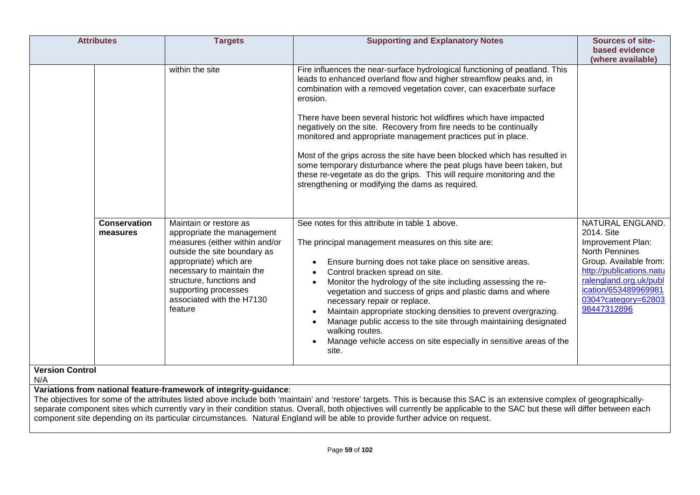| <b>Attributes</b>               | <b>Targets</b>                                                                                                                                                                                                                                                            | <b>Supporting and Explanatory Notes</b>                                                                                                                                                                                                                                                                                                                                                                                                                                                                                                                                                                                                                                                                                               | Sources of site-<br>based evidence<br>(where available)                                                                                                                                                                    |
|---------------------------------|---------------------------------------------------------------------------------------------------------------------------------------------------------------------------------------------------------------------------------------------------------------------------|---------------------------------------------------------------------------------------------------------------------------------------------------------------------------------------------------------------------------------------------------------------------------------------------------------------------------------------------------------------------------------------------------------------------------------------------------------------------------------------------------------------------------------------------------------------------------------------------------------------------------------------------------------------------------------------------------------------------------------------|----------------------------------------------------------------------------------------------------------------------------------------------------------------------------------------------------------------------------|
|                                 | within the site                                                                                                                                                                                                                                                           | Fire influences the near-surface hydrological functioning of peatland. This<br>leads to enhanced overland flow and higher streamflow peaks and, in<br>combination with a removed vegetation cover, can exacerbate surface<br>erosion.<br>There have been several historic hot wildfires which have impacted<br>negatively on the site. Recovery from fire needs to be continually<br>monitored and appropriate management practices put in place.<br>Most of the grips across the site have been blocked which has resulted in<br>some temporary disturbance where the peat plugs have been taken, but<br>these re-vegetate as do the grips. This will require monitoring and the<br>strengthening or modifying the dams as required. |                                                                                                                                                                                                                            |
| <b>Conservation</b><br>measures | Maintain or restore as<br>appropriate the management<br>measures (either within and/or<br>outside the site boundary as<br>appropriate) which are<br>necessary to maintain the<br>structure, functions and<br>supporting processes<br>associated with the H7130<br>feature | See notes for this attribute in table 1 above.<br>The principal management measures on this site are:<br>Ensure burning does not take place on sensitive areas.<br>Control bracken spread on site.<br>Monitor the hydrology of the site including assessing the re-<br>vegetation and success of grips and plastic dams and where<br>necessary repair or replace.<br>Maintain appropriate stocking densities to prevent overgrazing.<br>Manage public access to the site through maintaining designated<br>$\bullet$<br>walking routes.<br>Manage vehicle access on site especially in sensitive areas of the<br>site.                                                                                                                | NATURAL ENGLAND.<br>2014. Site<br>Improvement Plan:<br><b>North Pennines</b><br>Group. Available from:<br>http://publications.natu<br>ralengland.org.uk/publ<br>ication/653489969981<br>0304?category=62803<br>98447312896 |
| <b>Version Control</b><br>N/A   |                                                                                                                                                                                                                                                                           |                                                                                                                                                                                                                                                                                                                                                                                                                                                                                                                                                                                                                                                                                                                                       |                                                                                                                                                                                                                            |
|                                 | Variations from national feature-framework of integrity-guidance:                                                                                                                                                                                                         | The objectives for some of the attributes listed above include both 'maintain' and 'restore' targets. This is because this SAC is an extensive complex of geographically-<br>separate component sites which currently vary in their condition status. Overall, both objectives will currently be applicable to the SAC but these will differ between each<br>component site depending on its particular circumstances. Natural England will be able to provide further advice on request.                                                                                                                                                                                                                                             |                                                                                                                                                                                                                            |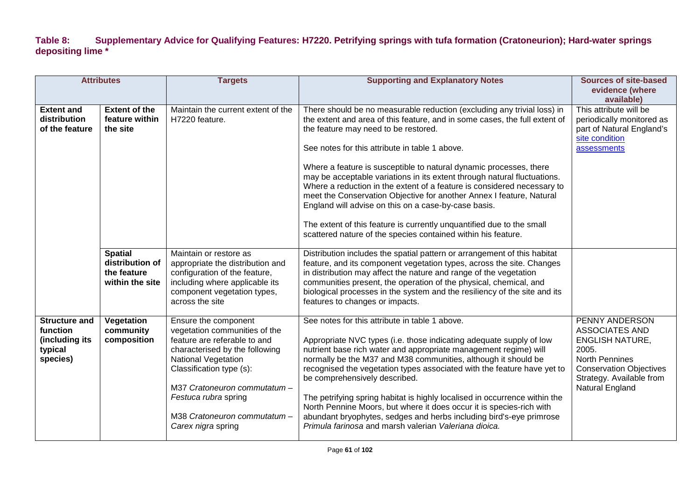## **Table 8: Supplementary Advice for Qualifying Features: H7220. Petrifying springs with tufa formation (Cratoneurion); Hard-water springs depositing lime \***

|                                                                           | <b>Attributes</b>                                                   | <b>Targets</b>                                                                                                                                                                                                                                                                                | <b>Supporting and Explanatory Notes</b>                                                                                                                                                                                                                                                                                                                                                                                                                                                                                                                                                                                                                                                                                                                | <b>Sources of site-based</b><br>evidence (where<br>available)                                                                                                                               |
|---------------------------------------------------------------------------|---------------------------------------------------------------------|-----------------------------------------------------------------------------------------------------------------------------------------------------------------------------------------------------------------------------------------------------------------------------------------------|--------------------------------------------------------------------------------------------------------------------------------------------------------------------------------------------------------------------------------------------------------------------------------------------------------------------------------------------------------------------------------------------------------------------------------------------------------------------------------------------------------------------------------------------------------------------------------------------------------------------------------------------------------------------------------------------------------------------------------------------------------|---------------------------------------------------------------------------------------------------------------------------------------------------------------------------------------------|
| <b>Extent and</b><br>distribution<br>of the feature                       | <b>Extent of the</b><br>feature within<br>the site                  | Maintain the current extent of the<br>H7220 feature.                                                                                                                                                                                                                                          | There should be no measurable reduction (excluding any trivial loss) in<br>the extent and area of this feature, and in some cases, the full extent of<br>the feature may need to be restored.<br>See notes for this attribute in table 1 above.<br>Where a feature is susceptible to natural dynamic processes, there<br>may be acceptable variations in its extent through natural fluctuations.<br>Where a reduction in the extent of a feature is considered necessary to<br>meet the Conservation Objective for another Annex I feature, Natural<br>England will advise on this on a case-by-case basis.<br>The extent of this feature is currently unquantified due to the small<br>scattered nature of the species contained within his feature. | This attribute will be<br>periodically monitored as<br>part of Natural England's<br>site condition<br>assessments                                                                           |
|                                                                           | <b>Spatial</b><br>distribution of<br>the feature<br>within the site | Maintain or restore as<br>appropriate the distribution and<br>configuration of the feature,<br>including where applicable its<br>component vegetation types,<br>across the site                                                                                                               | Distribution includes the spatial pattern or arrangement of this habitat<br>feature, and its component vegetation types, across the site. Changes<br>in distribution may affect the nature and range of the vegetation<br>communities present, the operation of the physical, chemical, and<br>biological processes in the system and the resiliency of the site and its<br>features to changes or impacts.                                                                                                                                                                                                                                                                                                                                            |                                                                                                                                                                                             |
| <b>Structure and</b><br>function<br>(including its<br>typical<br>species) | Vegetation<br>community<br>composition                              | Ensure the component<br>vegetation communities of the<br>feature are referable to and<br>characterised by the following<br><b>National Vegetation</b><br>Classification type (s):<br>M37 Cratoneuron commutatum-<br>Festuca rubra spring<br>M38 Cratoneuron commutatum-<br>Carex nigra spring | See notes for this attribute in table 1 above.<br>Appropriate NVC types (i.e. those indicating adequate supply of low<br>nutrient base rich water and appropriate management regime) will<br>normally be the M37 and M38 communities, although it should be<br>recognised the vegetation types associated with the feature have yet to<br>be comprehensively described.<br>The petrifying spring habitat is highly localised in occurrence within the<br>North Pennine Moors, but where it does occur it is species-rich with<br>abundant bryophytes, sedges and herbs including bird's-eye primrose<br>Primula farinosa and marsh valerian Valeriana dioica.                                                                                          | <b>PENNY ANDERSON</b><br><b>ASSOCIATES AND</b><br><b>ENGLISH NATURE,</b><br>2005.<br><b>North Pennines</b><br><b>Conservation Objectives</b><br>Strategy. Available from<br>Natural England |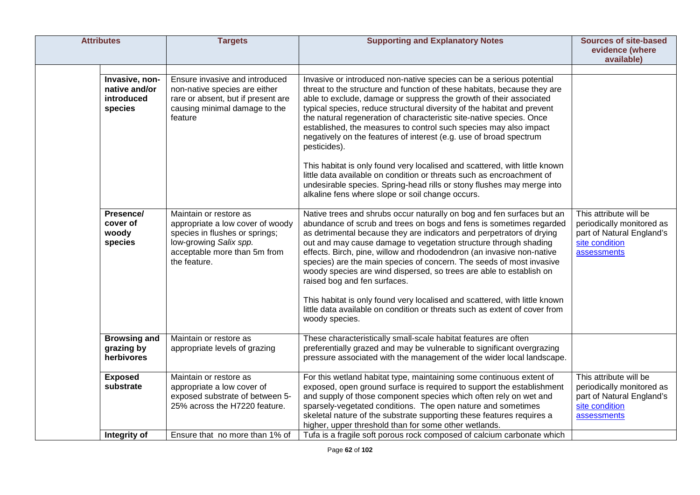| <b>Attributes</b>                                        | <b>Targets</b>                                                                                                                                                         | <b>Supporting and Explanatory Notes</b>                                                                                                                                                                                                                                                                                                                                                                                                                                                                                                                                                                                                                                                                                                                                                                                   | <b>Sources of site-based</b><br>evidence (where<br>available)                                                     |
|----------------------------------------------------------|------------------------------------------------------------------------------------------------------------------------------------------------------------------------|---------------------------------------------------------------------------------------------------------------------------------------------------------------------------------------------------------------------------------------------------------------------------------------------------------------------------------------------------------------------------------------------------------------------------------------------------------------------------------------------------------------------------------------------------------------------------------------------------------------------------------------------------------------------------------------------------------------------------------------------------------------------------------------------------------------------------|-------------------------------------------------------------------------------------------------------------------|
| Invasive, non-<br>native and/or<br>introduced<br>species | Ensure invasive and introduced<br>non-native species are either<br>rare or absent, but if present are<br>causing minimal damage to the<br>feature                      | Invasive or introduced non-native species can be a serious potential<br>threat to the structure and function of these habitats, because they are<br>able to exclude, damage or suppress the growth of their associated<br>typical species, reduce structural diversity of the habitat and prevent<br>the natural regeneration of characteristic site-native species. Once<br>established, the measures to control such species may also impact<br>negatively on the features of interest (e.g. use of broad spectrum<br>pesticides).<br>This habitat is only found very localised and scattered, with little known<br>little data available on condition or threats such as encroachment of<br>undesirable species. Spring-head rills or stony flushes may merge into<br>alkaline fens where slope or soil change occurs. |                                                                                                                   |
| Presence/<br>cover of<br>woody<br>species                | Maintain or restore as<br>appropriate a low cover of woody<br>species in flushes or springs;<br>low-growing Salix spp.<br>acceptable more than 5m from<br>the feature. | Native trees and shrubs occur naturally on bog and fen surfaces but an<br>abundance of scrub and trees on bogs and fens is sometimes regarded<br>as detrimental because they are indicators and perpetrators of drying<br>out and may cause damage to vegetation structure through shading<br>effects. Birch, pine, willow and rhododendron (an invasive non-native<br>species) are the main species of concern. The seeds of most invasive<br>woody species are wind dispersed, so trees are able to establish on<br>raised bog and fen surfaces.<br>This habitat is only found very localised and scattered, with little known<br>little data available on condition or threats such as extent of cover from<br>woody species.                                                                                          | This attribute will be<br>periodically monitored as<br>part of Natural England's<br>site condition<br>assessments |
| <b>Browsing and</b><br>grazing by<br>herbivores          | Maintain or restore as<br>appropriate levels of grazing                                                                                                                | These characteristically small-scale habitat features are often<br>preferentially grazed and may be vulnerable to significant overgrazing<br>pressure associated with the management of the wider local landscape.                                                                                                                                                                                                                                                                                                                                                                                                                                                                                                                                                                                                        |                                                                                                                   |
| <b>Exposed</b><br>substrate                              | Maintain or restore as<br>appropriate a low cover of<br>exposed substrate of between 5-<br>25% across the H7220 feature.                                               | For this wetland habitat type, maintaining some continuous extent of<br>exposed, open ground surface is required to support the establishment<br>and supply of those component species which often rely on wet and<br>sparsely-vegetated conditions. The open nature and sometimes<br>skeletal nature of the substrate supporting these features requires a<br>higher, upper threshold than for some other wetlands.                                                                                                                                                                                                                                                                                                                                                                                                      | This attribute will be<br>periodically monitored as<br>part of Natural England's<br>site condition<br>assessments |
| Integrity of                                             | Ensure that no more than 1% of                                                                                                                                         | Tufa is a fragile soft porous rock composed of calcium carbonate which                                                                                                                                                                                                                                                                                                                                                                                                                                                                                                                                                                                                                                                                                                                                                    |                                                                                                                   |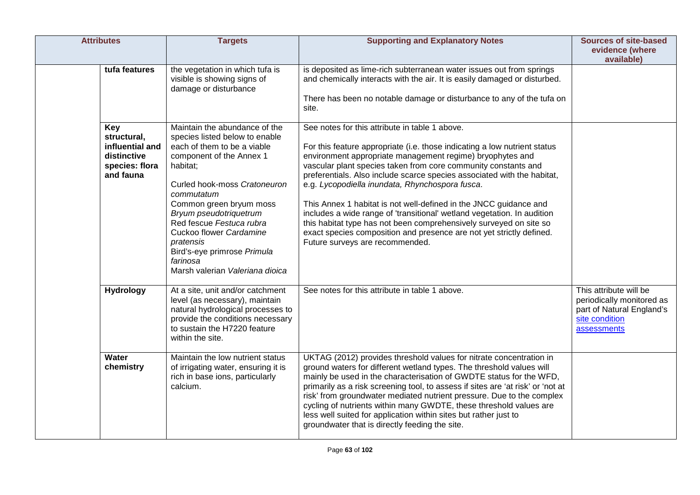| <b>Attributes</b>                                                                   | <b>Targets</b>                                                                                                                                                                                                                                                                                                                                                                              | <b>Supporting and Explanatory Notes</b>                                                                                                                                                                                                                                                                                                                                                                                                                                                                                                                                                                                                                                                                                   | <b>Sources of site-based</b><br>evidence (where<br>available)                                                     |
|-------------------------------------------------------------------------------------|---------------------------------------------------------------------------------------------------------------------------------------------------------------------------------------------------------------------------------------------------------------------------------------------------------------------------------------------------------------------------------------------|---------------------------------------------------------------------------------------------------------------------------------------------------------------------------------------------------------------------------------------------------------------------------------------------------------------------------------------------------------------------------------------------------------------------------------------------------------------------------------------------------------------------------------------------------------------------------------------------------------------------------------------------------------------------------------------------------------------------------|-------------------------------------------------------------------------------------------------------------------|
| tufa features                                                                       | the vegetation in which tufa is<br>visible is showing signs of<br>damage or disturbance                                                                                                                                                                                                                                                                                                     | is deposited as lime-rich subterranean water issues out from springs<br>and chemically interacts with the air. It is easily damaged or disturbed.<br>There has been no notable damage or disturbance to any of the tufa on<br>site.                                                                                                                                                                                                                                                                                                                                                                                                                                                                                       |                                                                                                                   |
| Key<br>structural,<br>influential and<br>distinctive<br>species: flora<br>and fauna | Maintain the abundance of the<br>species listed below to enable<br>each of them to be a viable<br>component of the Annex 1<br>habitat;<br>Curled hook-moss Cratoneuron<br>commutatum<br>Common green bryum moss<br>Bryum pseudotriquetrum<br>Red fescue Festuca rubra<br>Cuckoo flower Cardamine<br>pratensis<br>Bird's-eye primrose Primula<br>farinosa<br>Marsh valerian Valeriana dioica | See notes for this attribute in table 1 above.<br>For this feature appropriate (i.e. those indicating a low nutrient status<br>environment appropriate management regime) bryophytes and<br>vascular plant species taken from core community constants and<br>preferentials. Also include scarce species associated with the habitat,<br>e.g. Lycopodiella inundata, Rhynchospora fusca.<br>This Annex 1 habitat is not well-defined in the JNCC guidance and<br>includes a wide range of 'transitional' wetland vegetation. In audition<br>this habitat type has not been comprehensively surveyed on site so<br>exact species composition and presence are not yet strictly defined.<br>Future surveys are recommended. |                                                                                                                   |
| <b>Hydrology</b>                                                                    | At a site, unit and/or catchment<br>level (as necessary), maintain<br>natural hydrological processes to<br>provide the conditions necessary<br>to sustain the H7220 feature<br>within the site.                                                                                                                                                                                             | See notes for this attribute in table 1 above.                                                                                                                                                                                                                                                                                                                                                                                                                                                                                                                                                                                                                                                                            | This attribute will be<br>periodically monitored as<br>part of Natural England's<br>site condition<br>assessments |
| Water<br>chemistry                                                                  | Maintain the low nutrient status<br>of irrigating water, ensuring it is<br>rich in base ions, particularly<br>calcium.                                                                                                                                                                                                                                                                      | UKTAG (2012) provides threshold values for nitrate concentration in<br>ground waters for different wetland types. The threshold values will<br>mainly be used in the characterisation of GWDTE status for the WFD,<br>primarily as a risk screening tool, to assess if sites are 'at risk' or 'not at<br>risk' from groundwater mediated nutrient pressure. Due to the complex<br>cycling of nutrients within many GWDTE, these threshold values are<br>less well suited for application within sites but rather just to<br>groundwater that is directly feeding the site.                                                                                                                                                |                                                                                                                   |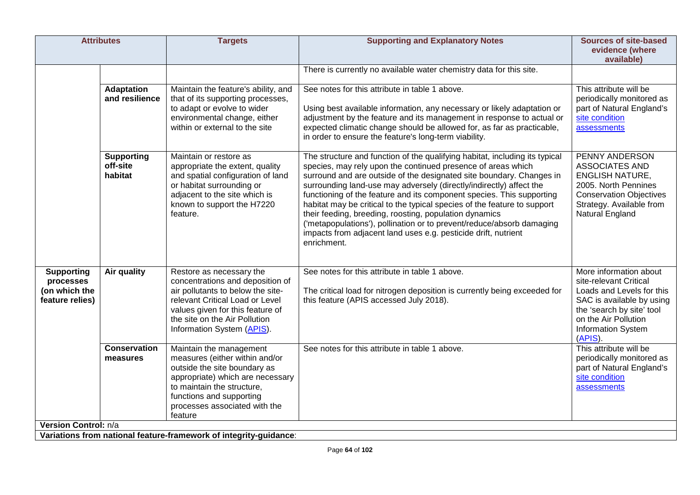| <b>Attributes</b>                                                                 | <b>Targets</b>                                                                                                                                                                                                                          | <b>Supporting and Explanatory Notes</b>                                                                                                                                                                                                                                                                                                                                                                                                                                                                                                                                                                                                                             | <b>Sources of site-based</b><br>evidence (where<br>available)                                                                                                                                    |
|-----------------------------------------------------------------------------------|-----------------------------------------------------------------------------------------------------------------------------------------------------------------------------------------------------------------------------------------|---------------------------------------------------------------------------------------------------------------------------------------------------------------------------------------------------------------------------------------------------------------------------------------------------------------------------------------------------------------------------------------------------------------------------------------------------------------------------------------------------------------------------------------------------------------------------------------------------------------------------------------------------------------------|--------------------------------------------------------------------------------------------------------------------------------------------------------------------------------------------------|
|                                                                                   |                                                                                                                                                                                                                                         | There is currently no available water chemistry data for this site.                                                                                                                                                                                                                                                                                                                                                                                                                                                                                                                                                                                                 |                                                                                                                                                                                                  |
| <b>Adaptation</b><br>and resilience                                               | Maintain the feature's ability, and<br>that of its supporting processes,<br>to adapt or evolve to wider<br>environmental change, either<br>within or external to the site                                                               | See notes for this attribute in table 1 above.<br>Using best available information, any necessary or likely adaptation or<br>adjustment by the feature and its management in response to actual or<br>expected climatic change should be allowed for, as far as practicable,<br>in order to ensure the feature's long-term viability.                                                                                                                                                                                                                                                                                                                               | This attribute will be<br>periodically monitored as<br>part of Natural England's<br>site condition<br>assessments                                                                                |
| <b>Supporting</b><br>off-site<br>habitat                                          | Maintain or restore as<br>appropriate the extent, quality<br>and spatial configuration of land<br>or habitat surrounding or<br>adjacent to the site which is<br>known to support the H7220<br>feature.                                  | The structure and function of the qualifying habitat, including its typical<br>species, may rely upon the continued presence of areas which<br>surround and are outside of the designated site boundary. Changes in<br>surrounding land-use may adversely (directly/indirectly) affect the<br>functioning of the feature and its component species. This supporting<br>habitat may be critical to the typical species of the feature to support<br>their feeding, breeding, roosting, population dynamics<br>('metapopulations'), pollination or to prevent/reduce/absorb damaging<br>impacts from adjacent land uses e.g. pesticide drift, nutrient<br>enrichment. | PENNY ANDERSON<br><b>ASSOCIATES AND</b><br><b>ENGLISH NATURE,</b><br>2005. North Pennines<br><b>Conservation Objectives</b><br>Strategy. Available from<br>Natural England                       |
| <b>Supporting</b><br>Air quality<br>processes<br>(on which the<br>feature relies) | Restore as necessary the<br>concentrations and deposition of<br>air pollutants to below the site-<br>relevant Critical Load or Level<br>values given for this feature of<br>the site on the Air Pollution<br>Information System (APIS). | See notes for this attribute in table 1 above.<br>The critical load for nitrogen deposition is currently being exceeded for<br>this feature (APIS accessed July 2018).                                                                                                                                                                                                                                                                                                                                                                                                                                                                                              | More information about<br>site-relevant Critical<br>Loads and Levels for this<br>SAC is available by using<br>the 'search by site' tool<br>on the Air Pollution<br>Information System<br>(APIS). |
| <b>Conservation</b><br>measures                                                   | Maintain the management<br>measures (either within and/or<br>outside the site boundary as<br>appropriate) which are necessary<br>to maintain the structure,<br>functions and supporting<br>processes associated with the<br>feature     | See notes for this attribute in table 1 above.                                                                                                                                                                                                                                                                                                                                                                                                                                                                                                                                                                                                                      | This attribute will be<br>periodically monitored as<br>part of Natural England's<br>site condition<br>assessments                                                                                |
| Version Control: n/a                                                              | Variations from national feature-framework of integrity-guidance:                                                                                                                                                                       |                                                                                                                                                                                                                                                                                                                                                                                                                                                                                                                                                                                                                                                                     |                                                                                                                                                                                                  |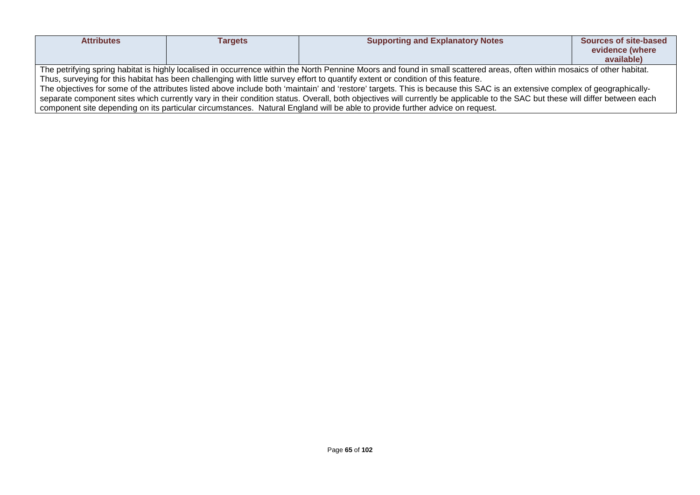| <b>Attributes</b>                                                                                                                                                            | <b>Targets</b> | <b>Supporting and Explanatory Notes</b>                                                                                      | Sources of site-based |  |
|------------------------------------------------------------------------------------------------------------------------------------------------------------------------------|----------------|------------------------------------------------------------------------------------------------------------------------------|-----------------------|--|
|                                                                                                                                                                              |                |                                                                                                                              | evidence (where       |  |
|                                                                                                                                                                              |                |                                                                                                                              | available)            |  |
| The petrifying spring habitat is highly localised in occurrence within the North Pennine Moors and found in small scattered areas, often within mosaics of other habitat.    |                |                                                                                                                              |                       |  |
| Thus, surveying for this habitat has been challenging with little survey effort to quantify extent or condition of this feature.                                             |                |                                                                                                                              |                       |  |
| The objectives for some of the attributes listed above include both 'maintain' and 'restore' targets. This is because this SAC is an extensive complex of geographically-    |                |                                                                                                                              |                       |  |
| separate component sites which currently vary in their condition status. Overall, both objectives will currently be applicable to the SAC but these will differ between each |                |                                                                                                                              |                       |  |
|                                                                                                                                                                              |                | component site depending on its particular circumstances. Natural England will be able to provide further advice on request. |                       |  |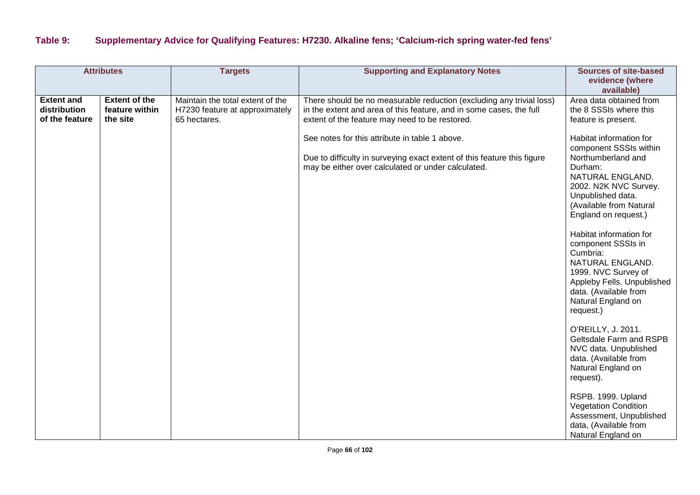## **Table 9: Supplementary Advice for Qualifying Features: H7230. Alkaline fens; 'Calcium-rich spring water-fed fens'**

|                                                     | <b>Attributes</b>                                  | <b>Targets</b>                                                                     | <b>Supporting and Explanatory Notes</b>                                                                                                                                                       | <b>Sources of site-based</b><br>evidence (where<br>available)                                                                                                                                                                                                                                                                                                                                             |
|-----------------------------------------------------|----------------------------------------------------|------------------------------------------------------------------------------------|-----------------------------------------------------------------------------------------------------------------------------------------------------------------------------------------------|-----------------------------------------------------------------------------------------------------------------------------------------------------------------------------------------------------------------------------------------------------------------------------------------------------------------------------------------------------------------------------------------------------------|
| <b>Extent and</b><br>distribution<br>of the feature | <b>Extent of the</b><br>feature within<br>the site | Maintain the total extent of the<br>H7230 feature at approximately<br>65 hectares. | There should be no measurable reduction (excluding any trivial loss)<br>in the extent and area of this feature, and in some cases, the full<br>extent of the feature may need to be restored. | Area data obtained from<br>the 8 SSSIs where this<br>feature is present.                                                                                                                                                                                                                                                                                                                                  |
|                                                     |                                                    |                                                                                    | See notes for this attribute in table 1 above.<br>Due to difficulty in surveying exact extent of this feature this figure<br>may be either over calculated or under calculated.               | Habitat information for<br>component SSSIs within<br>Northumberland and<br>Durham:<br>NATURAL ENGLAND.<br>2002. N2K NVC Survey.<br>Unpublished data.<br>(Available from Natural<br>England on request.)<br>Habitat information for<br>component SSSIs in<br>Cumbria:<br>NATURAL ENGLAND.<br>1999. NVC Survey of<br>Appleby Fells. Unpublished<br>data. (Available from<br>Natural England on<br>request.) |
|                                                     |                                                    |                                                                                    |                                                                                                                                                                                               | O'REILLY, J. 2011.<br>Geltsdale Farm and RSPB<br>NVC data. Unpublished<br>data. (Available from<br>Natural England on<br>request).<br>RSPB. 1999. Upland<br><b>Vegetation Condition</b><br>Assessment, Unpublished<br>data, (Available from<br>Natural England on                                                                                                                                         |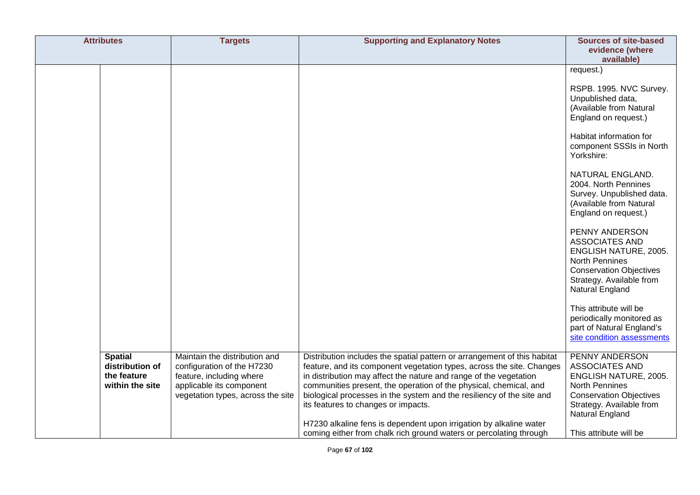| <b>Attributes</b>                                                   | <b>Targets</b>                                                                                                                                           | <b>Supporting and Explanatory Notes</b>                                                                                                                                                                                                                                                                                                                                                                                                                                                                                                                 | <b>Sources of site-based</b><br>evidence (where<br>available)                                                                                                                                                                                                                                                                                                                                                                                                                                                                                                                                          |
|---------------------------------------------------------------------|----------------------------------------------------------------------------------------------------------------------------------------------------------|---------------------------------------------------------------------------------------------------------------------------------------------------------------------------------------------------------------------------------------------------------------------------------------------------------------------------------------------------------------------------------------------------------------------------------------------------------------------------------------------------------------------------------------------------------|--------------------------------------------------------------------------------------------------------------------------------------------------------------------------------------------------------------------------------------------------------------------------------------------------------------------------------------------------------------------------------------------------------------------------------------------------------------------------------------------------------------------------------------------------------------------------------------------------------|
|                                                                     |                                                                                                                                                          |                                                                                                                                                                                                                                                                                                                                                                                                                                                                                                                                                         | request.)<br>RSPB. 1995. NVC Survey.<br>Unpublished data,<br>(Available from Natural<br>England on request.)<br>Habitat information for<br>component SSSIs in North<br>Yorkshire:<br>NATURAL ENGLAND.<br>2004. North Pennines<br>Survey. Unpublished data.<br>(Available from Natural<br>England on request.)<br>PENNY ANDERSON<br><b>ASSOCIATES AND</b><br>ENGLISH NATURE, 2005.<br>North Pennines<br><b>Conservation Objectives</b><br>Strategy. Available from<br>Natural England<br>This attribute will be<br>periodically monitored as<br>part of Natural England's<br>site condition assessments |
| <b>Spatial</b><br>distribution of<br>the feature<br>within the site | Maintain the distribution and<br>configuration of the H7230<br>feature, including where<br>applicable its component<br>vegetation types, across the site | Distribution includes the spatial pattern or arrangement of this habitat<br>feature, and its component vegetation types, across the site. Changes<br>in distribution may affect the nature and range of the vegetation<br>communities present, the operation of the physical, chemical, and<br>biological processes in the system and the resiliency of the site and<br>its features to changes or impacts.<br>H7230 alkaline fens is dependent upon irrigation by alkaline water<br>coming either from chalk rich ground waters or percolating through | PENNY ANDERSON<br><b>ASSOCIATES AND</b><br>ENGLISH NATURE, 2005.<br><b>North Pennines</b><br><b>Conservation Objectives</b><br>Strategy. Available from<br>Natural England<br>This attribute will be                                                                                                                                                                                                                                                                                                                                                                                                   |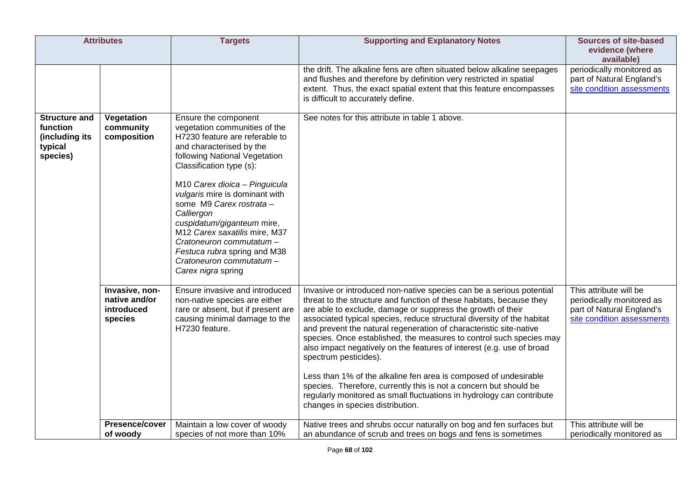| <b>Attributes</b>                                                         |                                                          | <b>Targets</b>                                                                                                                                                                                                                                                                                                                                                                                                                                                             | <b>Supporting and Explanatory Notes</b>                                                                                                                                                                                                                                                                                                                                                                                                                                                                                                                                                                                                                                                                                                                                                    | <b>Sources of site-based</b><br>evidence (where<br>available)                                                  |
|---------------------------------------------------------------------------|----------------------------------------------------------|----------------------------------------------------------------------------------------------------------------------------------------------------------------------------------------------------------------------------------------------------------------------------------------------------------------------------------------------------------------------------------------------------------------------------------------------------------------------------|--------------------------------------------------------------------------------------------------------------------------------------------------------------------------------------------------------------------------------------------------------------------------------------------------------------------------------------------------------------------------------------------------------------------------------------------------------------------------------------------------------------------------------------------------------------------------------------------------------------------------------------------------------------------------------------------------------------------------------------------------------------------------------------------|----------------------------------------------------------------------------------------------------------------|
|                                                                           |                                                          |                                                                                                                                                                                                                                                                                                                                                                                                                                                                            | the drift. The alkaline fens are often situated below alkaline seepages<br>and flushes and therefore by definition very restricted in spatial<br>extent. Thus, the exact spatial extent that this feature encompasses<br>is difficult to accurately define.                                                                                                                                                                                                                                                                                                                                                                                                                                                                                                                                | periodically monitored as<br>part of Natural England's<br>site condition assessments                           |
| <b>Structure and</b><br>function<br>(including its<br>typical<br>species) | Vegetation<br>community<br>composition                   | Ensure the component<br>vegetation communities of the<br>H7230 feature are referable to<br>and characterised by the<br>following National Vegetation<br>Classification type (s):<br>M10 Carex dioica - Pinguicula<br>vulgaris mire is dominant with<br>some M9 Carex rostrata -<br>Calliergon<br>cuspidatum/giganteum mire,<br>M12 Carex saxatilis mire, M37<br>Cratoneuron commutatum -<br>Festuca rubra spring and M38<br>Cratoneuron commutatum -<br>Carex nigra spring | See notes for this attribute in table 1 above.                                                                                                                                                                                                                                                                                                                                                                                                                                                                                                                                                                                                                                                                                                                                             |                                                                                                                |
|                                                                           | Invasive, non-<br>native and/or<br>introduced<br>species | Ensure invasive and introduced<br>non-native species are either<br>rare or absent, but if present are<br>causing minimal damage to the<br>H7230 feature.                                                                                                                                                                                                                                                                                                                   | Invasive or introduced non-native species can be a serious potential<br>threat to the structure and function of these habitats, because they<br>are able to exclude, damage or suppress the growth of their<br>associated typical species, reduce structural diversity of the habitat<br>and prevent the natural regeneration of characteristic site-native<br>species. Once established, the measures to control such species may<br>also impact negatively on the features of interest (e.g. use of broad<br>spectrum pesticides).<br>Less than 1% of the alkaline fen area is composed of undesirable<br>species. Therefore, currently this is not a concern but should be<br>regularly monitored as small fluctuations in hydrology can contribute<br>changes in species distribution. | This attribute will be<br>periodically monitored as<br>part of Natural England's<br>site condition assessments |
|                                                                           | Presence/cover<br>of woody                               | Maintain a low cover of woody<br>species of not more than 10%                                                                                                                                                                                                                                                                                                                                                                                                              | Native trees and shrubs occur naturally on bog and fen surfaces but<br>an abundance of scrub and trees on bogs and fens is sometimes                                                                                                                                                                                                                                                                                                                                                                                                                                                                                                                                                                                                                                                       | This attribute will be<br>periodically monitored as                                                            |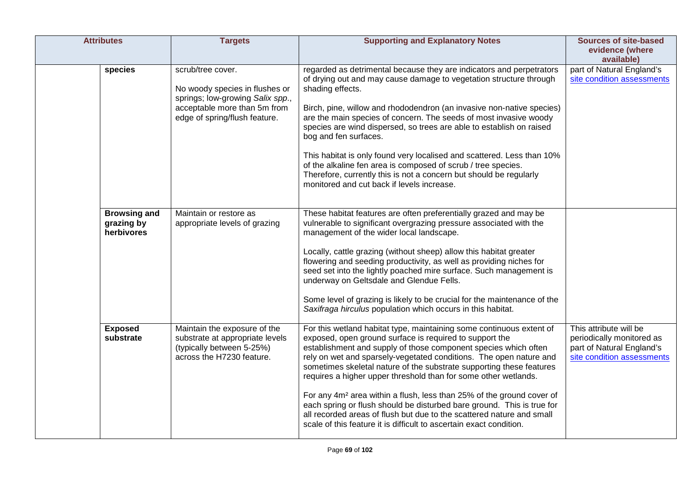| <b>Attributes</b>                               | <b>Targets</b>                                                                                                                                           | <b>Supporting and Explanatory Notes</b>                                                                                                                                                                                                                                                                                                                                                                                                                                                                                                                                                                                                                                                                                            | <b>Sources of site-based</b><br>evidence (where<br>available)                                                  |
|-------------------------------------------------|----------------------------------------------------------------------------------------------------------------------------------------------------------|------------------------------------------------------------------------------------------------------------------------------------------------------------------------------------------------------------------------------------------------------------------------------------------------------------------------------------------------------------------------------------------------------------------------------------------------------------------------------------------------------------------------------------------------------------------------------------------------------------------------------------------------------------------------------------------------------------------------------------|----------------------------------------------------------------------------------------------------------------|
| species                                         | scrub/tree cover.<br>No woody species in flushes or<br>springs; low-growing Salix spp.,<br>acceptable more than 5m from<br>edge of spring/flush feature. | regarded as detrimental because they are indicators and perpetrators<br>of drying out and may cause damage to vegetation structure through<br>shading effects.<br>Birch, pine, willow and rhododendron (an invasive non-native species)<br>are the main species of concern. The seeds of most invasive woody<br>species are wind dispersed, so trees are able to establish on raised<br>bog and fen surfaces.<br>This habitat is only found very localised and scattered. Less than 10%<br>of the alkaline fen area is composed of scrub / tree species.<br>Therefore, currently this is not a concern but should be regularly<br>monitored and cut back if levels increase.                                                       | part of Natural England's<br>site condition assessments                                                        |
| <b>Browsing and</b><br>grazing by<br>herbivores | Maintain or restore as<br>appropriate levels of grazing                                                                                                  | These habitat features are often preferentially grazed and may be<br>vulnerable to significant overgrazing pressure associated with the<br>management of the wider local landscape.<br>Locally, cattle grazing (without sheep) allow this habitat greater<br>flowering and seeding productivity, as well as providing niches for<br>seed set into the lightly poached mire surface. Such management is<br>underway on Geltsdale and Glendue Fells.<br>Some level of grazing is likely to be crucial for the maintenance of the<br>Saxifraga hirculus population which occurs in this habitat.                                                                                                                                      |                                                                                                                |
| <b>Exposed</b><br>substrate                     | Maintain the exposure of the<br>substrate at appropriate levels<br>(typically between 5-25%)<br>across the H7230 feature.                                | For this wetland habitat type, maintaining some continuous extent of<br>exposed, open ground surface is required to support the<br>establishment and supply of those component species which often<br>rely on wet and sparsely-vegetated conditions. The open nature and<br>sometimes skeletal nature of the substrate supporting these features<br>requires a higher upper threshold than for some other wetlands.<br>For any 4m <sup>2</sup> area within a flush, less than 25% of the ground cover of<br>each spring or flush should be disturbed bare ground. This is true for<br>all recorded areas of flush but due to the scattered nature and small<br>scale of this feature it is difficult to ascertain exact condition. | This attribute will be<br>periodically monitored as<br>part of Natural England's<br>site condition assessments |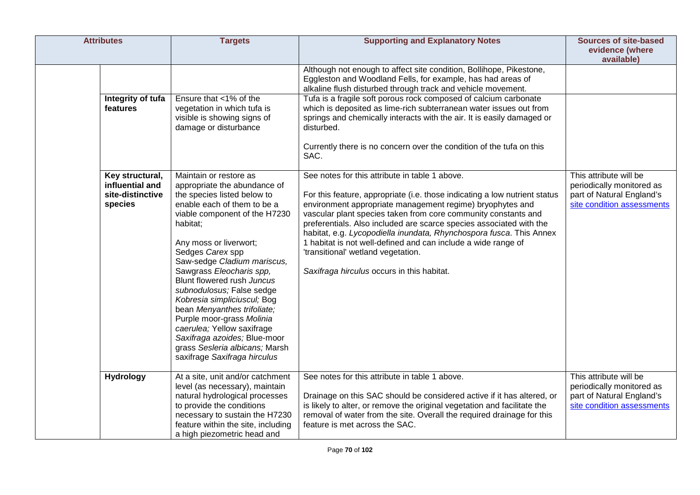| <b>Attributes</b>                                                 | <b>Targets</b>                                                                                                                                                                                                                                                                                                                                                                                                                                                                                                                                                   | <b>Supporting and Explanatory Notes</b>                                                                                                                                                                                                                                                                                                                                                                                                                                                                                                                        | <b>Sources of site-based</b><br>evidence (where<br>available)                                                  |
|-------------------------------------------------------------------|------------------------------------------------------------------------------------------------------------------------------------------------------------------------------------------------------------------------------------------------------------------------------------------------------------------------------------------------------------------------------------------------------------------------------------------------------------------------------------------------------------------------------------------------------------------|----------------------------------------------------------------------------------------------------------------------------------------------------------------------------------------------------------------------------------------------------------------------------------------------------------------------------------------------------------------------------------------------------------------------------------------------------------------------------------------------------------------------------------------------------------------|----------------------------------------------------------------------------------------------------------------|
|                                                                   |                                                                                                                                                                                                                                                                                                                                                                                                                                                                                                                                                                  | Although not enough to affect site condition, Bollihope, Pikestone,<br>Eggleston and Woodland Fells, for example, has had areas of<br>alkaline flush disturbed through track and vehicle movement.                                                                                                                                                                                                                                                                                                                                                             |                                                                                                                |
| features                                                          | Integrity of tufa<br>Ensure that <1% of the<br>vegetation in which tufa is<br>visible is showing signs of<br>damage or disturbance                                                                                                                                                                                                                                                                                                                                                                                                                               | Tufa is a fragile soft porous rock composed of calcium carbonate<br>which is deposited as lime-rich subterranean water issues out from<br>springs and chemically interacts with the air. It is easily damaged or<br>disturbed.<br>Currently there is no concern over the condition of the tufa on this<br>SAC.                                                                                                                                                                                                                                                 |                                                                                                                |
| Key structural,<br>influential and<br>site-distinctive<br>species | Maintain or restore as<br>appropriate the abundance of<br>the species listed below to<br>enable each of them to be a<br>viable component of the H7230<br>habitat;<br>Any moss or liverwort;<br>Sedges Carex spp<br>Saw-sedge Cladium mariscus,<br>Sawgrass Eleocharis spp,<br>Blunt flowered rush Juncus<br>subnodulosus; False sedge<br>Kobresia simpliciuscul; Bog<br>bean Menyanthes trifoliate;<br>Purple moor-grass Molinia<br>caerulea; Yellow saxifrage<br>Saxifraga azoides; Blue-moor<br>grass Sesleria albicans; Marsh<br>saxifrage Saxifraga hirculus | See notes for this attribute in table 1 above.<br>For this feature, appropriate (i.e. those indicating a low nutrient status<br>environment appropriate management regime) bryophytes and<br>vascular plant species taken from core community constants and<br>preferentials. Also included are scarce species associated with the<br>habitat, e.g. Lycopodiella inundata, Rhynchospora fusca. This Annex<br>1 habitat is not well-defined and can include a wide range of<br>'transitional' wetland vegetation.<br>Saxifraga hirculus occurs in this habitat. | This attribute will be<br>periodically monitored as<br>part of Natural England's<br>site condition assessments |
| <b>Hydrology</b>                                                  | At a site, unit and/or catchment<br>level (as necessary), maintain<br>natural hydrological processes<br>to provide the conditions<br>necessary to sustain the H7230<br>feature within the site, including<br>a high piezometric head and                                                                                                                                                                                                                                                                                                                         | See notes for this attribute in table 1 above.<br>Drainage on this SAC should be considered active if it has altered, or<br>is likely to alter, or remove the original vegetation and facilitate the<br>removal of water from the site. Overall the required drainage for this<br>feature is met across the SAC.                                                                                                                                                                                                                                               | This attribute will be<br>periodically monitored as<br>part of Natural England's<br>site condition assessments |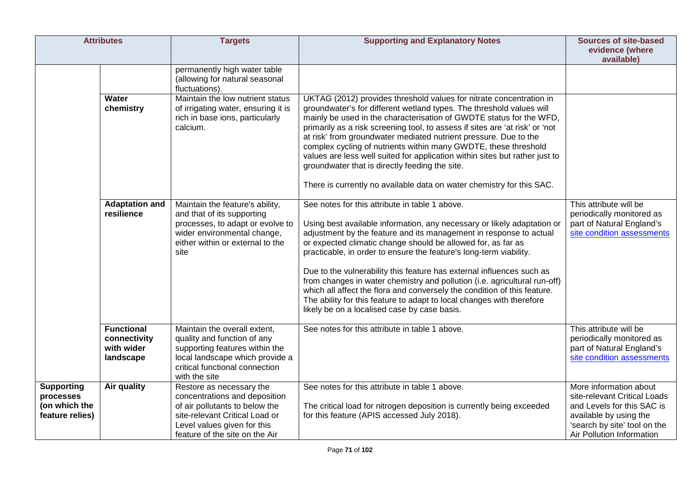|                                                                    | <b>Attributes</b>                                            | <b>Targets</b>                                                                                                                                                                                 | <b>Supporting and Explanatory Notes</b>                                                                                                                                                                                                                                                                                                                                                                                                                                                                                                                                                                                                                                                          | <b>Sources of site-based</b><br>evidence (where<br>available)                                                                                                               |
|--------------------------------------------------------------------|--------------------------------------------------------------|------------------------------------------------------------------------------------------------------------------------------------------------------------------------------------------------|--------------------------------------------------------------------------------------------------------------------------------------------------------------------------------------------------------------------------------------------------------------------------------------------------------------------------------------------------------------------------------------------------------------------------------------------------------------------------------------------------------------------------------------------------------------------------------------------------------------------------------------------------------------------------------------------------|-----------------------------------------------------------------------------------------------------------------------------------------------------------------------------|
|                                                                    |                                                              | permanently high water table<br>(allowing for natural seasonal<br>fluctuations).                                                                                                               |                                                                                                                                                                                                                                                                                                                                                                                                                                                                                                                                                                                                                                                                                                  |                                                                                                                                                                             |
|                                                                    | Water<br>chemistry                                           | Maintain the low nutrient status<br>of irrigating water, ensuring it is<br>rich in base ions, particularly<br>calcium.                                                                         | UKTAG (2012) provides threshold values for nitrate concentration in<br>groundwater's for different wetland types. The threshold values will<br>mainly be used in the characterisation of GWDTE status for the WFD,<br>primarily as a risk screening tool, to assess if sites are 'at risk' or 'not<br>at risk' from groundwater mediated nutrient pressure. Due to the<br>complex cycling of nutrients within many GWDTE, these threshold<br>values are less well suited for application within sites but rather just to<br>groundwater that is directly feeding the site.<br>There is currently no available data on water chemistry for this SAC.                                              |                                                                                                                                                                             |
|                                                                    | <b>Adaptation and</b><br>resilience                          | Maintain the feature's ability,<br>and that of its supporting<br>processes, to adapt or evolve to<br>wider environmental change,<br>either within or external to the<br>site                   | See notes for this attribute in table 1 above.<br>Using best available information, any necessary or likely adaptation or<br>adjustment by the feature and its management in response to actual<br>or expected climatic change should be allowed for, as far as<br>practicable, in order to ensure the feature's long-term viability.<br>Due to the vulnerability this feature has external influences such as<br>from changes in water chemistry and pollution (i.e. agricultural run-off)<br>which all affect the flora and conversely the condition of this feature.<br>The ability for this feature to adapt to local changes with therefore<br>likely be on a localised case by case basis. | This attribute will be<br>periodically monitored as<br>part of Natural England's<br>site condition assessments                                                              |
|                                                                    | <b>Functional</b><br>connectivity<br>with wider<br>landscape | Maintain the overall extent,<br>quality and function of any<br>supporting features within the<br>local landscape which provide a<br>critical functional connection<br>with the site            | See notes for this attribute in table 1 above.                                                                                                                                                                                                                                                                                                                                                                                                                                                                                                                                                                                                                                                   | This attribute will be<br>periodically monitored as<br>part of Natural England's<br>site condition assessments                                                              |
| <b>Supporting</b><br>processes<br>(on which the<br>feature relies) | Air quality                                                  | Restore as necessary the<br>concentrations and deposition<br>of air pollutants to below the<br>site-relevant Critical Load or<br>Level values given for this<br>feature of the site on the Air | See notes for this attribute in table 1 above.<br>The critical load for nitrogen deposition is currently being exceeded<br>for this feature (APIS accessed July 2018).                                                                                                                                                                                                                                                                                                                                                                                                                                                                                                                           | More information about<br>site-relevant Critical Loads<br>and Levels for this SAC is<br>available by using the<br>'search by site' tool on the<br>Air Pollution Information |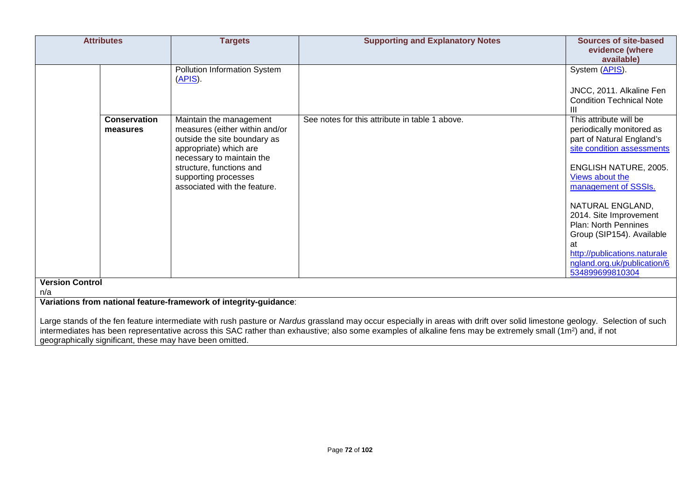| <b>Attributes</b>               | <b>Targets</b>                                                                                                                                                                                                                       | <b>Supporting and Explanatory Notes</b>                                                                                                                                                                                                                                                                                                                | Sources of site-based<br>evidence (where<br>available)                                                                                                                                                                                                                                                                                                                                      |
|---------------------------------|--------------------------------------------------------------------------------------------------------------------------------------------------------------------------------------------------------------------------------------|--------------------------------------------------------------------------------------------------------------------------------------------------------------------------------------------------------------------------------------------------------------------------------------------------------------------------------------------------------|---------------------------------------------------------------------------------------------------------------------------------------------------------------------------------------------------------------------------------------------------------------------------------------------------------------------------------------------------------------------------------------------|
|                                 | Pollution Information System<br>(APIS).                                                                                                                                                                                              |                                                                                                                                                                                                                                                                                                                                                        | System (APIS).<br>JNCC, 2011. Alkaline Fen<br><b>Condition Technical Note</b>                                                                                                                                                                                                                                                                                                               |
| <b>Conservation</b><br>measures | Maintain the management<br>measures (either within and/or<br>outside the site boundary as<br>appropriate) which are<br>necessary to maintain the<br>structure, functions and<br>supporting processes<br>associated with the feature. | See notes for this attribute in table 1 above.                                                                                                                                                                                                                                                                                                         | This attribute will be<br>periodically monitored as<br>part of Natural England's<br>site condition assessments<br><b>ENGLISH NATURE, 2005.</b><br>Views about the<br>management of SSSIs.<br>NATURAL ENGLAND,<br>2014. Site Improvement<br><b>Plan: North Pennines</b><br>Group (SIP154). Available<br>at<br>http://publications.naturale<br>ngland.org.uk/publication/6<br>534899699810304 |
| <b>Version Control</b><br>n/a   |                                                                                                                                                                                                                                      |                                                                                                                                                                                                                                                                                                                                                        |                                                                                                                                                                                                                                                                                                                                                                                             |
|                                 | Variations from national feature-framework of integrity-guidance:                                                                                                                                                                    | Large stands of the fen feature intermediate with rush pasture or Nardus grassland may occur especially in areas with drift over solid limestone geology. Selection of such<br>intermediates has been representative across this SAC rather than exhaustive; also some examples of alkaline fens may be extremely small (1m <sup>2</sup> ) and, if not |                                                                                                                                                                                                                                                                                                                                                                                             |

geographically significant, these may have been omitted.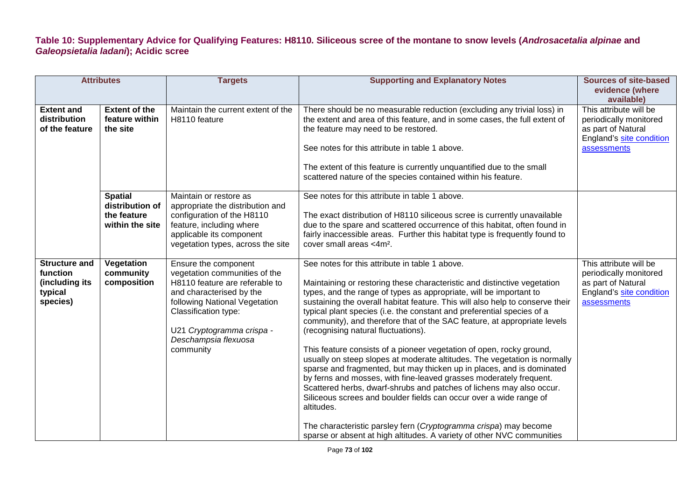## **Table 10: Supplementary Advice for Qualifying Features: H8110. Siliceous scree of the montane to snow levels (***Androsacetalia alpinae* **and**  *Galeopsietalia ladani***); Acidic scree**

| <b>Attributes</b>                                                         |                                                                     | <b>Targets</b>                                                                                                                                                                                                                                 | <b>Supporting and Explanatory Notes</b>                                                                                                                                                                                                                                                                                                                                                                                                                                                                                                                                                                                                                                                                                                                                                                                                                                                                                                                                                                                                                                                      | <b>Sources of site-based</b><br>evidence (where                                                                                 |
|---------------------------------------------------------------------------|---------------------------------------------------------------------|------------------------------------------------------------------------------------------------------------------------------------------------------------------------------------------------------------------------------------------------|----------------------------------------------------------------------------------------------------------------------------------------------------------------------------------------------------------------------------------------------------------------------------------------------------------------------------------------------------------------------------------------------------------------------------------------------------------------------------------------------------------------------------------------------------------------------------------------------------------------------------------------------------------------------------------------------------------------------------------------------------------------------------------------------------------------------------------------------------------------------------------------------------------------------------------------------------------------------------------------------------------------------------------------------------------------------------------------------|---------------------------------------------------------------------------------------------------------------------------------|
| <b>Extent and</b><br>distribution<br>of the feature                       | <b>Extent of the</b><br>feature within<br>the site                  | Maintain the current extent of the<br>H8110 feature                                                                                                                                                                                            | There should be no measurable reduction (excluding any trivial loss) in<br>the extent and area of this feature, and in some cases, the full extent of<br>the feature may need to be restored.<br>See notes for this attribute in table 1 above.<br>The extent of this feature is currently unquantified due to the small<br>scattered nature of the species contained within his feature.                                                                                                                                                                                                                                                                                                                                                                                                                                                                                                                                                                                                                                                                                                    | available)<br>This attribute will be<br>periodically monitored<br>as part of Natural<br>England's site condition<br>assessments |
|                                                                           | <b>Spatial</b><br>distribution of<br>the feature<br>within the site | Maintain or restore as<br>appropriate the distribution and<br>configuration of the H8110<br>feature, including where<br>applicable its component<br>vegetation types, across the site                                                          | See notes for this attribute in table 1 above.<br>The exact distribution of H8110 siliceous scree is currently unavailable<br>due to the spare and scattered occurrence of this habitat, often found in<br>fairly inaccessible areas. Further this habitat type is frequently found to<br>cover small areas <4m <sup>2</sup> .                                                                                                                                                                                                                                                                                                                                                                                                                                                                                                                                                                                                                                                                                                                                                               |                                                                                                                                 |
| <b>Structure and</b><br>function<br>(including its<br>typical<br>species) | Vegetation<br>community<br>composition                              | Ensure the component<br>vegetation communities of the<br>H8110 feature are referable to<br>and characterised by the<br>following National Vegetation<br>Classification type:<br>U21 Cryptogramma crispa -<br>Deschampsia flexuosa<br>community | See notes for this attribute in table 1 above.<br>Maintaining or restoring these characteristic and distinctive vegetation<br>types, and the range of types as appropriate, will be important to<br>sustaining the overall habitat feature. This will also help to conserve their<br>typical plant species (i.e. the constant and preferential species of a<br>community), and therefore that of the SAC feature, at appropriate levels<br>(recognising natural fluctuations).<br>This feature consists of a pioneer vegetation of open, rocky ground,<br>usually on steep slopes at moderate altitudes. The vegetation is normally<br>sparse and fragmented, but may thicken up in places, and is dominated<br>by ferns and mosses, with fine-leaved grasses moderately frequent.<br>Scattered herbs, dwarf-shrubs and patches of lichens may also occur.<br>Siliceous screes and boulder fields can occur over a wide range of<br>altitudes.<br>The characteristic parsley fern (Cryptogramma crispa) may become<br>sparse or absent at high altitudes. A variety of other NVC communities | This attribute will be<br>periodically monitored<br>as part of Natural<br>England's site condition<br>assessments               |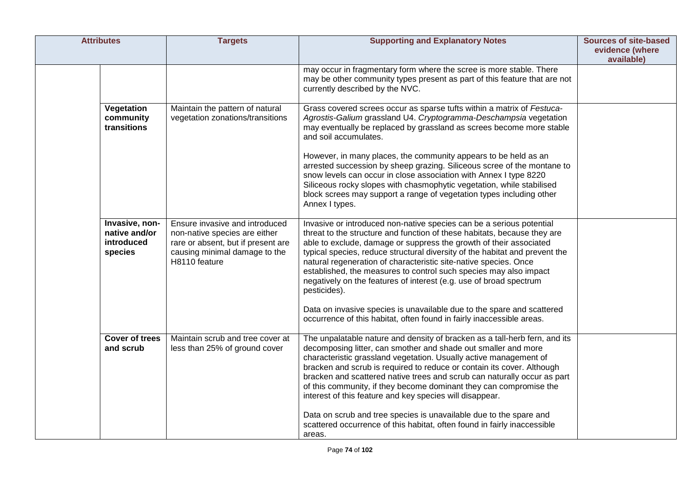| <b>Attributes</b>                                        | <b>Targets</b>                                                                                                                                          | <b>Supporting and Explanatory Notes</b>                                                                                                                                                                                                                                                                                                                                                                                                                                                                                                                                         | <b>Sources of site-based</b><br>evidence (where<br>available) |
|----------------------------------------------------------|---------------------------------------------------------------------------------------------------------------------------------------------------------|---------------------------------------------------------------------------------------------------------------------------------------------------------------------------------------------------------------------------------------------------------------------------------------------------------------------------------------------------------------------------------------------------------------------------------------------------------------------------------------------------------------------------------------------------------------------------------|---------------------------------------------------------------|
|                                                          |                                                                                                                                                         | may occur in fragmentary form where the scree is more stable. There<br>may be other community types present as part of this feature that are not<br>currently described by the NVC.                                                                                                                                                                                                                                                                                                                                                                                             |                                                               |
| Vegetation<br>community<br>transitions                   | Maintain the pattern of natural<br>vegetation zonations/transitions                                                                                     | Grass covered screes occur as sparse tufts within a matrix of Festuca-<br>Agrostis-Galium grassland U4. Cryptogramma-Deschampsia vegetation<br>may eventually be replaced by grassland as screes become more stable<br>and soil accumulates.                                                                                                                                                                                                                                                                                                                                    |                                                               |
|                                                          |                                                                                                                                                         | However, in many places, the community appears to be held as an<br>arrested succession by sheep grazing. Siliceous scree of the montane to<br>snow levels can occur in close association with Annex I type 8220<br>Siliceous rocky slopes with chasmophytic vegetation, while stabilised<br>block screes may support a range of vegetation types including other<br>Annex I types.                                                                                                                                                                                              |                                                               |
| Invasive, non-<br>native and/or<br>introduced<br>species | Ensure invasive and introduced<br>non-native species are either<br>rare or absent, but if present are<br>causing minimal damage to the<br>H8110 feature | Invasive or introduced non-native species can be a serious potential<br>threat to the structure and function of these habitats, because they are<br>able to exclude, damage or suppress the growth of their associated<br>typical species, reduce structural diversity of the habitat and prevent the<br>natural regeneration of characteristic site-native species. Once<br>established, the measures to control such species may also impact<br>negatively on the features of interest (e.g. use of broad spectrum<br>pesticides).                                            |                                                               |
|                                                          |                                                                                                                                                         | Data on invasive species is unavailable due to the spare and scattered<br>occurrence of this habitat, often found in fairly inaccessible areas.                                                                                                                                                                                                                                                                                                                                                                                                                                 |                                                               |
| <b>Cover of trees</b><br>and scrub                       | Maintain scrub and tree cover at<br>less than 25% of ground cover                                                                                       | The unpalatable nature and density of bracken as a tall-herb fern, and its<br>decomposing litter, can smother and shade out smaller and more<br>characteristic grassland vegetation. Usually active management of<br>bracken and scrub is required to reduce or contain its cover. Although<br>bracken and scattered native trees and scrub can naturally occur as part<br>of this community, if they become dominant they can compromise the<br>interest of this feature and key species will disappear.<br>Data on scrub and tree species is unavailable due to the spare and |                                                               |
|                                                          |                                                                                                                                                         | scattered occurrence of this habitat, often found in fairly inaccessible<br>areas.                                                                                                                                                                                                                                                                                                                                                                                                                                                                                              |                                                               |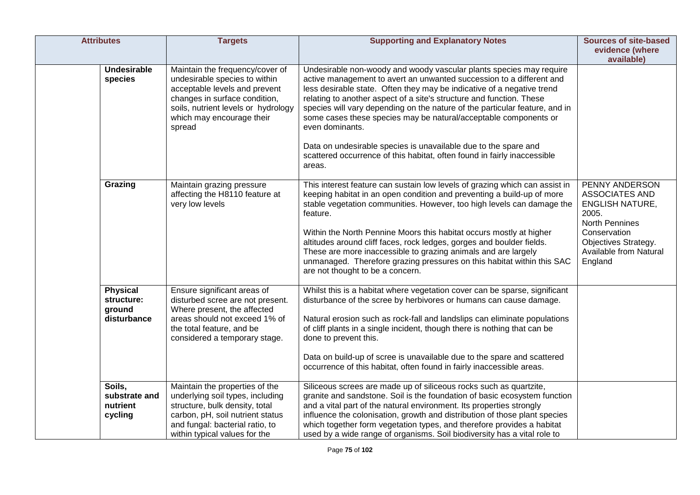| <b>Attributes</b>                                      | <b>Targets</b>                                                                                                                                                                                                   | <b>Supporting and Explanatory Notes</b>                                                                                                                                                                                                                                                                                                                                                                                                                                                                                                                                                                                      | <b>Sources of site-based</b>                                                                                                                                              |
|--------------------------------------------------------|------------------------------------------------------------------------------------------------------------------------------------------------------------------------------------------------------------------|------------------------------------------------------------------------------------------------------------------------------------------------------------------------------------------------------------------------------------------------------------------------------------------------------------------------------------------------------------------------------------------------------------------------------------------------------------------------------------------------------------------------------------------------------------------------------------------------------------------------------|---------------------------------------------------------------------------------------------------------------------------------------------------------------------------|
|                                                        |                                                                                                                                                                                                                  |                                                                                                                                                                                                                                                                                                                                                                                                                                                                                                                                                                                                                              | evidence (where<br>available)                                                                                                                                             |
| <b>Undesirable</b><br>species                          | Maintain the frequency/cover of<br>undesirable species to within<br>acceptable levels and prevent<br>changes in surface condition,<br>soils, nutrient levels or hydrology<br>which may encourage their<br>spread | Undesirable non-woody and woody vascular plants species may require<br>active management to avert an unwanted succession to a different and<br>less desirable state. Often they may be indicative of a negative trend<br>relating to another aspect of a site's structure and function. These<br>species will vary depending on the nature of the particular feature, and in<br>some cases these species may be natural/acceptable components or<br>even dominants.<br>Data on undesirable species is unavailable due to the spare and<br>scattered occurrence of this habitat, often found in fairly inaccessible<br>areas. |                                                                                                                                                                           |
| Grazing                                                | Maintain grazing pressure<br>affecting the H8110 feature at<br>very low levels                                                                                                                                   | This interest feature can sustain low levels of grazing which can assist in<br>keeping habitat in an open condition and preventing a build-up of more<br>stable vegetation communities. However, too high levels can damage the<br>feature.<br>Within the North Pennine Moors this habitat occurs mostly at higher<br>altitudes around cliff faces, rock ledges, gorges and boulder fields.<br>These are more inaccessible to grazing animals and are largely<br>unmanaged. Therefore grazing pressures on this habitat within this SAC<br>are not thought to be a concern.                                                  | PENNY ANDERSON<br><b>ASSOCIATES AND</b><br><b>ENGLISH NATURE,</b><br>2005.<br>North Pennines<br>Conservation<br>Objectives Strategy.<br>Available from Natural<br>England |
| <b>Physical</b><br>structure:<br>ground<br>disturbance | Ensure significant areas of<br>disturbed scree are not present.<br>Where present, the affected<br>areas should not exceed 1% of<br>the total feature, and be<br>considered a temporary stage.                    | Whilst this is a habitat where vegetation cover can be sparse, significant<br>disturbance of the scree by herbivores or humans can cause damage.<br>Natural erosion such as rock-fall and landslips can eliminate populations<br>of cliff plants in a single incident, though there is nothing that can be<br>done to prevent this.<br>Data on build-up of scree is unavailable due to the spare and scattered<br>occurrence of this habitat, often found in fairly inaccessible areas.                                                                                                                                      |                                                                                                                                                                           |
| Soils,<br>substrate and<br>nutrient<br>cycling         | Maintain the properties of the<br>underlying soil types, including<br>structure, bulk density, total<br>carbon, pH, soil nutrient status<br>and fungal: bacterial ratio, to<br>within typical values for the     | Siliceous screes are made up of siliceous rocks such as quartzite,<br>granite and sandstone. Soil is the foundation of basic ecosystem function<br>and a vital part of the natural environment. Its properties strongly<br>influence the colonisation, growth and distribution of those plant species<br>which together form vegetation types, and therefore provides a habitat<br>used by a wide range of organisms. Soil biodiversity has a vital role to                                                                                                                                                                  |                                                                                                                                                                           |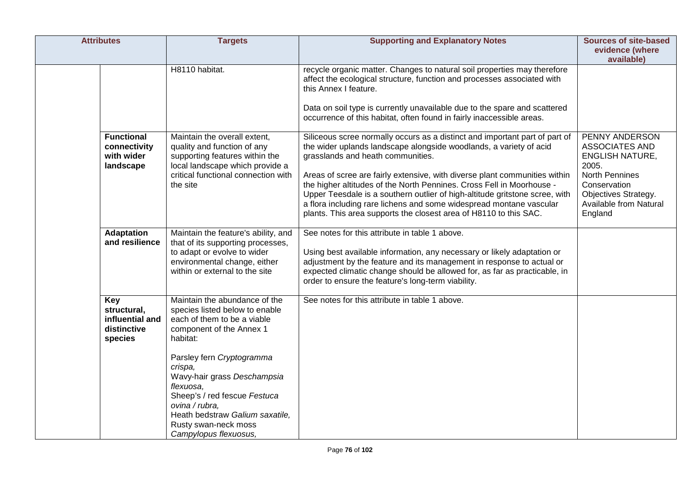| <b>Attributes</b>                                               | <b>Targets</b>                                                                                                                                                                                                                                                                                                                                                   | <b>Supporting and Explanatory Notes</b>                                                                                                                                                                                                                                                                                                                                                                                                                                                                                                                                  | <b>Sources of site-based</b>                                                                                                                                                     |
|-----------------------------------------------------------------|------------------------------------------------------------------------------------------------------------------------------------------------------------------------------------------------------------------------------------------------------------------------------------------------------------------------------------------------------------------|--------------------------------------------------------------------------------------------------------------------------------------------------------------------------------------------------------------------------------------------------------------------------------------------------------------------------------------------------------------------------------------------------------------------------------------------------------------------------------------------------------------------------------------------------------------------------|----------------------------------------------------------------------------------------------------------------------------------------------------------------------------------|
|                                                                 |                                                                                                                                                                                                                                                                                                                                                                  |                                                                                                                                                                                                                                                                                                                                                                                                                                                                                                                                                                          | evidence (where<br>available)                                                                                                                                                    |
|                                                                 | H8110 habitat.                                                                                                                                                                                                                                                                                                                                                   | recycle organic matter. Changes to natural soil properties may therefore<br>affect the ecological structure, function and processes associated with<br>this Annex I feature.<br>Data on soil type is currently unavailable due to the spare and scattered<br>occurrence of this habitat, often found in fairly inaccessible areas.                                                                                                                                                                                                                                       |                                                                                                                                                                                  |
| <b>Functional</b><br>connectivity<br>with wider<br>landscape    | Maintain the overall extent,<br>quality and function of any<br>supporting features within the<br>local landscape which provide a<br>critical functional connection with<br>the site                                                                                                                                                                              | Siliceous scree normally occurs as a distinct and important part of part of<br>the wider uplands landscape alongside woodlands, a variety of acid<br>grasslands and heath communities.<br>Areas of scree are fairly extensive, with diverse plant communities within<br>the higher altitudes of the North Pennines. Cross Fell in Moorhouse -<br>Upper Teesdale is a southern outlier of high-altitude gritstone scree, with<br>a flora including rare lichens and some widespread montane vascular<br>plants. This area supports the closest area of H8110 to this SAC. | PENNY ANDERSON<br><b>ASSOCIATES AND</b><br><b>ENGLISH NATURE,</b><br>2005.<br><b>North Pennines</b><br>Conservation<br>Objectives Strategy.<br>Available from Natural<br>England |
| <b>Adaptation</b><br>and resilience                             | Maintain the feature's ability, and<br>that of its supporting processes,<br>to adapt or evolve to wider<br>environmental change, either<br>within or external to the site                                                                                                                                                                                        | See notes for this attribute in table 1 above.<br>Using best available information, any necessary or likely adaptation or<br>adjustment by the feature and its management in response to actual or<br>expected climatic change should be allowed for, as far as practicable, in<br>order to ensure the feature's long-term viability.                                                                                                                                                                                                                                    |                                                                                                                                                                                  |
| Key<br>structural,<br>influential and<br>distinctive<br>species | Maintain the abundance of the<br>species listed below to enable<br>each of them to be a viable<br>component of the Annex 1<br>habitat:<br>Parsley fern Cryptogramma<br>crispa,<br>Wavy-hair grass Deschampsia<br>flexuosa.<br>Sheep's / red fescue Festuca<br>ovina / rubra.<br>Heath bedstraw Galium saxatile,<br>Rusty swan-neck moss<br>Campylopus flexuosus, | See notes for this attribute in table 1 above.                                                                                                                                                                                                                                                                                                                                                                                                                                                                                                                           |                                                                                                                                                                                  |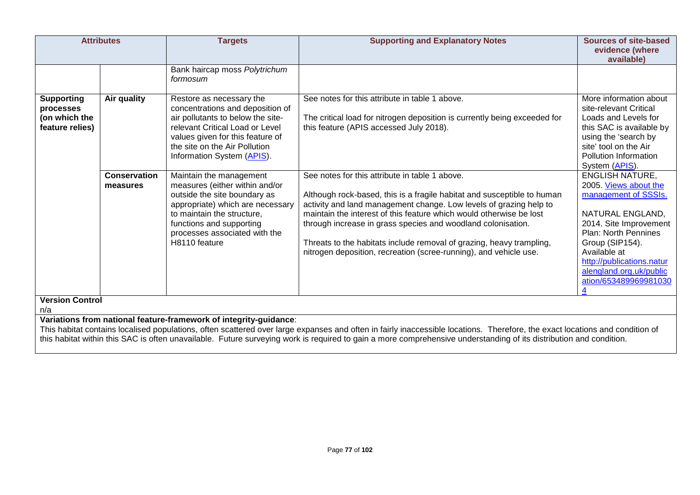| <b>Attributes</b>                                                  |                                 | <b>Targets</b>                                                                                                                                                                                                                            | <b>Supporting and Explanatory Notes</b>                                                                                                                                                                                                                                                                                                                                                                                                                                             | <b>Sources of site-based</b><br>evidence (where<br>available)                                                                                                                                                                                                            |
|--------------------------------------------------------------------|---------------------------------|-------------------------------------------------------------------------------------------------------------------------------------------------------------------------------------------------------------------------------------------|-------------------------------------------------------------------------------------------------------------------------------------------------------------------------------------------------------------------------------------------------------------------------------------------------------------------------------------------------------------------------------------------------------------------------------------------------------------------------------------|--------------------------------------------------------------------------------------------------------------------------------------------------------------------------------------------------------------------------------------------------------------------------|
|                                                                    |                                 | Bank haircap moss Polytrichum<br>formosum                                                                                                                                                                                                 |                                                                                                                                                                                                                                                                                                                                                                                                                                                                                     |                                                                                                                                                                                                                                                                          |
| <b>Supporting</b><br>processes<br>(on which the<br>feature relies) | Air quality                     | Restore as necessary the<br>concentrations and deposition of<br>air pollutants to below the site-<br>relevant Critical Load or Level<br>values given for this feature of<br>the site on the Air Pollution<br>Information System (APIS).   | See notes for this attribute in table 1 above.<br>The critical load for nitrogen deposition is currently being exceeded for<br>this feature (APIS accessed July 2018).                                                                                                                                                                                                                                                                                                              | More information about<br>site-relevant Critical<br>Loads and Levels for<br>this SAC is available by<br>using the 'search by<br>site' tool on the Air<br>Pollution Information<br>System (APIS).                                                                         |
|                                                                    | <b>Conservation</b><br>measures | Maintain the management<br>measures (either within and/or<br>outside the site boundary as<br>appropriate) which are necessary<br>to maintain the structure.<br>functions and supporting<br>processes associated with the<br>H8110 feature | See notes for this attribute in table 1 above.<br>Although rock-based, this is a fragile habitat and susceptible to human<br>activity and land management change. Low levels of grazing help to<br>maintain the interest of this feature which would otherwise be lost<br>through increase in grass species and woodland colonisation.<br>Threats to the habitats include removal of grazing, heavy trampling,<br>nitrogen deposition, recreation (scree-running), and vehicle use. | <b>ENGLISH NATURE,</b><br>2005. Views about the<br>management of SSSIs.<br>NATURAL ENGLAND,<br>2014. Site Improvement<br><b>Plan: North Pennines</b><br>Group (SIP154).<br>Available at<br>http://publications.natur<br>alengland.org.uk/public<br>ation/653489969981030 |
| <b>Version Control</b><br>n/a                                      |                                 |                                                                                                                                                                                                                                           |                                                                                                                                                                                                                                                                                                                                                                                                                                                                                     |                                                                                                                                                                                                                                                                          |
|                                                                    |                                 | Variations from national feature-framework of integrity-guidance:                                                                                                                                                                         | This habitat contains localised populations, often scattered over large expanses and often in fairly inaccessible locations. Therefore, the exact locations and condition of<br>this habitat within this SAC is often unavailable. Future surveying work is required to gain a more comprehensive understanding of its distribution and condition.                                                                                                                                  |                                                                                                                                                                                                                                                                          |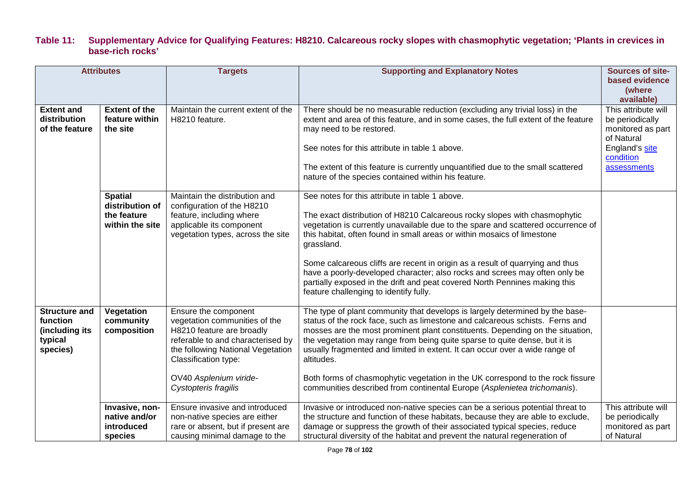### **Table 11: Supplementary Advice for Qualifying Features: H8210. Calcareous rocky slopes with chasmophytic vegetation; 'Plants in crevices in base-rich rocks'**

|                                                                           | <b>Attributes</b>                                                   | <b>Targets</b>                                                                                                                                                                                                                         | <b>Supporting and Explanatory Notes</b>                                                                                                                                                                                                                                                                                                                                                                                                                                                                                                                                                         | <b>Sources of site-</b><br>based evidence<br>(where<br>available)                                                       |
|---------------------------------------------------------------------------|---------------------------------------------------------------------|----------------------------------------------------------------------------------------------------------------------------------------------------------------------------------------------------------------------------------------|-------------------------------------------------------------------------------------------------------------------------------------------------------------------------------------------------------------------------------------------------------------------------------------------------------------------------------------------------------------------------------------------------------------------------------------------------------------------------------------------------------------------------------------------------------------------------------------------------|-------------------------------------------------------------------------------------------------------------------------|
| <b>Extent and</b><br>distribution<br>of the feature                       | <b>Extent of the</b><br>feature within<br>the site                  | Maintain the current extent of the<br>H8210 feature.                                                                                                                                                                                   | There should be no measurable reduction (excluding any trivial loss) in the<br>extent and area of this feature, and in some cases, the full extent of the feature<br>may need to be restored.<br>See notes for this attribute in table 1 above.<br>The extent of this feature is currently unquantified due to the small scattered<br>nature of the species contained within his feature.                                                                                                                                                                                                       | This attribute will<br>be periodically<br>monitored as part<br>of Natural<br>England's site<br>condition<br>assessments |
|                                                                           | <b>Spatial</b><br>distribution of<br>the feature<br>within the site | Maintain the distribution and<br>configuration of the H8210<br>feature, including where<br>applicable its component<br>vegetation types, across the site                                                                               | See notes for this attribute in table 1 above.<br>The exact distribution of H8210 Calcareous rocky slopes with chasmophytic<br>vegetation is currently unavailable due to the spare and scattered occurrence of<br>this habitat, often found in small areas or within mosaics of limestone<br>grassland.<br>Some calcareous cliffs are recent in origin as a result of quarrying and thus<br>have a poorly-developed character; also rocks and screes may often only be<br>partially exposed in the drift and peat covered North Pennines making this<br>feature challenging to identify fully. |                                                                                                                         |
| <b>Structure and</b><br>function<br>(including its<br>typical<br>species) | Vegetation<br>community<br>composition                              | Ensure the component<br>vegetation communities of the<br>H8210 feature are broadly<br>referable to and characterised by<br>the following National Vegetation<br>Classification type:<br>OV40 Asplenium viride-<br>Cystopteris fragilis | The type of plant community that develops is largely determined by the base-<br>status of the rock face, such as limestone and calcareous schists. Ferns and<br>mosses are the most prominent plant constituents. Depending on the situation,<br>the vegetation may range from being quite sparse to quite dense, but it is<br>usually fragmented and limited in extent. It can occur over a wide range of<br>altitudes.<br>Both forms of chasmophytic vegetation in the UK correspond to the rock fissure<br>communities described from continental Europe (Asplenietea trichomanis).          |                                                                                                                         |
|                                                                           | Invasive, non-<br>native and/or<br>introduced<br>species            | Ensure invasive and introduced<br>non-native species are either<br>rare or absent, but if present are<br>causing minimal damage to the                                                                                                 | Invasive or introduced non-native species can be a serious potential threat to<br>the structure and function of these habitats, because they are able to exclude,<br>damage or suppress the growth of their associated typical species, reduce<br>structural diversity of the habitat and prevent the natural regeneration of                                                                                                                                                                                                                                                                   | This attribute will<br>be periodically<br>monitored as part<br>of Natural                                               |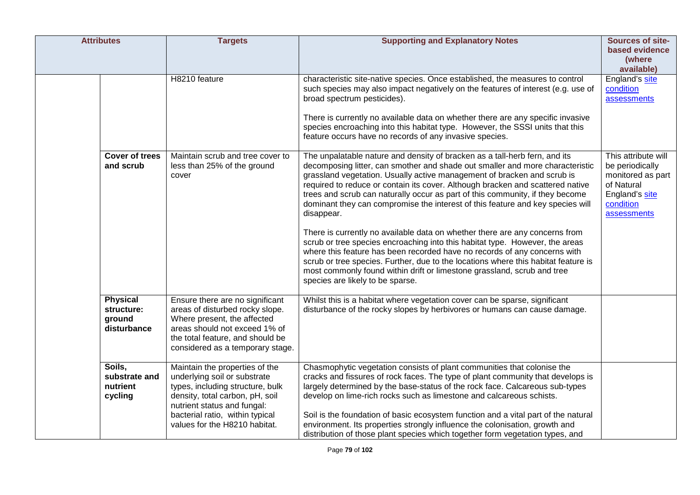| <b>Attributes</b> |                                                        | <b>Targets</b>                                                                                                                                                                                                                           | <b>Supporting and Explanatory Notes</b>                                                                                                                                                                                                                                                                                                                                                                                                                                                                                                                                                                                                                                                                                                                                                                                                                                                                                                                    | Sources of site-<br>based evidence<br>(where<br>available)                                                              |
|-------------------|--------------------------------------------------------|------------------------------------------------------------------------------------------------------------------------------------------------------------------------------------------------------------------------------------------|------------------------------------------------------------------------------------------------------------------------------------------------------------------------------------------------------------------------------------------------------------------------------------------------------------------------------------------------------------------------------------------------------------------------------------------------------------------------------------------------------------------------------------------------------------------------------------------------------------------------------------------------------------------------------------------------------------------------------------------------------------------------------------------------------------------------------------------------------------------------------------------------------------------------------------------------------------|-------------------------------------------------------------------------------------------------------------------------|
|                   |                                                        | H8210 feature                                                                                                                                                                                                                            | characteristic site-native species. Once established, the measures to control<br>such species may also impact negatively on the features of interest (e.g. use of<br>broad spectrum pesticides).<br>There is currently no available data on whether there are any specific invasive<br>species encroaching into this habitat type. However, the SSSI units that this<br>feature occurs have no records of any invasive species.                                                                                                                                                                                                                                                                                                                                                                                                                                                                                                                            | England's site<br>condition<br>assessments                                                                              |
|                   | <b>Cover of trees</b><br>and scrub                     | Maintain scrub and tree cover to<br>less than 25% of the ground<br>cover                                                                                                                                                                 | The unpalatable nature and density of bracken as a tall-herb fern, and its<br>decomposing litter, can smother and shade out smaller and more characteristic<br>grassland vegetation. Usually active management of bracken and scrub is<br>required to reduce or contain its cover. Although bracken and scattered native<br>trees and scrub can naturally occur as part of this community, if they become<br>dominant they can compromise the interest of this feature and key species will<br>disappear.<br>There is currently no available data on whether there are any concerns from<br>scrub or tree species encroaching into this habitat type. However, the areas<br>where this feature has been recorded have no records of any concerns with<br>scrub or tree species. Further, due to the locations where this habitat feature is<br>most commonly found within drift or limestone grassland, scrub and tree<br>species are likely to be sparse. | This attribute will<br>be periodically<br>monitored as part<br>of Natural<br>England's site<br>condition<br>assessments |
|                   | <b>Physical</b><br>structure:<br>ground<br>disturbance | Ensure there are no significant<br>areas of disturbed rocky slope.<br>Where present, the affected<br>areas should not exceed 1% of<br>the total feature, and should be<br>considered as a temporary stage.                               | Whilst this is a habitat where vegetation cover can be sparse, significant<br>disturbance of the rocky slopes by herbivores or humans can cause damage.                                                                                                                                                                                                                                                                                                                                                                                                                                                                                                                                                                                                                                                                                                                                                                                                    |                                                                                                                         |
|                   | Soils,<br>substrate and<br>nutrient<br>cycling         | Maintain the properties of the<br>underlying soil or substrate<br>types, including structure, bulk<br>density, total carbon, pH, soil<br>nutrient status and fungal:<br>bacterial ratio, within typical<br>values for the H8210 habitat. | Chasmophytic vegetation consists of plant communities that colonise the<br>cracks and fissures of rock faces. The type of plant community that develops is<br>largely determined by the base-status of the rock face. Calcareous sub-types<br>develop on lime-rich rocks such as limestone and calcareous schists.<br>Soil is the foundation of basic ecosystem function and a vital part of the natural<br>environment. Its properties strongly influence the colonisation, growth and<br>distribution of those plant species which together form vegetation types, and                                                                                                                                                                                                                                                                                                                                                                                   |                                                                                                                         |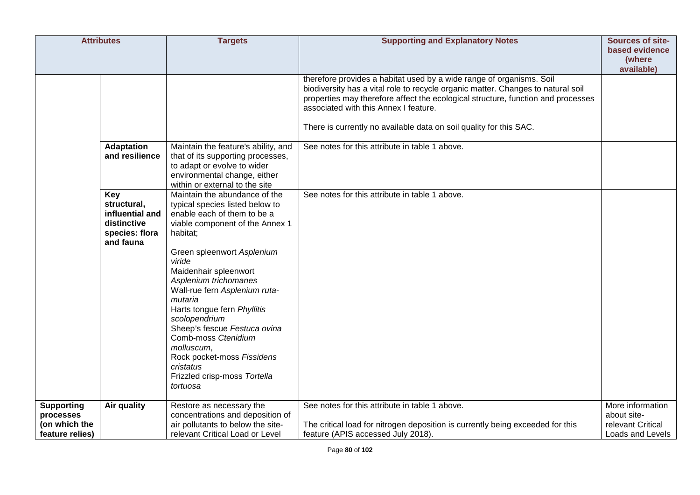|                                               | <b>Attributes</b>                                                                   | <b>Targets</b>                                                                                                                                                                                                                                                                                                                                                                                                                                                                                   | <b>Supporting and Explanatory Notes</b>                                                                                                                                                                                                                                                                                                                     | Sources of site-                                     |
|-----------------------------------------------|-------------------------------------------------------------------------------------|--------------------------------------------------------------------------------------------------------------------------------------------------------------------------------------------------------------------------------------------------------------------------------------------------------------------------------------------------------------------------------------------------------------------------------------------------------------------------------------------------|-------------------------------------------------------------------------------------------------------------------------------------------------------------------------------------------------------------------------------------------------------------------------------------------------------------------------------------------------------------|------------------------------------------------------|
|                                               |                                                                                     |                                                                                                                                                                                                                                                                                                                                                                                                                                                                                                  |                                                                                                                                                                                                                                                                                                                                                             | based evidence<br>(where                             |
|                                               |                                                                                     |                                                                                                                                                                                                                                                                                                                                                                                                                                                                                                  |                                                                                                                                                                                                                                                                                                                                                             | available)                                           |
|                                               |                                                                                     |                                                                                                                                                                                                                                                                                                                                                                                                                                                                                                  | therefore provides a habitat used by a wide range of organisms. Soil<br>biodiversity has a vital role to recycle organic matter. Changes to natural soil<br>properties may therefore affect the ecological structure, function and processes<br>associated with this Annex I feature.<br>There is currently no available data on soil quality for this SAC. |                                                      |
|                                               | <b>Adaptation</b><br>and resilience                                                 | Maintain the feature's ability, and<br>that of its supporting processes,<br>to adapt or evolve to wider<br>environmental change, either<br>within or external to the site                                                                                                                                                                                                                                                                                                                        | See notes for this attribute in table 1 above.                                                                                                                                                                                                                                                                                                              |                                                      |
|                                               | Key<br>structural,<br>influential and<br>distinctive<br>species: flora<br>and fauna | Maintain the abundance of the<br>typical species listed below to<br>enable each of them to be a<br>viable component of the Annex 1<br>habitat;<br>Green spleenwort Asplenium<br>viride<br>Maidenhair spleenwort<br>Asplenium trichomanes<br>Wall-rue fern Asplenium ruta-<br>mutaria<br>Harts tongue fern Phyllitis<br>scolopendrium<br>Sheep's fescue Festuca ovina<br>Comb-moss Ctenidium<br>molluscum,<br>Rock pocket-moss Fissidens<br>cristatus<br>Frizzled crisp-moss Tortella<br>tortuosa | See notes for this attribute in table 1 above.                                                                                                                                                                                                                                                                                                              |                                                      |
| <b>Supporting</b>                             | Air quality                                                                         | Restore as necessary the                                                                                                                                                                                                                                                                                                                                                                                                                                                                         | See notes for this attribute in table 1 above.                                                                                                                                                                                                                                                                                                              | More information                                     |
| processes<br>(on which the<br>feature relies) |                                                                                     | concentrations and deposition of<br>air pollutants to below the site-<br>relevant Critical Load or Level                                                                                                                                                                                                                                                                                                                                                                                         | The critical load for nitrogen deposition is currently being exceeded for this<br>feature (APIS accessed July 2018).                                                                                                                                                                                                                                        | about site-<br>relevant Critical<br>Loads and Levels |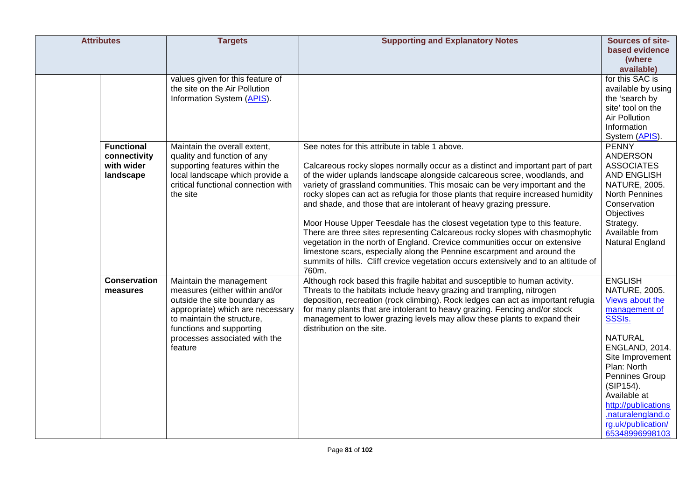| <b>Attributes</b> |                            | <b>Targets</b>                                                    | <b>Supporting and Explanatory Notes</b>                                                                                                                  | Sources of site-                        |
|-------------------|----------------------------|-------------------------------------------------------------------|----------------------------------------------------------------------------------------------------------------------------------------------------------|-----------------------------------------|
|                   |                            |                                                                   |                                                                                                                                                          | based evidence                          |
|                   |                            |                                                                   |                                                                                                                                                          | (where                                  |
|                   |                            |                                                                   |                                                                                                                                                          | available)                              |
|                   |                            | values given for this feature of                                  |                                                                                                                                                          | for this SAC is                         |
|                   |                            | the site on the Air Pollution                                     |                                                                                                                                                          | available by using                      |
|                   |                            | Information System (APIS).                                        |                                                                                                                                                          | the 'search by                          |
|                   |                            |                                                                   |                                                                                                                                                          | site' tool on the                       |
|                   |                            |                                                                   |                                                                                                                                                          | Air Pollution                           |
|                   |                            |                                                                   |                                                                                                                                                          | Information                             |
|                   |                            |                                                                   |                                                                                                                                                          | System (APIS).                          |
|                   | <b>Functional</b>          | Maintain the overall extent,                                      | See notes for this attribute in table 1 above.                                                                                                           | <b>PENNY</b>                            |
|                   | connectivity<br>with wider | quality and function of any                                       |                                                                                                                                                          | ANDERSON                                |
|                   | landscape                  | supporting features within the<br>local landscape which provide a | Calcareous rocky slopes normally occur as a distinct and important part of part                                                                          | <b>ASSOCIATES</b><br><b>AND ENGLISH</b> |
|                   |                            | critical functional connection with                               | of the wider uplands landscape alongside calcareous scree, woodlands, and<br>variety of grassland communities. This mosaic can be very important and the | <b>NATURE, 2005.</b>                    |
|                   |                            | the site                                                          | rocky slopes can act as refugia for those plants that require increased humidity                                                                         | North Pennines                          |
|                   |                            |                                                                   | and shade, and those that are intolerant of heavy grazing pressure.                                                                                      | Conservation                            |
|                   |                            |                                                                   |                                                                                                                                                          | Objectives                              |
|                   |                            |                                                                   | Moor House Upper Teesdale has the closest vegetation type to this feature.                                                                               | Strategy.                               |
|                   |                            |                                                                   | There are three sites representing Calcareous rocky slopes with chasmophytic                                                                             | Available from                          |
|                   |                            |                                                                   | vegetation in the north of England. Crevice communities occur on extensive                                                                               | Natural England                         |
|                   |                            |                                                                   | limestone scars, especially along the Pennine escarpment and around the                                                                                  |                                         |
|                   |                            |                                                                   | summits of hills. Cliff crevice vegetation occurs extensively and to an altitude of                                                                      |                                         |
|                   |                            |                                                                   | 760m.                                                                                                                                                    |                                         |
|                   | <b>Conservation</b>        | Maintain the management                                           | Although rock based this fragile habitat and susceptible to human activity.                                                                              | <b>ENGLISH</b>                          |
|                   | measures                   | measures (either within and/or                                    | Threats to the habitats include heavy grazing and trampling, nitrogen                                                                                    | NATURE, 2005.                           |
|                   |                            | outside the site boundary as                                      | deposition, recreation (rock climbing). Rock ledges can act as important refugia                                                                         | Views about the                         |
|                   |                            | appropriate) which are necessary                                  | for many plants that are intolerant to heavy grazing. Fencing and/or stock                                                                               | management of                           |
|                   |                            | to maintain the structure,                                        | management to lower grazing levels may allow these plants to expand their<br>distribution on the site.                                                   | <b>SSSIs.</b>                           |
|                   |                            | functions and supporting<br>processes associated with the         |                                                                                                                                                          | <b>NATURAL</b>                          |
|                   |                            | feature                                                           |                                                                                                                                                          | ENGLAND, 2014.                          |
|                   |                            |                                                                   |                                                                                                                                                          | Site Improvement                        |
|                   |                            |                                                                   |                                                                                                                                                          | Plan: North                             |
|                   |                            |                                                                   |                                                                                                                                                          | Pennines Group                          |
|                   |                            |                                                                   |                                                                                                                                                          | (SIP154).                               |
|                   |                            |                                                                   |                                                                                                                                                          | Available at                            |
|                   |                            |                                                                   |                                                                                                                                                          | http://publications                     |
|                   |                            |                                                                   |                                                                                                                                                          | .naturalengland.o                       |
|                   |                            |                                                                   |                                                                                                                                                          | rg.uk/publication/                      |
|                   |                            |                                                                   |                                                                                                                                                          | 65348996998103                          |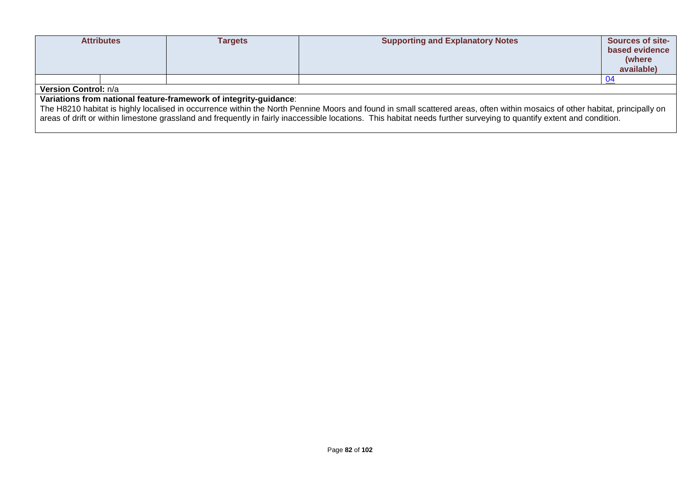| <b>Attributes</b>                                                 |                             | <b>Targets</b> | <b>Supporting and Explanatory Notes</b>                                                                                                                                      | <b>Sources of site-</b><br>based evidence<br>(where<br>available) |
|-------------------------------------------------------------------|-----------------------------|----------------|------------------------------------------------------------------------------------------------------------------------------------------------------------------------------|-------------------------------------------------------------------|
|                                                                   |                             |                |                                                                                                                                                                              |                                                                   |
|                                                                   | <b>Version Control: n/a</b> |                |                                                                                                                                                                              |                                                                   |
| Variations from national feature-framework of integrity-guidance: |                             |                |                                                                                                                                                                              |                                                                   |
|                                                                   |                             |                | The H8210 habitat is highly localised in occurrence within the North Pennine Moors and found in small scattered areas, often within mosaics of other habitat, principally on |                                                                   |

areas of drift or within limestone grassland and frequently in fairly inaccessible locations. This habitat needs further surveying to quantify extent and condition.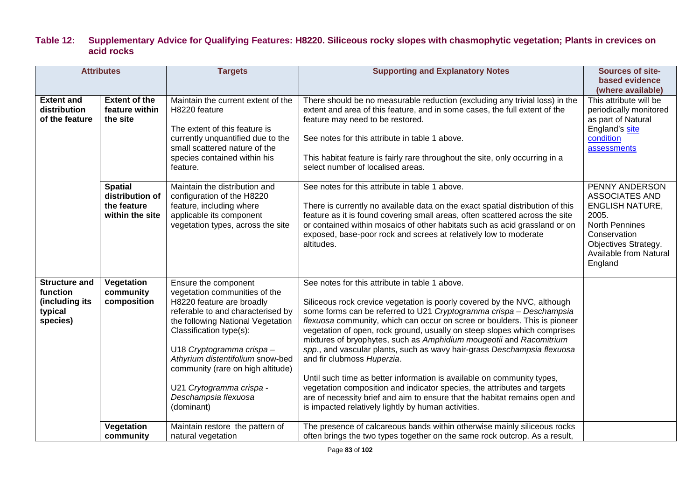## **Table 12: Supplementary Advice for Qualifying Features: H8220. Siliceous rocky slopes with chasmophytic vegetation; Plants in crevices on acid rocks**

| <b>Attributes</b>                                                         |                                                                     | <b>Targets</b>                                                                                                                                                                                                                                                                                                                                                  | <b>Supporting and Explanatory Notes</b>                                                                                                                                                                                                                                                                                                                                                                                                                                                                                                                                                                                                                                                                                                                                                                                               | <b>Sources of site-</b>                                                                                                                                                   |
|---------------------------------------------------------------------------|---------------------------------------------------------------------|-----------------------------------------------------------------------------------------------------------------------------------------------------------------------------------------------------------------------------------------------------------------------------------------------------------------------------------------------------------------|---------------------------------------------------------------------------------------------------------------------------------------------------------------------------------------------------------------------------------------------------------------------------------------------------------------------------------------------------------------------------------------------------------------------------------------------------------------------------------------------------------------------------------------------------------------------------------------------------------------------------------------------------------------------------------------------------------------------------------------------------------------------------------------------------------------------------------------|---------------------------------------------------------------------------------------------------------------------------------------------------------------------------|
|                                                                           |                                                                     |                                                                                                                                                                                                                                                                                                                                                                 |                                                                                                                                                                                                                                                                                                                                                                                                                                                                                                                                                                                                                                                                                                                                                                                                                                       | based evidence<br>(where available)                                                                                                                                       |
| <b>Extent and</b><br>distribution<br>of the feature                       | <b>Extent of the</b><br>feature within<br>the site                  | Maintain the current extent of the<br>H8220 feature<br>The extent of this feature is<br>currently unquantified due to the<br>small scattered nature of the<br>species contained within his<br>feature.                                                                                                                                                          | There should be no measurable reduction (excluding any trivial loss) in the<br>extent and area of this feature, and in some cases, the full extent of the<br>feature may need to be restored.<br>See notes for this attribute in table 1 above.<br>This habitat feature is fairly rare throughout the site, only occurring in a<br>select number of localised areas.                                                                                                                                                                                                                                                                                                                                                                                                                                                                  | This attribute will be<br>periodically monitored<br>as part of Natural<br>England's site<br>condition<br>assessments                                                      |
|                                                                           | <b>Spatial</b><br>distribution of<br>the feature<br>within the site | Maintain the distribution and<br>configuration of the H8220<br>feature, including where<br>applicable its component<br>vegetation types, across the site                                                                                                                                                                                                        | See notes for this attribute in table 1 above.<br>There is currently no available data on the exact spatial distribution of this<br>feature as it is found covering small areas, often scattered across the site<br>or contained within mosaics of other habitats such as acid grassland or on<br>exposed, base-poor rock and screes at relatively low to moderate<br>altitudes.                                                                                                                                                                                                                                                                                                                                                                                                                                                      | PENNY ANDERSON<br>ASSOCIATES AND<br><b>ENGLISH NATURE,</b><br>2005.<br><b>North Pennines</b><br>Conservation<br>Objectives Strategy.<br>Available from Natural<br>England |
| <b>Structure and</b><br>function<br>(including its<br>typical<br>species) | Vegetation<br>community<br>composition                              | Ensure the component<br>vegetation communities of the<br>H8220 feature are broadly<br>referable to and characterised by<br>the following National Vegetation<br>Classification type(s):<br>U18 Cryptogramma crispa -<br>Athyrium distentifolium snow-bed<br>community (rare on high altitude)<br>U21 Crytogramma crispa -<br>Deschampsia flexuosa<br>(dominant) | See notes for this attribute in table 1 above.<br>Siliceous rock crevice vegetation is poorly covered by the NVC, although<br>some forms can be referred to U21 Cryptogramma crispa - Deschampsia<br>flexuosa community, which can occur on scree or boulders. This is pioneer<br>vegetation of open, rock ground, usually on steep slopes which comprises<br>mixtures of bryophytes, such as Amphidium mougeotii and Racomitrium<br>spp., and vascular plants, such as wavy hair-grass Deschampsia flexuosa<br>and fir clubmoss Huperzia.<br>Until such time as better information is available on community types,<br>vegetation composition and indicator species, the attributes and targets<br>are of necessity brief and aim to ensure that the habitat remains open and<br>is impacted relatively lightly by human activities. |                                                                                                                                                                           |
|                                                                           | Vegetation<br>community                                             | Maintain restore the pattern of<br>natural vegetation                                                                                                                                                                                                                                                                                                           | The presence of calcareous bands within otherwise mainly siliceous rocks<br>often brings the two types together on the same rock outcrop. As a result,                                                                                                                                                                                                                                                                                                                                                                                                                                                                                                                                                                                                                                                                                |                                                                                                                                                                           |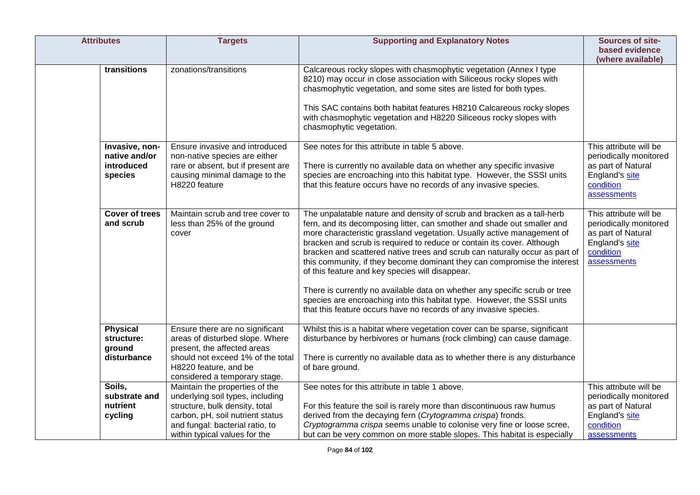| <b>Attributes</b>                                        | <b>Targets</b>                                                                                                                                                                                               | <b>Supporting and Explanatory Notes</b>                                                                                                                                                                                                                                                                                                                                                                                                                                                                                                                                                                                                                                                                                                           | <b>Sources of site-</b><br>based evidence<br>(where available)                                                       |
|----------------------------------------------------------|--------------------------------------------------------------------------------------------------------------------------------------------------------------------------------------------------------------|---------------------------------------------------------------------------------------------------------------------------------------------------------------------------------------------------------------------------------------------------------------------------------------------------------------------------------------------------------------------------------------------------------------------------------------------------------------------------------------------------------------------------------------------------------------------------------------------------------------------------------------------------------------------------------------------------------------------------------------------------|----------------------------------------------------------------------------------------------------------------------|
| transitions                                              | zonations/transitions                                                                                                                                                                                        | Calcareous rocky slopes with chasmophytic vegetation (Annex I type<br>8210) may occur in close association with Siliceous rocky slopes with<br>chasmophytic vegetation, and some sites are listed for both types.<br>This SAC contains both habitat features H8210 Calcareous rocky slopes<br>with chasmophytic vegetation and H8220 Siliceous rocky slopes with<br>chasmophytic vegetation.                                                                                                                                                                                                                                                                                                                                                      |                                                                                                                      |
| Invasive, non-<br>native and/or<br>introduced<br>species | Ensure invasive and introduced<br>non-native species are either<br>rare or absent, but if present are<br>causing minimal damage to the<br>H8220 feature                                                      | See notes for this attribute in table 5 above.<br>There is currently no available data on whether any specific invasive<br>species are encroaching into this habitat type. However, the SSSI units<br>that this feature occurs have no records of any invasive species.                                                                                                                                                                                                                                                                                                                                                                                                                                                                           | This attribute will be<br>periodically monitored<br>as part of Natural<br>England's site<br>condition<br>assessments |
| <b>Cover of trees</b><br>and scrub                       | Maintain scrub and tree cover to<br>less than 25% of the ground<br>cover                                                                                                                                     | The unpalatable nature and density of scrub and bracken as a tall-herb<br>fern, and its decomposing litter, can smother and shade out smaller and<br>more characteristic grassland vegetation. Usually active management of<br>bracken and scrub is required to reduce or contain its cover. Although<br>bracken and scattered native trees and scrub can naturally occur as part of<br>this community, if they become dominant they can compromise the interest<br>of this feature and key species will disappear.<br>There is currently no available data on whether any specific scrub or tree<br>species are encroaching into this habitat type. However, the SSSI units<br>that this feature occurs have no records of any invasive species. | This attribute will be<br>periodically monitored<br>as part of Natural<br>England's site<br>condition<br>assessments |
| <b>Physical</b><br>structure:<br>ground<br>disturbance   | Ensure there are no significant<br>areas of disturbed slope. Where<br>present, the affected areas<br>should not exceed 1% of the total<br>H8220 feature, and be<br>considered a temporary stage.             | Whilst this is a habitat where vegetation cover can be sparse, significant<br>disturbance by herbivores or humans (rock climbing) can cause damage.<br>There is currently no available data as to whether there is any disturbance<br>of bare ground.                                                                                                                                                                                                                                                                                                                                                                                                                                                                                             |                                                                                                                      |
| Soils,<br>substrate and<br>nutrient<br>cycling           | Maintain the properties of the<br>underlying soil types, including<br>structure, bulk density, total<br>carbon, pH, soil nutrient status<br>and fungal: bacterial ratio, to<br>within typical values for the | See notes for this attribute in table 1 above.<br>For this feature the soil is rarely more than discontinuous raw humus<br>derived from the decaying fern (Crytogramma crispa) fronds.<br>Cryptogramma crispa seems unable to colonise very fine or loose scree,<br>but can be very common on more stable slopes. This habitat is especially                                                                                                                                                                                                                                                                                                                                                                                                      | This attribute will be<br>periodically monitored<br>as part of Natural<br>England's site<br>condition<br>assessments |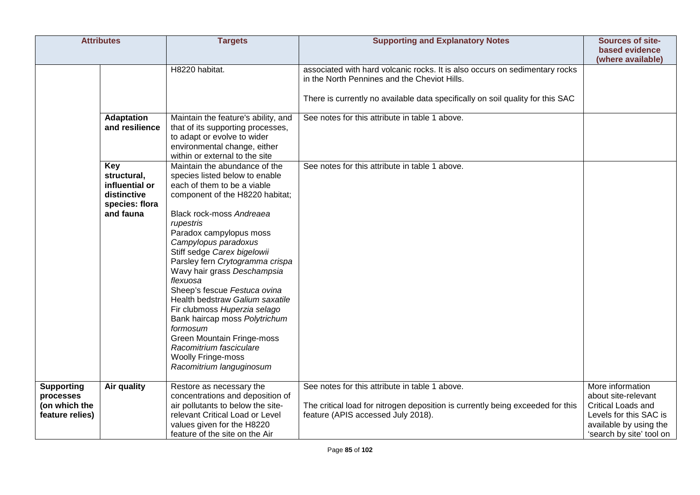|                                                 | <b>Attributes</b>                                                                  | <b>Targets</b>                                                                                                                                                                                                                                                                                                                                                                                                                                                                                                                                                                                               | <b>Supporting and Explanatory Notes</b>                                                                                          | <b>Sources of site-</b><br>based evidence<br>(where available)               |
|-------------------------------------------------|------------------------------------------------------------------------------------|--------------------------------------------------------------------------------------------------------------------------------------------------------------------------------------------------------------------------------------------------------------------------------------------------------------------------------------------------------------------------------------------------------------------------------------------------------------------------------------------------------------------------------------------------------------------------------------------------------------|----------------------------------------------------------------------------------------------------------------------------------|------------------------------------------------------------------------------|
|                                                 |                                                                                    | H8220 habitat.                                                                                                                                                                                                                                                                                                                                                                                                                                                                                                                                                                                               | associated with hard volcanic rocks. It is also occurs on sedimentary rocks<br>in the North Pennines and the Cheviot Hills.      |                                                                              |
|                                                 |                                                                                    |                                                                                                                                                                                                                                                                                                                                                                                                                                                                                                                                                                                                              | There is currently no available data specifically on soil quality for this SAC                                                   |                                                                              |
|                                                 | <b>Adaptation</b><br>and resilience                                                | Maintain the feature's ability, and<br>that of its supporting processes,<br>to adapt or evolve to wider<br>environmental change, either<br>within or external to the site                                                                                                                                                                                                                                                                                                                                                                                                                                    | See notes for this attribute in table 1 above.                                                                                   |                                                                              |
|                                                 | Key<br>structural,<br>influential or<br>distinctive<br>species: flora<br>and fauna | Maintain the abundance of the<br>species listed below to enable<br>each of them to be a viable<br>component of the H8220 habitat;<br>Black rock-moss Andreaea<br>rupestris<br>Paradox campylopus moss<br>Campylopus paradoxus<br>Stiff sedge Carex bigelowii<br>Parsley fern Crytogramma crispa<br>Wavy hair grass Deschampsia<br>flexuosa<br>Sheep's fescue Festuca ovina<br>Health bedstraw Galium saxatile<br>Fir clubmoss Huperzia selago<br>Bank haircap moss Polytrichum<br>formosum<br>Green Mountain Fringe-moss<br>Racomitrium fasciculare<br><b>Woolly Fringe-moss</b><br>Racomitrium languginosum | See notes for this attribute in table 1 above.                                                                                   |                                                                              |
| <b>Supporting</b><br>processes<br>(on which the | Air quality                                                                        | Restore as necessary the<br>concentrations and deposition of<br>air pollutants to below the site-                                                                                                                                                                                                                                                                                                                                                                                                                                                                                                            | See notes for this attribute in table 1 above.<br>The critical load for nitrogen deposition is currently being exceeded for this | More information<br>about site-relevant<br><b>Critical Loads and</b>         |
| feature relies)                                 |                                                                                    | relevant Critical Load or Level<br>values given for the H8220<br>feature of the site on the Air                                                                                                                                                                                                                                                                                                                                                                                                                                                                                                              | feature (APIS accessed July 2018).                                                                                               | Levels for this SAC is<br>available by using the<br>'search by site' tool on |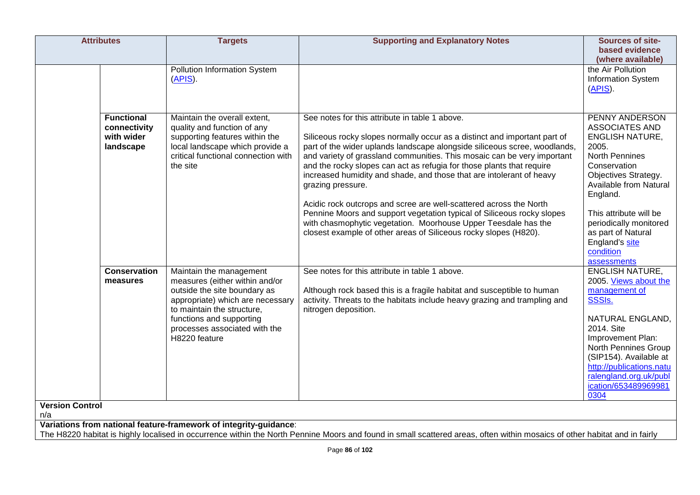| <b>Attributes</b>                                            | <b>Targets</b>                                                                                                                                                                                                                            | <b>Supporting and Explanatory Notes</b>                                                                                                                                                                                                                                                                                                                                                                                                                                                                                                                                                                                                                                                                                                         | Sources of site-<br>based evidence<br>(where available)                                                                                                                                                                                                                                            |
|--------------------------------------------------------------|-------------------------------------------------------------------------------------------------------------------------------------------------------------------------------------------------------------------------------------------|-------------------------------------------------------------------------------------------------------------------------------------------------------------------------------------------------------------------------------------------------------------------------------------------------------------------------------------------------------------------------------------------------------------------------------------------------------------------------------------------------------------------------------------------------------------------------------------------------------------------------------------------------------------------------------------------------------------------------------------------------|----------------------------------------------------------------------------------------------------------------------------------------------------------------------------------------------------------------------------------------------------------------------------------------------------|
|                                                              | <b>Pollution Information System</b><br>(APIS).                                                                                                                                                                                            |                                                                                                                                                                                                                                                                                                                                                                                                                                                                                                                                                                                                                                                                                                                                                 | the Air Pollution<br>Information System<br>$(APIS)$ .                                                                                                                                                                                                                                              |
| <b>Functional</b><br>connectivity<br>with wider<br>landscape | Maintain the overall extent,<br>quality and function of any<br>supporting features within the<br>local landscape which provide a<br>critical functional connection with<br>the site                                                       | See notes for this attribute in table 1 above.<br>Siliceous rocky slopes normally occur as a distinct and important part of<br>part of the wider uplands landscape alongside siliceous scree, woodlands,<br>and variety of grassland communities. This mosaic can be very important<br>and the rocky slopes can act as refugia for those plants that require<br>increased humidity and shade, and those that are intolerant of heavy<br>grazing pressure.<br>Acidic rock outcrops and scree are well-scattered across the North<br>Pennine Moors and support vegetation typical of Siliceous rocky slopes<br>with chasmophytic vegetation. Moorhouse Upper Teesdale has the<br>closest example of other areas of Siliceous rocky slopes (H820). | PENNY ANDERSON<br><b>ASSOCIATES AND</b><br><b>ENGLISH NATURE,</b><br>2005.<br>North Pennines<br>Conservation<br>Objectives Strategy.<br>Available from Natural<br>England.<br>This attribute will be<br>periodically monitored<br>as part of Natural<br>England's site<br>condition<br>assessments |
| <b>Conservation</b><br>measures                              | Maintain the management<br>measures (either within and/or<br>outside the site boundary as<br>appropriate) which are necessary<br>to maintain the structure,<br>functions and supporting<br>processes associated with the<br>H8220 feature | See notes for this attribute in table 1 above.<br>Although rock based this is a fragile habitat and susceptible to human<br>activity. Threats to the habitats include heavy grazing and trampling and<br>nitrogen deposition.                                                                                                                                                                                                                                                                                                                                                                                                                                                                                                                   | <b>ENGLISH NATURE,</b><br>2005. Views about the<br>management of<br><b>SSSIs.</b><br>NATURAL ENGLAND,<br>2014. Site<br>Improvement Plan:<br>North Pennines Group<br>(SIP154). Available at<br>http://publications.natu<br>ralengland.org.uk/publ<br>ication/653489969981<br>0304                   |
| <b>Version Control</b><br>n/a                                |                                                                                                                                                                                                                                           |                                                                                                                                                                                                                                                                                                                                                                                                                                                                                                                                                                                                                                                                                                                                                 |                                                                                                                                                                                                                                                                                                    |
|                                                              | Variations from national feature-framework of integrity-guidance:                                                                                                                                                                         | The H8220 habitat is highly localised in occurrence within the North Pennine Moors and found in small scattered areas, often within mosaics of other habitat and in fairly                                                                                                                                                                                                                                                                                                                                                                                                                                                                                                                                                                      |                                                                                                                                                                                                                                                                                                    |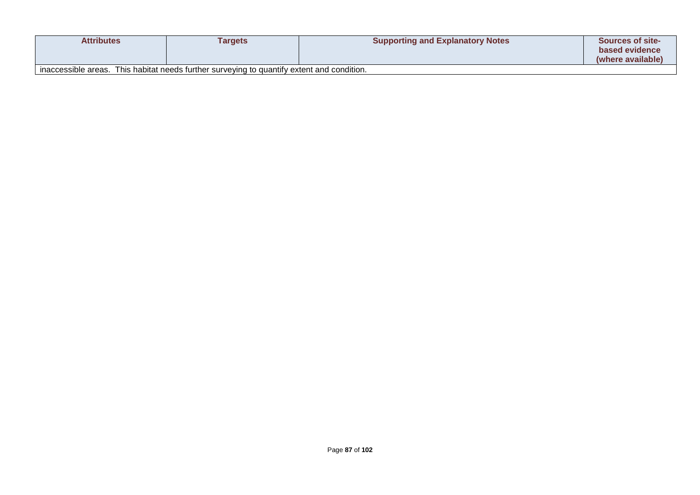| <b>Attributes</b>   | Targets                                                                | <b>Supporting and Explanatory Notes</b> | <b>Sources of site-</b><br>based evidence |
|---------------------|------------------------------------------------------------------------|-----------------------------------------|-------------------------------------------|
|                     |                                                                        |                                         | (where available)                         |
| inaccessible areas. | This habitat needs further surveying to quantify extent and condition. |                                         |                                           |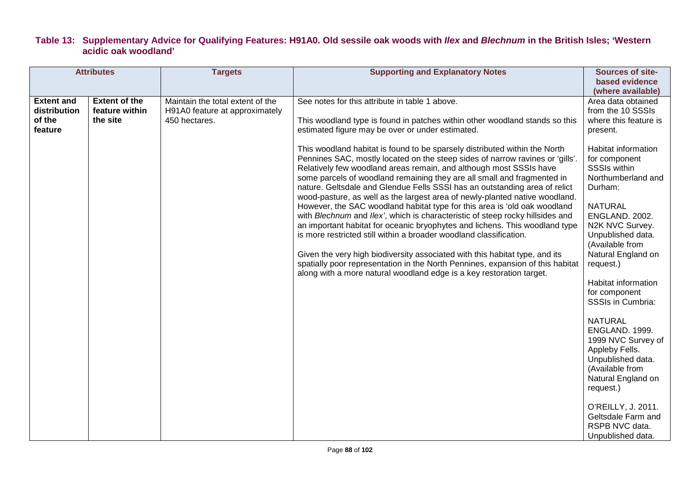## **Table 13: Supplementary Advice for Qualifying Features: H91A0. Old sessile oak woods with** *Ilex* **and** *Blechnum* **in the British Isles; 'Western acidic oak woodland'**

| <b>Attributes</b>                                      |                                                    | <b>Targets</b>                                                                      | <b>Supporting and Explanatory Notes</b>                                                                                                                                                                                                                                                                                                                                                                                                                                                                                                                                                                                                                                                                                                                                                                                                                                                                                                                                                                                                                                                                                                                                                                                    | <b>Sources of site-</b>                                                                                                                                                                                                                                                                                                          |
|--------------------------------------------------------|----------------------------------------------------|-------------------------------------------------------------------------------------|----------------------------------------------------------------------------------------------------------------------------------------------------------------------------------------------------------------------------------------------------------------------------------------------------------------------------------------------------------------------------------------------------------------------------------------------------------------------------------------------------------------------------------------------------------------------------------------------------------------------------------------------------------------------------------------------------------------------------------------------------------------------------------------------------------------------------------------------------------------------------------------------------------------------------------------------------------------------------------------------------------------------------------------------------------------------------------------------------------------------------------------------------------------------------------------------------------------------------|----------------------------------------------------------------------------------------------------------------------------------------------------------------------------------------------------------------------------------------------------------------------------------------------------------------------------------|
|                                                        |                                                    |                                                                                     |                                                                                                                                                                                                                                                                                                                                                                                                                                                                                                                                                                                                                                                                                                                                                                                                                                                                                                                                                                                                                                                                                                                                                                                                                            | (where available)                                                                                                                                                                                                                                                                                                                |
| <b>Extent and</b><br>distribution<br>of the<br>feature | <b>Extent of the</b><br>feature within<br>the site | Maintain the total extent of the<br>H91A0 feature at approximately<br>450 hectares. | See notes for this attribute in table 1 above.<br>This woodland type is found in patches within other woodland stands so this<br>estimated figure may be over or under estimated.<br>This woodland habitat is found to be sparsely distributed within the North<br>Pennines SAC, mostly located on the steep sides of narrow ravines or 'gills'.<br>Relatively few woodland areas remain, and although most SSSIs have<br>some parcels of woodland remaining they are all small and fragmented in<br>nature. Geltsdale and Glendue Fells SSSI has an outstanding area of relict<br>wood-pasture, as well as the largest area of newly-planted native woodland.<br>However, the SAC woodland habitat type for this area is 'old oak woodland<br>with Blechnum and Ilex', which is characteristic of steep rocky hillsides and<br>an important habitat for oceanic bryophytes and lichens. This woodland type<br>is more restricted still within a broader woodland classification.<br>Given the very high biodiversity associated with this habitat type, and its<br>spatially poor representation in the North Pennines, expansion of this habitat<br>along with a more natural woodland edge is a key restoration target. | based evidence<br>Area data obtained<br>from the 10 SSSIs<br>where this feature is<br>present.<br>Habitat information<br>for component<br><b>SSSIs within</b><br>Northumberland and<br>Durham:<br><b>NATURAL</b><br>ENGLAND. 2002.<br>N2K NVC Survey.<br>Unpublished data.<br>(Available from<br>Natural England on<br>request.) |
|                                                        |                                                    |                                                                                     |                                                                                                                                                                                                                                                                                                                                                                                                                                                                                                                                                                                                                                                                                                                                                                                                                                                                                                                                                                                                                                                                                                                                                                                                                            | Habitat information<br>for component<br><b>SSSIs in Cumbria:</b><br><b>NATURAL</b><br>ENGLAND. 1999.<br>1999 NVC Survey of<br>Appleby Fells.<br>Unpublished data.<br>(Available from<br>Natural England on<br>request.)<br>O'REILLY, J. 2011.<br>Geltsdale Farm and<br>RSPB NVC data.<br>Unpublished data.                       |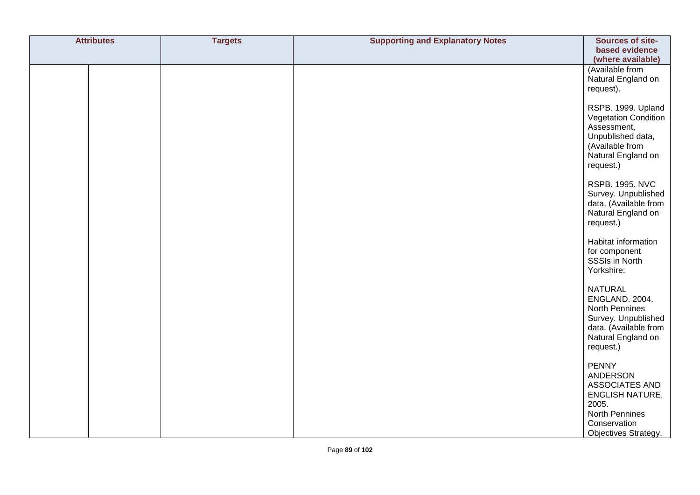| <b>Attributes</b> | <b>Targets</b> | <b>Supporting and Explanatory Notes</b> | Sources of site-                                                                                                                               |
|-------------------|----------------|-----------------------------------------|------------------------------------------------------------------------------------------------------------------------------------------------|
|                   |                |                                         | based evidence<br>(where available)                                                                                                            |
|                   |                |                                         | (Available from<br>Natural England on<br>request).                                                                                             |
|                   |                |                                         | RSPB. 1999. Upland<br>Vegetation Condition<br>Assessment,<br>Unpublished data,<br>(Available from<br>Natural England on<br>request.)           |
|                   |                |                                         | <b>RSPB. 1995. NVC</b><br>Survey. Unpublished<br>data, (Available from<br>Natural England on<br>request.)                                      |
|                   |                |                                         | Habitat information<br>for component<br>SSSIs in North<br>Yorkshire:                                                                           |
|                   |                |                                         | <b>NATURAL</b><br>ENGLAND. 2004.<br>North Pennines<br>Survey. Unpublished<br>data. (Available from<br>Natural England on<br>request.)          |
|                   |                |                                         | <b>PENNY</b><br>ANDERSON<br>ASSOCIATES AND<br><b>ENGLISH NATURE,</b><br>2005.<br><b>North Pennines</b><br>Conservation<br>Objectives Strategy. |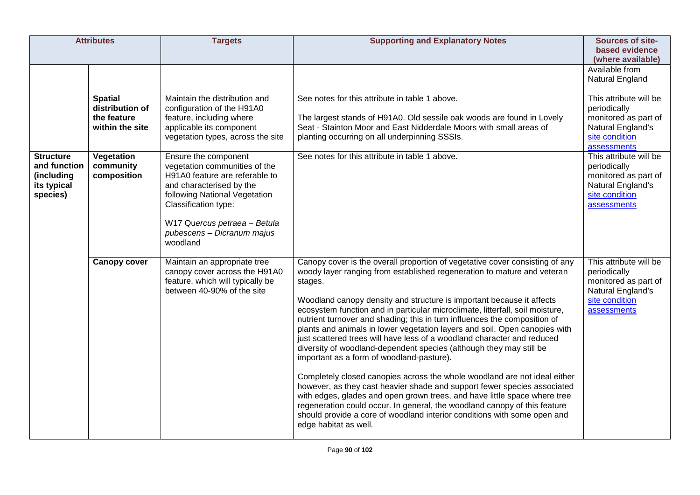| <b>Attributes</b>                                                         |                                                                     | <b>Targets</b>                                                                                                                                                                                                                                         | <b>Supporting and Explanatory Notes</b>                                                                                                                                                                                                                                                                                                                                                                                                                                                                                                                                                                                                                                                                                                                                                                                                                                                                                                                                                                                                                                                                        | <b>Sources of site-</b><br>based evidence                                                                            |
|---------------------------------------------------------------------------|---------------------------------------------------------------------|--------------------------------------------------------------------------------------------------------------------------------------------------------------------------------------------------------------------------------------------------------|----------------------------------------------------------------------------------------------------------------------------------------------------------------------------------------------------------------------------------------------------------------------------------------------------------------------------------------------------------------------------------------------------------------------------------------------------------------------------------------------------------------------------------------------------------------------------------------------------------------------------------------------------------------------------------------------------------------------------------------------------------------------------------------------------------------------------------------------------------------------------------------------------------------------------------------------------------------------------------------------------------------------------------------------------------------------------------------------------------------|----------------------------------------------------------------------------------------------------------------------|
|                                                                           |                                                                     |                                                                                                                                                                                                                                                        |                                                                                                                                                                                                                                                                                                                                                                                                                                                                                                                                                                                                                                                                                                                                                                                                                                                                                                                                                                                                                                                                                                                | (where available)<br>Available from<br>Natural England                                                               |
|                                                                           | <b>Spatial</b><br>distribution of<br>the feature<br>within the site | Maintain the distribution and<br>configuration of the H91A0<br>feature, including where<br>applicable its component<br>vegetation types, across the site                                                                                               | See notes for this attribute in table 1 above.<br>The largest stands of H91A0. Old sessile oak woods are found in Lovely<br>Seat - Stainton Moor and East Nidderdale Moors with small areas of<br>planting occurring on all underpinning SSSIs.                                                                                                                                                                                                                                                                                                                                                                                                                                                                                                                                                                                                                                                                                                                                                                                                                                                                | This attribute will be<br>periodically<br>monitored as part of<br>Natural England's<br>site condition<br>assessments |
| <b>Structure</b><br>and function<br>(including<br>its typical<br>species) | Vegetation<br>community<br>composition                              | Ensure the component<br>vegetation communities of the<br>H91A0 feature are referable to<br>and characterised by the<br>following National Vegetation<br>Classification type:<br>W17 Quercus petraea - Betula<br>pubescens - Dicranum majus<br>woodland | See notes for this attribute in table 1 above.                                                                                                                                                                                                                                                                                                                                                                                                                                                                                                                                                                                                                                                                                                                                                                                                                                                                                                                                                                                                                                                                 | This attribute will be<br>periodically<br>monitored as part of<br>Natural England's<br>site condition<br>assessments |
|                                                                           | <b>Canopy cover</b>                                                 | Maintain an appropriate tree<br>canopy cover across the H91A0<br>feature, which will typically be<br>between 40-90% of the site                                                                                                                        | Canopy cover is the overall proportion of vegetative cover consisting of any<br>woody layer ranging from established regeneration to mature and veteran<br>stages.<br>Woodland canopy density and structure is important because it affects<br>ecosystem function and in particular microclimate, litterfall, soil moisture,<br>nutrient turnover and shading; this in turn influences the composition of<br>plants and animals in lower vegetation layers and soil. Open canopies with<br>just scattered trees will have less of a woodland character and reduced<br>diversity of woodland-dependent species (although they may still be<br>important as a form of woodland-pasture).<br>Completely closed canopies across the whole woodland are not ideal either<br>however, as they cast heavier shade and support fewer species associated<br>with edges, glades and open grown trees, and have little space where tree<br>regeneration could occur. In general, the woodland canopy of this feature<br>should provide a core of woodland interior conditions with some open and<br>edge habitat as well. | This attribute will be<br>periodically<br>monitored as part of<br>Natural England's<br>site condition<br>assessments |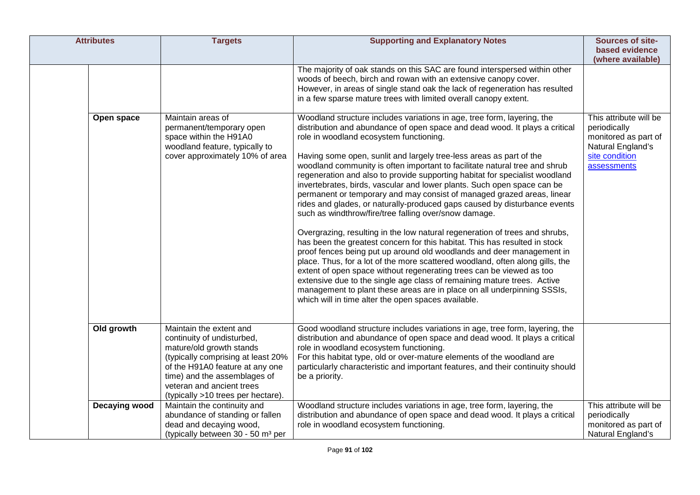| <b>Attributes</b> | <b>Targets</b>                                                                                                                                                                                                                                                | <b>Supporting and Explanatory Notes</b>                                                                                                                                                                                                                                                                                                                                                                                                                                                                                                                                                                                                                                                                                                                                                                                                                                                                                                                                                                                                                                                                                                                                                                                                                                                                                                      | Sources of site-<br>based evidence<br>(where available)                                                              |
|-------------------|---------------------------------------------------------------------------------------------------------------------------------------------------------------------------------------------------------------------------------------------------------------|----------------------------------------------------------------------------------------------------------------------------------------------------------------------------------------------------------------------------------------------------------------------------------------------------------------------------------------------------------------------------------------------------------------------------------------------------------------------------------------------------------------------------------------------------------------------------------------------------------------------------------------------------------------------------------------------------------------------------------------------------------------------------------------------------------------------------------------------------------------------------------------------------------------------------------------------------------------------------------------------------------------------------------------------------------------------------------------------------------------------------------------------------------------------------------------------------------------------------------------------------------------------------------------------------------------------------------------------|----------------------------------------------------------------------------------------------------------------------|
|                   |                                                                                                                                                                                                                                                               | The majority of oak stands on this SAC are found interspersed within other<br>woods of beech, birch and rowan with an extensive canopy cover.<br>However, in areas of single stand oak the lack of regeneration has resulted<br>in a few sparse mature trees with limited overall canopy extent.                                                                                                                                                                                                                                                                                                                                                                                                                                                                                                                                                                                                                                                                                                                                                                                                                                                                                                                                                                                                                                             |                                                                                                                      |
| Open space        | Maintain areas of<br>permanent/temporary open<br>space within the H91A0<br>woodland feature, typically to<br>cover approximately 10% of area                                                                                                                  | Woodland structure includes variations in age, tree form, layering, the<br>distribution and abundance of open space and dead wood. It plays a critical<br>role in woodland ecosystem functioning.<br>Having some open, sunlit and largely tree-less areas as part of the<br>woodland community is often important to facilitate natural tree and shrub<br>regeneration and also to provide supporting habitat for specialist woodland<br>invertebrates, birds, vascular and lower plants. Such open space can be<br>permanent or temporary and may consist of managed grazed areas, linear<br>rides and glades, or naturally-produced gaps caused by disturbance events<br>such as windthrow/fire/tree falling over/snow damage.<br>Overgrazing, resulting in the low natural regeneration of trees and shrubs,<br>has been the greatest concern for this habitat. This has resulted in stock<br>proof fences being put up around old woodlands and deer management in<br>place. Thus, for a lot of the more scattered woodland, often along gills, the<br>extent of open space without regenerating trees can be viewed as too<br>extensive due to the single age class of remaining mature trees. Active<br>management to plant these areas are in place on all underpinning SSSIs,<br>which will in time alter the open spaces available. | This attribute will be<br>periodically<br>monitored as part of<br>Natural England's<br>site condition<br>assessments |
| Old growth        | Maintain the extent and<br>continuity of undisturbed,<br>mature/old growth stands<br>(typically comprising at least 20%<br>of the H91A0 feature at any one<br>time) and the assemblages of<br>veteran and ancient trees<br>(typically >10 trees per hectare). | Good woodland structure includes variations in age, tree form, layering, the<br>distribution and abundance of open space and dead wood. It plays a critical<br>role in woodland ecosystem functioning.<br>For this habitat type, old or over-mature elements of the woodland are<br>particularly characteristic and important features, and their continuity should<br>be a priority.                                                                                                                                                                                                                                                                                                                                                                                                                                                                                                                                                                                                                                                                                                                                                                                                                                                                                                                                                        |                                                                                                                      |
| Decaying wood     | Maintain the continuity and<br>abundance of standing or fallen<br>dead and decaying wood,<br>(typically between 30 - 50 m <sup>3</sup> per                                                                                                                    | Woodland structure includes variations in age, tree form, layering, the<br>distribution and abundance of open space and dead wood. It plays a critical<br>role in woodland ecosystem functioning.                                                                                                                                                                                                                                                                                                                                                                                                                                                                                                                                                                                                                                                                                                                                                                                                                                                                                                                                                                                                                                                                                                                                            | This attribute will be<br>periodically<br>monitored as part of<br>Natural England's                                  |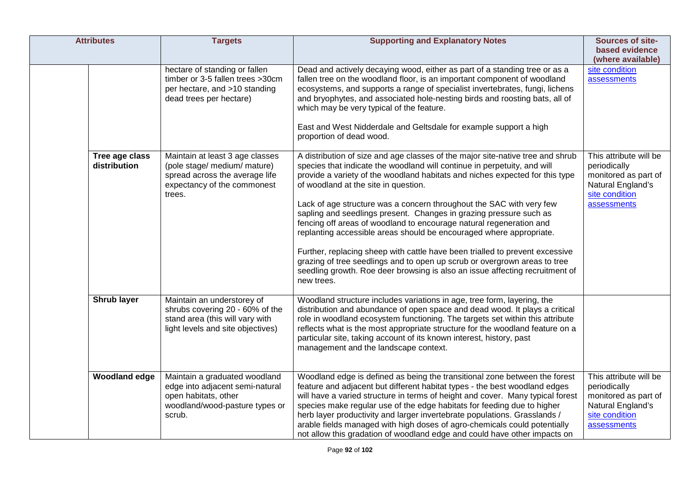| <b>Attributes</b>              | <b>Targets</b>                                                                                                                             | <b>Supporting and Explanatory Notes</b>                                                                                                                                                                                                                                                                                                                                                                                                                                                                                                                                                                                                                                                                                                                                                                                                   | Sources of site-<br>based evidence<br>(where available)                                                              |
|--------------------------------|--------------------------------------------------------------------------------------------------------------------------------------------|-------------------------------------------------------------------------------------------------------------------------------------------------------------------------------------------------------------------------------------------------------------------------------------------------------------------------------------------------------------------------------------------------------------------------------------------------------------------------------------------------------------------------------------------------------------------------------------------------------------------------------------------------------------------------------------------------------------------------------------------------------------------------------------------------------------------------------------------|----------------------------------------------------------------------------------------------------------------------|
|                                | hectare of standing or fallen<br>timber or 3-5 fallen trees >30cm<br>per hectare, and >10 standing<br>dead trees per hectare)              | Dead and actively decaying wood, either as part of a standing tree or as a<br>fallen tree on the woodland floor, is an important component of woodland<br>ecosystems, and supports a range of specialist invertebrates, fungi, lichens<br>and bryophytes, and associated hole-nesting birds and roosting bats, all of<br>which may be very typical of the feature.<br>East and West Nidderdale and Geltsdale for example support a high<br>proportion of dead wood.                                                                                                                                                                                                                                                                                                                                                                       | site condition<br>assessments                                                                                        |
| Tree age class<br>distribution | Maintain at least 3 age classes<br>(pole stage/ medium/ mature)<br>spread across the average life<br>expectancy of the commonest<br>trees. | A distribution of size and age classes of the major site-native tree and shrub<br>species that indicate the woodland will continue in perpetuity, and will<br>provide a variety of the woodland habitats and niches expected for this type<br>of woodland at the site in question.<br>Lack of age structure was a concern throughout the SAC with very few<br>sapling and seedlings present. Changes in grazing pressure such as<br>fencing off areas of woodland to encourage natural regeneration and<br>replanting accessible areas should be encouraged where appropriate.<br>Further, replacing sheep with cattle have been trialled to prevent excessive<br>grazing of tree seedlings and to open up scrub or overgrown areas to tree<br>seedling growth. Roe deer browsing is also an issue affecting recruitment of<br>new trees. | This attribute will be<br>periodically<br>monitored as part of<br>Natural England's<br>site condition<br>assessments |
| Shrub layer                    | Maintain an understorey of<br>shrubs covering 20 - 60% of the<br>stand area (this will vary with<br>light levels and site objectives)      | Woodland structure includes variations in age, tree form, layering, the<br>distribution and abundance of open space and dead wood. It plays a critical<br>role in woodland ecosystem functioning. The targets set within this attribute<br>reflects what is the most appropriate structure for the woodland feature on a<br>particular site, taking account of its known interest, history, past<br>management and the landscape context.                                                                                                                                                                                                                                                                                                                                                                                                 |                                                                                                                      |
| <b>Woodland edge</b>           | Maintain a graduated woodland<br>edge into adjacent semi-natural<br>open habitats, other<br>woodland/wood-pasture types or<br>scrub.       | Woodland edge is defined as being the transitional zone between the forest<br>feature and adjacent but different habitat types - the best woodland edges<br>will have a varied structure in terms of height and cover. Many typical forest<br>species make regular use of the edge habitats for feeding due to higher<br>herb layer productivity and larger invertebrate populations. Grasslands /<br>arable fields managed with high doses of agro-chemicals could potentially<br>not allow this gradation of woodland edge and could have other impacts on                                                                                                                                                                                                                                                                              | This attribute will be<br>periodically<br>monitored as part of<br>Natural England's<br>site condition<br>assessments |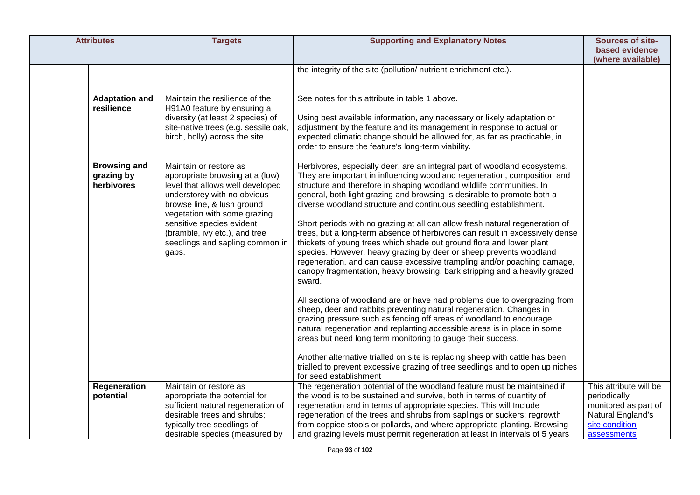| <b>Attributes</b> |                                                 | <b>Targets</b>                                                                                                                                                                                                                                                                                       | <b>Supporting and Explanatory Notes</b>                                                                                                                                                                                                                                                                                                                                                                                                                                                                                                                                                                                                                                                                                                                                                                                                                                                                                                                                                                                                                                                                                                                                                                                                                                                                                                                                                                                        | Sources of site-<br>based evidence<br>(where available)                                                              |
|-------------------|-------------------------------------------------|------------------------------------------------------------------------------------------------------------------------------------------------------------------------------------------------------------------------------------------------------------------------------------------------------|--------------------------------------------------------------------------------------------------------------------------------------------------------------------------------------------------------------------------------------------------------------------------------------------------------------------------------------------------------------------------------------------------------------------------------------------------------------------------------------------------------------------------------------------------------------------------------------------------------------------------------------------------------------------------------------------------------------------------------------------------------------------------------------------------------------------------------------------------------------------------------------------------------------------------------------------------------------------------------------------------------------------------------------------------------------------------------------------------------------------------------------------------------------------------------------------------------------------------------------------------------------------------------------------------------------------------------------------------------------------------------------------------------------------------------|----------------------------------------------------------------------------------------------------------------------|
|                   |                                                 |                                                                                                                                                                                                                                                                                                      | the integrity of the site (pollution/ nutrient enrichment etc.).                                                                                                                                                                                                                                                                                                                                                                                                                                                                                                                                                                                                                                                                                                                                                                                                                                                                                                                                                                                                                                                                                                                                                                                                                                                                                                                                                               |                                                                                                                      |
|                   | <b>Adaptation and</b><br>resilience             | Maintain the resilience of the<br>H91A0 feature by ensuring a<br>diversity (at least 2 species) of<br>site-native trees (e.g. sessile oak,<br>birch, holly) across the site.                                                                                                                         | See notes for this attribute in table 1 above.<br>Using best available information, any necessary or likely adaptation or<br>adjustment by the feature and its management in response to actual or<br>expected climatic change should be allowed for, as far as practicable, in<br>order to ensure the feature's long-term viability.                                                                                                                                                                                                                                                                                                                                                                                                                                                                                                                                                                                                                                                                                                                                                                                                                                                                                                                                                                                                                                                                                          |                                                                                                                      |
|                   | <b>Browsing and</b><br>grazing by<br>herbivores | Maintain or restore as<br>appropriate browsing at a (low)<br>level that allows well developed<br>understorey with no obvious<br>browse line, & lush ground<br>vegetation with some grazing<br>sensitive species evident<br>(bramble, ivy etc.), and tree<br>seedlings and sapling common in<br>gaps. | Herbivores, especially deer, are an integral part of woodland ecosystems.<br>They are important in influencing woodland regeneration, composition and<br>structure and therefore in shaping woodland wildlife communities. In<br>general, both light grazing and browsing is desirable to promote both a<br>diverse woodland structure and continuous seedling establishment.<br>Short periods with no grazing at all can allow fresh natural regeneration of<br>trees, but a long-term absence of herbivores can result in excessively dense<br>thickets of young trees which shade out ground flora and lower plant<br>species. However, heavy grazing by deer or sheep prevents woodland<br>regeneration, and can cause excessive trampling and/or poaching damage,<br>canopy fragmentation, heavy browsing, bark stripping and a heavily grazed<br>sward.<br>All sections of woodland are or have had problems due to overgrazing from<br>sheep, deer and rabbits preventing natural regeneration. Changes in<br>grazing pressure such as fencing off areas of woodland to encourage<br>natural regeneration and replanting accessible areas is in place in some<br>areas but need long term monitoring to gauge their success.<br>Another alternative trialled on site is replacing sheep with cattle has been<br>trialled to prevent excessive grazing of tree seedlings and to open up niches<br>for seed establishment |                                                                                                                      |
|                   | Regeneration<br>potential                       | Maintain or restore as<br>appropriate the potential for<br>sufficient natural regeneration of<br>desirable trees and shrubs;<br>typically tree seedlings of<br>desirable species (measured by                                                                                                        | The regeneration potential of the woodland feature must be maintained if<br>the wood is to be sustained and survive, both in terms of quantity of<br>regeneration and in terms of appropriate species. This will Include<br>regeneration of the trees and shrubs from saplings or suckers; regrowth<br>from coppice stools or pollards, and where appropriate planting. Browsing<br>and grazing levels must permit regeneration at least in intervals of 5 years                                                                                                                                                                                                                                                                                                                                                                                                                                                                                                                                                                                                                                                                                                                                                                                                                                                                                                                                                               | This attribute will be<br>periodically<br>monitored as part of<br>Natural England's<br>site condition<br>assessments |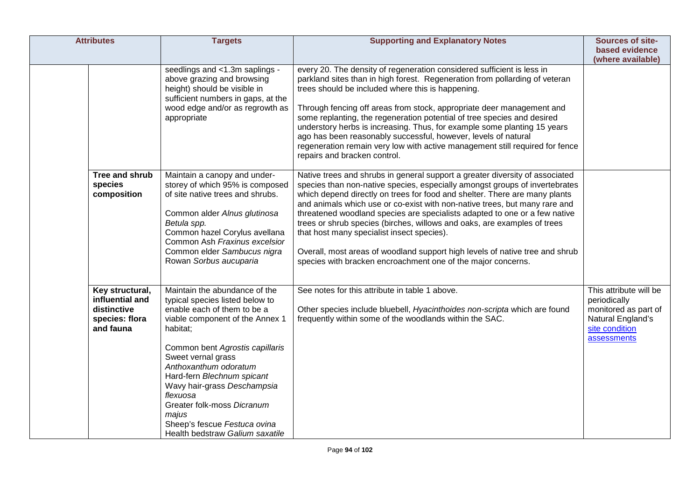| <b>Attributes</b>                                                                | <b>Targets</b>                                                                                                                                                                                                                                                                                                                                                                                                      | <b>Supporting and Explanatory Notes</b>                                                                                                                                                                                                                                                                                                                                                                                                                                                                                                                                                                                                                                         | Sources of site-<br>based evidence                                                                                   |
|----------------------------------------------------------------------------------|---------------------------------------------------------------------------------------------------------------------------------------------------------------------------------------------------------------------------------------------------------------------------------------------------------------------------------------------------------------------------------------------------------------------|---------------------------------------------------------------------------------------------------------------------------------------------------------------------------------------------------------------------------------------------------------------------------------------------------------------------------------------------------------------------------------------------------------------------------------------------------------------------------------------------------------------------------------------------------------------------------------------------------------------------------------------------------------------------------------|----------------------------------------------------------------------------------------------------------------------|
|                                                                                  |                                                                                                                                                                                                                                                                                                                                                                                                                     |                                                                                                                                                                                                                                                                                                                                                                                                                                                                                                                                                                                                                                                                                 | (where available)                                                                                                    |
|                                                                                  | seedlings and <1.3m saplings -<br>above grazing and browsing<br>height) should be visible in<br>sufficient numbers in gaps, at the<br>wood edge and/or as regrowth as<br>appropriate                                                                                                                                                                                                                                | every 20. The density of regeneration considered sufficient is less in<br>parkland sites than in high forest. Regeneration from pollarding of veteran<br>trees should be included where this is happening.<br>Through fencing off areas from stock, appropriate deer management and<br>some replanting, the regeneration potential of tree species and desired<br>understory herbs is increasing. Thus, for example some planting 15 years<br>ago has been reasonably successful, however, levels of natural<br>regeneration remain very low with active management still required for fence<br>repairs and bracken control.                                                    |                                                                                                                      |
| Tree and shrub<br>species<br>composition                                         | Maintain a canopy and under-<br>storey of which 95% is composed<br>of site native trees and shrubs.<br>Common alder Alnus glutinosa<br>Betula spp.<br>Common hazel Corylus avellana<br>Common Ash Fraxinus excelsior<br>Common elder Sambucus nigra<br>Rowan Sorbus aucuparia                                                                                                                                       | Native trees and shrubs in general support a greater diversity of associated<br>species than non-native species, especially amongst groups of invertebrates<br>which depend directly on trees for food and shelter. There are many plants<br>and animals which use or co-exist with non-native trees, but many rare and<br>threatened woodland species are specialists adapted to one or a few native<br>trees or shrub species (birches, willows and oaks, are examples of trees<br>that host many specialist insect species).<br>Overall, most areas of woodland support high levels of native tree and shrub<br>species with bracken encroachment one of the major concerns. |                                                                                                                      |
| Key structural,<br>influential and<br>distinctive<br>species: flora<br>and fauna | Maintain the abundance of the<br>typical species listed below to<br>enable each of them to be a<br>viable component of the Annex 1<br>habitat;<br>Common bent Agrostis capillaris<br>Sweet vernal grass<br>Anthoxanthum odoratum<br>Hard-fern Blechnum spicant<br>Wavy hair-grass Deschampsia<br>flexuosa<br>Greater folk-moss Dicranum<br>majus<br>Sheep's fescue Festuca ovina<br>Health bedstraw Galium saxatile | See notes for this attribute in table 1 above.<br>Other species include bluebell, Hyacinthoides non-scripta which are found<br>frequently within some of the woodlands within the SAC.                                                                                                                                                                                                                                                                                                                                                                                                                                                                                          | This attribute will be<br>periodically<br>monitored as part of<br>Natural England's<br>site condition<br>assessments |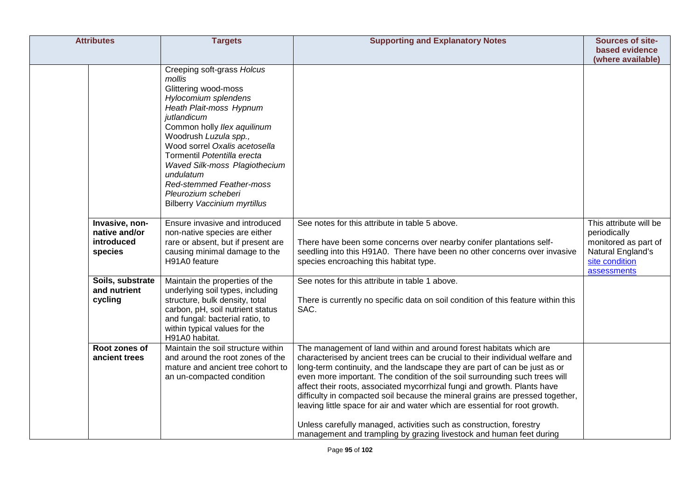| <b>Attributes</b>                                        | <b>Targets</b>                                                                                                                                                                                                                                                                                                                                                                                 | <b>Supporting and Explanatory Notes</b>                                                                                                                                                                                                                                                                                                                                                                                                                                                                                                                                                                                                                                                                   | Sources of site-                                                                                                     |
|----------------------------------------------------------|------------------------------------------------------------------------------------------------------------------------------------------------------------------------------------------------------------------------------------------------------------------------------------------------------------------------------------------------------------------------------------------------|-----------------------------------------------------------------------------------------------------------------------------------------------------------------------------------------------------------------------------------------------------------------------------------------------------------------------------------------------------------------------------------------------------------------------------------------------------------------------------------------------------------------------------------------------------------------------------------------------------------------------------------------------------------------------------------------------------------|----------------------------------------------------------------------------------------------------------------------|
|                                                          |                                                                                                                                                                                                                                                                                                                                                                                                |                                                                                                                                                                                                                                                                                                                                                                                                                                                                                                                                                                                                                                                                                                           | based evidence<br>(where available)                                                                                  |
|                                                          | Creeping soft-grass Holcus<br>mollis<br>Glittering wood-moss<br>Hylocomium splendens<br>Heath Plait-moss Hypnum<br>jutlandicum<br>Common holly Ilex aquilinum<br>Woodrush Luzula spp.,<br>Wood sorrel Oxalis acetosella<br>Tormentil Potentilla erecta<br>Waved Silk-moss Plagiothecium<br>undulatum<br>Red-stemmed Feather-moss<br>Pleurozium scheberi<br><b>Bilberry Vaccinium myrtillus</b> |                                                                                                                                                                                                                                                                                                                                                                                                                                                                                                                                                                                                                                                                                                           |                                                                                                                      |
| Invasive, non-<br>native and/or<br>introduced<br>species | Ensure invasive and introduced<br>non-native species are either<br>rare or absent, but if present are<br>causing minimal damage to the<br>H91A0 feature                                                                                                                                                                                                                                        | See notes for this attribute in table 5 above.<br>There have been some concerns over nearby conifer plantations self-<br>seedling into this H91A0. There have been no other concerns over invasive<br>species encroaching this habitat type.                                                                                                                                                                                                                                                                                                                                                                                                                                                              | This attribute will be<br>periodically<br>monitored as part of<br>Natural England's<br>site condition<br>assessments |
| Soils, substrate<br>and nutrient<br>cycling              | Maintain the properties of the<br>underlying soil types, including<br>structure, bulk density, total<br>carbon, pH, soil nutrient status<br>and fungal: bacterial ratio, to<br>within typical values for the<br>H91A0 habitat.                                                                                                                                                                 | See notes for this attribute in table 1 above.<br>There is currently no specific data on soil condition of this feature within this<br>SAC.                                                                                                                                                                                                                                                                                                                                                                                                                                                                                                                                                               |                                                                                                                      |
| Root zones of<br>ancient trees                           | Maintain the soil structure within<br>and around the root zones of the<br>mature and ancient tree cohort to<br>an un-compacted condition                                                                                                                                                                                                                                                       | The management of land within and around forest habitats which are<br>characterised by ancient trees can be crucial to their individual welfare and<br>long-term continuity, and the landscape they are part of can be just as or<br>even more important. The condition of the soil surrounding such trees will<br>affect their roots, associated mycorrhizal fungi and growth. Plants have<br>difficulty in compacted soil because the mineral grains are pressed together,<br>leaving little space for air and water which are essential for root growth.<br>Unless carefully managed, activities such as construction, forestry<br>management and trampling by grazing livestock and human feet during |                                                                                                                      |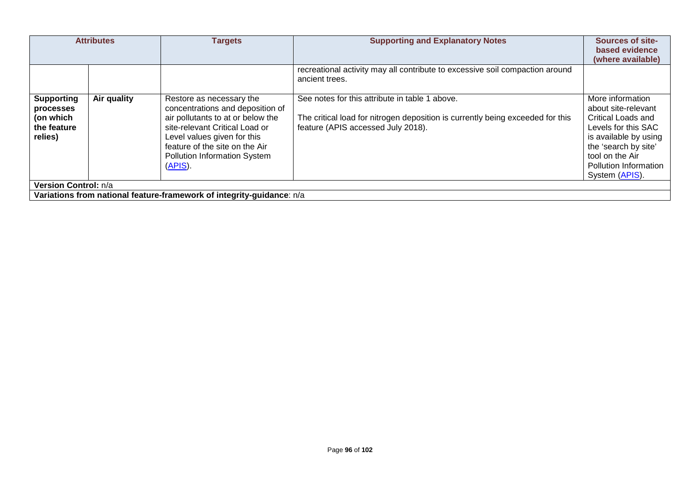| <b>Attributes</b>                                                     |                      | <b>Targets</b>                                                                                                                                                                                                                                            | <b>Supporting and Explanatory Notes</b>                                                                                                                                | Sources of site-<br>based evidence<br>(where available)                                                                                                                                             |  |
|-----------------------------------------------------------------------|----------------------|-----------------------------------------------------------------------------------------------------------------------------------------------------------------------------------------------------------------------------------------------------------|------------------------------------------------------------------------------------------------------------------------------------------------------------------------|-----------------------------------------------------------------------------------------------------------------------------------------------------------------------------------------------------|--|
|                                                                       |                      |                                                                                                                                                                                                                                                           | recreational activity may all contribute to excessive soil compaction around<br>ancient trees.                                                                         |                                                                                                                                                                                                     |  |
| <b>Supporting</b><br>processes<br>(on which<br>the feature<br>relies) | Air quality          | Restore as necessary the<br>concentrations and deposition of<br>air pollutants to at or below the<br>site-relevant Critical Load or<br>Level values given for this<br>feature of the site on the Air<br><b>Pollution Information System</b><br>$(APIS)$ . | See notes for this attribute in table 1 above.<br>The critical load for nitrogen deposition is currently being exceeded for this<br>feature (APIS accessed July 2018). | More information<br>about site-relevant<br>Critical Loads and<br>Levels for this SAC<br>is available by using<br>the 'search by site'<br>tool on the Air<br>Pollution Information<br>System (APIS). |  |
|                                                                       | Version Control: n/a |                                                                                                                                                                                                                                                           |                                                                                                                                                                        |                                                                                                                                                                                                     |  |
| Variations from national feature-framework of integrity-guidance: n/a |                      |                                                                                                                                                                                                                                                           |                                                                                                                                                                        |                                                                                                                                                                                                     |  |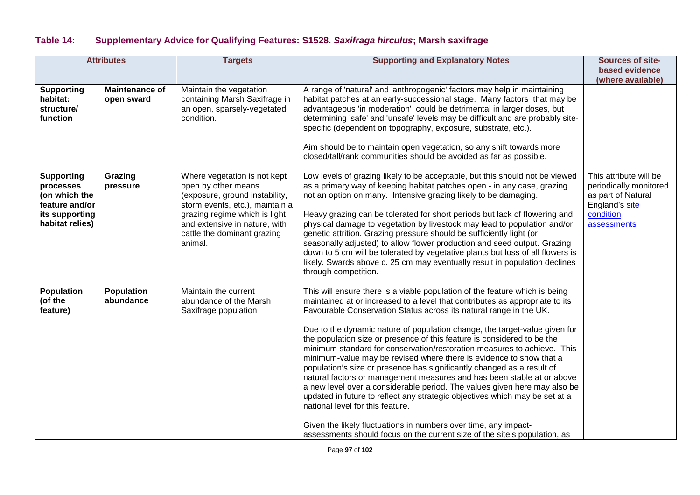# **Table 14: Supplementary Advice for Qualifying Features: S1528.** *Saxifraga hirculus***; Marsh saxifrage**

| <b>Attributes</b>                                                                                      |                                     | <b>Targets</b>                                                                                                                                                                                                                       | <b>Supporting and Explanatory Notes</b>                                                                                                                                                                                                                                                                                                                                                                                                                                                                                                                                                                                                                                                                                                                                                                                                                                                                                                                                                                                                          | Sources of site-                                                                                                     |
|--------------------------------------------------------------------------------------------------------|-------------------------------------|--------------------------------------------------------------------------------------------------------------------------------------------------------------------------------------------------------------------------------------|--------------------------------------------------------------------------------------------------------------------------------------------------------------------------------------------------------------------------------------------------------------------------------------------------------------------------------------------------------------------------------------------------------------------------------------------------------------------------------------------------------------------------------------------------------------------------------------------------------------------------------------------------------------------------------------------------------------------------------------------------------------------------------------------------------------------------------------------------------------------------------------------------------------------------------------------------------------------------------------------------------------------------------------------------|----------------------------------------------------------------------------------------------------------------------|
|                                                                                                        |                                     |                                                                                                                                                                                                                                      |                                                                                                                                                                                                                                                                                                                                                                                                                                                                                                                                                                                                                                                                                                                                                                                                                                                                                                                                                                                                                                                  | based evidence<br>(where available)                                                                                  |
| <b>Supporting</b><br>habitat:<br>structure/<br>function                                                | <b>Maintenance of</b><br>open sward | Maintain the vegetation<br>containing Marsh Saxifrage in<br>an open, sparsely-vegetated<br>condition.                                                                                                                                | A range of 'natural' and 'anthropogenic' factors may help in maintaining<br>habitat patches at an early-successional stage. Many factors that may be<br>advantageous 'in moderation' could be detrimental in larger doses, but<br>determining 'safe' and 'unsafe' levels may be difficult and are probably site-<br>specific (dependent on topography, exposure, substrate, etc.).<br>Aim should be to maintain open vegetation, so any shift towards more<br>closed/tall/rank communities should be avoided as far as possible.                                                                                                                                                                                                                                                                                                                                                                                                                                                                                                                 |                                                                                                                      |
| <b>Supporting</b><br>processes<br>(on which the<br>feature and/or<br>its supporting<br>habitat relies) | Grazing<br>pressure                 | Where vegetation is not kept<br>open by other means<br>(exposure, ground instability,<br>storm events, etc.), maintain a<br>grazing regime which is light<br>and extensive in nature, with<br>cattle the dominant grazing<br>animal. | Low levels of grazing likely to be acceptable, but this should not be viewed<br>as a primary way of keeping habitat patches open - in any case, grazing<br>not an option on many. Intensive grazing likely to be damaging.<br>Heavy grazing can be tolerated for short periods but lack of flowering and<br>physical damage to vegetation by livestock may lead to population and/or<br>genetic attrition. Grazing pressure should be sufficiently light (or<br>seasonally adjusted) to allow flower production and seed output. Grazing<br>down to 5 cm will be tolerated by vegetative plants but loss of all flowers is<br>likely. Swards above c. 25 cm may eventually result in population declines<br>through competition.                                                                                                                                                                                                                                                                                                                 | This attribute will be<br>periodically monitored<br>as part of Natural<br>England's site<br>condition<br>assessments |
| <b>Population</b><br>(of the<br>feature)                                                               | <b>Population</b><br>abundance      | Maintain the current<br>abundance of the Marsh<br>Saxifrage population                                                                                                                                                               | This will ensure there is a viable population of the feature which is being<br>maintained at or increased to a level that contributes as appropriate to its<br>Favourable Conservation Status across its natural range in the UK.<br>Due to the dynamic nature of population change, the target-value given for<br>the population size or presence of this feature is considered to be the<br>minimum standard for conservation/restoration measures to achieve. This<br>minimum-value may be revised where there is evidence to show that a<br>population's size or presence has significantly changed as a result of<br>natural factors or management measures and has been stable at or above<br>a new level over a considerable period. The values given here may also be<br>updated in future to reflect any strategic objectives which may be set at a<br>national level for this feature.<br>Given the likely fluctuations in numbers over time, any impact-<br>assessments should focus on the current size of the site's population, as |                                                                                                                      |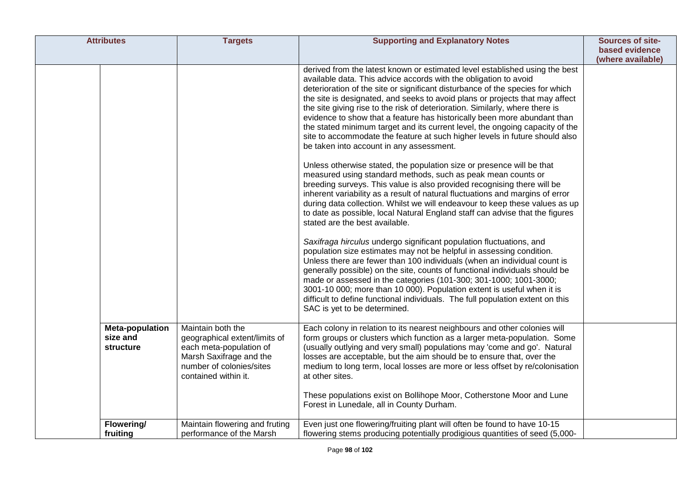| <b>Attributes</b>                                      | <b>Targets</b>                                                                                                                                               | <b>Supporting and Explanatory Notes</b>                                                                                                                                                                                                                                                                                                                                                                                                                                                                                                                                                                                                                                                                                                                                                                                                                                                                                                                                                                                                                                                                                                                                                                                                                                                                                                                                                                                                                                                                                                                                                                                                                                                                                                                                  | Sources of site-  |
|--------------------------------------------------------|--------------------------------------------------------------------------------------------------------------------------------------------------------------|--------------------------------------------------------------------------------------------------------------------------------------------------------------------------------------------------------------------------------------------------------------------------------------------------------------------------------------------------------------------------------------------------------------------------------------------------------------------------------------------------------------------------------------------------------------------------------------------------------------------------------------------------------------------------------------------------------------------------------------------------------------------------------------------------------------------------------------------------------------------------------------------------------------------------------------------------------------------------------------------------------------------------------------------------------------------------------------------------------------------------------------------------------------------------------------------------------------------------------------------------------------------------------------------------------------------------------------------------------------------------------------------------------------------------------------------------------------------------------------------------------------------------------------------------------------------------------------------------------------------------------------------------------------------------------------------------------------------------------------------------------------------------|-------------------|
|                                                        |                                                                                                                                                              |                                                                                                                                                                                                                                                                                                                                                                                                                                                                                                                                                                                                                                                                                                                                                                                                                                                                                                                                                                                                                                                                                                                                                                                                                                                                                                                                                                                                                                                                                                                                                                                                                                                                                                                                                                          | based evidence    |
|                                                        |                                                                                                                                                              |                                                                                                                                                                                                                                                                                                                                                                                                                                                                                                                                                                                                                                                                                                                                                                                                                                                                                                                                                                                                                                                                                                                                                                                                                                                                                                                                                                                                                                                                                                                                                                                                                                                                                                                                                                          | (where available) |
|                                                        |                                                                                                                                                              | derived from the latest known or estimated level established using the best<br>available data. This advice accords with the obligation to avoid<br>deterioration of the site or significant disturbance of the species for which<br>the site is designated, and seeks to avoid plans or projects that may affect<br>the site giving rise to the risk of deterioration. Similarly, where there is<br>evidence to show that a feature has historically been more abundant than<br>the stated minimum target and its current level, the ongoing capacity of the<br>site to accommodate the feature at such higher levels in future should also<br>be taken into account in any assessment.<br>Unless otherwise stated, the population size or presence will be that<br>measured using standard methods, such as peak mean counts or<br>breeding surveys. This value is also provided recognising there will be<br>inherent variability as a result of natural fluctuations and margins of error<br>during data collection. Whilst we will endeavour to keep these values as up<br>to date as possible, local Natural England staff can advise that the figures<br>stated are the best available.<br>Saxifraga hirculus undergo significant population fluctuations, and<br>population size estimates may not be helpful in assessing condition.<br>Unless there are fewer than 100 individuals (when an individual count is<br>generally possible) on the site, counts of functional individuals should be<br>made or assessed in the categories (101-300; 301-1000; 1001-3000;<br>3001-10 000; more than 10 000). Population extent is useful when it is<br>difficult to define functional individuals. The full population extent on this<br>SAC is yet to be determined. |                   |
| <b>Meta-population</b><br>size and<br><b>structure</b> | Maintain both the<br>geographical extent/limits of<br>each meta-population of<br>Marsh Saxifrage and the<br>number of colonies/sites<br>contained within it. | Each colony in relation to its nearest neighbours and other colonies will<br>form groups or clusters which function as a larger meta-population. Some<br>(usually outlying and very small) populations may 'come and go'. Natural<br>losses are acceptable, but the aim should be to ensure that, over the<br>medium to long term, local losses are more or less offset by re/colonisation<br>at other sites.<br>These populations exist on Bollihope Moor, Cotherstone Moor and Lune<br>Forest in Lunedale, all in County Durham.                                                                                                                                                                                                                                                                                                                                                                                                                                                                                                                                                                                                                                                                                                                                                                                                                                                                                                                                                                                                                                                                                                                                                                                                                                       |                   |
| Flowering/                                             | Maintain flowering and fruting                                                                                                                               | Even just one flowering/fruiting plant will often be found to have 10-15                                                                                                                                                                                                                                                                                                                                                                                                                                                                                                                                                                                                                                                                                                                                                                                                                                                                                                                                                                                                                                                                                                                                                                                                                                                                                                                                                                                                                                                                                                                                                                                                                                                                                                 |                   |
| fruiting                                               | performance of the Marsh                                                                                                                                     | flowering stems producing potentially prodigious quantities of seed (5,000-                                                                                                                                                                                                                                                                                                                                                                                                                                                                                                                                                                                                                                                                                                                                                                                                                                                                                                                                                                                                                                                                                                                                                                                                                                                                                                                                                                                                                                                                                                                                                                                                                                                                                              |                   |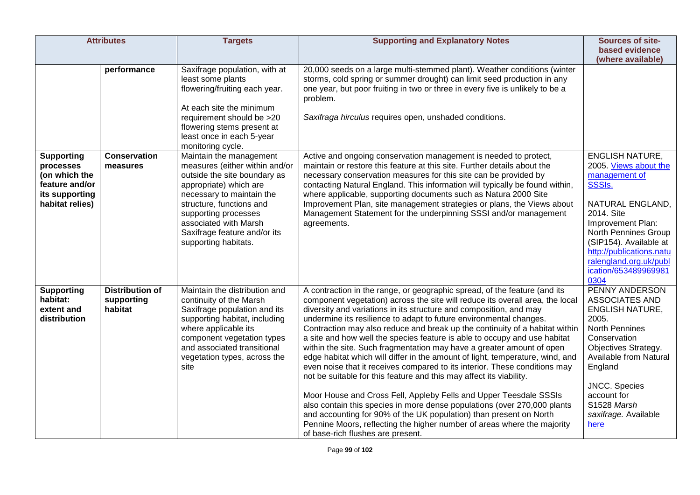| <b>Attributes</b>                                                                                      |                                                 | <b>Targets</b>                                                                                                                                                                                                                                                                        | <b>Supporting and Explanatory Notes</b>                                                                                                                                                                                                                                                                                                                                                                                                                                                                                                                                                                                                                                                                                                                                                                                                                                                                                                                                                                                                                                                                                  | Sources of site-<br>based evidence                                                                                                                                                                                                                                        |
|--------------------------------------------------------------------------------------------------------|-------------------------------------------------|---------------------------------------------------------------------------------------------------------------------------------------------------------------------------------------------------------------------------------------------------------------------------------------|--------------------------------------------------------------------------------------------------------------------------------------------------------------------------------------------------------------------------------------------------------------------------------------------------------------------------------------------------------------------------------------------------------------------------------------------------------------------------------------------------------------------------------------------------------------------------------------------------------------------------------------------------------------------------------------------------------------------------------------------------------------------------------------------------------------------------------------------------------------------------------------------------------------------------------------------------------------------------------------------------------------------------------------------------------------------------------------------------------------------------|---------------------------------------------------------------------------------------------------------------------------------------------------------------------------------------------------------------------------------------------------------------------------|
|                                                                                                        |                                                 |                                                                                                                                                                                                                                                                                       |                                                                                                                                                                                                                                                                                                                                                                                                                                                                                                                                                                                                                                                                                                                                                                                                                                                                                                                                                                                                                                                                                                                          | (where available)                                                                                                                                                                                                                                                         |
|                                                                                                        | performance                                     | Saxifrage population, with at<br>least some plants<br>flowering/fruiting each year.<br>At each site the minimum<br>requirement should be >20<br>flowering stems present at<br>least once in each 5-year<br>monitoring cycle.                                                          | 20,000 seeds on a large multi-stemmed plant). Weather conditions (winter<br>storms, cold spring or summer drought) can limit seed production in any<br>one year, but poor fruiting in two or three in every five is unlikely to be a<br>problem.<br>Saxifraga hirculus requires open, unshaded conditions.                                                                                                                                                                                                                                                                                                                                                                                                                                                                                                                                                                                                                                                                                                                                                                                                               |                                                                                                                                                                                                                                                                           |
| <b>Supporting</b><br>processes<br>(on which the<br>feature and/or<br>its supporting<br>habitat relies) | <b>Conservation</b><br>measures                 | Maintain the management<br>measures (either within and/or<br>outside the site boundary as<br>appropriate) which are<br>necessary to maintain the<br>structure, functions and<br>supporting processes<br>associated with Marsh<br>Saxifrage feature and/or its<br>supporting habitats. | Active and ongoing conservation management is needed to protect,<br>maintain or restore this feature at this site. Further details about the<br>necessary conservation measures for this site can be provided by<br>contacting Natural England. This information will typically be found within,<br>where applicable, supporting documents such as Natura 2000 Site<br>Improvement Plan, site management strategies or plans, the Views about<br>Management Statement for the underpinning SSSI and/or management<br>agreements.                                                                                                                                                                                                                                                                                                                                                                                                                                                                                                                                                                                         | <b>ENGLISH NATURE,</b><br>2005. Views about the<br>management of<br>SSSIs.<br>NATURAL ENGLAND,<br>2014. Site<br>Improvement Plan:<br>North Pennines Group<br>(SIP154). Available at<br>http://publications.natu<br>ralengland.org.uk/publ<br>ication/653489969981<br>0304 |
| <b>Supporting</b><br>habitat:<br>extent and<br>distribution                                            | <b>Distribution of</b><br>supporting<br>habitat | Maintain the distribution and<br>continuity of the Marsh<br>Saxifrage population and its<br>supporting habitat, including<br>where applicable its<br>component vegetation types<br>and associated transitional<br>vegetation types, across the<br>site                                | A contraction in the range, or geographic spread, of the feature (and its<br>component vegetation) across the site will reduce its overall area, the local<br>diversity and variations in its structure and composition, and may<br>undermine its resilience to adapt to future environmental changes.<br>Contraction may also reduce and break up the continuity of a habitat within<br>a site and how well the species feature is able to occupy and use habitat<br>within the site. Such fragmentation may have a greater amount of open<br>edge habitat which will differ in the amount of light, temperature, wind, and<br>even noise that it receives compared to its interior. These conditions may<br>not be suitable for this feature and this may affect its viability.<br>Moor House and Cross Fell, Appleby Fells and Upper Teesdale SSSIs<br>also contain this species in more dense populations (over 270,000 plants<br>and accounting for 90% of the UK population) than present on North<br>Pennine Moors, reflecting the higher number of areas where the majority<br>of base-rich flushes are present. | PENNY ANDERSON<br>ASSOCIATES AND<br><b>ENGLISH NATURE,</b><br>2005.<br>North Pennines<br>Conservation<br>Objectives Strategy.<br>Available from Natural<br>England<br><b>JNCC.</b> Species<br>account for<br>S1528 Marsh<br>saxifrage. Available<br>here                  |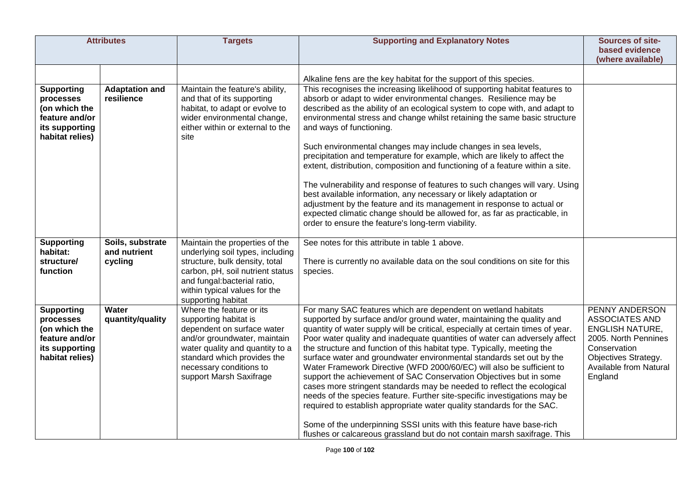| <b>Attributes</b>                                                                                      |                                             | <b>Targets</b>                                                                                                                                                                                                                          | <b>Supporting and Explanatory Notes</b>                                                                                                                                                                                                                                                                                                                                                                                                                                                                                                                                                                                                                                                                                                                                                                                                                                                                                                                                                                       | Sources of site-<br>based evidence                                                                                                                              |
|--------------------------------------------------------------------------------------------------------|---------------------------------------------|-----------------------------------------------------------------------------------------------------------------------------------------------------------------------------------------------------------------------------------------|---------------------------------------------------------------------------------------------------------------------------------------------------------------------------------------------------------------------------------------------------------------------------------------------------------------------------------------------------------------------------------------------------------------------------------------------------------------------------------------------------------------------------------------------------------------------------------------------------------------------------------------------------------------------------------------------------------------------------------------------------------------------------------------------------------------------------------------------------------------------------------------------------------------------------------------------------------------------------------------------------------------|-----------------------------------------------------------------------------------------------------------------------------------------------------------------|
|                                                                                                        |                                             |                                                                                                                                                                                                                                         |                                                                                                                                                                                                                                                                                                                                                                                                                                                                                                                                                                                                                                                                                                                                                                                                                                                                                                                                                                                                               | (where available)                                                                                                                                               |
| <b>Supporting</b><br>processes<br>(on which the<br>feature and/or<br>its supporting<br>habitat relies) | <b>Adaptation and</b><br>resilience         | Maintain the feature's ability,<br>and that of its supporting<br>habitat, to adapt or evolve to<br>wider environmental change,<br>either within or external to the<br>site                                                              | Alkaline fens are the key habitat for the support of this species.<br>This recognises the increasing likelihood of supporting habitat features to<br>absorb or adapt to wider environmental changes. Resilience may be<br>described as the ability of an ecological system to cope with, and adapt to<br>environmental stress and change whilst retaining the same basic structure<br>and ways of functioning.<br>Such environmental changes may include changes in sea levels,<br>precipitation and temperature for example, which are likely to affect the<br>extent, distribution, composition and functioning of a feature within a site.<br>The vulnerability and response of features to such changes will vary. Using<br>best available information, any necessary or likely adaptation or<br>adjustment by the feature and its management in response to actual or<br>expected climatic change should be allowed for, as far as practicable, in<br>order to ensure the feature's long-term viability. |                                                                                                                                                                 |
| <b>Supporting</b><br>habitat:<br>structure/<br>function                                                | Soils, substrate<br>and nutrient<br>cycling | Maintain the properties of the<br>underlying soil types, including<br>structure, bulk density, total<br>carbon, pH, soil nutrient status<br>and fungal:bacterial ratio,<br>within typical values for the<br>supporting habitat          | See notes for this attribute in table 1 above.<br>There is currently no available data on the soul conditions on site for this<br>species.                                                                                                                                                                                                                                                                                                                                                                                                                                                                                                                                                                                                                                                                                                                                                                                                                                                                    |                                                                                                                                                                 |
| <b>Supporting</b><br>processes<br>(on which the<br>feature and/or<br>its supporting<br>habitat relies) | Water<br>quantity/quality                   | Where the feature or its<br>supporting habitat is<br>dependent on surface water<br>and/or groundwater, maintain<br>water quality and quantity to a<br>standard which provides the<br>necessary conditions to<br>support Marsh Saxifrage | For many SAC features which are dependent on wetland habitats<br>supported by surface and/or ground water, maintaining the quality and<br>quantity of water supply will be critical, especially at certain times of year.<br>Poor water quality and inadequate quantities of water can adversely affect<br>the structure and function of this habitat type. Typically, meeting the<br>surface water and groundwater environmental standards set out by the<br>Water Framework Directive (WFD 2000/60/EC) will also be sufficient to<br>support the achievement of SAC Conservation Objectives but in some<br>cases more stringent standards may be needed to reflect the ecological<br>needs of the species feature. Further site-specific investigations may be<br>required to establish appropriate water quality standards for the SAC.<br>Some of the underpinning SSSI units with this feature have base-rich<br>flushes or calcareous grassland but do not contain marsh saxifrage. This                | PENNY ANDERSON<br>ASSOCIATES AND<br><b>ENGLISH NATURE,</b><br>2005. North Pennines<br>Conservation<br>Objectives Strategy.<br>Available from Natural<br>England |